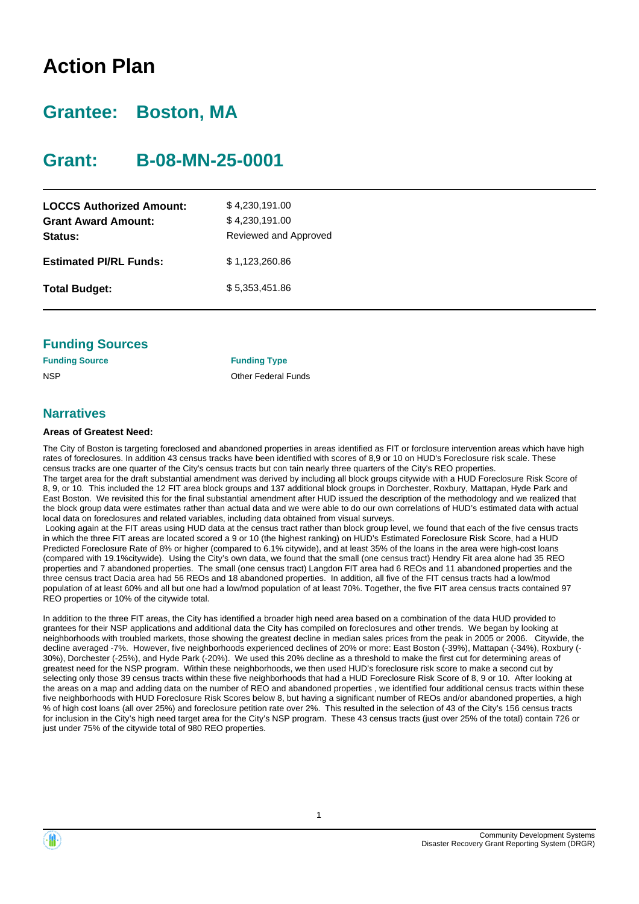# **Action Plan**

# **Grantee: Boston, MA**

# **Grant: B-08-MN-25-0001**

| <b>LOCCS Authorized Amount:</b><br><b>Grant Award Amount:</b><br>Status: | \$4,230,191.00<br>\$4,230,191.00<br>Reviewed and Approved |
|--------------------------------------------------------------------------|-----------------------------------------------------------|
| <b>Estimated PI/RL Funds:</b>                                            | \$1,123,260.86                                            |
| <b>Total Budget:</b>                                                     | \$5,353,451.86                                            |

### **Funding Sources**

| <b>Funding Source</b> | <b>Funding Type</b> |
|-----------------------|---------------------|
| NSP                   | Other Federal       |

### **Narratives**

#### **Areas of Greatest Need:**

The City of Boston is targeting foreclosed and abandoned properties in areas identified as FIT or forclosure intervention areas which have high rates of foreclosures. In addition 43 census tracks have been identified with scores of 8,9 or 10 on HUD's Foreclosure risk scale. These census tracks are one quarter of the City's census tracts but con tain nearly three quarters of the City's REO properties. The target area for the draft substantial amendment was derived by including all block groups citywide with a HUD Foreclosure Risk Score of 8, 9, or 10. This included the 12 FIT area block groups and 137 additional block groups in Dorchester, Roxbury, Mattapan, Hyde Park and East Boston. We revisited this for the final substantial amendment after HUD issued the description of the methodology and we realized that the block group data were estimates rather than actual data and we were able to do our own correlations of HUD's estimated data with actual local data on foreclosures and related variables, including data obtained from visual surveys. Looking again at the FIT areas using HUD data at the census tract rather than block group level, we found that each of the five census tracts

**Federal Funds** 

in which the three FIT areas are located scored a 9 or 10 (the highest ranking) on HUD's Estimated Foreclosure Risk Score, had a HUD Predicted Foreclosure Rate of 8% or higher (compared to 6.1% citywide), and at least 35% of the loans in the area were high-cost loans (compared with 19.1%citywide). Using the City's own data, we found that the small (one census tract) Hendry Fit area alone had 35 REO properties and 7 abandoned properties. The small (one census tract) Langdon FIT area had 6 REOs and 11 abandoned properties and the three census tract Dacia area had 56 REOs and 18 abandoned properties. In addition, all five of the FIT census tracts had a low/mod population of at least 60% and all but one had a low/mod population of at least 70%. Together, the five FIT area census tracts contained 97 REO properties or 10% of the citywide total.

In addition to the three FIT areas, the City has identified a broader high need area based on a combination of the data HUD provided to grantees for their NSP applications and additional data the City has compiled on foreclosures and other trends. We began by looking at neighborhoods with troubled markets, those showing the greatest decline in median sales prices from the peak in 2005 or 2006. Citywide, the decline averaged -7%. However, five neighborhoods experienced declines of 20% or more: East Boston (-39%), Mattapan (-34%), Roxbury (- 30%), Dorchester (-25%), and Hyde Park (-20%). We used this 20% decline as a threshold to make the first cut for determining areas of greatest need for the NSP program. Within these neighborhoods, we then used HUD's foreclosure risk score to make a second cut by selecting only those 39 census tracts within these five neighborhoods that had a HUD Foreclosure Risk Score of 8, 9 or 10. After looking at the areas on a map and adding data on the number of REO and abandoned properties , we identified four additional census tracts within these five neighborhoods with HUD Foreclosure Risk Scores below 8, but having a significant number of REOs and/or abandoned properties, a high % of high cost loans (all over 25%) and foreclosure petition rate over 2%. This resulted in the selection of 43 of the City's 156 census tracts for inclusion in the City's high need target area for the City's NSP program. These 43 census tracts (just over 25% of the total) contain 726 or just under 75% of the citywide total of 980 REO properties.



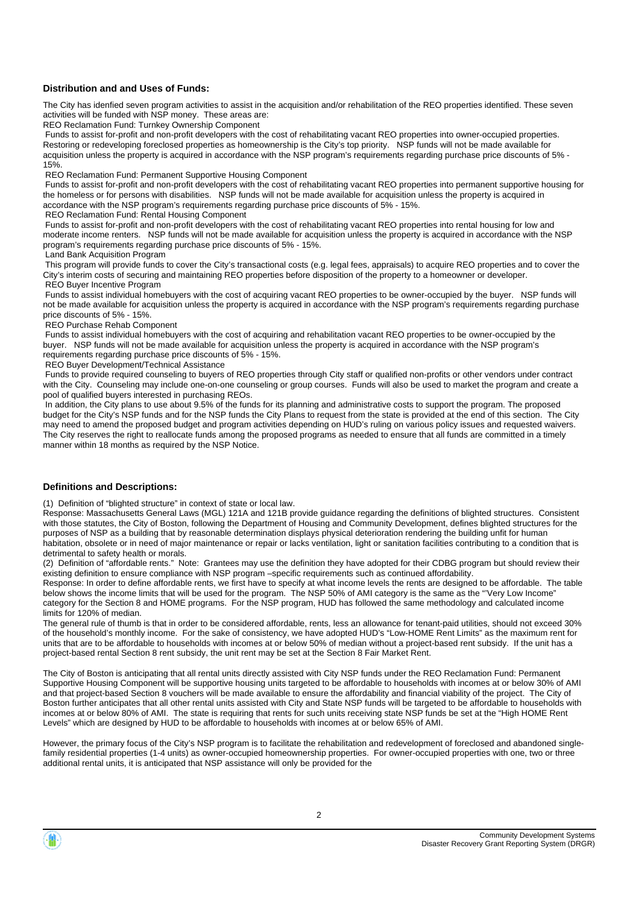#### **Distribution and and Uses of Funds:**

The City has idenfied seven program activities to assist in the acquisition and/or rehabilitation of the REO properties identified. These seven activities will be funded with NSP money. These areas are:

REO Reclamation Fund: Turnkey Ownership Component

 Funds to assist for-profit and non-profit developers with the cost of rehabilitating vacant REO properties into owner-occupied properties. Restoring or redeveloping foreclosed properties as homeownership is the City's top priority. NSP funds will not be made available for acquisition unless the property is acquired in accordance with the NSP program's requirements regarding purchase price discounts of 5% - 15%.

REO Reclamation Fund: Permanent Supportive Housing Component

 Funds to assist for-profit and non-profit developers with the cost of rehabilitating vacant REO properties into permanent supportive housing for the homeless or for persons with disabilities. NSP funds will not be made available for acquisition unless the property is acquired in accordance with the NSP program's requirements regarding purchase price discounts of 5% - 15%.

REO Reclamation Fund: Rental Housing Component

 Funds to assist for-profit and non-profit developers with the cost of rehabilitating vacant REO properties into rental housing for low and moderate income renters. NSP funds will not be made available for acquisition unless the property is acquired in accordance with the NSP program's requirements regarding purchase price discounts of 5% - 15%.

Land Bank Acquisition Program

 This program will provide funds to cover the City's transactional costs (e.g. legal fees, appraisals) to acquire REO properties and to cover the City's interim costs of securing and maintaining REO properties before disposition of the property to a homeowner or developer. REO Buyer Incentive Program

 Funds to assist individual homebuyers with the cost of acquiring vacant REO properties to be owner-occupied by the buyer. NSP funds will not be made available for acquisition unless the property is acquired in accordance with the NSP program's requirements regarding purchase price discounts of 5% - 15%.

REO Purchase Rehab Component

 Funds to assist individual homebuyers with the cost of acquiring and rehabilitation vacant REO properties to be owner-occupied by the buyer. NSP funds will not be made available for acquisition unless the property is acquired in accordance with the NSP program's requirements regarding purchase price discounts of 5% - 15%.

REO Buyer Development/Technical Assistance

 Funds to provide required counseling to buyers of REO properties through City staff or qualified non-profits or other vendors under contract with the City. Counseling may include one-on-one counseling or group courses. Funds will also be used to market the program and create a pool of qualified buyers interested in purchasing REOs.

 In addition, the City plans to use about 9.5% of the funds for its planning and administrative costs to support the program. The proposed budget for the City's NSP funds and for the NSP funds the City Plans to request from the state is provided at the end of this section. The City may need to amend the proposed budget and program activities depending on HUD's ruling on various policy issues and requested waivers. The City reserves the right to reallocate funds among the proposed programs as needed to ensure that all funds are committed in a timely manner within 18 months as required by the NSP Notice.

#### **Definitions and Descriptions:**

(1) Definition of "blighted structure" in context of state or local law.

Response: Massachusetts General Laws (MGL) 121A and 121B provide guidance regarding the definitions of blighted structures. Consistent with those statutes, the City of Boston, following the Department of Housing and Community Development, defines blighted structures for the purposes of NSP as a building that by reasonable determination displays physical deterioration rendering the building unfit for human habitation, obsolete or in need of major maintenance or repair or lacks ventilation, light or sanitation facilities contributing to a condition that is detrimental to safety health or morals.

(2) Definition of "affordable rents." Note: Grantees may use the definition they have adopted for their CDBG program but should review their existing definition to ensure compliance with NSP program –specific requirements such as continued affordability.

Response: In order to define affordable rents, we first have to specify at what income levels the rents are designed to be affordable. The table below shows the income limits that will be used for the program. The NSP 50% of AMI category is the same as the "'Very Low Income" category for the Section 8 and HOME programs. For the NSP program, HUD has followed the same methodology and calculated income limits for 120% of median.

The general rule of thumb is that in order to be considered affordable, rents, less an allowance for tenant-paid utilities, should not exceed 30% of the household's monthly income. For the sake of consistency, we have adopted HUD's "Low-HOME Rent Limits" as the maximum rent for units that are to be affordable to households with incomes at or below 50% of median without a project-based rent subsidy. If the unit has a project-based rental Section 8 rent subsidy, the unit rent may be set at the Section 8 Fair Market Rent.

The City of Boston is anticipating that all rental units directly assisted with City NSP funds under the REO Reclamation Fund: Permanent Supportive Housing Component will be supportive housing units targeted to be affordable to households with incomes at or below 30% of AMI and that project-based Section 8 vouchers will be made available to ensure the affordability and financial viability of the project. The City of Boston further anticipates that all other rental units assisted with City and State NSP funds will be targeted to be affordable to households with incomes at or below 80% of AMI. The state is requiring that rents for such units receiving state NSP funds be set at the "High HOME Rent Levels" which are designed by HUD to be affordable to households with incomes at or below 65% of AMI.

However, the primary focus of the City's NSP program is to facilitate the rehabilitation and redevelopment of foreclosed and abandoned singlefamily residential properties (1-4 units) as owner-occupied homeownership properties. For owner-occupied properties with one, two or three additional rental units, it is anticipated that NSP assistance will only be provided for the

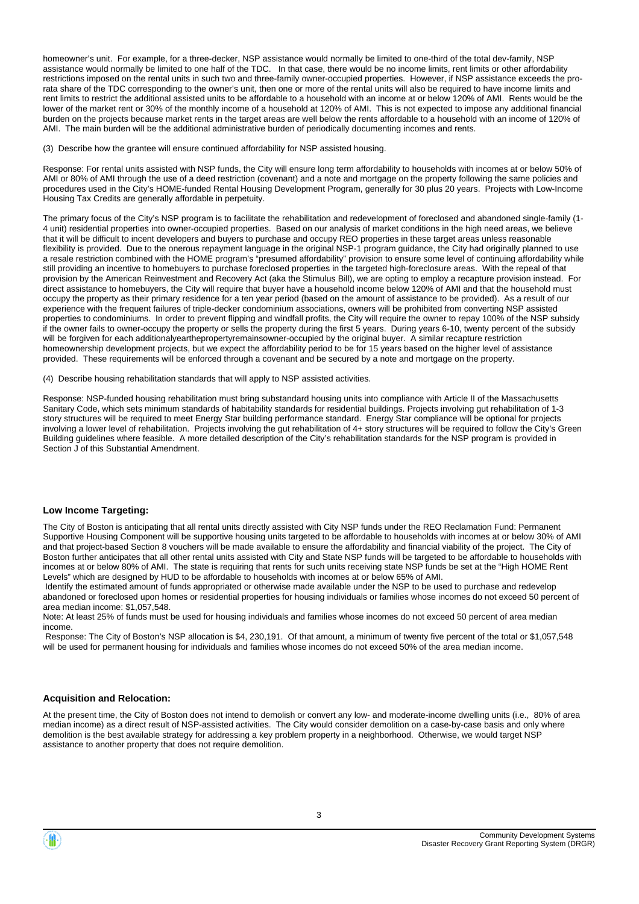homeowner's unit. For example, for a three-decker, NSP assistance would normally be limited to one-third of the total dev-family, NSP assistance would normally be limited to one half of the TDC. In that case, there would be no income limits, rent limits or other affordability restrictions imposed on the rental units in such two and three-family owner-occupied properties. However, if NSP assistance exceeds the prorata share of the TDC corresponding to the owner's unit, then one or more of the rental units will also be required to have income limits and rent limits to restrict the additional assisted units to be affordable to a household with an income at or below 120% of AMI. Rents would be the lower of the market rent or 30% of the monthly income of a household at 120% of AMI. This is not expected to impose any additional financial burden on the projects because market rents in the target areas are well below the rents affordable to a household with an income of 120% of AMI. The main burden will be the additional administrative burden of periodically documenting incomes and rents.

(3) Describe how the grantee will ensure continued affordability for NSP assisted housing.

Response: For rental units assisted with NSP funds, the City will ensure long term affordability to households with incomes at or below 50% of AMI or 80% of AMI through the use of a deed restriction (covenant) and a note and mortgage on the property following the same policies and procedures used in the City's HOME-funded Rental Housing Development Program, generally for 30 plus 20 years. Projects with Low-Income Housing Tax Credits are generally affordable in perpetuity.

The primary focus of the City's NSP program is to facilitate the rehabilitation and redevelopment of foreclosed and abandoned single-family (1- 4 unit) residential properties into owner-occupied properties. Based on our analysis of market conditions in the high need areas, we believe that it will be difficult to incent developers and buyers to purchase and occupy REO properties in these target areas unless reasonable flexibility is provided. Due to the onerous repayment language in the original NSP-1 program guidance, the City had originally planned to use a resale restriction combined with the HOME program's "presumed affordability" provision to ensure some level of continuing affordability while still providing an incentive to homebuyers to purchase foreclosed properties in the targeted high-foreclosure areas. With the repeal of that provision by the American Reinvestment and Recovery Act (aka the Stimulus Bill), we are opting to employ a recapture provision instead. For direct assistance to homebuyers, the City will require that buyer have a household income below 120% of AMI and that the household must occupy the property as their primary residence for a ten year period (based on the amount of assistance to be provided). As a result of our experience with the frequent failures of triple-decker condominium associations, owners will be prohibited from converting NSP assisted properties to condominiums. In order to prevent flipping and windfall profits, the City will require the owner to repay 100% of the NSP subsidy if the owner fails to owner-occupy the property or sells the property during the first 5 years. During years 6-10, twenty percent of the subsidy will be forgiven for each additionalyearthepropertyremainsowner-occupied by the original buyer. A similar recapture restriction homeownership development projects, but we expect the affordability period to be for 15 years based on the higher level of assistance provided. These requirements will be enforced through a covenant and be secured by a note and mortgage on the property.

(4) Describe housing rehabilitation standards that will apply to NSP assisted activities.

Response: NSP-funded housing rehabilitation must bring substandard housing units into compliance with Article II of the Massachusetts Sanitary Code, which sets minimum standards of habitability standards for residential buildings. Projects involving gut rehabilitation of 1-3 story structures will be required to meet Energy Star building performance standard. Energy Star compliance will be optional for projects involving a lower level of rehabilitation. Projects involving the gut rehabilitation of 4+ story structures will be required to follow the City's Green Building guidelines where feasible. A more detailed description of the City's rehabilitation standards for the NSP program is provided in Section J of this Substantial Amendment.

#### **Low Income Targeting:**

The City of Boston is anticipating that all rental units directly assisted with City NSP funds under the REO Reclamation Fund: Permanent Supportive Housing Component will be supportive housing units targeted to be affordable to households with incomes at or below 30% of AMI and that project-based Section 8 vouchers will be made available to ensure the affordability and financial viability of the project. The City of Boston further anticipates that all other rental units assisted with City and State NSP funds will be targeted to be affordable to households with incomes at or below 80% of AMI. The state is requiring that rents for such units receiving state NSP funds be set at the "High HOME Rent Levels" which are designed by HUD to be affordable to households with incomes at or below 65% of AMI.

 Identify the estimated amount of funds appropriated or otherwise made available under the NSP to be used to purchase and redevelop abandoned or foreclosed upon homes or residential properties for housing individuals or families whose incomes do not exceed 50 percent of area median income: \$1,057,548.

Note: At least 25% of funds must be used for housing individuals and families whose incomes do not exceed 50 percent of area median income.

 Response: The City of Boston's NSP allocation is \$4, 230,191. Of that amount, a minimum of twenty five percent of the total or \$1,057,548 will be used for permanent housing for individuals and families whose incomes do not exceed 50% of the area median income.

#### **Acquisition and Relocation:**

At the present time, the City of Boston does not intend to demolish or convert any low- and moderate-income dwelling units (i.e., 80% of area median income) as a direct result of NSP-assisted activities. The City would consider demolition on a case-by-case basis and only where demolition is the best available strategy for addressing a key problem property in a neighborhood. Otherwise, we would target NSP assistance to another property that does not require demolition.

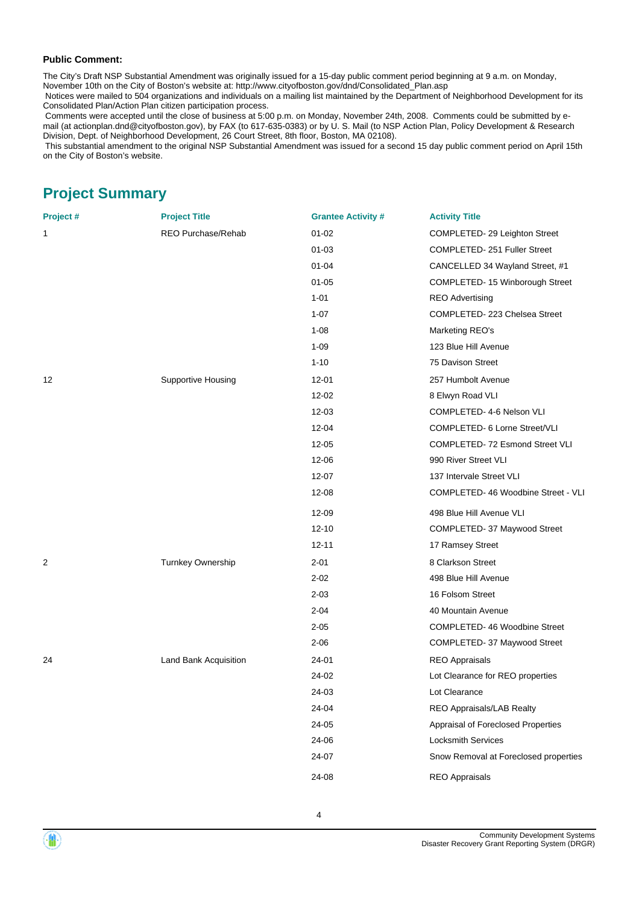#### **Public Comment:**

The City's Draft NSP Substantial Amendment was originally issued for a 15-day public comment period beginning at 9 a.m. on Monday,

November 10th on the City of Boston's website at: http://www.cityofboston.gov/dnd/Consolidated\_Plan.asp

 Notices were mailed to 504 organizations and individuals on a mailing list maintained by the Department of Neighborhood Development for its Consolidated Plan/Action Plan citizen participation process.

 Comments were accepted until the close of business at 5:00 p.m. on Monday, November 24th, 2008. Comments could be submitted by email (at actionplan.dnd@cityofboston.gov), by FAX (to 617-635-0383) or by U. S. Mail (to NSP Action Plan, Policy Development & Research Division, Dept. of Neighborhood Development, 26 Court Street, 8th floor, Boston, MA 02108).

 This substantial amendment to the original NSP Substantial Amendment was issued for a second 15 day public comment period on April 15th on the City of Boston's website.

# **Project Summary**

| Project# | <b>Project Title</b>      | <b>Grantee Activity #</b> | <b>Activity Title</b>                 |
|----------|---------------------------|---------------------------|---------------------------------------|
| 1        | <b>REO Purchase/Rehab</b> | $01 - 02$                 | COMPLETED-29 Leighton Street          |
|          |                           | $01 - 03$                 | COMPLETED-251 Fuller Street           |
|          |                           | $01 - 04$                 | CANCELLED 34 Wayland Street, #1       |
|          |                           | $01 - 05$                 | COMPLETED-15 Winborough Street        |
|          |                           | $1 - 01$                  | <b>REO Advertising</b>                |
|          |                           | $1 - 07$                  | COMPLETED-223 Chelsea Street          |
|          |                           | $1 - 08$                  | Marketing REO's                       |
|          |                           | $1 - 09$                  | 123 Blue Hill Avenue                  |
|          |                           | $1 - 10$                  | 75 Davison Street                     |
| 12       | Supportive Housing        | 12-01                     | 257 Humbolt Avenue                    |
|          |                           | 12-02                     | 8 Elwyn Road VLI                      |
|          |                           | 12-03                     | COMPLETED- 4-6 Nelson VLI             |
|          |                           | $12 - 04$                 | COMPLETED- 6 Lorne Street/VLI         |
|          |                           | 12-05                     | COMPLETED-72 Esmond Street VLI        |
|          |                           | 12-06                     | 990 River Street VLI                  |
|          |                           | 12-07                     | 137 Intervale Street VLI              |
|          |                           | 12-08                     | COMPLETED-46 Woodbine Street - VLI    |
|          |                           | 12-09                     | 498 Blue Hill Avenue VLI              |
|          |                           | $12 - 10$                 | COMPLETED- 37 Maywood Street          |
|          |                           | $12 - 11$                 | 17 Ramsey Street                      |
| 2        | Turnkey Ownership         | $2 - 01$                  | 8 Clarkson Street                     |
|          |                           | $2 - 02$                  | 498 Blue Hill Avenue                  |
|          |                           | $2 - 03$                  | 16 Folsom Street                      |
|          |                           | $2 - 04$                  | 40 Mountain Avenue                    |
|          |                           | $2 - 05$                  | COMPLETED-46 Woodbine Street          |
|          |                           | $2 - 06$                  | COMPLETED- 37 Maywood Street          |
| 24       | Land Bank Acquisition     | 24-01                     | <b>REO Appraisals</b>                 |
|          |                           | 24-02                     | Lot Clearance for REO properties      |
|          |                           | 24-03                     | Lot Clearance                         |
|          |                           | 24-04                     | REO Appraisals/LAB Realty             |
|          |                           | 24-05                     | Appraisal of Foreclosed Properties    |
|          |                           | 24-06                     | <b>Locksmith Services</b>             |
|          |                           | 24-07                     | Snow Removal at Foreclosed properties |
|          |                           | 24-08                     | <b>REO Appraisals</b>                 |
|          |                           |                           |                                       |

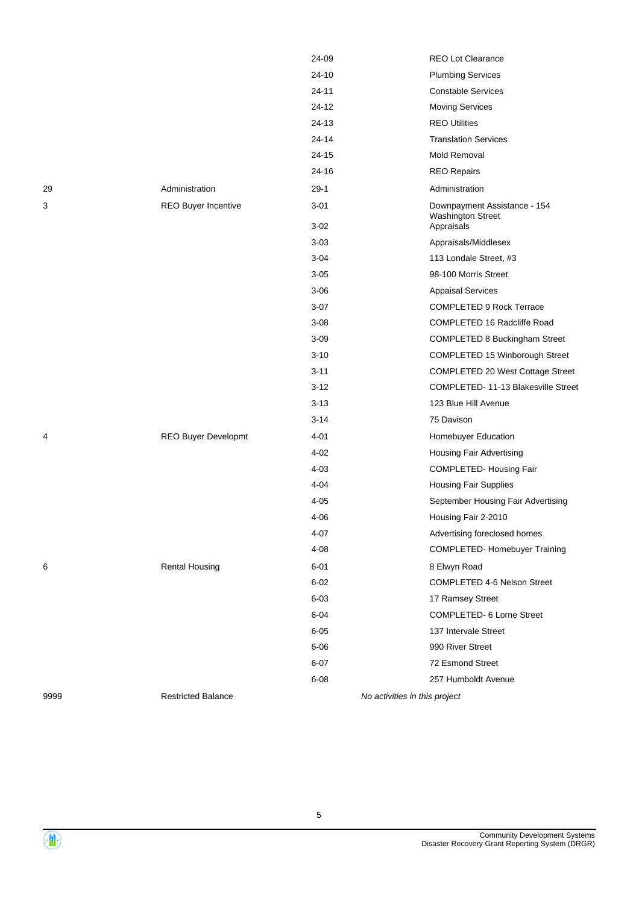|      |                           | 24-09    | <b>REO Lot Clearance</b>               |
|------|---------------------------|----------|----------------------------------------|
|      |                           | 24-10    | <b>Plumbing Services</b>               |
|      |                           | 24-11    | <b>Constable Services</b>              |
|      |                           | 24-12    | <b>Moving Services</b>                 |
|      |                           | 24-13    | <b>REO Utilities</b>                   |
|      |                           | 24-14    | <b>Translation Services</b>            |
|      |                           | 24-15    | Mold Removal                           |
|      |                           | 24-16    | <b>REO Repairs</b>                     |
| 29   | Administration            | $29-1$   | Administration                         |
| 3    | REO Buyer Incentive       | $3 - 01$ | Downpayment Assistance - 154           |
|      |                           | $3 - 02$ | <b>Washington Street</b><br>Appraisals |
|      |                           | $3 - 03$ | Appraisals/Middlesex                   |
|      |                           | $3 - 04$ | 113 Londale Street, #3                 |
|      |                           | $3 - 05$ | 98-100 Morris Street                   |
|      |                           | $3 - 06$ | <b>Appaisal Services</b>               |
|      |                           | $3-07$   | <b>COMPLETED 9 Rock Terrace</b>        |
|      |                           | $3 - 08$ | COMPLETED 16 Radcliffe Road            |
|      |                           | $3 - 09$ | COMPLETED 8 Buckingham Street          |
|      |                           | $3 - 10$ | COMPLETED 15 Winborough Street         |
|      |                           | $3 - 11$ | COMPLETED 20 West Cottage Street       |
|      |                           | $3 - 12$ | COMPLETED-11-13 Blakesville Street     |
|      |                           | $3 - 13$ | 123 Blue Hill Avenue                   |
|      |                           | $3 - 14$ | 75 Davison                             |
| 4    | REO Buyer Developmt       | $4 - 01$ | Homebuyer Education                    |
|      |                           | $4 - 02$ | <b>Housing Fair Advertising</b>        |
|      |                           | $4 - 03$ | COMPLETED-Housing Fair                 |
|      |                           | $4 - 04$ | <b>Housing Fair Supplies</b>           |
|      |                           | $4 - 05$ | September Housing Fair Advertising     |
|      |                           | $4 - 06$ | Housing Fair 2-2010                    |
|      |                           | 4-07     | Advertising foreclosed homes           |
|      |                           | $4 - 08$ | <b>COMPLETED-Homebuyer Training</b>    |
| 6    | <b>Rental Housing</b>     | $6 - 01$ | 8 Elwyn Road                           |
|      |                           | $6 - 02$ | COMPLETED 4-6 Nelson Street            |
|      |                           | $6 - 03$ | 17 Ramsey Street                       |
|      |                           | $6 - 04$ | COMPLETED- 6 Lorne Street              |
|      |                           | $6 - 05$ | 137 Intervale Street                   |
|      |                           | $6 - 06$ | 990 River Street                       |
|      |                           | $6 - 07$ | 72 Esmond Street                       |
|      |                           | $6 - 08$ | 257 Humboldt Avenue                    |
| 9999 | <b>Restricted Balance</b> |          | No activities in this project          |
|      |                           |          |                                        |

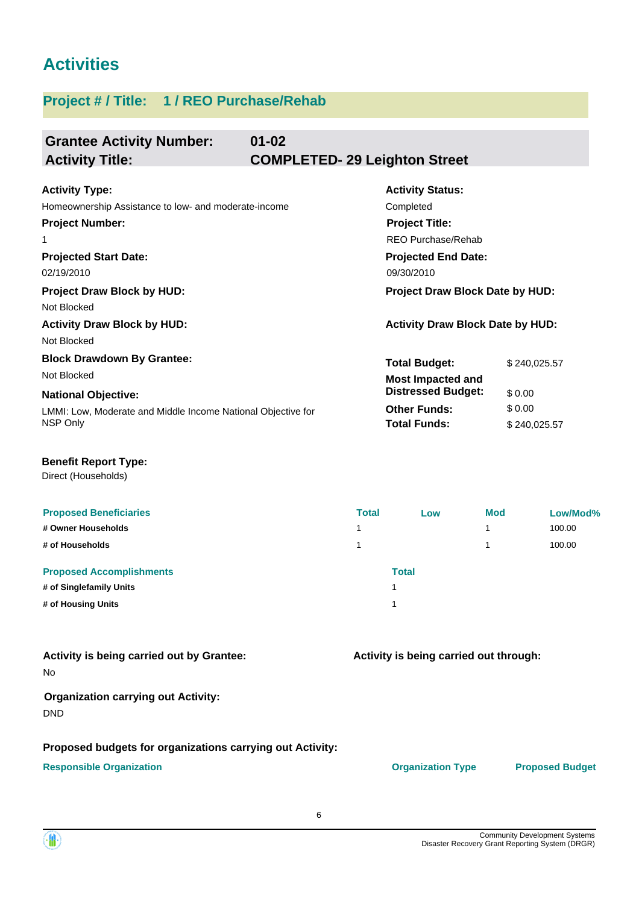# **Activities**

# **Project # / Title: 1 / REO Purchase/Rehab**

| <b>Grantee Activity Number:</b><br><b>Activity Title:</b> | $01 - 02$ | <b>COMPLETED-29 Leighton Street</b>     |             |
|-----------------------------------------------------------|-----------|-----------------------------------------|-------------|
|                                                           |           |                                         |             |
| <b>Activity Type:</b>                                     |           | <b>Activity Status:</b>                 |             |
| Homeownership Assistance to low- and moderate-income      |           | Completed                               |             |
| <b>Project Number:</b>                                    |           | <b>Project Title:</b>                   |             |
| 1                                                         |           | REO Purchase/Rehab                      |             |
| <b>Projected Start Date:</b>                              |           | <b>Projected End Date:</b>              |             |
| 02/19/2010                                                |           | 09/30/2010                              |             |
| <b>Project Draw Block by HUD:</b>                         |           | Project Draw Block Date by HUD:         |             |
| Not Blocked                                               |           |                                         |             |
| <b>Activity Draw Block by HUD:</b>                        |           | <b>Activity Draw Block Date by HUD:</b> |             |
| Not Blocked                                               |           |                                         |             |
| <b>Block Drawdown By Grantee:</b>                         |           | <b>Total Budget:</b>                    | \$240,025.5 |
| Not Blocked                                               |           | <b>Most Impacted and</b>                |             |
| <b>National Objective:</b>                                |           | <b>Distressed Budget:</b>               | \$0.00      |

LMMI: Low, Moderate and Middle Income National Objective for NSP Only

| <b>Total Budget:</b>                                  | \$240,025.57 |
|-------------------------------------------------------|--------------|
| <b>Most Impacted and</b><br><b>Distressed Budget:</b> | \$0.00       |
| <b>Other Funds:</b>                                   | \$0.00       |
| <b>Total Funds:</b>                                   | \$240.025.57 |

## **Benefit Report Type:**

Direct (Households)

| <b>Proposed Beneficiaries</b>   | <b>Total</b>   | Low   | <b>Mod</b> | Low/Mod% |
|---------------------------------|----------------|-------|------------|----------|
| # Owner Households              | 1              |       |            | 100.00   |
| # of Households                 |                |       |            | 100.00   |
| <b>Proposed Accomplishments</b> |                | Total |            |          |
| # of Singlefamily Units         |                |       |            |          |
| # of Housing Units              | $\overline{A}$ |       |            |          |

No **Activity is being carried out by Grantee:**

# **Organization carrying out Activity:**

DND

# **Proposed budgets for organizations carrying out Activity:**

### **Responsible Organization COVID-10 COVID-10 Organization Type Proposed Budget**

**Activity is being carried out through:**

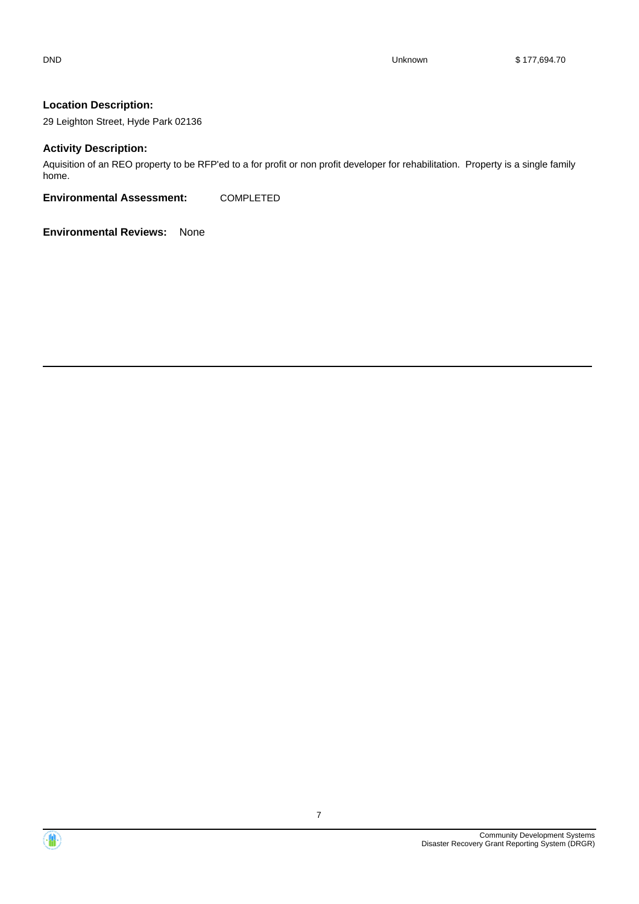29 Leighton Street, Hyde Park 02136

#### **Activity Description:**

Aquisition of an REO property to be RFP'ed to a for profit or non profit developer for rehabilitation. Property is a single family home.

**Environmental Assessment:** COMPLETED



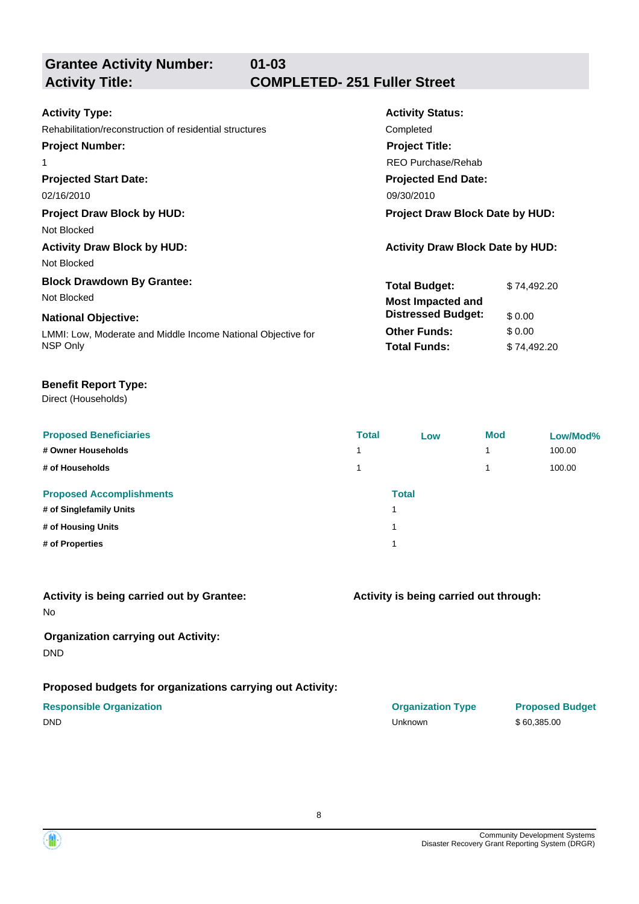| <b>Activity Type:</b>                                        | <b>Activity Status:</b>                 |             |  |
|--------------------------------------------------------------|-----------------------------------------|-------------|--|
| Rehabilitation/reconstruction of residential structures      | Completed                               |             |  |
| <b>Project Number:</b>                                       | <b>Project Title:</b>                   |             |  |
| 1                                                            | REO Purchase/Rehab                      |             |  |
| <b>Projected Start Date:</b>                                 | <b>Projected End Date:</b>              |             |  |
| 02/16/2010                                                   | 09/30/2010                              |             |  |
| <b>Project Draw Block by HUD:</b>                            | <b>Project Draw Block Date by HUD:</b>  |             |  |
| Not Blocked                                                  |                                         |             |  |
| <b>Activity Draw Block by HUD:</b>                           | <b>Activity Draw Block Date by HUD:</b> |             |  |
| Not Blocked                                                  |                                         |             |  |
| <b>Block Drawdown By Grantee:</b>                            | <b>Total Budget:</b>                    | \$74.492.20 |  |
| Not Blocked                                                  | <b>Most Impacted and</b>                |             |  |
| <b>National Objective:</b>                                   | <b>Distressed Budget:</b>               | \$0.00      |  |
| LMMI: Low, Moderate and Middle Income National Objective for | <b>Other Funds:</b>                     | \$0.00      |  |
| NSP Only                                                     | <b>Total Funds:</b>                     | \$74,492.20 |  |
|                                                              |                                         |             |  |

# **Benefit Report Type:**

Direct (Households)

| <b>Proposed Beneficiaries</b><br># Owner Households<br># of Households | <b>Total</b><br>4<br>$\overline{ }$ | Low          | <b>Mod</b><br>4 | Low/Mod%<br>100.00<br>100.00 |
|------------------------------------------------------------------------|-------------------------------------|--------------|-----------------|------------------------------|
| <b>Proposed Accomplishments</b><br># of Singlefamily Units             |                                     | <b>Total</b> |                 |                              |
| # of Housing Units                                                     |                                     |              |                 |                              |
| # of Properties                                                        |                                     |              |                 |                              |

# **Activity is being carried out by Grantee:**

No

# **Organization carrying out Activity:** DND

# **Proposed budgets for organizations carrying out Activity:**

# **Activity is being carried out through:**

**Responsible Organization Organization Type Proposed Budget** DND Unknown \$ 60,385.00

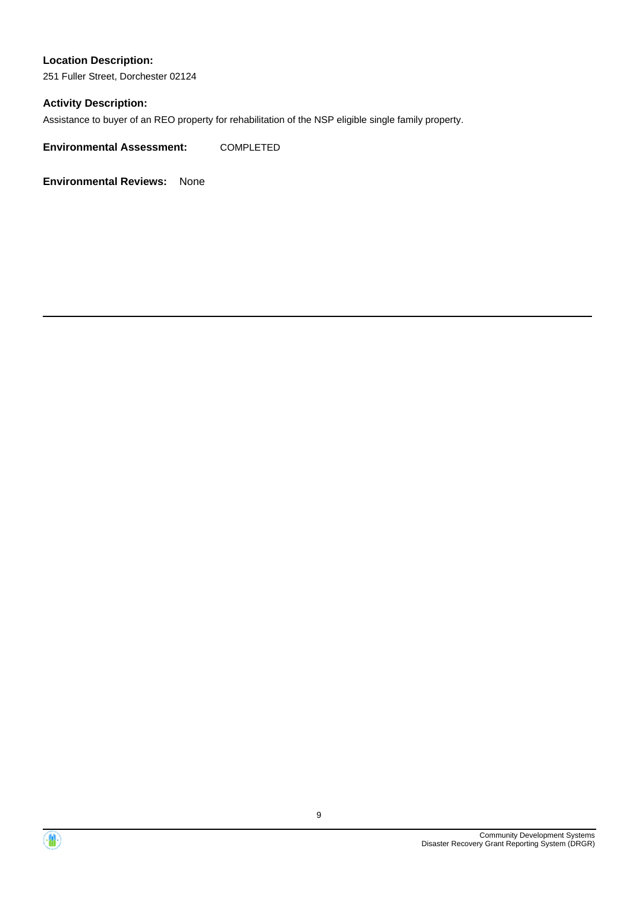251 Fuller Street, Dorchester 02124

# **Activity Description:**

Assistance to buyer of an REO property for rehabilitation of the NSP eligible single family property.

**Environmental Assessment:** COMPLETED



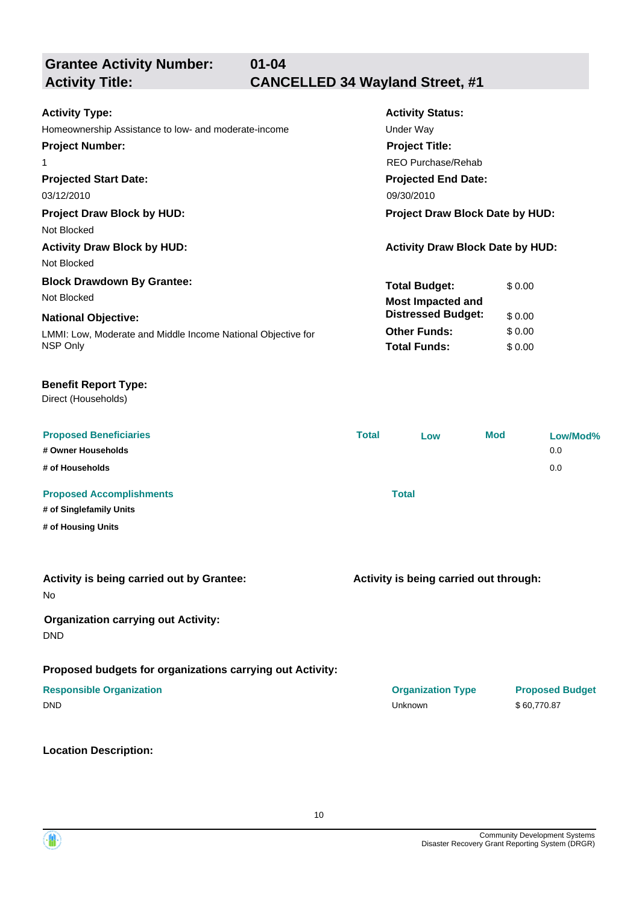**01-04**

# **Activity Title: CANCELLED 34 Wayland Street, #1**

| <b>Activity Type:</b>                                        | <b>Activity Status:</b>                 |  |  |
|--------------------------------------------------------------|-----------------------------------------|--|--|
| Homeownership Assistance to low- and moderate-income         | Under Way                               |  |  |
| <b>Project Number:</b>                                       | <b>Project Title:</b>                   |  |  |
| 1                                                            | REO Purchase/Rehab                      |  |  |
| <b>Projected Start Date:</b>                                 | <b>Projected End Date:</b>              |  |  |
| 03/12/2010                                                   | 09/30/2010                              |  |  |
| <b>Project Draw Block by HUD:</b>                            | <b>Project Draw Block Date by HUD:</b>  |  |  |
| Not Blocked                                                  |                                         |  |  |
| <b>Activity Draw Block by HUD:</b>                           | <b>Activity Draw Block Date by HUD:</b> |  |  |
| Not Blocked                                                  |                                         |  |  |
| <b>Block Drawdown By Grantee:</b>                            | <b>Total Budget:</b><br>\$0.00          |  |  |
| Not Blocked                                                  | <b>Most Impacted and</b>                |  |  |
| <b>National Objective:</b>                                   | <b>Distressed Budget:</b><br>\$0.00     |  |  |
| LMMI: Low, Moderate and Middle Income National Objective for | \$0.00<br><b>Other Funds:</b>           |  |  |
| NSP Only                                                     | <b>Total Funds:</b><br>\$0.00           |  |  |

# **Benefit Report Type:**

Direct (Households)

| <b>Proposed Beneficiaries</b><br># Owner Households<br># of Households | <b>Total</b> | Low          | Mod | Low/Mod%<br>0.0<br>0.0 |
|------------------------------------------------------------------------|--------------|--------------|-----|------------------------|
| <b>Proposed Accomplishments</b><br># of Singlefamily Units             |              | <b>Total</b> |     |                        |
| # of Housing Units                                                     |              |              |     |                        |

| Activity is being carried out by Grantee: |  |
|-------------------------------------------|--|
| No                                        |  |

# **Organization carrying out Activity:**

DND

### **Proposed budgets for organizations carrying out Activity:**

**Location Description:**

**Activity is being carried out through:**

| <b>Responsible Organization</b> | <b>Organization Type</b> | <b>Proposed Budget</b> |
|---------------------------------|--------------------------|------------------------|
| <b>DND</b>                      | Unknown                  | \$60.770.87            |

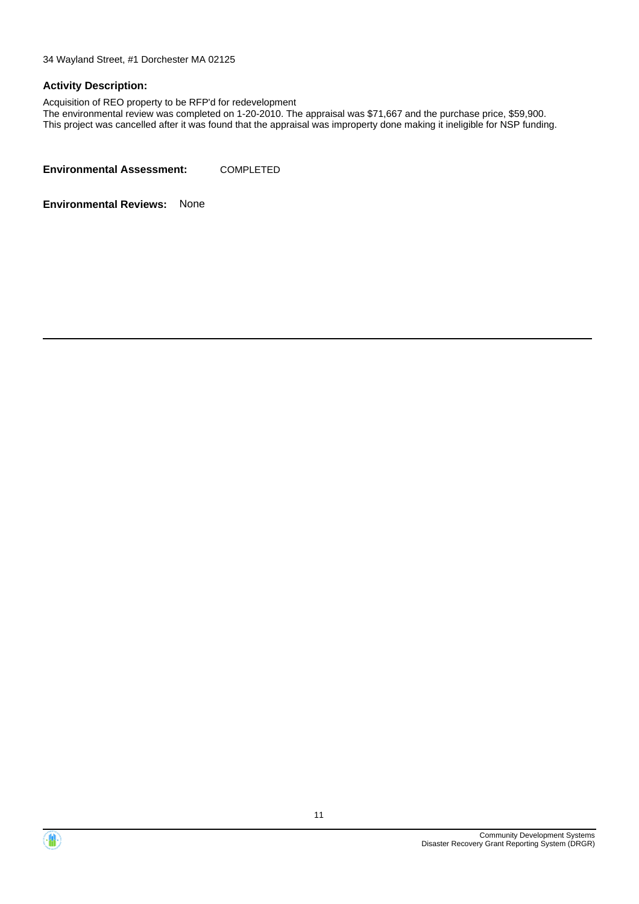34 Wayland Street, #1 Dorchester MA 02125

#### **Activity Description:**

Acquisition of REO property to be RFP'd for redevelopment

The environmental review was completed on 1-20-2010. The appraisal was \$71,667 and the purchase price, \$59,900. This project was cancelled after it was found that the appraisal was improperty done making it ineligible for NSP funding.

**Environmental Assessment:** COMPLETED



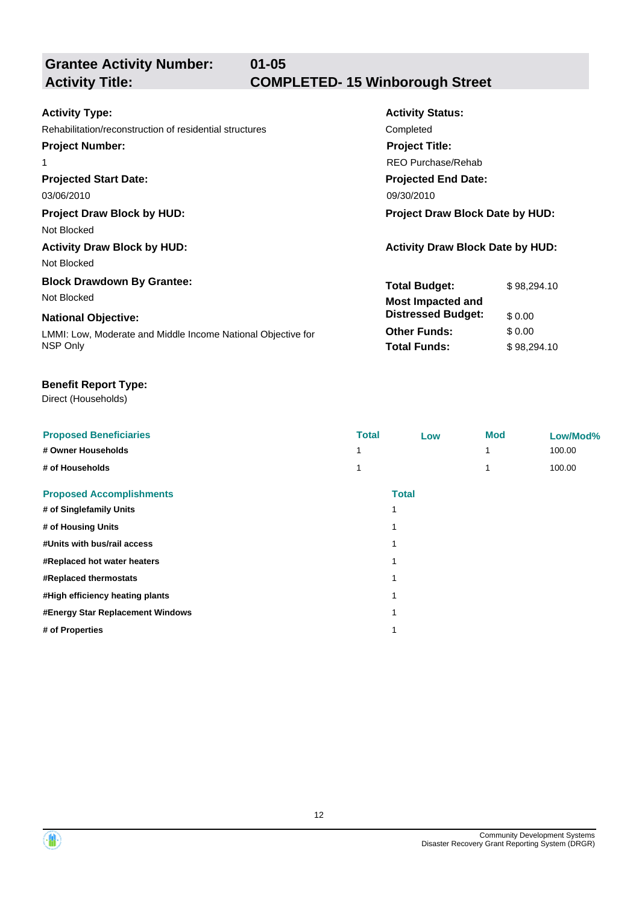**01-05**

# **Grantee Activity Number:**

# **Activity Title: COMPLETED- 15 Winborough Street**

| <b>Activity Type:</b>                                        | <b>Activity Status:</b>                 |             |  |  |
|--------------------------------------------------------------|-----------------------------------------|-------------|--|--|
| Rehabilitation/reconstruction of residential structures      | Completed                               |             |  |  |
| <b>Project Number:</b>                                       | <b>Project Title:</b>                   |             |  |  |
| 1                                                            | REO Purchase/Rehab                      |             |  |  |
| <b>Projected Start Date:</b>                                 | <b>Projected End Date:</b>              |             |  |  |
| 03/06/2010                                                   | 09/30/2010                              |             |  |  |
| <b>Project Draw Block by HUD:</b>                            | <b>Project Draw Block Date by HUD:</b>  |             |  |  |
| Not Blocked                                                  |                                         |             |  |  |
| <b>Activity Draw Block by HUD:</b>                           | <b>Activity Draw Block Date by HUD:</b> |             |  |  |
| Not Blocked                                                  |                                         |             |  |  |
| <b>Block Drawdown By Grantee:</b>                            | <b>Total Budget:</b>                    | \$98,294.10 |  |  |
| Not Blocked                                                  | <b>Most Impacted and</b>                |             |  |  |
| <b>National Objective:</b>                                   | <b>Distressed Budget:</b>               | \$0.00      |  |  |
| LMMI: Low, Moderate and Middle Income National Objective for | <b>Other Funds:</b>                     | \$0.00      |  |  |
| NSP Only                                                     | <b>Total Funds:</b>                     | \$98,294.10 |  |  |
|                                                              |                                         |             |  |  |

# **Benefit Report Type:**

Direct (Households)

| <b>Proposed Beneficiaries</b>    | <b>Total</b> | Low          | <b>Mod</b> | Low/Mod% |
|----------------------------------|--------------|--------------|------------|----------|
| # Owner Households               |              |              |            | 100.00   |
| # of Households                  |              |              |            | 100.00   |
| <b>Proposed Accomplishments</b>  |              | <b>Total</b> |            |          |
| # of Singlefamily Units          | 1            |              |            |          |
| # of Housing Units               | 1            |              |            |          |
| #Units with bus/rail access      | 4            |              |            |          |
| #Replaced hot water heaters      |              |              |            |          |
| #Replaced thermostats            | 1            |              |            |          |
| #High efficiency heating plants  | 4            |              |            |          |
| #Energy Star Replacement Windows | 1            |              |            |          |
| # of Properties                  | 1            |              |            |          |
|                                  |              |              |            |          |

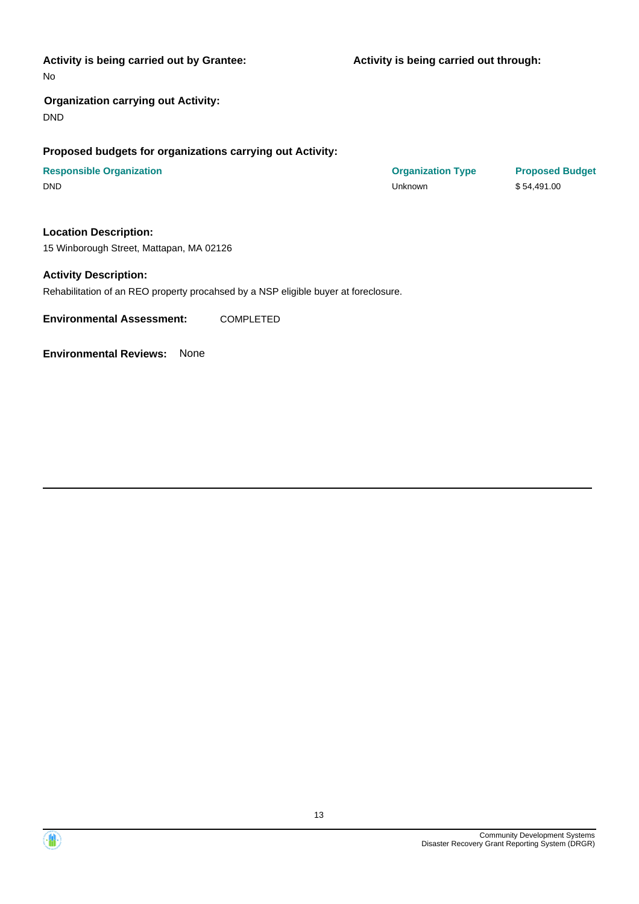#### **Activity is being carried out by Grantee:**

**Activity is being carried out through:**

No

# **Organization carrying out Activity:** DND

### **Proposed budgets for organizations carrying out Activity:**

| <b>Responsible Organization</b> | <b>Organization Type</b> | <b>Proposed Budget</b> |
|---------------------------------|--------------------------|------------------------|
| <b>DND</b>                      | Unknown                  | \$54.491.00            |

### **Location Description:**

15 Winborough Street, Mattapan, MA 02126

#### **Activity Description:**

Rehabilitation of an REO property procahsed by a NSP eligible buyer at foreclosure.

**Environmental Assessment:** COMPLETED



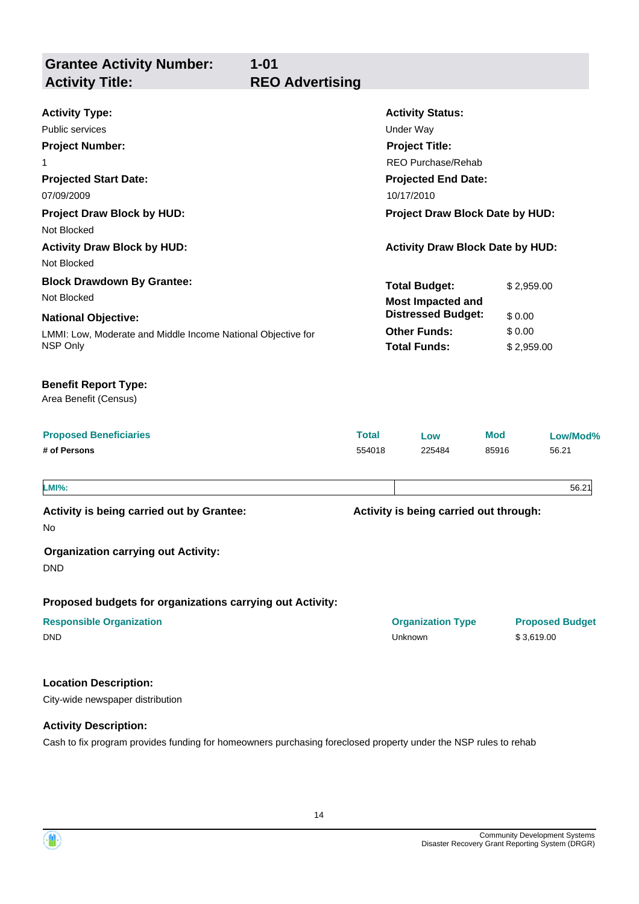**Grantee Activity Number: Activity Status: 1-01 Activity Type:** Public services **National Structure Control Control Control Control Control Control Control Control Control Control Control Control Control Control Control Control Control Control Control Control Control Control Control Co Activity Title: REO Advertising Project Number:** 1 **Project Title:** REO Purchase/Rehab

**Projected Start Date:** LMMI: Low, Moderate and Middle Income National Objective for NSP Only **National Objective: Projected End Date:** 07/09/2009 10/17/2010 **Total Budget:** \$ 2,959.00 **Other Funds:** \$ 0.00 **Total Funds:** \$ 2,959.00 **Project Draw Block by HUD: Project Draw Block Date by HUD:** Not Blocked **Activity Draw Block by HUD: Activity Draw Block Date by HUD:** Not Blocked **Block Drawdown By Grantee:** Not Blocked **Most Impacted and Distressed Budget:** \$ 0.00

#### **Benefit Report Type:**

Area Benefit (Census)

| <b>Proposed Beneficiaries</b> | Total  | Low    | <b>Mod</b> | Low/Mod% |
|-------------------------------|--------|--------|------------|----------|
| # of Persons                  | 554018 | 225484 | 85916      | 56.21    |

**LMI%:** 56.21

**Activity is being carried out by Grantee:**

No

### **Organization carrying out Activity:**

DND

**Proposed budgets for organizations carrying out Activity:**

| <b>Responsible Organization</b> | <b>Organization Type</b> | <b>Proposed Budget</b> |
|---------------------------------|--------------------------|------------------------|
| <b>DND</b>                      | Unknown                  | \$3.619.00             |

### **Location Description:**

City-wide newspaper distribution

### **Activity Description:**

Cash to fix program provides funding for homeowners purchasing foreclosed property under the NSP rules to rehab

**Activity is being carried out through:**



14

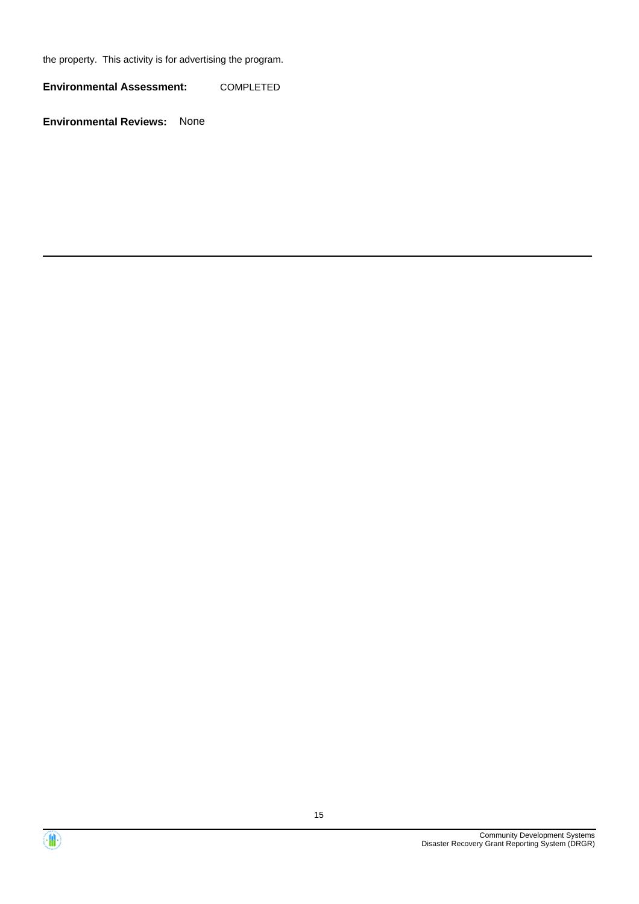the property. This activity is for advertising the program.

**Environmental Assessment:** COMPLETED



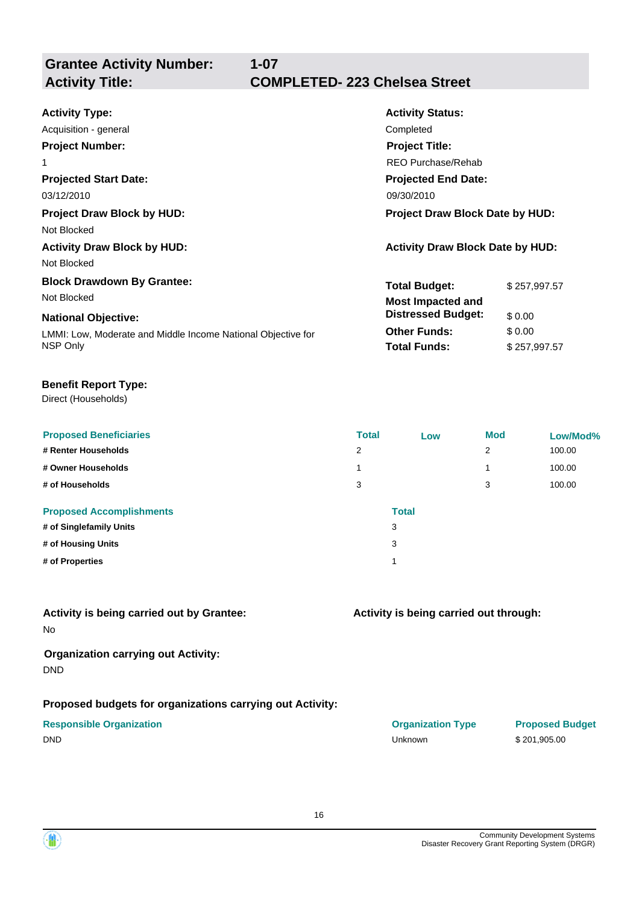# **1-07 Activity Title: COMPLETED- 223 Chelsea Street**

| <b>Activity Type:</b>                                        | <b>Activity Status:</b>                 |              |  |
|--------------------------------------------------------------|-----------------------------------------|--------------|--|
| Acquisition - general                                        | Completed                               |              |  |
| <b>Project Number:</b>                                       | <b>Project Title:</b>                   |              |  |
| 1                                                            | REO Purchase/Rehab                      |              |  |
| <b>Projected Start Date:</b>                                 | <b>Projected End Date:</b>              |              |  |
| 03/12/2010                                                   | 09/30/2010                              |              |  |
| <b>Project Draw Block by HUD:</b>                            | <b>Project Draw Block Date by HUD:</b>  |              |  |
| Not Blocked                                                  |                                         |              |  |
| <b>Activity Draw Block by HUD:</b>                           | <b>Activity Draw Block Date by HUD:</b> |              |  |
| Not Blocked                                                  |                                         |              |  |
| <b>Block Drawdown By Grantee:</b>                            | <b>Total Budget:</b>                    | \$257,997.57 |  |
| Not Blocked                                                  | <b>Most Impacted and</b>                |              |  |
| <b>National Objective:</b>                                   | <b>Distressed Budget:</b>               | \$0.00       |  |
| LMMI: Low, Moderate and Middle Income National Objective for | <b>Other Funds:</b>                     | \$0.00       |  |
| NSP Only                                                     | <b>Total Funds:</b>                     | \$257,997.57 |  |
|                                                              |                                         |              |  |

# **Benefit Report Type:**

Direct (Households)

| <b>Proposed Beneficiaries</b><br># Renter Households<br># Owner Households<br># of Households       | <b>Total</b><br>2<br>3 | Low          | <b>Mod</b><br>2<br>1<br>3 | Low/Mod%<br>100.00<br>100.00<br>100.00 |
|-----------------------------------------------------------------------------------------------------|------------------------|--------------|---------------------------|----------------------------------------|
| <b>Proposed Accomplishments</b><br># of Singlefamily Units<br># of Housing Units<br># of Properties | 3<br>3<br>и            | <b>Total</b> |                           |                                        |

# No **Activity is being carried out by Grantee:**

# **Organization carrying out Activity:** DND

# **Proposed budgets for organizations carrying out Activity:**

|             | <b>Responsible Organization</b> |
|-------------|---------------------------------|
| $- \cdot -$ |                                 |

# **Activity is being carried out through:**

| <b>Responsible Organization</b> | <b>Organization Type</b> | <b>Proposed I</b> |
|---------------------------------|--------------------------|-------------------|
| DND                             | Unknown                  | \$201,905.00      |

**Proposed Budget** 

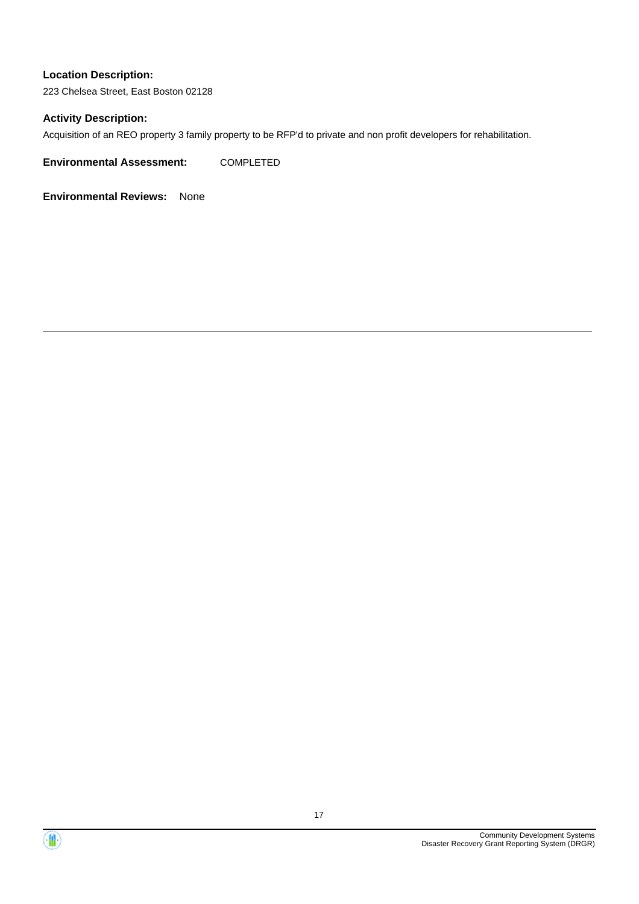223 Chelsea Street, East Boston 02128

### **Activity Description:**

Acquisition of an REO property 3 family property to be RFP'd to private and non profit developers for rehabilitation.

**Environmental Assessment:** COMPLETED



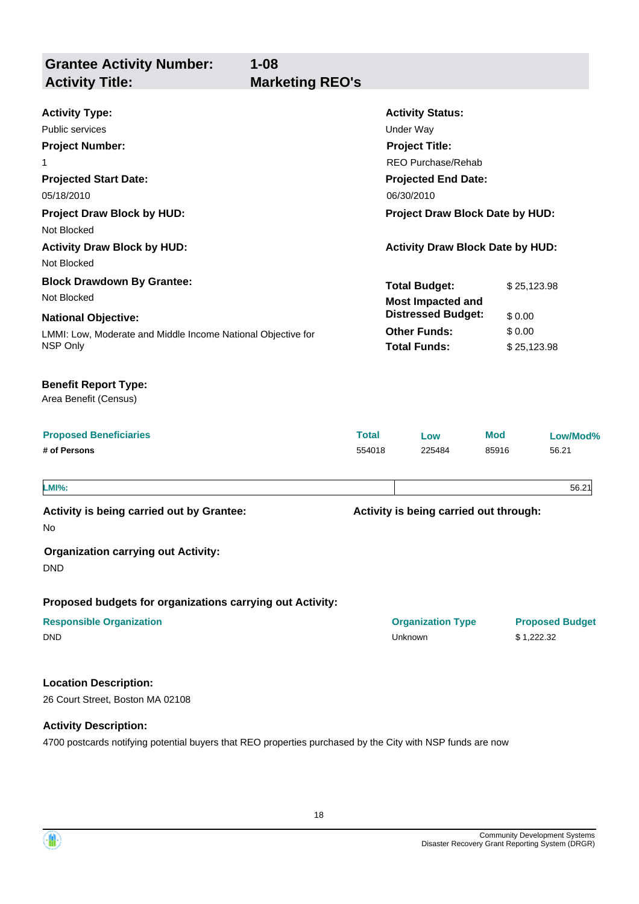**Grantee Activity Number: Projected Start Date:** LMMI: Low, Moderate and Middle Income National Objective for NSP Only **National Objective: Activity Status: Projected End Date: 1-08 Activity Type:** 05/18/2010 06/30/2010 Public services **National Structure Control Control Control Control Control Control Control Control Control Control Control Control Control Control Control Control Control Control Control Control Control Control Control Co Activity Title: Marketing REO's Project Number:** 1 **Project Title:** REO Purchase/Rehab **Total Budget:** \$25,123.98 **Other Funds:** \$ 0.00 **Total Funds:** \$ 25,123.98 **Location Description:** 26 Court Street, Boston MA 02108 **Proposed Beneficiaries Total Low Mod Low/Mod% # of Persons** 554018 225484 85916 56.21 **Proposed budgets for organizations carrying out Activity: Activity is being carried out through: Responsible Organization Organization Type Proposed Budget** No **Activity is being carried out by Grantee: Organization carrying out Activity:** DND DND Unknown \$ 1,222.32 Area Benefit (Census) **Benefit Report Type: Project Draw Block by HUD: Project Draw Block Date by HUD:** Not Blocked **Activity Draw Block by HUD: Activity Draw Block Date by HUD:** Not Blocked **Block Drawdown By Grantee:** Not Blocked **LMI%:** 56.21 **Most Impacted and Distressed Budget:** \$ 0.00

### **Activity Description:**

4700 postcards notifying potential buyers that REO properties purchased by the City with NSP funds are now



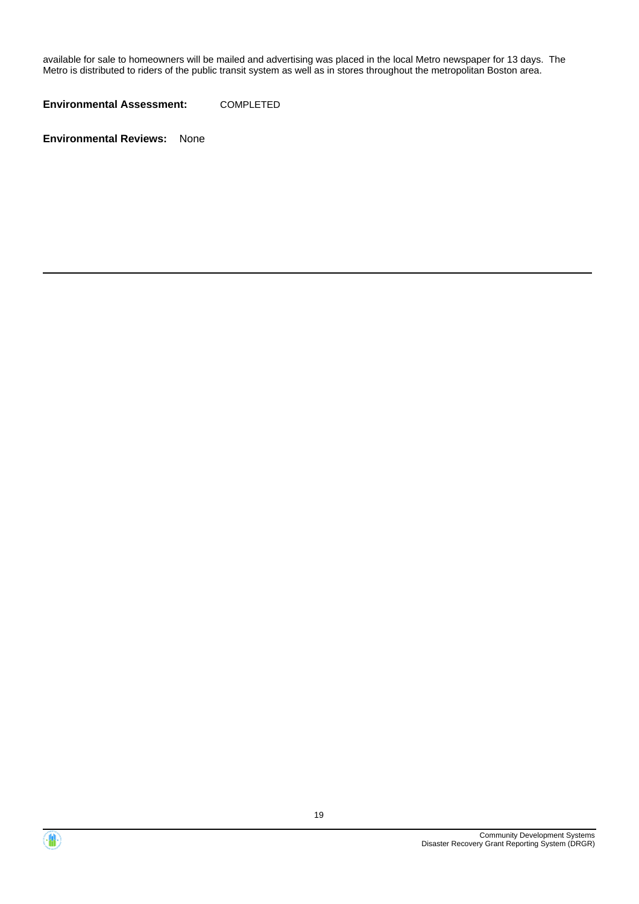available for sale to homeowners will be mailed and advertising was placed in the local Metro newspaper for 13 days. The Metro is distributed to riders of the public transit system as well as in stores throughout the metropolitan Boston area.

**Environmental Assessment:** COMPLETED



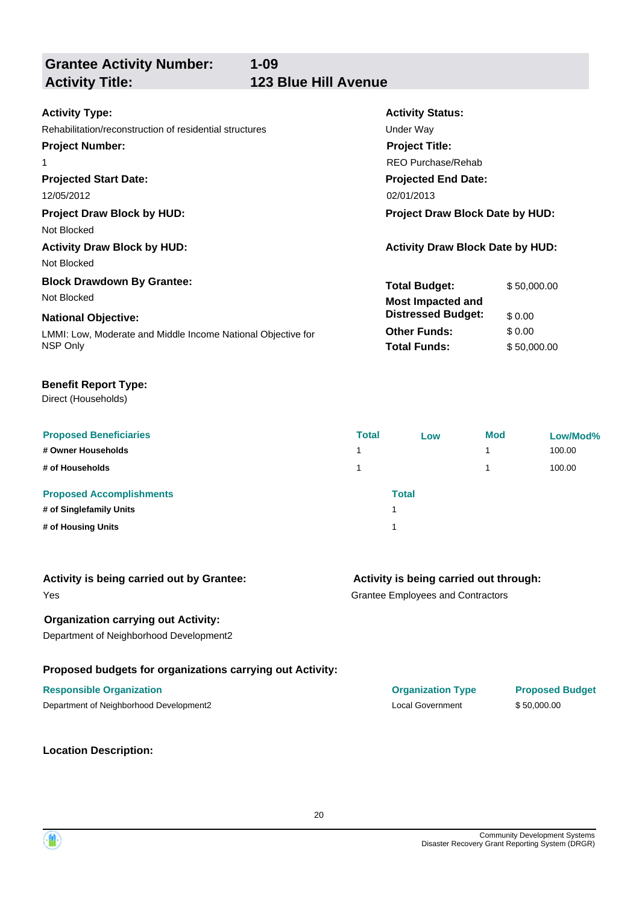# **1-09 Activity Title: 123 Blue Hill Avenue**

| <b>Activity Type:</b>                                        | <b>Activity Status:</b>                 |             |  |  |
|--------------------------------------------------------------|-----------------------------------------|-------------|--|--|
| Rehabilitation/reconstruction of residential structures      | Under Way                               |             |  |  |
| <b>Project Number:</b>                                       | <b>Project Title:</b>                   |             |  |  |
| 1                                                            | REO Purchase/Rehab                      |             |  |  |
| <b>Projected Start Date:</b>                                 | <b>Projected End Date:</b>              |             |  |  |
| 12/05/2012                                                   | 02/01/2013                              |             |  |  |
| <b>Project Draw Block by HUD:</b>                            | <b>Project Draw Block Date by HUD:</b>  |             |  |  |
| Not Blocked                                                  |                                         |             |  |  |
| <b>Activity Draw Block by HUD:</b>                           | <b>Activity Draw Block Date by HUD:</b> |             |  |  |
| Not Blocked                                                  |                                         |             |  |  |
| <b>Block Drawdown By Grantee:</b>                            | <b>Total Budget:</b>                    | \$50,000.00 |  |  |
| Not Blocked                                                  | <b>Most Impacted and</b>                |             |  |  |
| <b>National Objective:</b>                                   | <b>Distressed Budget:</b>               | \$0.00      |  |  |
| LMMI: Low, Moderate and Middle Income National Objective for | <b>Other Funds:</b>                     | \$0.00      |  |  |
| NSP Only                                                     | <b>Total Funds:</b>                     | \$50,000.00 |  |  |

### **Benefit Report Type:**

Direct (Households)

| <b>Proposed Beneficiaries</b><br># Owner Households        | <b>Total</b> | Low          | <b>Mod</b> | Low/Mod%<br>100.00 |
|------------------------------------------------------------|--------------|--------------|------------|--------------------|
| # of Households                                            |              |              |            | 100.00             |
| <b>Proposed Accomplishments</b><br># of Singlefamily Units |              | <b>Total</b> |            |                    |
| # of Housing Units                                         |              |              |            |                    |

| Activity is being carried out by Grantee: |  |  |
|-------------------------------------------|--|--|
|-------------------------------------------|--|--|

# Yes

# **Organization carrying out Activity:**

Department of Neighborhood Development2

# **Proposed budgets for organizations carrying out Activity:**

# **Responsible Organization Organization Type Proposed Budget**

Department of Neighborhood Development2 Local Government \$ 50,000.00

**Location Description:**

# **Activity is being carried out through:**

Grantee Employees and Contractors

20

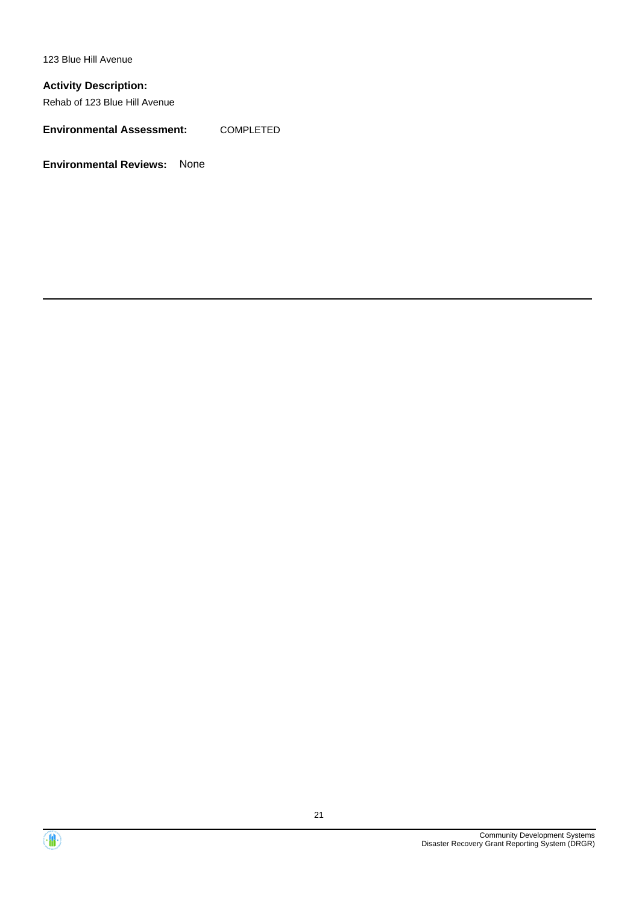123 Blue Hill Avenue

# **Activity Description:**

Rehab of 123 Blue Hill Avenue

**Environmental Assessment:** COMPLETED



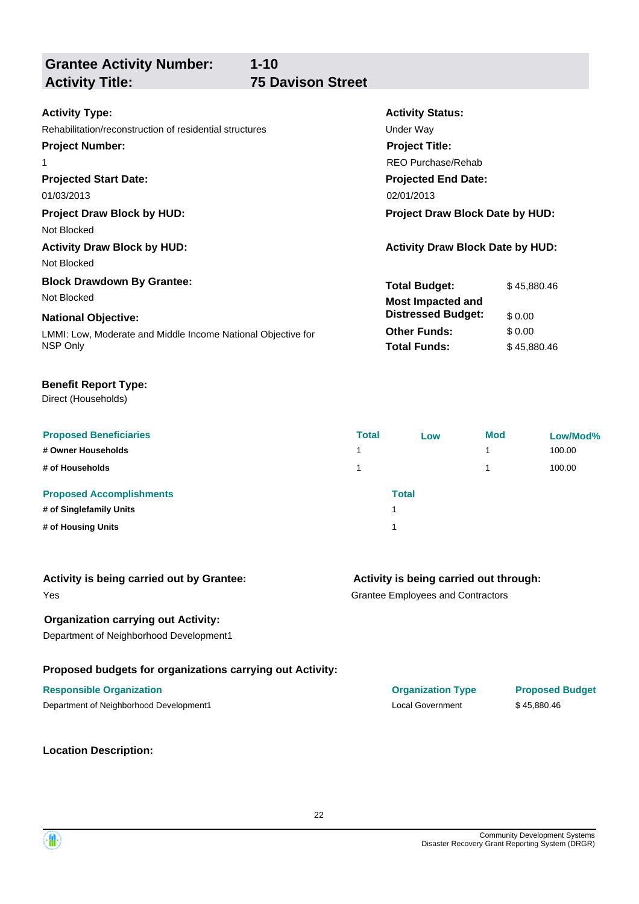**Grantee Activity Number: Projected Start Date: Activity Status: Projected End Date: 1-10 Activity Type:** 01/03/2013 02/01/2013 Rehabilitation/reconstruction of residential structures example and the Under Way **Activity Title: 75 Davison Street Project Number:** 1 **Project Title:** REO Purchase/Rehab **Total Budget:** \$45,880.46 **Project Draw Block by HUD: Project Draw Block Date by HUD:** Not Blocked **Activity Draw Block by HUD: Activity Draw Block Date by HUD:** Not Blocked **Block Drawdown By Grantee:** Not Blocked **Most Impacted and** 

#### **National Objective:**

LMMI: Low, Moderate and Middle Income National Objective for NSP Only

#### **Benefit Report Type:**

Direct (Households)

| <b>Proposed Beneficiaries</b>   | <b>Total</b> | Low   | Mod | Low/Mod% |
|---------------------------------|--------------|-------|-----|----------|
| # Owner Households              |              |       |     | 100.00   |
| # of Households                 |              |       |     | 100.00   |
| <b>Proposed Accomplishments</b> |              | Total |     |          |
| # of Singlefamily Units         |              |       |     |          |
| # of Housing Units              |              |       |     |          |

| Activity is being carried out by Grantee: |  |  |  |
|-------------------------------------------|--|--|--|
|-------------------------------------------|--|--|--|

### Yes

**Organization carrying out Activity:**

Department of Neighborhood Development1

# **Proposed budgets for organizations carrying out Activity:**

### **Responsible Organization Organization Type Proposed Budget**

Department of Neighborhood Development1 and the community of the community of the state of 45,880.46

**Location Description:**

**Other Funds:** \$ 0.00 **Total Funds:** \$ 45,880.46

**Distressed Budget:** \$ 0.00

**Activity is being carried out through:**

Grantee Employees and Contractors

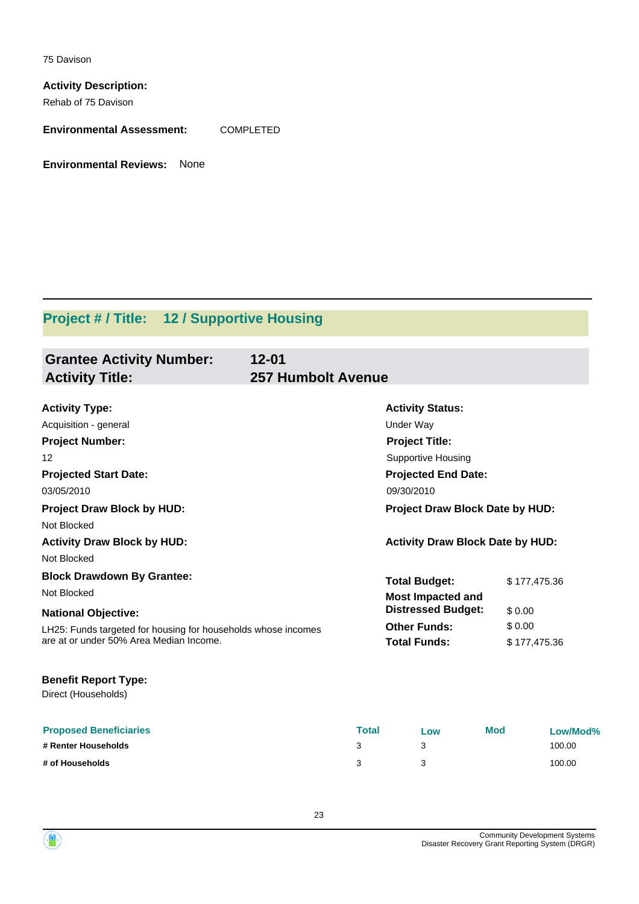75 Davison

**Activity Description:** Rehab of 75 Davison

**Environmental Assessment:** COMPLETED

**Environmental Reviews:** None

# **Project # / Title: 12 / Supportive Housing**

| <b>Grantee Activity Number:</b>                               | $12 - 01$                               |              |
|---------------------------------------------------------------|-----------------------------------------|--------------|
| <b>Activity Title:</b>                                        | <b>257 Humbolt Avenue</b>               |              |
|                                                               |                                         |              |
| <b>Activity Type:</b>                                         | <b>Activity Status:</b>                 |              |
| Acquisition - general                                         | <b>Under Way</b>                        |              |
| <b>Project Number:</b>                                        | <b>Project Title:</b>                   |              |
| 12                                                            | <b>Supportive Housing</b>               |              |
| <b>Projected Start Date:</b>                                  | <b>Projected End Date:</b>              |              |
| 03/05/2010                                                    | 09/30/2010                              |              |
| <b>Project Draw Block by HUD:</b>                             | Project Draw Block Date by HUD:         |              |
| Not Blocked                                                   |                                         |              |
| <b>Activity Draw Block by HUD:</b>                            | <b>Activity Draw Block Date by HUD:</b> |              |
| Not Blocked                                                   |                                         |              |
| <b>Block Drawdown By Grantee:</b>                             | <b>Total Budget:</b>                    | \$177,475.36 |
| Not Blocked                                                   | <b>Most Impacted and</b>                |              |
| <b>National Objective:</b>                                    | <b>Distressed Budget:</b>               | \$0.00       |
| LH25: Funds targeted for housing for households whose incomes | <b>Other Funds:</b>                     | \$0.00       |
| are at or under 50% Area Median Income.                       | <b>Total Funds:</b>                     | \$177,475.36 |
| <b>Benefit Report Type:</b>                                   |                                         |              |
| Direct (Households)                                           |                                         |              |

| <b>Proposed Beneficiaries</b> | Total | Low | <b>Mod</b> | Low/Mod% |
|-------------------------------|-------|-----|------------|----------|
| # Renter Households           |       |     |            | 100.00   |
| # of Households               |       |     |            | 100.00   |

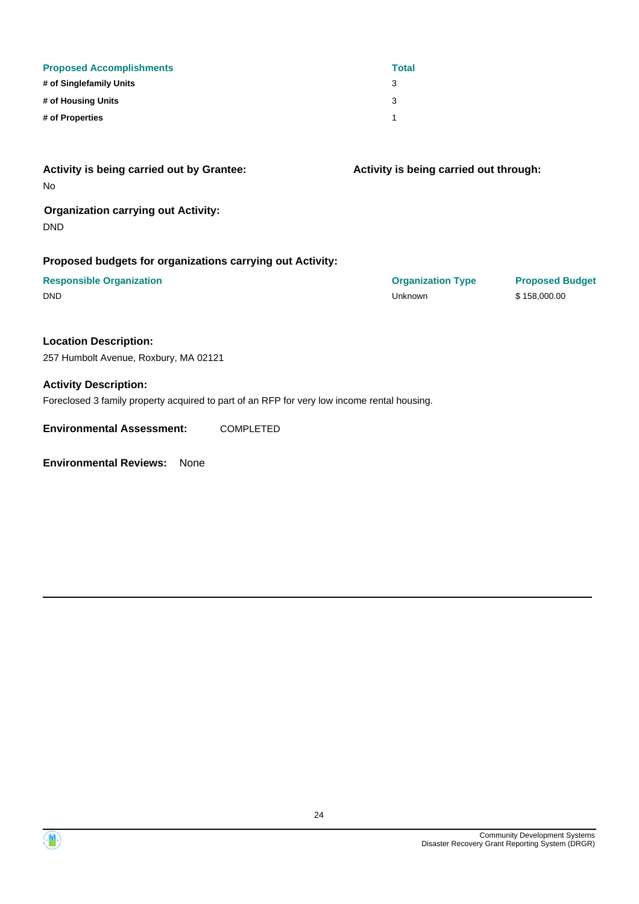| <b>Proposed Accomplishments</b>                                                             |                  | <b>Total</b>                           |                        |
|---------------------------------------------------------------------------------------------|------------------|----------------------------------------|------------------------|
| # of Singlefamily Units                                                                     |                  | 3                                      |                        |
| # of Housing Units                                                                          |                  | 3                                      |                        |
| # of Properties                                                                             |                  | 1                                      |                        |
| Activity is being carried out by Grantee:<br>No                                             |                  | Activity is being carried out through: |                        |
| <b>Organization carrying out Activity:</b><br><b>DND</b>                                    |                  |                                        |                        |
| Proposed budgets for organizations carrying out Activity:                                   |                  |                                        |                        |
| <b>Responsible Organization</b>                                                             |                  | <b>Organization Type</b>               | <b>Proposed Budget</b> |
| <b>DND</b>                                                                                  |                  | Unknown                                | \$158,000.00           |
| <b>Location Description:</b><br>257 Humbolt Avenue, Roxbury, MA 02121                       |                  |                                        |                        |
|                                                                                             |                  |                                        |                        |
| <b>Activity Description:</b>                                                                |                  |                                        |                        |
| Foreclosed 3 family property acquired to part of an RFP for very low income rental housing. |                  |                                        |                        |
| <b>Environmental Assessment:</b>                                                            | <b>COMPLETED</b> |                                        |                        |

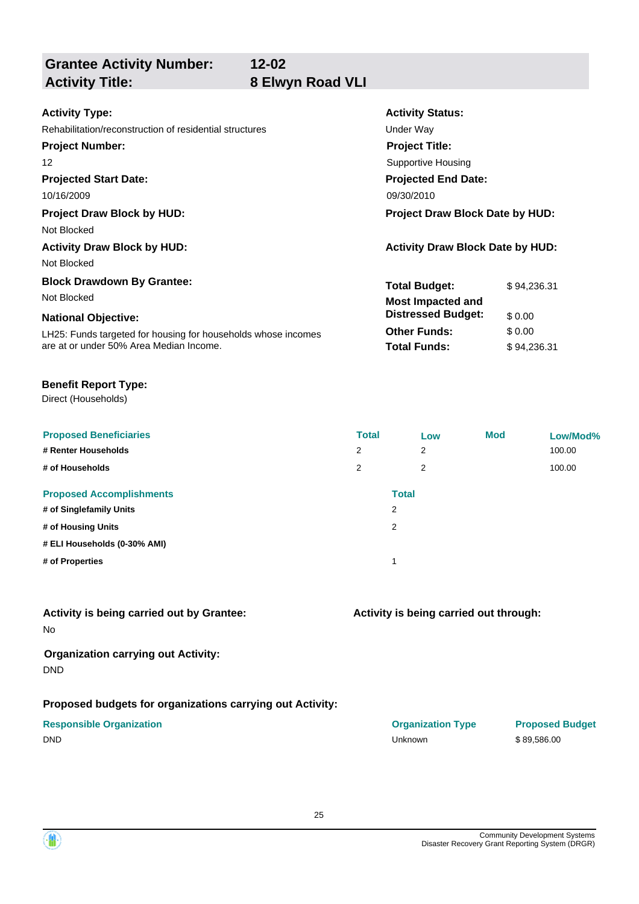**Activity Title: 8 Elwyn Road VLI**

# **12-02**

| <b>Activity Type:</b><br>Rehabilitation/reconstruction of residential structures<br><b>Project Number:</b><br>12<br><b>Projected Start Date:</b>                                           | <b>Activity Status:</b><br>Under Way<br><b>Project Title:</b><br><b>Supportive Housing</b><br><b>Projected End Date:</b>    |                                                |
|--------------------------------------------------------------------------------------------------------------------------------------------------------------------------------------------|-----------------------------------------------------------------------------------------------------------------------------|------------------------------------------------|
| 10/16/2009                                                                                                                                                                                 | 09/30/2010                                                                                                                  |                                                |
| <b>Project Draw Block by HUD:</b><br>Not Blocked<br><b>Activity Draw Block by HUD:</b><br>Not Blocked                                                                                      | <b>Project Draw Block Date by HUD:</b><br><b>Activity Draw Block Date by HUD:</b>                                           |                                                |
| <b>Block Drawdown By Grantee:</b><br>Not Blocked<br><b>National Objective:</b><br>LH25: Funds targeted for housing for households whose incomes<br>are at or under 50% Area Median Income. | <b>Total Budget:</b><br><b>Most Impacted and</b><br><b>Distressed Budget:</b><br><b>Other Funds:</b><br><b>Total Funds:</b> | \$94.236.31<br>\$0.00<br>\$0.00<br>\$94,236.31 |

# **Benefit Report Type:**

Direct (Households)

| <b>Proposed Beneficiaries</b><br># Renter Households<br># of Households | <b>Total</b><br>2<br>2 | Low<br>2<br>2           | <b>Mod</b> | Low/Mod%<br>100.00<br>100.00 |
|-------------------------------------------------------------------------|------------------------|-------------------------|------------|------------------------------|
| <b>Proposed Accomplishments</b><br># of Singlefamily Units              |                        | Total<br>$\overline{2}$ |            |                              |
| # of Housing Units                                                      |                        | 2                       |            |                              |
| # ELI Households (0-30% AMI)                                            |                        |                         |            |                              |
| # of Properties                                                         |                        |                         |            |                              |

# **Activity is being carried out by Grantee:**

No

# **Organization carrying out Activity:** DND

# **Proposed budgets for organizations carrying out Activity:**

|             | <b>Responsible Organization</b> |
|-------------|---------------------------------|
| $- \cdot -$ |                                 |

# **Activity is being carried out through:**

| <b>Responsible Organization</b> | <b>Organization Type</b> | <b>Proposed</b> |
|---------------------------------|--------------------------|-----------------|
| DND                             | Unknown                  | \$89,586.00     |

**Proposed Budget** 

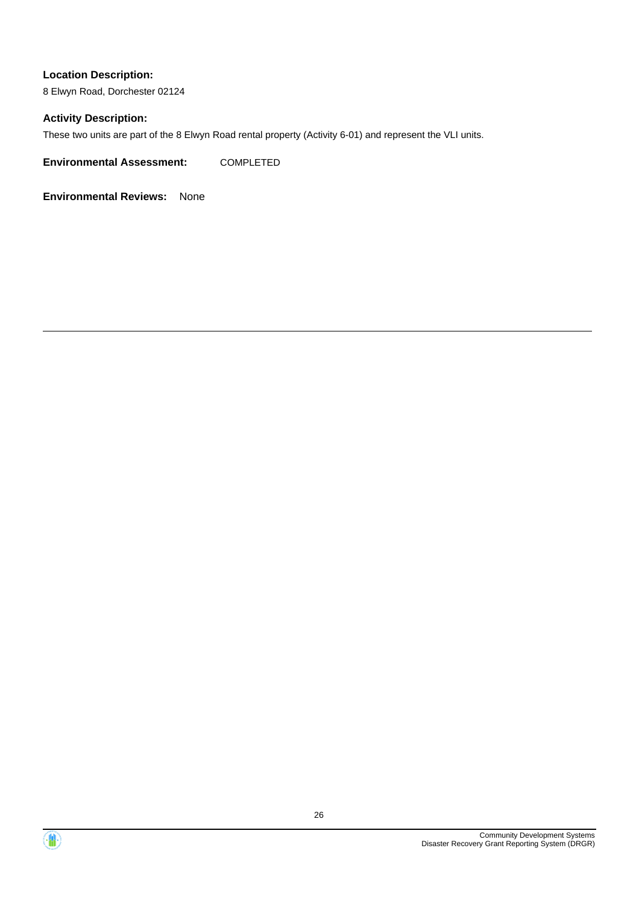8 Elwyn Road, Dorchester 02124

### **Activity Description:**

These two units are part of the 8 Elwyn Road rental property (Activity 6-01) and represent the VLI units.

**Environmental Assessment:** COMPLETED



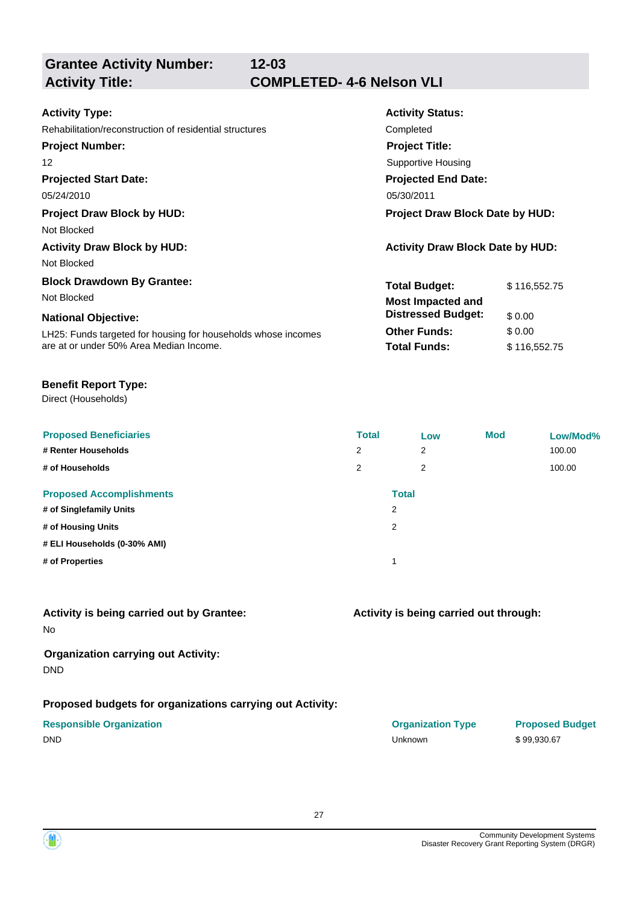| <b>Activity Type:</b>                                         | <b>Activity Status:</b>                 |  |  |
|---------------------------------------------------------------|-----------------------------------------|--|--|
| Rehabilitation/reconstruction of residential structures       | Completed                               |  |  |
| <b>Project Number:</b>                                        | <b>Project Title:</b>                   |  |  |
| $12 \overline{ }$                                             | <b>Supportive Housing</b>               |  |  |
| <b>Projected Start Date:</b>                                  | <b>Projected End Date:</b>              |  |  |
| 05/24/2010                                                    | 05/30/2011                              |  |  |
| <b>Project Draw Block by HUD:</b>                             | <b>Project Draw Block Date by HUD:</b>  |  |  |
| Not Blocked                                                   |                                         |  |  |
| <b>Activity Draw Block by HUD:</b>                            | <b>Activity Draw Block Date by HUD:</b> |  |  |
| Not Blocked                                                   |                                         |  |  |
| <b>Block Drawdown By Grantee:</b>                             | <b>Total Budget:</b><br>\$116,552.75    |  |  |
| Not Blocked                                                   | <b>Most Impacted and</b>                |  |  |
| <b>National Objective:</b>                                    | <b>Distressed Budget:</b><br>\$0.00     |  |  |
| LH25: Funds targeted for housing for households whose incomes | \$0.00<br><b>Other Funds:</b>           |  |  |
| are at or under 50% Area Median Income.                       | <b>Total Funds:</b><br>\$116,552.75     |  |  |

# **Benefit Report Type:**

Direct (Households)

| <b>Proposed Beneficiaries</b><br># Renter Households<br># of Households | <b>Total</b><br>2<br>2 | Low<br>2<br>2                  | <b>Mod</b> | Low/Mod%<br>100.00<br>100.00 |
|-------------------------------------------------------------------------|------------------------|--------------------------------|------------|------------------------------|
| <b>Proposed Accomplishments</b><br># of Singlefamily Units              |                        | <b>Total</b><br>$\overline{2}$ |            |                              |
| # of Housing Units                                                      |                        | 2                              |            |                              |
| # ELI Households (0-30% AMI)                                            |                        |                                |            |                              |
| # of Properties                                                         |                        | 1                              |            |                              |

# **Activity is being carried out by Grantee:**

No

# **Organization carrying out Activity:** DND

# **Proposed budgets for organizations carrying out Activity:**

|        | <b>Responsible Organization</b> |
|--------|---------------------------------|
| $\sim$ |                                 |

# **Activity is being carried out through:**

| <b>Responsible Organization</b> | <b>Organization Type</b> | <b>Proposed</b> |
|---------------------------------|--------------------------|-----------------|
| DND                             | Unknown                  | \$99.930.67     |

**Proposed Budget** 

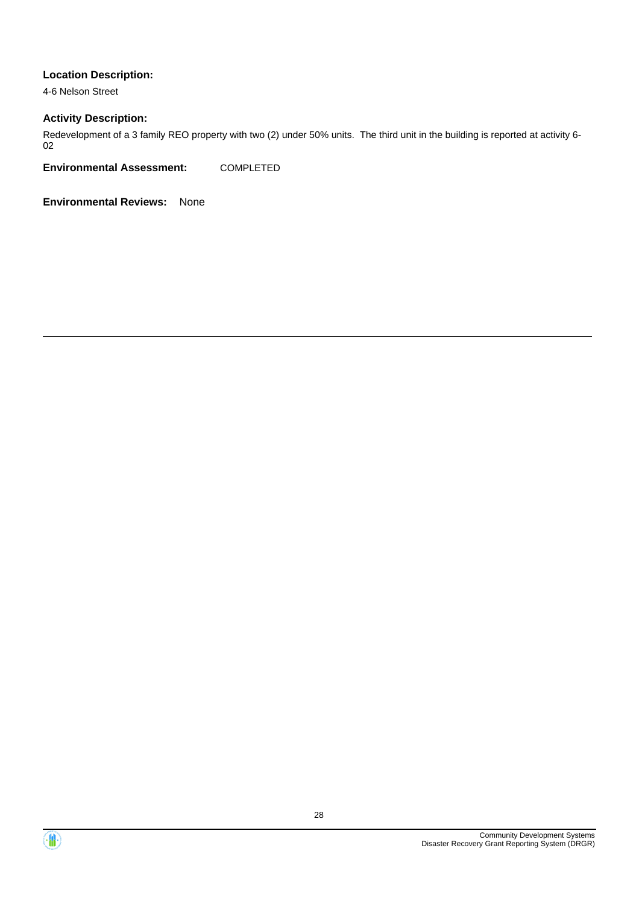4-6 Nelson Street

### **Activity Description:**

Redevelopment of a 3 family REO property with two (2) under 50% units. The third unit in the building is reported at activity 6- 02

**Environmental Assessment:** COMPLETED



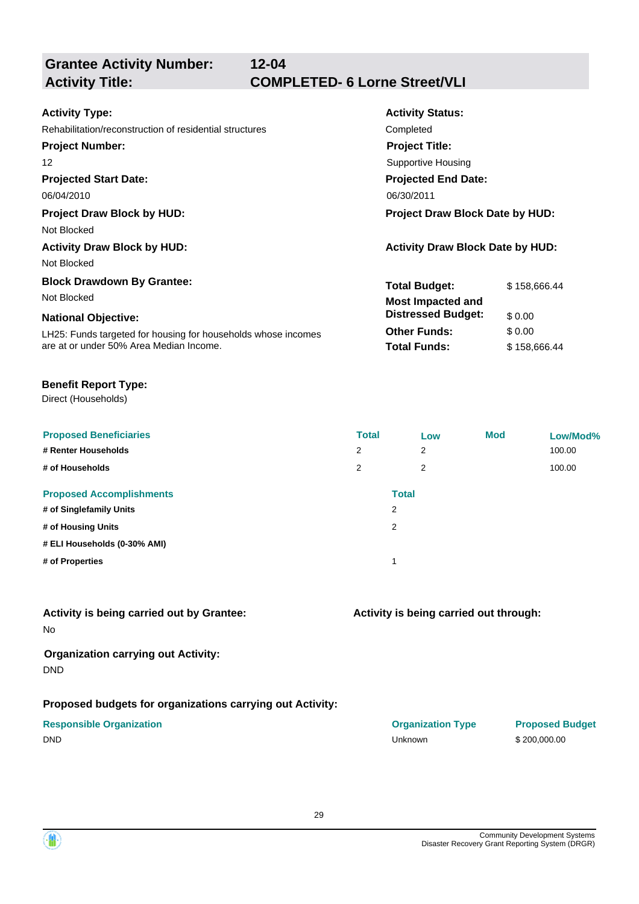**12-04 Activity Title: COMPLETED- 6 Lorne Street/VLI**

| <b>Activity Type:</b>                                         | <b>Activity Status:</b>                 |              |  |
|---------------------------------------------------------------|-----------------------------------------|--------------|--|
| Rehabilitation/reconstruction of residential structures       | Completed                               |              |  |
| <b>Project Number:</b>                                        | <b>Project Title:</b>                   |              |  |
| 12                                                            | <b>Supportive Housing</b>               |              |  |
| <b>Projected Start Date:</b>                                  | <b>Projected End Date:</b>              |              |  |
| 06/04/2010                                                    | 06/30/2011                              |              |  |
| <b>Project Draw Block by HUD:</b>                             | <b>Project Draw Block Date by HUD:</b>  |              |  |
| Not Blocked                                                   |                                         |              |  |
| <b>Activity Draw Block by HUD:</b>                            | <b>Activity Draw Block Date by HUD:</b> |              |  |
| Not Blocked                                                   |                                         |              |  |
| <b>Block Drawdown By Grantee:</b>                             | <b>Total Budget:</b>                    | \$158,666.44 |  |
| Not Blocked                                                   | <b>Most Impacted and</b>                |              |  |
| <b>National Objective:</b>                                    | <b>Distressed Budget:</b>               | \$0.00       |  |
| LH25: Funds targeted for housing for households whose incomes | <b>Other Funds:</b>                     | \$0.00       |  |
| are at or under 50% Area Median Income.                       | <b>Total Funds:</b>                     | \$158,666.44 |  |

# **Benefit Report Type:**

Direct (Households)

| <b>Proposed Beneficiaries</b><br># Renter Households<br># of Households | <b>Total</b><br>2<br>2 | Low<br>2<br>2     | <b>Mod</b> | Low/Mod%<br>100.00<br>100.00 |
|-------------------------------------------------------------------------|------------------------|-------------------|------------|------------------------------|
| <b>Proposed Accomplishments</b><br># of Singlefamily Units              |                        | <b>Total</b><br>2 |            |                              |
| # of Housing Units                                                      |                        | 2                 |            |                              |
| # ELI Households (0-30% AMI)                                            |                        |                   |            |                              |
| # of Properties                                                         |                        | и                 |            |                              |

# **Activity is being carried out by Grantee:**

No

# **Organization carrying out Activity:** DND

# **Proposed budgets for organizations carrying out Activity:**

|             | <b>Responsible Organization</b> |
|-------------|---------------------------------|
| $- \cdot -$ |                                 |

# **Activity is being carried out through:**

| <b>Responsible Organization</b> | <b>Organization Type</b> | <b>Proposed I</b> |
|---------------------------------|--------------------------|-------------------|
| DND                             | Unknown                  | \$200,000.00      |

**Proposed Budget** 

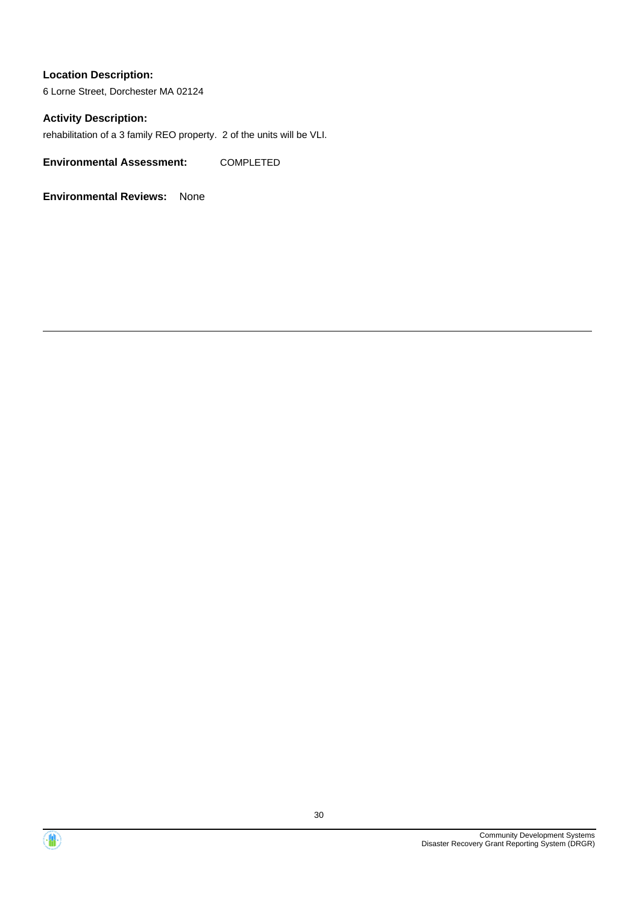6 Lorne Street, Dorchester MA 02124

### **Activity Description:**

rehabilitation of a 3 family REO property. 2 of the units will be VLI.

**Environmental Assessment:** COMPLETED



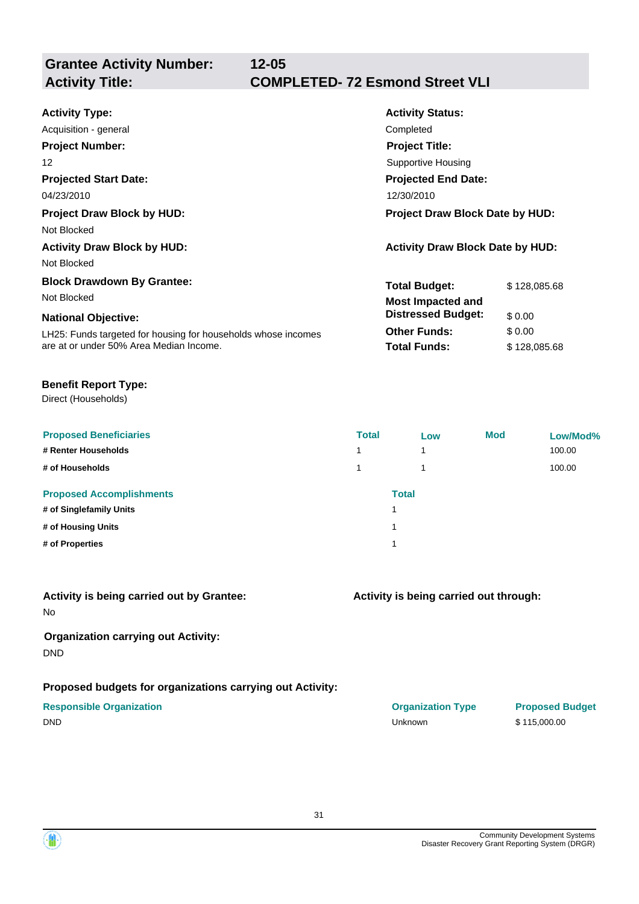# **12-05 Activity Title: COMPLETED- 72 Esmond Street VLI**

| <b>Activity Type:</b>                                         | <b>Activity Status:</b>                 |              |
|---------------------------------------------------------------|-----------------------------------------|--------------|
| Acquisition - general                                         | Completed                               |              |
| <b>Project Number:</b>                                        | <b>Project Title:</b>                   |              |
| 12                                                            | Supportive Housing                      |              |
| <b>Projected Start Date:</b>                                  | <b>Projected End Date:</b>              |              |
| 04/23/2010                                                    | 12/30/2010                              |              |
| <b>Project Draw Block by HUD:</b>                             | <b>Project Draw Block Date by HUD:</b>  |              |
| Not Blocked                                                   |                                         |              |
| <b>Activity Draw Block by HUD:</b>                            | <b>Activity Draw Block Date by HUD:</b> |              |
| Not Blocked                                                   |                                         |              |
| <b>Block Drawdown By Grantee:</b>                             | <b>Total Budget:</b>                    | \$128,085.68 |
| Not Blocked                                                   | <b>Most Impacted and</b>                |              |
| <b>National Objective:</b>                                    | <b>Distressed Budget:</b>               | \$0.00       |
| LH25: Funds targeted for housing for households whose incomes | <b>Other Funds:</b>                     | \$0.00       |
| are at or under 50% Area Median Income.                       | <b>Total Funds:</b>                     | \$128,085.68 |

# **Benefit Report Type:**

Direct (Households)

| <b>Proposed Beneficiaries</b>   | <b>Total</b>   | Low          | <b>Mod</b> | Low/Mod% |
|---------------------------------|----------------|--------------|------------|----------|
| # Renter Households             | $\overline{ }$ | 1            |            | 100.00   |
| # of Households                 |                | 1            |            | 100.00   |
| <b>Proposed Accomplishments</b> |                | <b>Total</b> |            |          |
| # of Singlefamily Units         |                |              |            |          |
| # of Housing Units              |                |              |            |          |
| # of Properties                 |                |              |            |          |

# **Activity is being carried out by Grantee:**

No

# **Organization carrying out Activity:** DND

# **Proposed budgets for organizations carrying out Activity:**

| Í |              | 1 | 100.00 |
|---|--------------|---|--------|
|   | <b>Total</b> |   |        |
|   | 1            |   |        |
|   | 1            |   |        |
|   | 1            |   |        |
|   |              |   |        |

# **Activity is being carried out through:**

**Responsible Organization COVID-10 COVID-10 Organization Type Proposed Budget** DND Unknown \$ 115,000.00

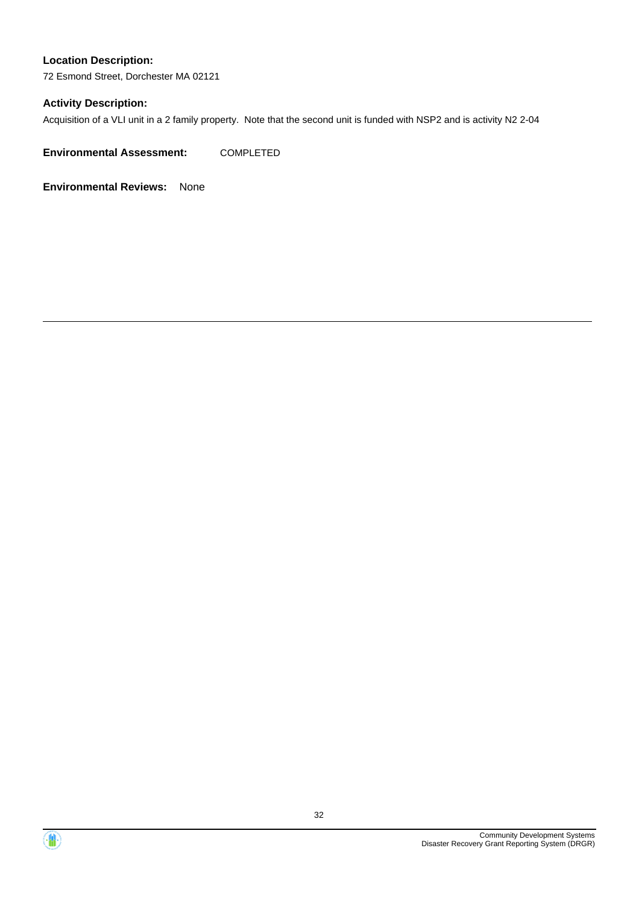72 Esmond Street, Dorchester MA 02121

# **Activity Description:**

Acquisition of a VLI unit in a 2 family property. Note that the second unit is funded with NSP2 and is activity N2 2-04

**Environmental Assessment:** COMPLETED



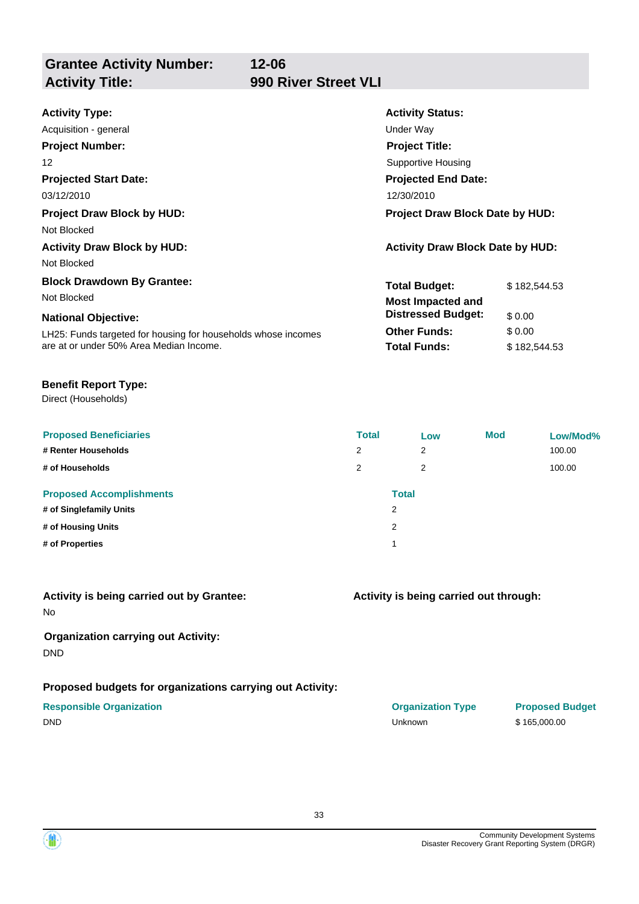**Grantee Activity Number: Activity Title: 990 River Street VLI**

**12-06**

| <b>Activity Type:</b>                                                                  | <b>Activity Status:</b>                                                           |              |
|----------------------------------------------------------------------------------------|-----------------------------------------------------------------------------------|--------------|
| Acquisition - general                                                                  | Under Way                                                                         |              |
| <b>Project Number:</b>                                                                 | <b>Project Title:</b>                                                             |              |
| 12                                                                                     | Supportive Housing                                                                |              |
| <b>Projected Start Date:</b>                                                           | <b>Projected End Date:</b>                                                        |              |
| 03/12/2010                                                                             | 12/30/2010                                                                        |              |
| <b>Project Draw Block by HUD:</b><br>Not Blocked<br><b>Activity Draw Block by HUD:</b> | <b>Project Draw Block Date by HUD:</b><br><b>Activity Draw Block Date by HUD:</b> |              |
| Not Blocked<br><b>Block Drawdown By Grantee:</b><br>Not Blocked                        | <b>Total Budget:</b><br><b>Most Impacted and</b>                                  | \$182,544.53 |
| <b>National Objective:</b>                                                             | <b>Distressed Budget:</b>                                                         | \$ 0.00      |
| LH25: Funds targeted for housing for households whose incomes                          | <b>Other Funds:</b>                                                               | \$0.00       |
| are at or under 50% Area Median Income.                                                | <b>Total Funds:</b>                                                               | \$182,544.53 |

# **Benefit Report Type:**

Direct (Households)

| <b>Proposed Beneficiaries</b>   | <b>Total</b> | Low          | <b>Mod</b> | Low/Mod% |
|---------------------------------|--------------|--------------|------------|----------|
| # Renter Households             | 2            | 2            |            | 100.00   |
| # of Households                 | 2            | 2            |            | 100.00   |
| <b>Proposed Accomplishments</b> |              | <b>Total</b> |            |          |
| # of Singlefamily Units         |              | 2            |            |          |
| # of Housing Units              |              | 2            |            |          |
| # of Properties                 |              |              |            |          |

| Activity is being carried out by Grantee: |  |
|-------------------------------------------|--|
| No                                        |  |

# **Organization carrying out Activity:** DND

# **Proposed budgets for organizations carrying out Activity:**

| 2            | 100.00 |
|--------------|--------|
| <b>Total</b> |        |
| 2            |        |
| 2            |        |
| 1            |        |
|              |        |

# **Activity is being carried out through:**

**Responsible Organization Organization Type Proposed Budget** DND Unknown \$ 165,000.00

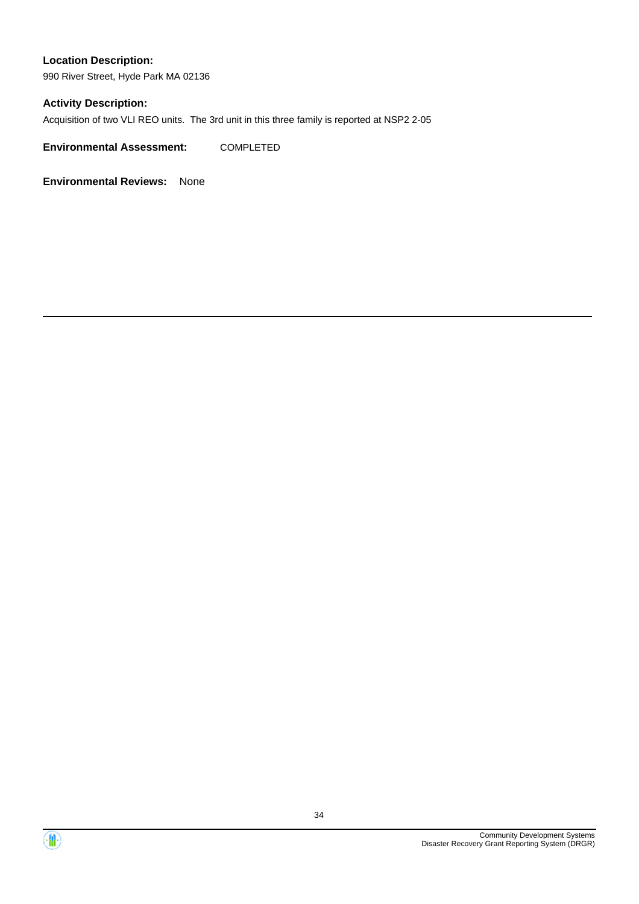990 River Street, Hyde Park MA 02136

# **Activity Description:**

Acquisition of two VLI REO units. The 3rd unit in this three family is reported at NSP2 2-05

**Environmental Assessment:** COMPLETED



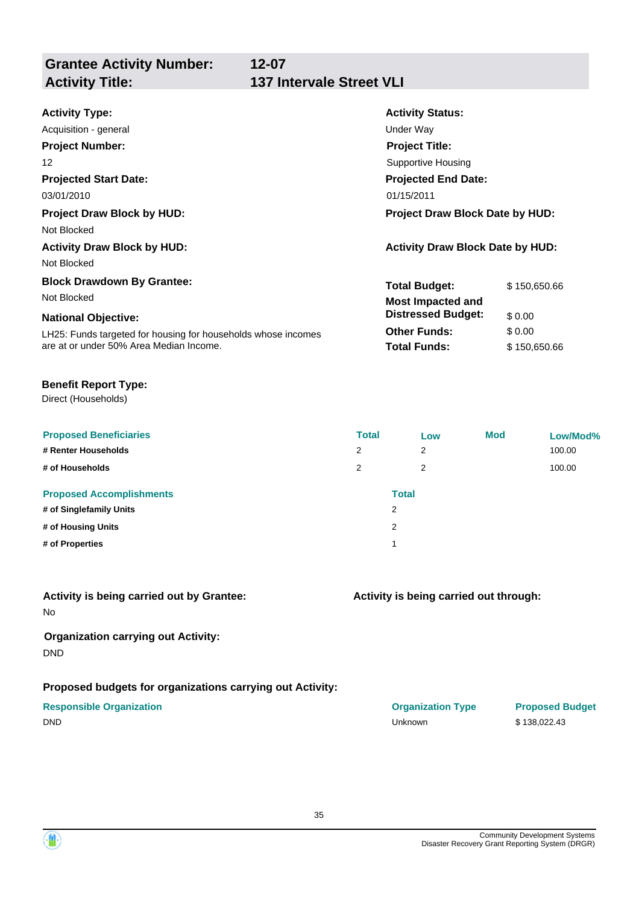**Grantee Activity Number: Activity Title: 137 Intervale Street VLI**

| <b>Activity Type:</b>                                                         | <b>Activity Status:</b>                |              |  |
|-------------------------------------------------------------------------------|----------------------------------------|--------------|--|
| Acquisition - general                                                         | Under Way                              |              |  |
| <b>Project Number:</b>                                                        | <b>Project Title:</b>                  |              |  |
| 12                                                                            | Supportive Housing                     |              |  |
| <b>Projected Start Date:</b>                                                  | <b>Projected End Date:</b>             |              |  |
| 03/01/2010                                                                    | 01/15/2011                             |              |  |
| <b>Project Draw Block by HUD:</b>                                             | <b>Project Draw Block Date by HUD:</b> |              |  |
| Not Blocked                                                                   |                                        |              |  |
| <b>Activity Draw Block Date by HUD:</b><br><b>Activity Draw Block by HUD:</b> |                                        |              |  |
| Not Blocked                                                                   |                                        |              |  |
| <b>Block Drawdown By Grantee:</b>                                             | <b>Total Budget:</b>                   | \$150,650.66 |  |
| Not Blocked                                                                   | Most Impacted and                      |              |  |
| <b>National Objective:</b>                                                    | <b>Distressed Budget:</b>              | \$0.00       |  |
| LH25: Funds targeted for housing for households whose incomes                 | <b>Other Funds:</b>                    | \$0.00       |  |
| are at or under 50% Area Median Income.                                       | <b>Total Funds:</b>                    | \$150,650.66 |  |

# **Benefit Report Type:**

Direct (Households)

| <b>Proposed Beneficiaries</b><br># Renter Households<br># of Households | <b>Total</b><br>2<br>2 | Low<br>$\overline{2}$<br>$\overline{2}$ | <b>Mod</b> | Low/Mod%<br>100.00<br>100.00 |
|-------------------------------------------------------------------------|------------------------|-----------------------------------------|------------|------------------------------|
| <b>Proposed Accomplishments</b><br># of Singlefamily Units              |                        | <b>Total</b><br>2                       |            |                              |
| # of Housing Units                                                      | 2                      |                                         |            |                              |
| # of Properties                                                         |                        |                                         |            |                              |

| Activity is being carried out by Grantee: |  |  |  |
|-------------------------------------------|--|--|--|
|                                           |  |  |  |

No

# **Organization carrying out Activity:** DND

# **Proposed budgets for organizations carrying out Activity:**

| <b>Total</b>   |
|----------------|
| $\overline{2}$ |
| $\overline{2}$ |
| 1              |
|                |

# **Activity is being carried out through:**

**Responsible Organization Organization Type Proposed Budget** DND Unknown \$ 138,022.43

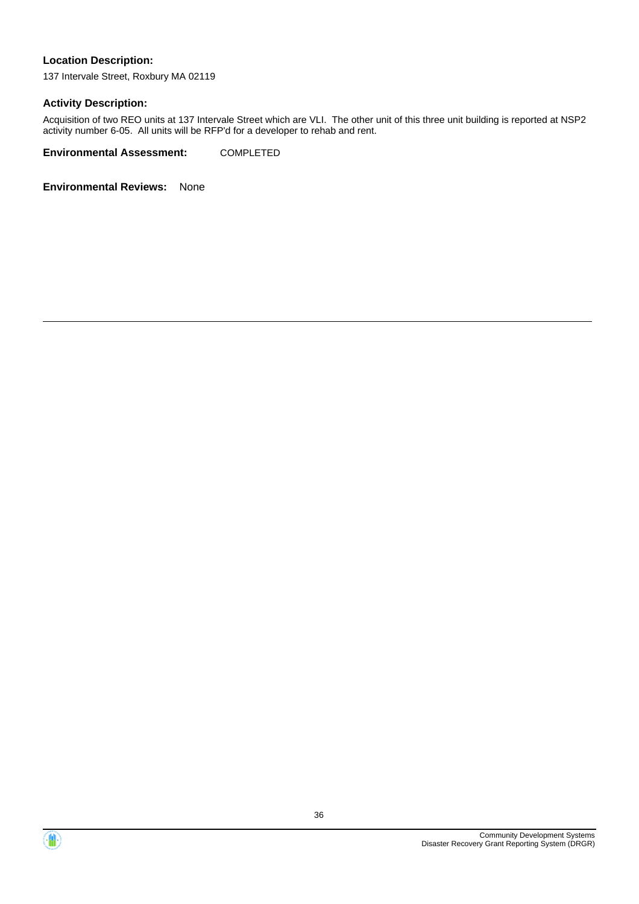137 Intervale Street, Roxbury MA 02119

### **Activity Description:**

Acquisition of two REO units at 137 Intervale Street which are VLI. The other unit of this three unit building is reported at NSP2 activity number 6-05. All units will be RFP'd for a developer to rehab and rent.

**Environmental Assessment:** COMPLETED



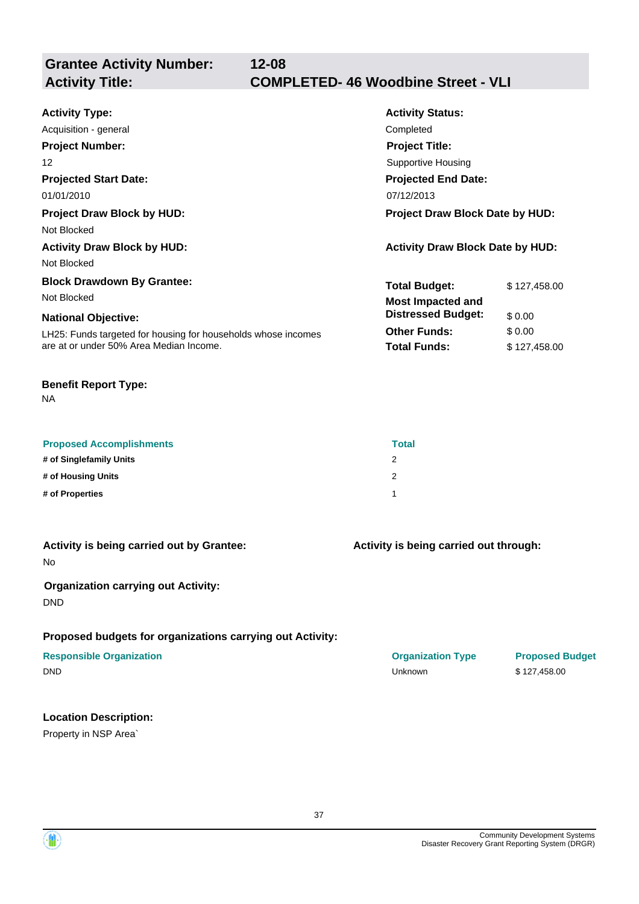**Grantee Activity Number:**

## **12-08 Activity Title: COMPLETED- 46 Woodbine Street - VLI**

| <b>Activity Type:</b>                                         | <b>Activity Status:</b>                 |              |  |
|---------------------------------------------------------------|-----------------------------------------|--------------|--|
| Acquisition - general                                         | Completed                               |              |  |
| <b>Project Number:</b>                                        | <b>Project Title:</b>                   |              |  |
| 12                                                            | <b>Supportive Housing</b>               |              |  |
| <b>Projected Start Date:</b>                                  | <b>Projected End Date:</b>              |              |  |
| 01/01/2010                                                    | 07/12/2013                              |              |  |
| <b>Project Draw Block by HUD:</b>                             | <b>Project Draw Block Date by HUD:</b>  |              |  |
| Not Blocked                                                   |                                         |              |  |
| <b>Activity Draw Block by HUD:</b>                            | <b>Activity Draw Block Date by HUD:</b> |              |  |
| Not Blocked                                                   |                                         |              |  |
| <b>Block Drawdown By Grantee:</b>                             | <b>Total Budget:</b>                    | \$127,458.00 |  |
| Not Blocked                                                   | <b>Most Impacted and</b>                |              |  |
| <b>National Objective:</b>                                    | <b>Distressed Budget:</b>               | \$0.00       |  |
| LH25: Funds targeted for housing for households whose incomes | <b>Other Funds:</b>                     | \$ 0.00      |  |
| are at or under 50% Area Median Income.                       | <b>Total Funds:</b>                     | \$127,458.00 |  |
|                                                               |                                         |              |  |

#### **Benefit Report Type:**

NA

| <b>Proposed Accomplishments</b> | <b>Total</b> |
|---------------------------------|--------------|
| # of Singlefamily Units         |              |
| # of Housing Units              | ာ            |
| # of Properties                 |              |

|    |  |  | Activity is being carried out by Grantee: |
|----|--|--|-------------------------------------------|
| No |  |  |                                           |

### **Organization carrying out Activity:**

DND

#### **Proposed budgets for organizations carrying out Activity:**

## **Location Description:**

Property in NSP Area`

**Activity is being carried out through:**

| <b>Responsible Organization</b> | <b>Organization Type</b> | <b>Proposed Budget</b> |
|---------------------------------|--------------------------|------------------------|
| <b>DND</b>                      | Unknown                  | \$127,458.00           |

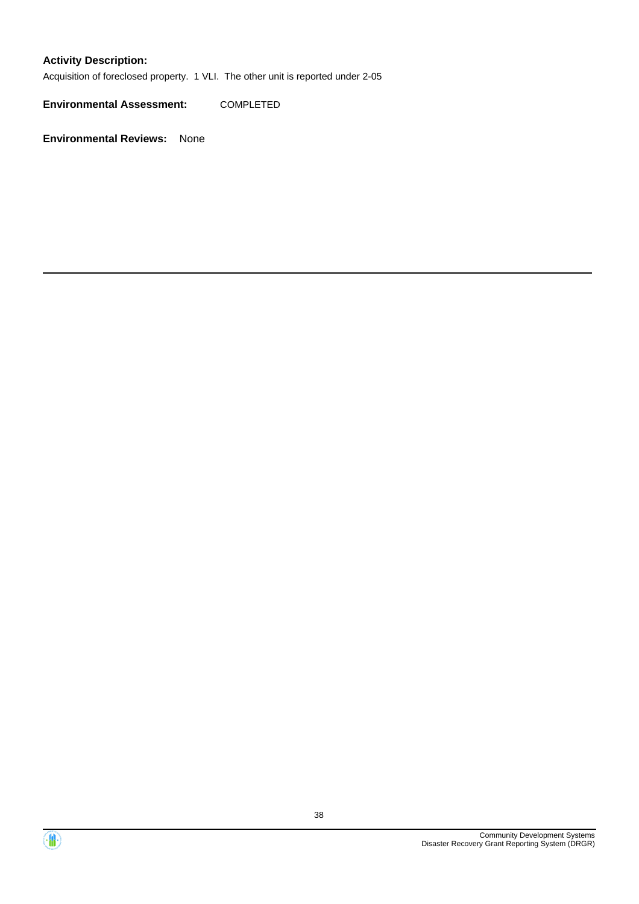### **Activity Description:**

Acquisition of foreclosed property. 1 VLI. The other unit is reported under 2-05

**Environmental Assessment:** COMPLETED



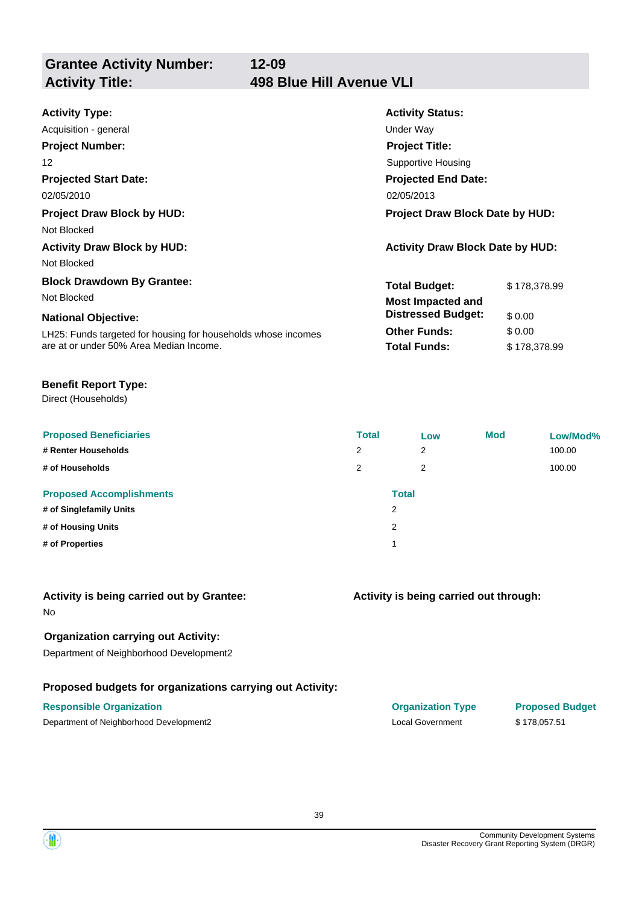**Grantee Activity Number: Activity Title: 498 Blue Hill Avenue VLI**

| <b>Activity Type:</b>                                         | <b>Activity Status:</b>                 |              |  |
|---------------------------------------------------------------|-----------------------------------------|--------------|--|
| Acquisition - general                                         | Under Way                               |              |  |
| <b>Project Number:</b>                                        | <b>Project Title:</b>                   |              |  |
| 12                                                            | Supportive Housing                      |              |  |
| <b>Projected Start Date:</b>                                  | <b>Projected End Date:</b>              |              |  |
| 02/05/2010                                                    | 02/05/2013                              |              |  |
| <b>Project Draw Block by HUD:</b>                             | <b>Project Draw Block Date by HUD:</b>  |              |  |
| Not Blocked                                                   |                                         |              |  |
| <b>Activity Draw Block by HUD:</b>                            | <b>Activity Draw Block Date by HUD:</b> |              |  |
| Not Blocked                                                   |                                         |              |  |
| <b>Block Drawdown By Grantee:</b>                             | <b>Total Budget:</b>                    | \$178,378.99 |  |
| Not Blocked                                                   | <b>Most Impacted and</b>                |              |  |
| <b>National Objective:</b>                                    | <b>Distressed Budget:</b>               | \$0.00       |  |
| LH25: Funds targeted for housing for households whose incomes | <b>Other Funds:</b>                     | \$0.00       |  |
| are at or under 50% Area Median Income.                       | <b>Total Funds:</b>                     | \$178,378.99 |  |

#### **Benefit Report Type:**

Direct (Households)

| <b>Proposed Beneficiaries</b>   | <b>Total</b> | Low          | <b>Mod</b> | Low/Mod% |
|---------------------------------|--------------|--------------|------------|----------|
| # Renter Households             | 2            | 2            |            | 100.00   |
| # of Households                 | 2            | 2            |            | 100.00   |
| <b>Proposed Accomplishments</b> |              | <b>Total</b> |            |          |
| # of Singlefamily Units         |              | 2            |            |          |
| # of Housing Units              |              | 2            |            |          |
| # of Properties                 |              |              |            |          |

#### **Activity is being carried out by Grantee:**

No

### **Organization carrying out Activity:**

Department of Neighborhood Development2

### **Proposed budgets for organizations carrying out Activity:**

### **Activity is being carried out through:**

**Responsible Organization COVID-10 COVID-10 Organization Type Proposed Budget** Department of Neighborhood Development2 Local Government \$ 178,057.51

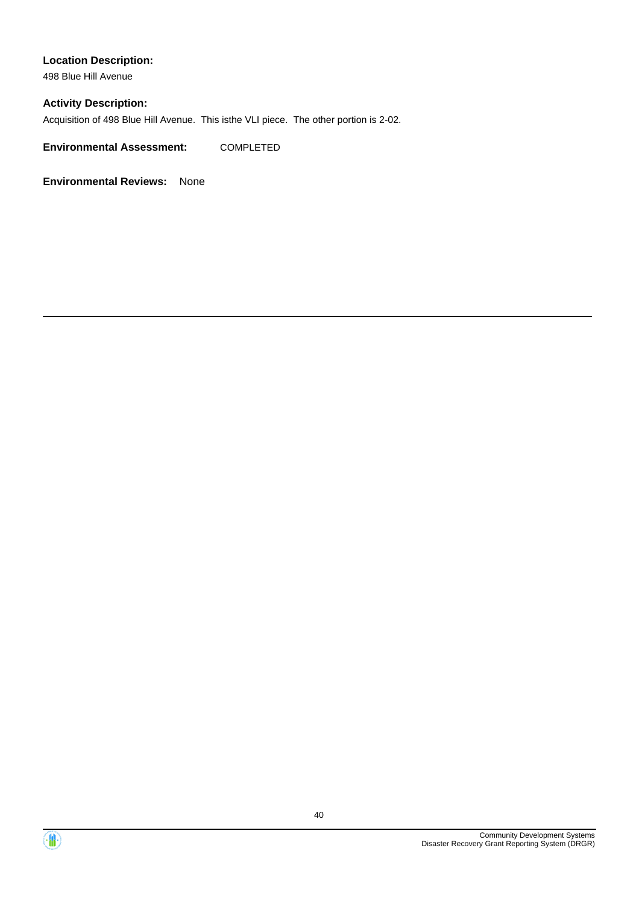498 Blue Hill Avenue

#### **Activity Description:**

Acquisition of 498 Blue Hill Avenue. This isthe VLI piece. The other portion is 2-02.

**Environmental Assessment:** COMPLETED



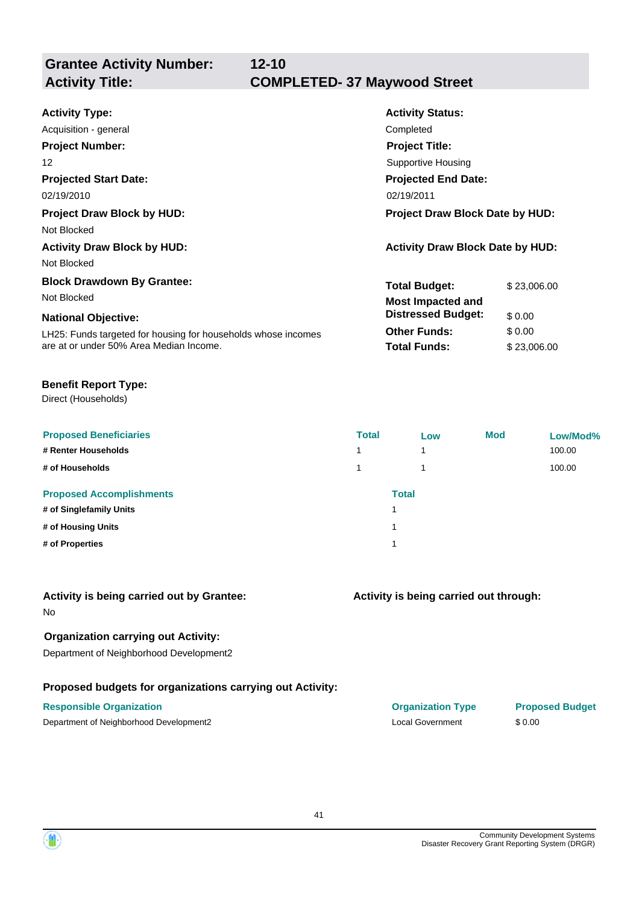**Grantee Activity Number:**

| <b>Activity Type:</b>                                         | <b>Activity Status:</b>                 |             |
|---------------------------------------------------------------|-----------------------------------------|-------------|
| Acquisition - general                                         | Completed                               |             |
| <b>Project Number:</b>                                        | <b>Project Title:</b>                   |             |
| 12                                                            | Supportive Housing                      |             |
| <b>Projected Start Date:</b>                                  | <b>Projected End Date:</b>              |             |
| 02/19/2010                                                    | 02/19/2011                              |             |
| <b>Project Draw Block by HUD:</b>                             | <b>Project Draw Block Date by HUD:</b>  |             |
| Not Blocked                                                   |                                         |             |
| <b>Activity Draw Block by HUD:</b>                            | <b>Activity Draw Block Date by HUD:</b> |             |
| Not Blocked                                                   |                                         |             |
| <b>Block Drawdown By Grantee:</b>                             | <b>Total Budget:</b>                    | \$23,006.00 |
| Not Blocked                                                   | <b>Most Impacted and</b>                |             |
| <b>National Objective:</b>                                    | <b>Distressed Budget:</b>               | \$0.00      |
| LH25: Funds targeted for housing for households whose incomes | <b>Other Funds:</b>                     | \$0.00      |
| are at or under 50% Area Median Income.                       | <b>Total Funds:</b>                     | \$23,006.00 |

#### **Benefit Report Type:**

Direct (Households)

| <b>Proposed Beneficiaries</b>   | <b>Total</b>   | Low          | <b>Mod</b> | Low/Mod% |
|---------------------------------|----------------|--------------|------------|----------|
| # Renter Households             | $\overline{ }$ | 1            |            | 100.00   |
| # of Households                 |                | 1            |            | 100.00   |
| <b>Proposed Accomplishments</b> |                | <b>Total</b> |            |          |
| # of Singlefamily Units         |                |              |            |          |
| # of Housing Units              |                |              |            |          |
| # of Properties                 |                |              |            |          |

#### **Activity is being carried out by Grantee:**

No

### **Organization carrying out Activity:**

Department of Neighborhood Development2

### **Proposed budgets for organizations carrying out Activity:**

### **Activity is being carried out through:**

| <b>Responsible Organization</b>         | <b>Organization Type</b> | <b>Proposed Budget</b> |
|-----------------------------------------|--------------------------|------------------------|
| Department of Neighborhood Development2 | Local Government         | \$ 0.00                |

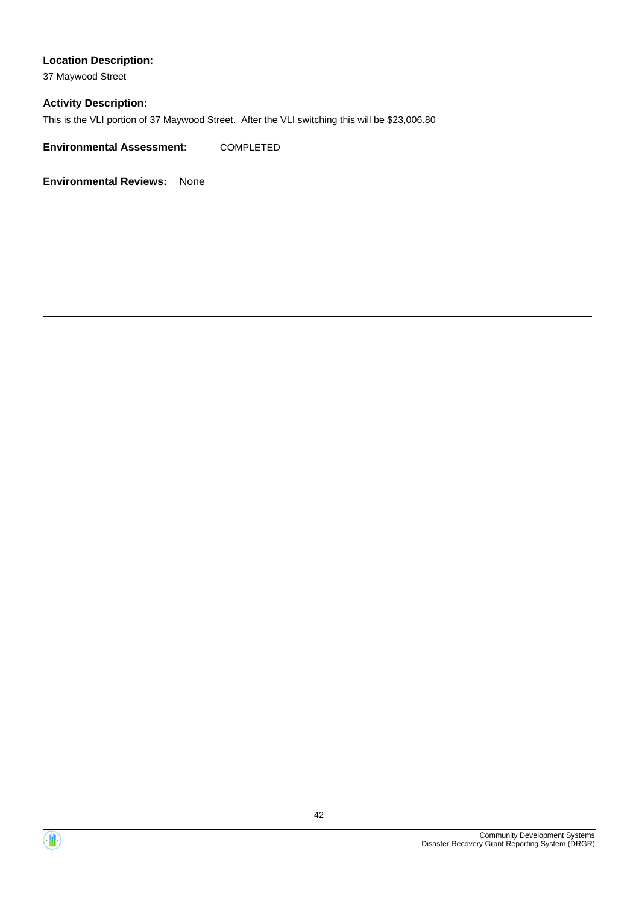37 Maywood Street

#### **Activity Description:**

This is the VLI portion of 37 Maywood Street. After the VLI switching this will be \$23,006.80

**Environmental Assessment:** COMPLETED



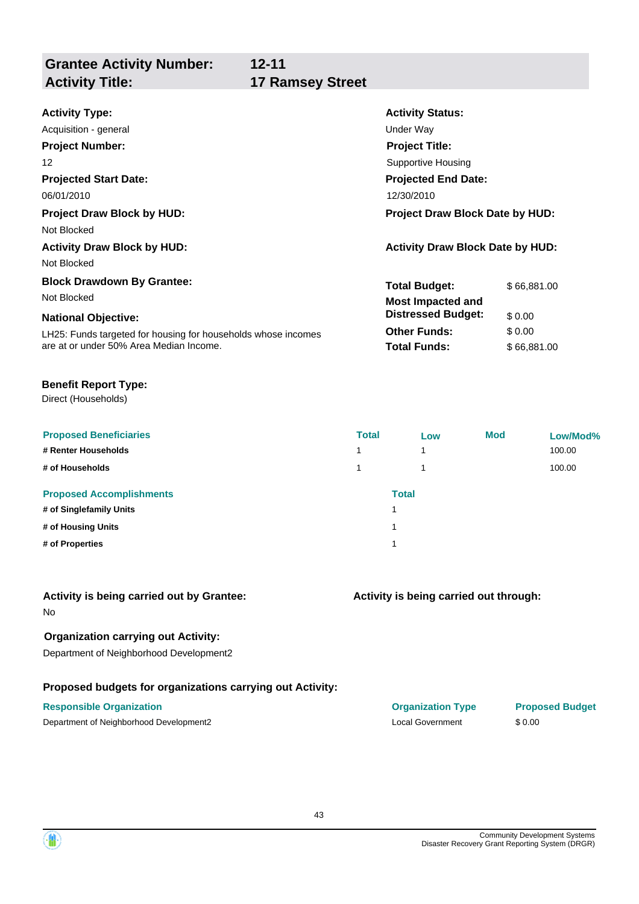**Grantee Activity Number: Activity Title: 17 Ramsey Street**

**12-11**

| <b>Activity Type:</b>                                         | <b>Activity Status:</b>                 |             |  |
|---------------------------------------------------------------|-----------------------------------------|-------------|--|
| Acquisition - general                                         | Under Way                               |             |  |
| <b>Project Number:</b>                                        | <b>Project Title:</b>                   |             |  |
| 12                                                            | Supportive Housing                      |             |  |
| <b>Projected Start Date:</b>                                  | <b>Projected End Date:</b>              |             |  |
| 06/01/2010                                                    | 12/30/2010                              |             |  |
| <b>Project Draw Block by HUD:</b>                             | <b>Project Draw Block Date by HUD:</b>  |             |  |
| Not Blocked                                                   |                                         |             |  |
| <b>Activity Draw Block by HUD:</b>                            | <b>Activity Draw Block Date by HUD:</b> |             |  |
| Not Blocked                                                   |                                         |             |  |
| <b>Block Drawdown By Grantee:</b>                             | <b>Total Budget:</b>                    | \$66,881.00 |  |
| Not Blocked                                                   | <b>Most Impacted and</b>                |             |  |
| <b>National Objective:</b>                                    | <b>Distressed Budget:</b>               | \$0.00      |  |
| LH25: Funds targeted for housing for households whose incomes | <b>Other Funds:</b>                     | \$0.00      |  |
| are at or under 50% Area Median Income.                       | <b>Total Funds:</b>                     | \$66,881.00 |  |

#### **Benefit Report Type:**

Direct (Households)

| <b>Proposed Beneficiaries</b><br># Renter Households<br># of Households | <b>Total</b> | Low<br>4<br>1 | <b>Mod</b> | Low/Mod%<br>100.00<br>100.00 |
|-------------------------------------------------------------------------|--------------|---------------|------------|------------------------------|
| <b>Proposed Accomplishments</b>                                         |              | <b>Total</b>  |            |                              |
| # of Singlefamily Units<br># of Housing Units                           |              |               |            |                              |
| # of Properties                                                         |              |               |            |                              |

#### **Activity is being carried out by Grantee:**

No

#### **Organization carrying out Activity:**

Department of Neighborhood Development2

#### **Proposed budgets for organizations carrying out Activity:**

#### **Activity is being carried out through:**

**Responsible Organization COVID-10 COVID-10 Organization Type Proposed Budget** Department of Neighborhood Development2 Local Government \$ 0.00

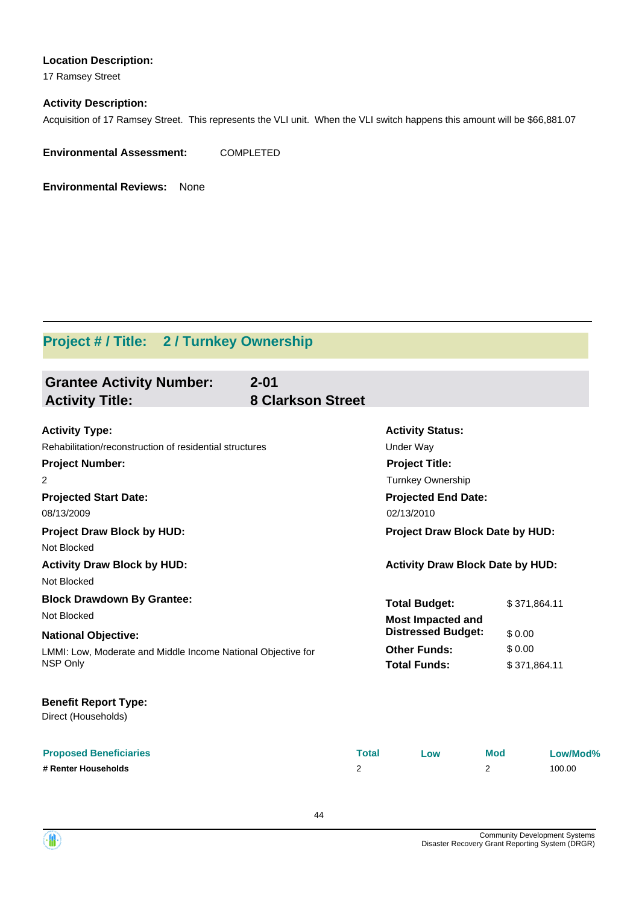17 Ramsey Street

#### **Activity Description:**

Acquisition of 17 Ramsey Street. This represents the VLI unit. When the VLI switch happens this amount will be \$66,881.07

**Environmental Assessment:** COMPLETED

**Environmental Reviews:** None

# **Project # / Title: 2 / Turnkey Ownership**

| <b>Grantee Activity Number:</b><br><b>Activity Title:</b>                | $2 - 01$<br><b>8 Clarkson Street</b> |              |                                                       |                        |          |
|--------------------------------------------------------------------------|--------------------------------------|--------------|-------------------------------------------------------|------------------------|----------|
| <b>Activity Type:</b>                                                    |                                      |              | <b>Activity Status:</b>                               |                        |          |
| Rehabilitation/reconstruction of residential structures                  |                                      |              | <b>Under Way</b>                                      |                        |          |
| <b>Project Number:</b>                                                   |                                      |              | <b>Project Title:</b>                                 |                        |          |
| 2                                                                        |                                      |              | <b>Turnkey Ownership</b>                              |                        |          |
| <b>Projected Start Date:</b>                                             |                                      |              | <b>Projected End Date:</b>                            |                        |          |
| 08/13/2009                                                               |                                      |              | 02/13/2010                                            |                        |          |
| <b>Project Draw Block by HUD:</b>                                        |                                      |              | Project Draw Block Date by HUD:                       |                        |          |
| Not Blocked<br><b>Activity Draw Block by HUD:</b>                        |                                      |              | <b>Activity Draw Block Date by HUD:</b>               |                        |          |
| Not Blocked<br><b>Block Drawdown By Grantee:</b><br>Not Blocked          |                                      |              | <b>Total Budget:</b>                                  | \$371,864.11           |          |
| <b>National Objective:</b>                                               |                                      |              | <b>Most Impacted and</b><br><b>Distressed Budget:</b> | \$0.00                 |          |
| LMMI: Low, Moderate and Middle Income National Objective for<br>NSP Only |                                      |              | <b>Other Funds:</b><br><b>Total Funds:</b>            | \$0.00<br>\$371,864.11 |          |
| <b>Benefit Report Type:</b><br>Direct (Households)                       |                                      |              |                                                       |                        |          |
| <b>Proposed Beneficiaries</b>                                            |                                      | <b>Total</b> | Low                                                   | <b>Mod</b>             | Low/Mod% |
| # Renter Households                                                      | 2                                    |              | 2                                                     |                        | 100.00   |

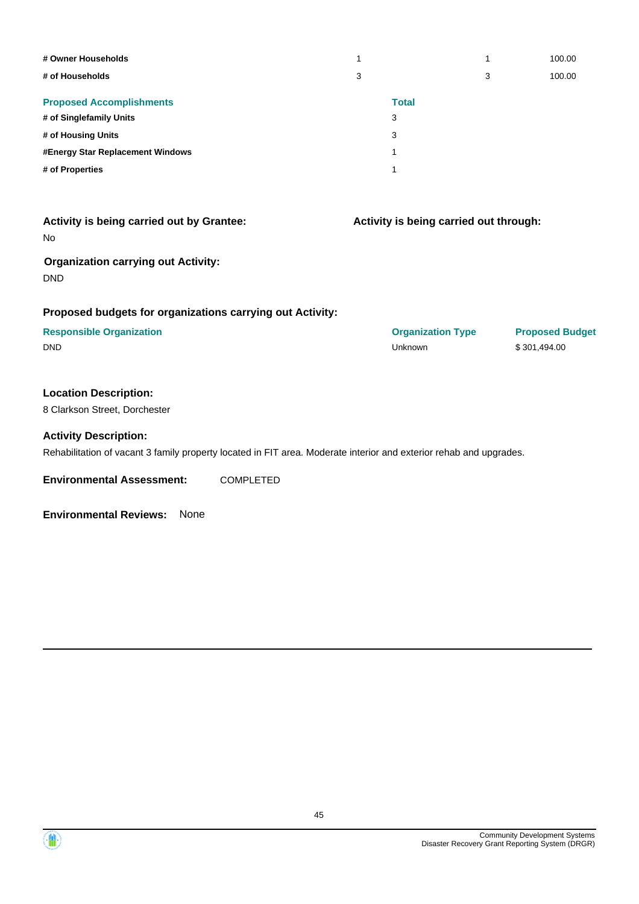| # Owner Households               | 1 | 1            | 100.00 |
|----------------------------------|---|--------------|--------|
| # of Households                  | 3 | 3            | 100.00 |
| <b>Proposed Accomplishments</b>  |   | <b>Total</b> |        |
| # of Singlefamily Units          | 3 |              |        |
| # of Housing Units               | 3 |              |        |
| #Energy Star Replacement Windows | 1 |              |        |
| # of Properties                  |   |              |        |

| Activity is being carried out by Grantee:<br><b>No</b>    | Activity is being carried out through: |                        |
|-----------------------------------------------------------|----------------------------------------|------------------------|
| <b>Organization carrying out Activity:</b><br><b>DND</b>  |                                        |                        |
| Proposed budgets for organizations carrying out Activity: |                                        |                        |
| <b>Responsible Organization</b>                           | <b>Organization Type</b>               | <b>Proposed Budget</b> |

DND Unknown \$ 301,494.00

#### **Location Description:**

8 Clarkson Street, Dorchester

#### **Activity Description:**

Rehabilitation of vacant 3 family property located in FIT area. Moderate interior and exterior rehab and upgrades.

**Environmental Assessment:** COMPLETED

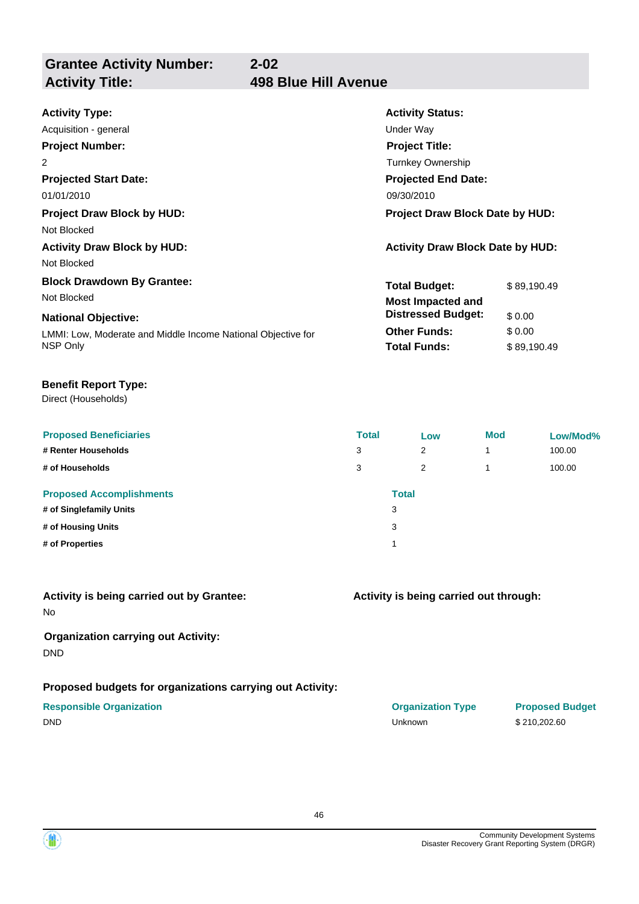**Grantee Activity Number: Activity Title: 498 Blue Hill Avenue**

# **2-02**

| <b>Activity Type:</b>                                        | <b>Activity Status:</b>                 |             |  |
|--------------------------------------------------------------|-----------------------------------------|-------------|--|
| Acquisition - general                                        | <b>Under Way</b>                        |             |  |
| <b>Project Number:</b>                                       | <b>Project Title:</b>                   |             |  |
| $\overline{2}$                                               | Turnkey Ownership                       |             |  |
| <b>Projected Start Date:</b>                                 | <b>Projected End Date:</b>              |             |  |
| 01/01/2010                                                   | 09/30/2010                              |             |  |
| <b>Project Draw Block by HUD:</b>                            | <b>Project Draw Block Date by HUD:</b>  |             |  |
| Not Blocked                                                  |                                         |             |  |
| <b>Activity Draw Block by HUD:</b>                           | <b>Activity Draw Block Date by HUD:</b> |             |  |
| Not Blocked                                                  |                                         |             |  |
| <b>Block Drawdown By Grantee:</b>                            | <b>Total Budget:</b>                    | \$89,190.49 |  |
| Not Blocked                                                  | <b>Most Impacted and</b>                |             |  |
| <b>National Objective:</b>                                   | <b>Distressed Budget:</b><br>\$0.00     |             |  |
| LMMI: Low, Moderate and Middle Income National Objective for | \$0.00<br><b>Other Funds:</b>           |             |  |
| NSP Only                                                     | <b>Total Funds:</b>                     | \$89,190.49 |  |

#### **Benefit Report Type:**

Direct (Households)

| <b>Proposed Beneficiaries</b>   | <b>Total</b> | Low          | <b>Mod</b> | Low/Mod% |
|---------------------------------|--------------|--------------|------------|----------|
| # Renter Households             | 3            | 2            | 4          | 100.00   |
| # of Households                 | 3            | 2            | 4          | 100.00   |
| <b>Proposed Accomplishments</b> |              | <b>Total</b> |            |          |
| # of Singlefamily Units         | 3            |              |            |          |
| # of Housing Units              | 3            |              |            |          |
| # of Properties                 |              |              |            |          |

## **Activity is being carried out by Grantee:**

No

#### **Organization carrying out Activity:** DND

#### **Proposed budgets for organizations carrying out Activity:**

### **Activity is being carried out through:**

**Responsible Organization COVID-10 COVID-10 Organization Type Proposed Budget** DND Unknown \$ 210,202.60

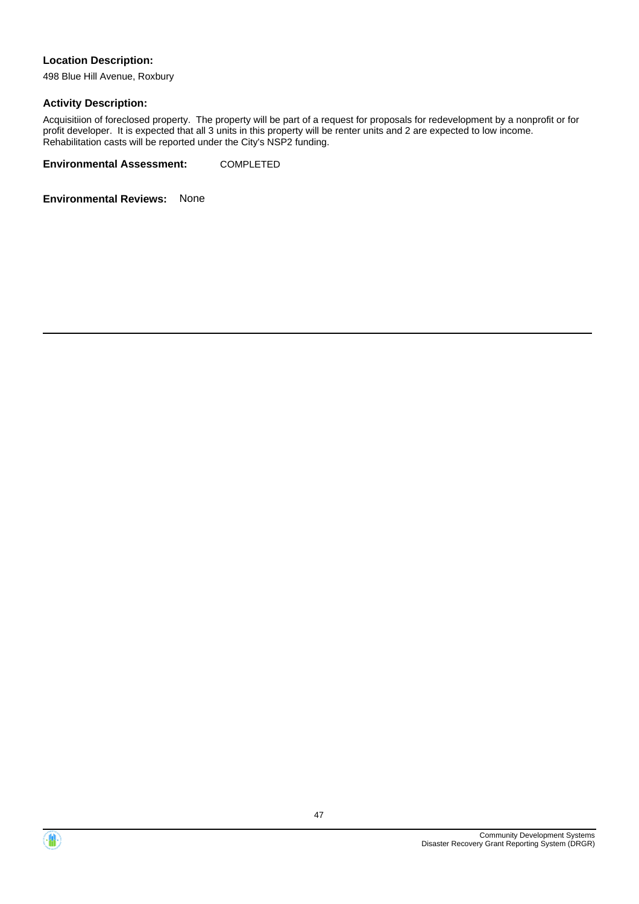498 Blue Hill Avenue, Roxbury

#### **Activity Description:**

Acquisitiion of foreclosed property. The property will be part of a request for proposals for redevelopment by a nonprofit or for profit developer. It is expected that all 3 units in this property will be renter units and 2 are expected to low income. Rehabilitation casts will be reported under the City's NSP2 funding.

**Environmental Assessment:** COMPLETED



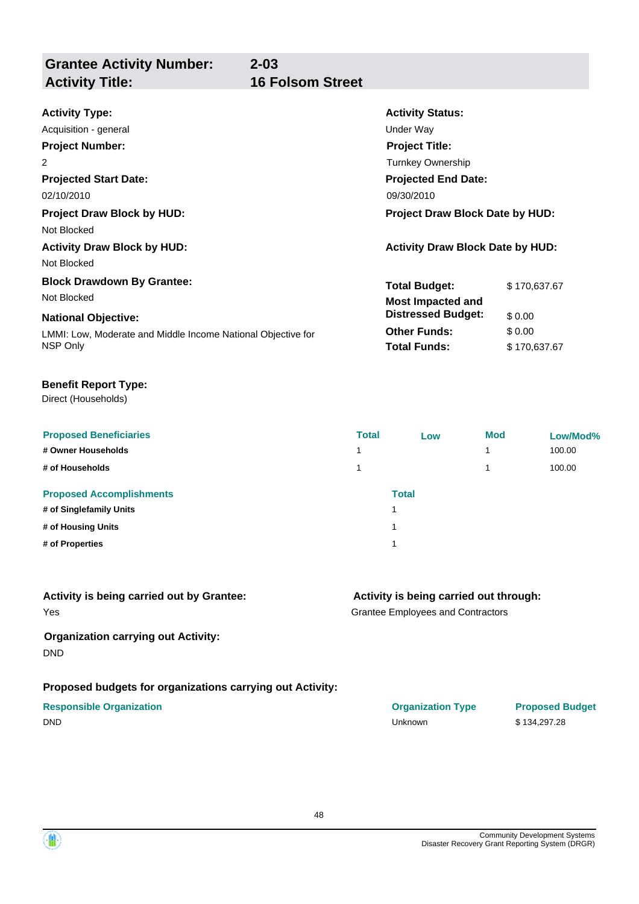**Grantee Activity Number: Activity Title: 16 Folsom Street**

**2-03**

| <b>Activity Type:</b>                                        | <b>Activity Status:</b>                 |              |  |  |
|--------------------------------------------------------------|-----------------------------------------|--------------|--|--|
| Acquisition - general                                        | Under Way                               |              |  |  |
| <b>Project Number:</b>                                       | <b>Project Title:</b>                   |              |  |  |
| 2                                                            | <b>Turnkey Ownership</b>                |              |  |  |
| <b>Projected Start Date:</b>                                 | <b>Projected End Date:</b>              |              |  |  |
| 02/10/2010                                                   | 09/30/2010                              |              |  |  |
| <b>Project Draw Block by HUD:</b>                            | <b>Project Draw Block Date by HUD:</b>  |              |  |  |
| Not Blocked                                                  |                                         |              |  |  |
| <b>Activity Draw Block by HUD:</b>                           | <b>Activity Draw Block Date by HUD:</b> |              |  |  |
| Not Blocked                                                  |                                         |              |  |  |
| <b>Block Drawdown By Grantee:</b>                            | <b>Total Budget:</b>                    | \$170,637.67 |  |  |
| Not Blocked                                                  | <b>Most Impacted and</b>                |              |  |  |
| <b>National Objective:</b>                                   | <b>Distressed Budget:</b>               | \$0.00       |  |  |
| LMMI: Low, Moderate and Middle Income National Objective for | <b>Other Funds:</b>                     | \$0.00       |  |  |
| NSP Only                                                     | <b>Total Funds:</b>                     | \$170,637.67 |  |  |

#### **Benefit Report Type:**

Direct (Households)

| <b>Proposed Beneficiaries</b><br># Owner Households<br># of Households | <b>Total</b><br>1.<br>1 | Low          | <b>Mod</b> | Low/Mod%<br>100.00<br>100.00 |
|------------------------------------------------------------------------|-------------------------|--------------|------------|------------------------------|
| <b>Proposed Accomplishments</b><br># of Singlefamily Units             |                         | <b>Total</b> |            |                              |
| # of Housing Units                                                     |                         | 1            |            |                              |
| # of Properties                                                        |                         |              |            |                              |

| Activity is being carried out by Grantee: | Activity is being carried out through:   |
|-------------------------------------------|------------------------------------------|
| Yes                                       | <b>Grantee Employees and Contractors</b> |

#### **Organization carrying out Activity:** DND

### **Proposed budgets for organizations carrying out Activity:**

#### **Responsible Organization**

| <b>Responsible Organization</b> | <b>Organization Type</b> | <b>Proposed Budget</b> |
|---------------------------------|--------------------------|------------------------|
| DND                             | Unknown                  | \$134.297.28           |

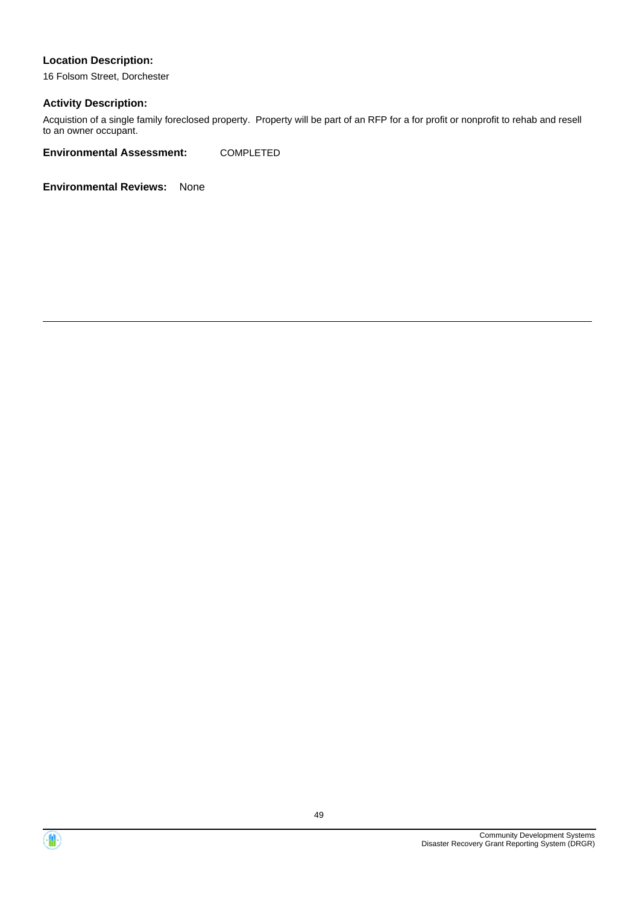16 Folsom Street, Dorchester

#### **Activity Description:**

Acquistion of a single family foreclosed property. Property will be part of an RFP for a for profit or nonprofit to rehab and resell to an owner occupant.

**Environmental Assessment:** COMPLETED



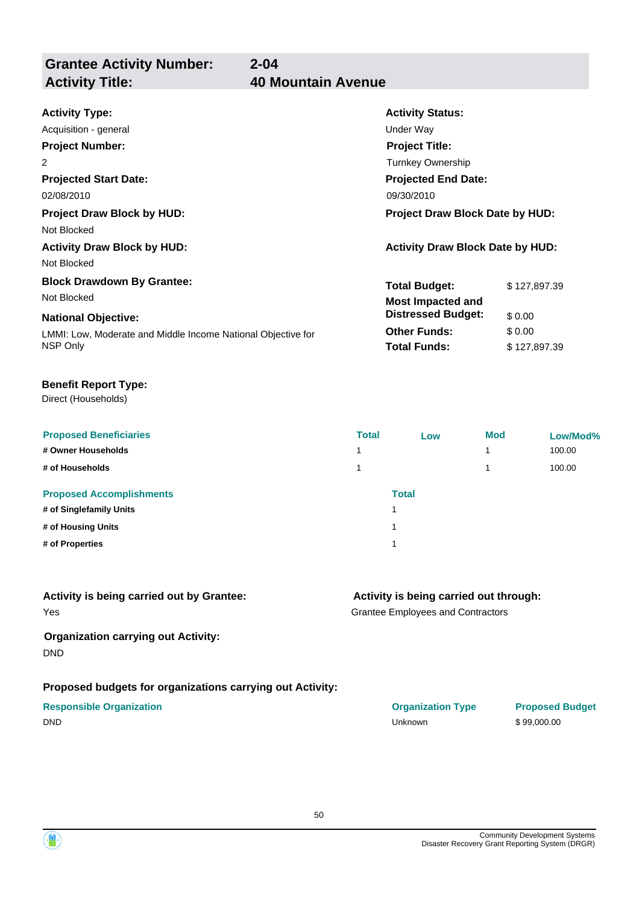**Grantee Activity Number: Activity Title: 40 Mountain Avenue**

# **2-04**

| <b>Activity Type:</b>                                        | <b>Activity Status:</b>                 |              |  |
|--------------------------------------------------------------|-----------------------------------------|--------------|--|
| Acquisition - general                                        | Under Way                               |              |  |
| <b>Project Number:</b>                                       | <b>Project Title:</b>                   |              |  |
| 2                                                            | Turnkey Ownership                       |              |  |
| <b>Projected Start Date:</b>                                 | <b>Projected End Date:</b>              |              |  |
| 02/08/2010                                                   | 09/30/2010                              |              |  |
| <b>Project Draw Block by HUD:</b>                            | <b>Project Draw Block Date by HUD:</b>  |              |  |
| Not Blocked                                                  |                                         |              |  |
| <b>Activity Draw Block by HUD:</b>                           | <b>Activity Draw Block Date by HUD:</b> |              |  |
| Not Blocked                                                  |                                         |              |  |
| <b>Block Drawdown By Grantee:</b>                            | <b>Total Budget:</b>                    | \$127,897.39 |  |
| Not Blocked                                                  | <b>Most Impacted and</b>                |              |  |
| <b>National Objective:</b>                                   | <b>Distressed Budget:</b>               | \$0.00       |  |
| LMMI: Low, Moderate and Middle Income National Objective for | <b>Other Funds:</b>                     | \$0.00       |  |
| NSP Only                                                     | <b>Total Funds:</b>                     | \$127,897.39 |  |

#### **Benefit Report Type:**

Direct (Households)

| <b>Proposed Beneficiaries</b><br># Owner Households<br># of Households | <b>Total</b><br>4<br>1 | Low   | <b>Mod</b> | Low/Mod%<br>100.00<br>100.00 |
|------------------------------------------------------------------------|------------------------|-------|------------|------------------------------|
| <b>Proposed Accomplishments</b><br># of Singlefamily Units             | 1                      | Total |            |                              |
| # of Housing Units<br># of Properties                                  |                        |       |            |                              |
|                                                                        |                        |       |            |                              |

| Activity is being carried out by Grantee: | Activity is be        |
|-------------------------------------------|-----------------------|
| Yes                                       | <b>Grantee Employ</b> |

#### **Organization carrying out Activity:** DND

#### **Proposed budgets for organizations carrying out Activity:**

## **Activity is being carried out through:**

vees and Contractors

| <b>Responsible Organization</b> | <b>Organization Type</b> | <b>Proposed Budget</b> |
|---------------------------------|--------------------------|------------------------|
| <b>DND</b>                      | Unknown                  | \$99,000,00            |

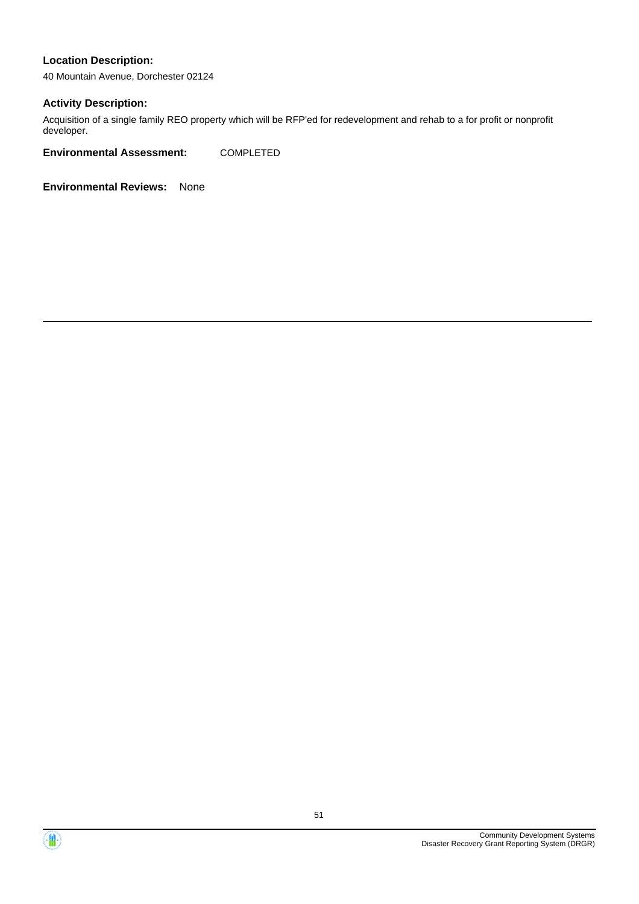40 Mountain Avenue, Dorchester 02124

#### **Activity Description:**

Acquisition of a single family REO property which will be RFP'ed for redevelopment and rehab to a for profit or nonprofit developer.

**Environmental Assessment:** COMPLETED



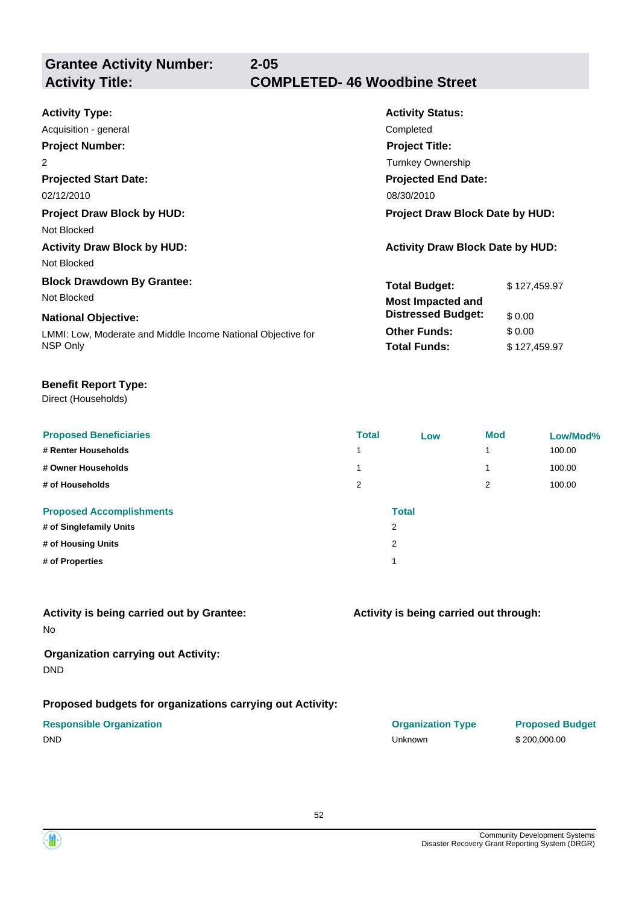**Grantee Activity Number:**

| <b>Activity Type:</b>                                        | <b>Activity Status:</b>                 |              |  |
|--------------------------------------------------------------|-----------------------------------------|--------------|--|
| Acquisition - general                                        | Completed                               |              |  |
| <b>Project Number:</b>                                       | <b>Project Title:</b>                   |              |  |
| 2                                                            | <b>Turnkey Ownership</b>                |              |  |
| <b>Projected Start Date:</b>                                 | <b>Projected End Date:</b>              |              |  |
| 02/12/2010                                                   | 08/30/2010                              |              |  |
| <b>Project Draw Block by HUD:</b>                            | <b>Project Draw Block Date by HUD:</b>  |              |  |
| Not Blocked                                                  |                                         |              |  |
| <b>Activity Draw Block by HUD:</b>                           | <b>Activity Draw Block Date by HUD:</b> |              |  |
| Not Blocked                                                  |                                         |              |  |
| <b>Block Drawdown By Grantee:</b>                            | <b>Total Budget:</b>                    | \$127,459.97 |  |
| Not Blocked                                                  | <b>Most Impacted and</b>                |              |  |
| <b>National Objective:</b>                                   | <b>Distressed Budget:</b>               | \$0.00       |  |
| LMMI: Low, Moderate and Middle Income National Objective for | <b>Other Funds:</b>                     | \$0.00       |  |
| NSP Only                                                     | <b>Total Funds:</b>                     | \$127,459.97 |  |
|                                                              |                                         |              |  |

#### **Benefit Report Type:**

Direct (Households)

| <b>Proposed Beneficiaries</b><br># Renter Households<br># Owner Households<br># of Households | <b>Total</b><br>1<br>2 | Low          | <b>Mod</b><br>1<br>1<br>2 | Low/Mod%<br>100.00<br>100.00<br>100.00 |
|-----------------------------------------------------------------------------------------------|------------------------|--------------|---------------------------|----------------------------------------|
| <b>Proposed Accomplishments</b>                                                               |                        | <b>Total</b> |                           |                                        |
| # of Singlefamily Units                                                                       |                        | 2            |                           |                                        |
| # of Housing Units                                                                            |                        | 2            |                           |                                        |
| # of Properties                                                                               |                        | и            |                           |                                        |

#### No **Activity is being carried out by Grantee:**

#### **Organization carrying out Activity:** DND

#### **Proposed budgets for organizations carrying out Activity:**

|             | <b>Responsible Organization</b> |
|-------------|---------------------------------|
| $- \cdot -$ |                                 |

#### **Activity is being carried out through:**

| <b>Responsible Organization</b> | <b>Organization Type</b> | <b>Proposed I</b> |
|---------------------------------|--------------------------|-------------------|
| DND                             | Unknown                  | \$200,000.00      |

# **Proposed Budget**

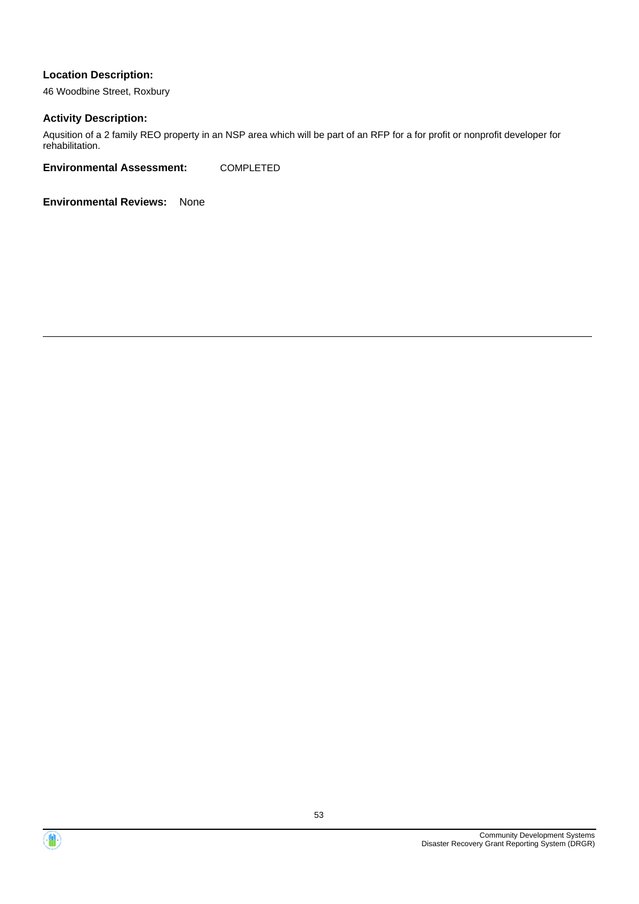46 Woodbine Street, Roxbury

#### **Activity Description:**

Aqusition of a 2 family REO property in an NSP area which will be part of an RFP for a for profit or nonprofit developer for rehabilitation.

**Environmental Assessment:** COMPLETED



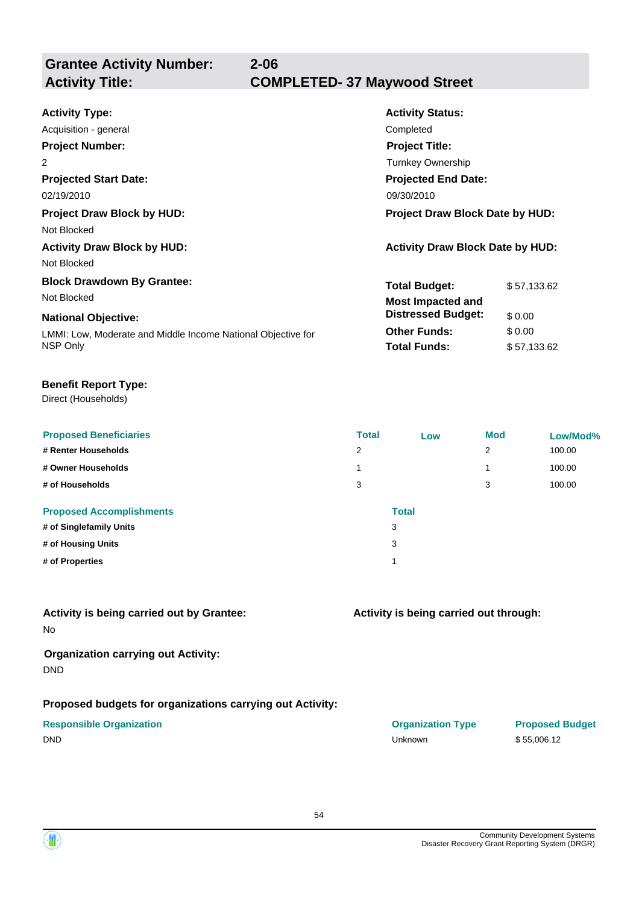**Grantee Activity Number:**

| <b>Activity Type:</b>                                        | <b>Activity Status:</b>                 |             |  |
|--------------------------------------------------------------|-----------------------------------------|-------------|--|
| Acquisition - general                                        | Completed                               |             |  |
| <b>Project Number:</b>                                       | <b>Project Title:</b>                   |             |  |
| 2                                                            | <b>Turnkey Ownership</b>                |             |  |
| <b>Projected Start Date:</b>                                 | <b>Projected End Date:</b>              |             |  |
| 02/19/2010                                                   | 09/30/2010                              |             |  |
| <b>Project Draw Block by HUD:</b>                            | Project Draw Block Date by HUD:         |             |  |
| Not Blocked                                                  |                                         |             |  |
| <b>Activity Draw Block by HUD:</b>                           | <b>Activity Draw Block Date by HUD:</b> |             |  |
| Not Blocked                                                  |                                         |             |  |
| <b>Block Drawdown By Grantee:</b>                            | <b>Total Budget:</b>                    | \$57,133.62 |  |
| Not Blocked                                                  | <b>Most Impacted and</b>                |             |  |
| <b>National Objective:</b>                                   | <b>Distressed Budget:</b>               | \$0.00      |  |
| LMMI: Low, Moderate and Middle Income National Objective for | <b>Other Funds:</b>                     | \$0.00      |  |
| NSP Only                                                     | <b>Total Funds:</b>                     | \$57,133.62 |  |
|                                                              |                                         |             |  |

#### **Benefit Report Type:**

Direct (Households)

| <b>Proposed Beneficiaries</b><br># Renter Households<br># Owner Households<br># of Households | <b>Total</b><br>2<br>$\overline{\phantom{a}}$<br>3 | Low          | <b>Mod</b><br>2<br>3 | Low/Mod%<br>100.00<br>100.00<br>100.00 |
|-----------------------------------------------------------------------------------------------|----------------------------------------------------|--------------|----------------------|----------------------------------------|
| <b>Proposed Accomplishments</b>                                                               |                                                    | <b>Total</b> |                      |                                        |
| # of Singlefamily Units                                                                       |                                                    | 3            |                      |                                        |
| # of Housing Units                                                                            |                                                    | 3            |                      |                                        |
| # of Properties                                                                               |                                                    | и            |                      |                                        |

#### No **Activity is being carried out by Grantee:**

#### **Organization carrying out Activity:** DND

### **Proposed budgets for organizations carrying out Activity:**

|        | <b>Responsible Organization</b> |
|--------|---------------------------------|
| $\sim$ |                                 |

#### **Activity is being carried out through:**

| <b>Responsible Organization</b> | <b>Organization Type</b> | <b>Proposed</b> |
|---------------------------------|--------------------------|-----------------|
| DND                             | Unknown                  | \$55,006.12     |

# **Proposed Budget**

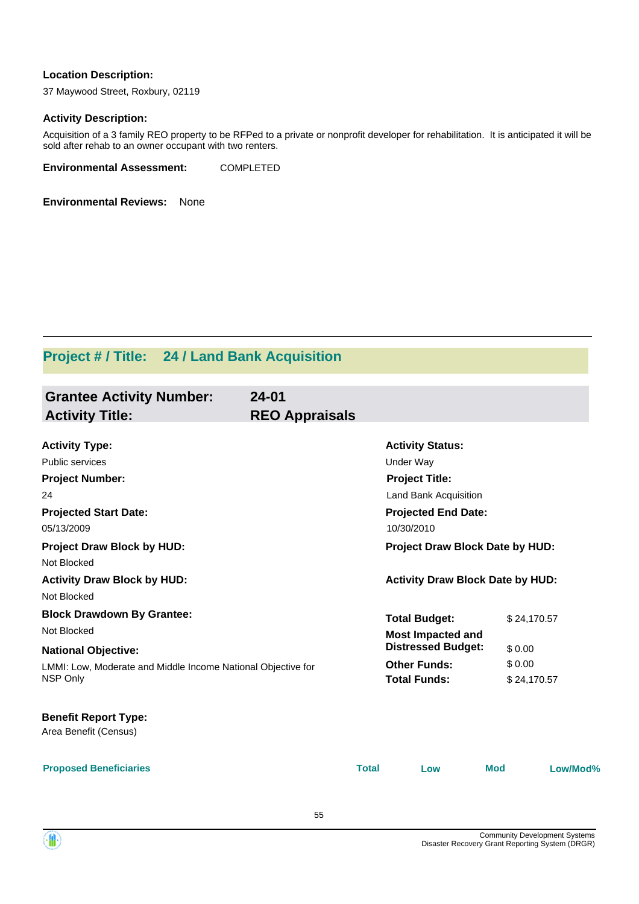37 Maywood Street, Roxbury, 02119

#### **Activity Description:**

Acquisition of a 3 family REO property to be RFPed to a private or nonprofit developer for rehabilitation. It is anticipated it will be sold after rehab to an owner occupant with two renters.

**Environmental Assessment:** COMPLETED

**Environmental Reviews:** None

# **Project # / Title: 24 / Land Bank Acquisition**

| <b>Grantee Activity Number:</b><br><b>Activity Title:</b>    | $24 - 01$<br><b>REO Appraisals</b> |              |                                          |             |          |
|--------------------------------------------------------------|------------------------------------|--------------|------------------------------------------|-------------|----------|
| <b>Activity Type:</b>                                        |                                    |              | <b>Activity Status:</b>                  |             |          |
| <b>Public services</b>                                       |                                    |              | <b>Under Way</b>                         |             |          |
| <b>Project Number:</b>                                       |                                    |              | <b>Project Title:</b>                    |             |          |
| 24                                                           |                                    |              | Land Bank Acquisition                    |             |          |
| <b>Projected Start Date:</b><br>05/13/2009                   |                                    |              | <b>Projected End Date:</b><br>10/30/2010 |             |          |
| <b>Project Draw Block by HUD:</b><br>Not Blocked             |                                    |              | Project Draw Block Date by HUD:          |             |          |
| <b>Activity Draw Block by HUD:</b>                           |                                    |              | <b>Activity Draw Block Date by HUD:</b>  |             |          |
| Not Blocked                                                  |                                    |              |                                          |             |          |
| <b>Block Drawdown By Grantee:</b>                            |                                    |              | <b>Total Budget:</b>                     | \$24,170.57 |          |
| Not Blocked                                                  |                                    |              | <b>Most Impacted and</b>                 |             |          |
| <b>National Objective:</b>                                   |                                    |              | <b>Distressed Budget:</b>                | \$0.00      |          |
| LMMI: Low, Moderate and Middle Income National Objective for |                                    |              | <b>Other Funds:</b>                      | \$0.00      |          |
| <b>NSP Only</b>                                              |                                    |              | <b>Total Funds:</b>                      | \$24,170.57 |          |
| <b>Benefit Report Type:</b><br>Area Benefit (Census)         |                                    |              |                                          |             |          |
| <b>Proposed Beneficiaries</b>                                |                                    | <b>Total</b> | Low                                      | <b>Mod</b>  | Low/Mod% |

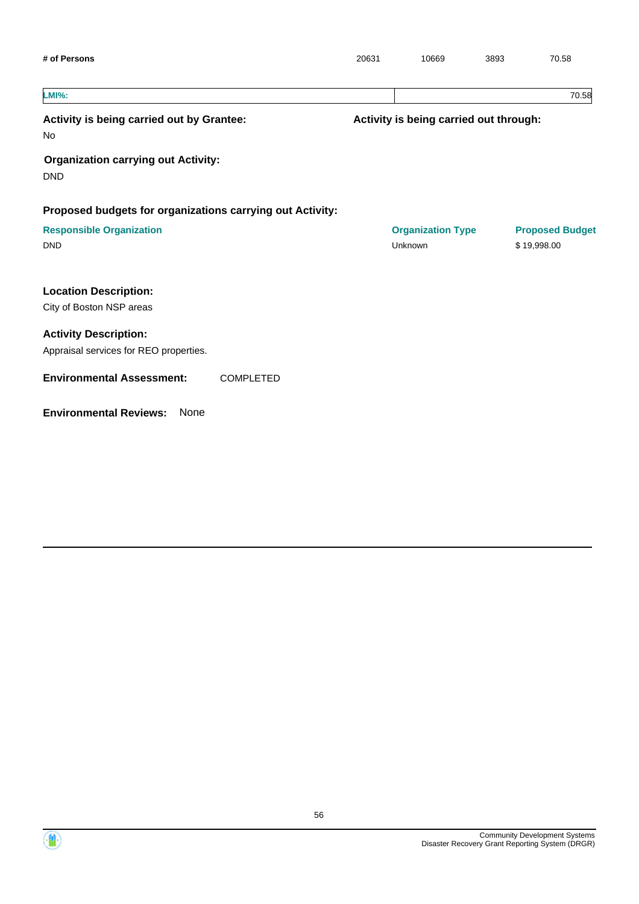| # of Persons                                                           | 20631                                  | 10669                               | 3893 | 70.58                                 |
|------------------------------------------------------------------------|----------------------------------------|-------------------------------------|------|---------------------------------------|
| <b>LMI%:</b>                                                           |                                        |                                     |      | 70.58                                 |
| Activity is being carried out by Grantee:<br>No                        | Activity is being carried out through: |                                     |      |                                       |
| <b>Organization carrying out Activity:</b><br><b>DND</b>               |                                        |                                     |      |                                       |
| Proposed budgets for organizations carrying out Activity:              |                                        |                                     |      |                                       |
| <b>Responsible Organization</b><br><b>DND</b>                          |                                        | <b>Organization Type</b><br>Unknown |      | <b>Proposed Budget</b><br>\$19,998.00 |
| <b>Location Description:</b><br>City of Boston NSP areas               |                                        |                                     |      |                                       |
| <b>Activity Description:</b><br>Appraisal services for REO properties. |                                        |                                     |      |                                       |
| <b>Environmental Assessment:</b><br><b>COMPLETED</b>                   |                                        |                                     |      |                                       |
| <b>Environmental Reviews:</b><br>None                                  |                                        |                                     |      |                                       |

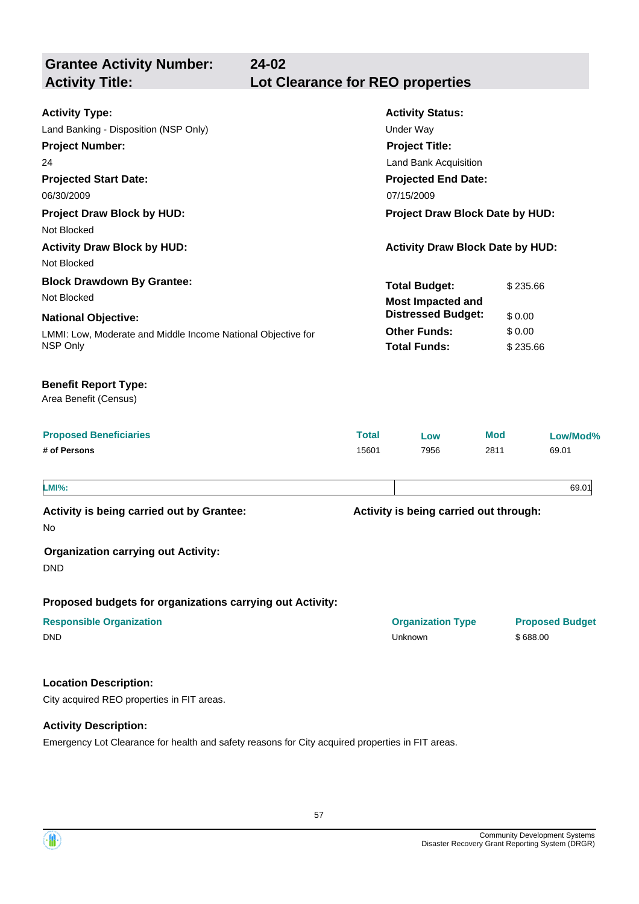| $24 - 02$<br><b>Grantee Activity Number:</b><br><b>Activity Title:</b>                                                                                                                                                                                | Lot Clearance for REO properties |                                                                                                                                                                                                                         |                                          |                        |
|-------------------------------------------------------------------------------------------------------------------------------------------------------------------------------------------------------------------------------------------------------|----------------------------------|-------------------------------------------------------------------------------------------------------------------------------------------------------------------------------------------------------------------------|------------------------------------------|------------------------|
| <b>Activity Type:</b><br>Land Banking - Disposition (NSP Only)<br><b>Project Number:</b><br>24<br><b>Projected Start Date:</b><br>06/30/2009<br><b>Project Draw Block by HUD:</b><br>Not Blocked<br><b>Activity Draw Block by HUD:</b><br>Not Blocked |                                  | <b>Activity Status:</b><br><b>Under Way</b><br><b>Project Title:</b><br>Land Bank Acquisition<br><b>Projected End Date:</b><br>07/15/2009<br>Project Draw Block Date by HUD:<br><b>Activity Draw Block Date by HUD:</b> |                                          |                        |
| <b>Block Drawdown By Grantee:</b><br>Not Blocked<br><b>National Objective:</b><br>LMMI: Low, Moderate and Middle Income National Objective for<br>NSP Only                                                                                            |                                  | <b>Total Budget:</b><br><b>Most Impacted and</b><br><b>Distressed Budget:</b><br><b>Other Funds:</b><br><b>Total Funds:</b>                                                                                             | \$235.66<br>\$0.00<br>\$0.00<br>\$235.66 |                        |
| <b>Benefit Report Type:</b><br>Area Benefit (Census)                                                                                                                                                                                                  |                                  |                                                                                                                                                                                                                         |                                          |                        |
| <b>Proposed Beneficiaries</b><br># of Persons                                                                                                                                                                                                         | <b>Total</b><br>15601            | Low<br>7956                                                                                                                                                                                                             | <b>Mod</b><br>2811                       | Low/Mod%<br>69.01      |
| <b>LMI%:</b><br>Activity is being carried out by Grantee:<br>No                                                                                                                                                                                       |                                  | Activity is being carried out through:                                                                                                                                                                                  |                                          | 69.01                  |
| <b>Organization carrying out Activity:</b><br><b>DND</b>                                                                                                                                                                                              |                                  |                                                                                                                                                                                                                         |                                          |                        |
| Proposed budgets for organizations carrying out Activity:<br><b>Responsible Organization</b><br><b>DND</b>                                                                                                                                            |                                  | <b>Organization Type</b><br>Unknown                                                                                                                                                                                     | \$688.00                                 | <b>Proposed Budget</b> |
| <b>Location Description:</b><br>City acquired REO properties in FIT areas.                                                                                                                                                                            |                                  |                                                                                                                                                                                                                         |                                          |                        |
| <b>Activity Description:</b>                                                                                                                                                                                                                          |                                  |                                                                                                                                                                                                                         |                                          |                        |

Emergency Lot Clearance for health and safety reasons for City acquired properties in FIT areas.

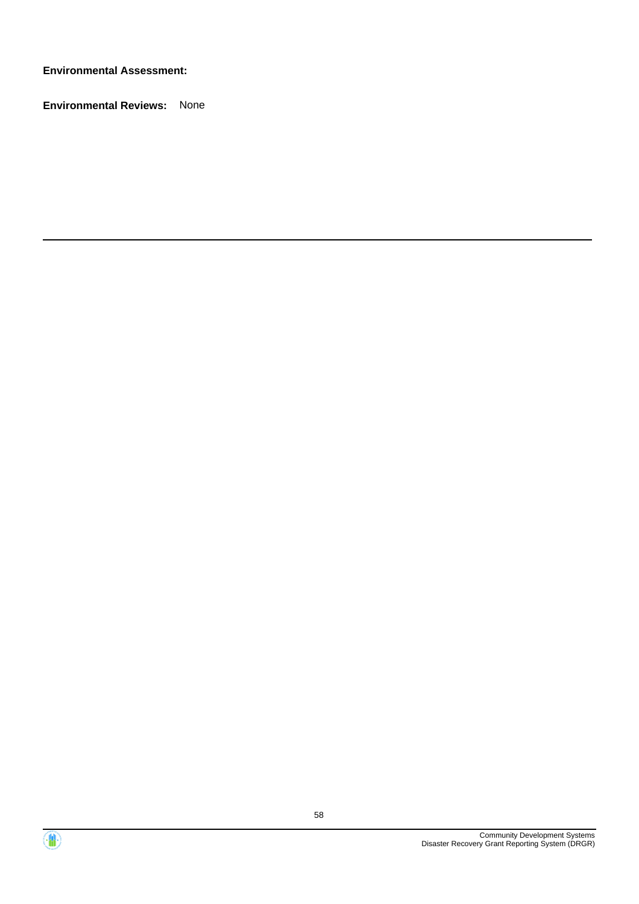**Environmental Assessment:**



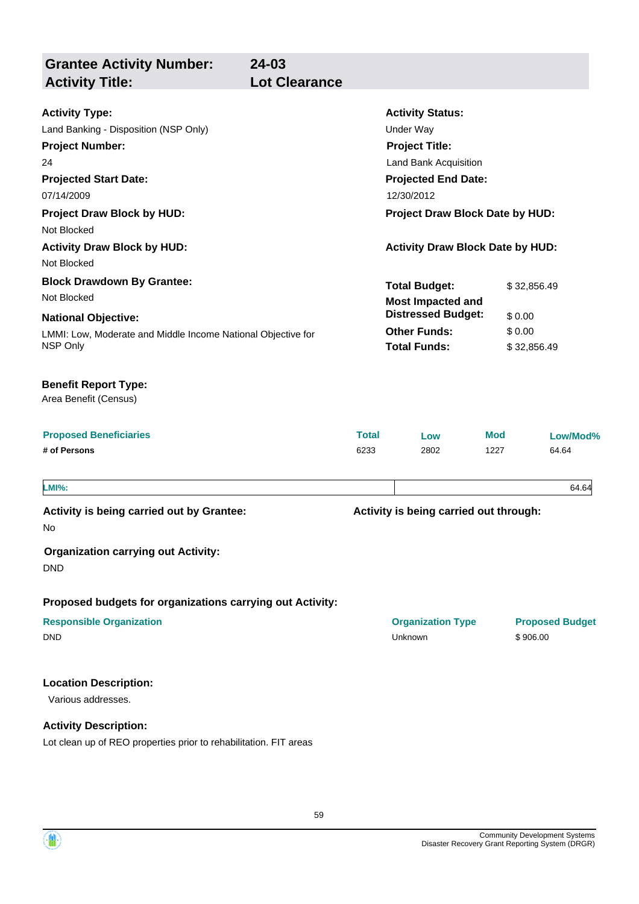| <b>Grantee Activity Number:</b><br><b>Activity Title:</b>                                                                                                                                                                              | $24 - 03$<br><b>Lot Clearance</b> |              |                                                                                                                                                                                                                         |            |                                                |                        |
|----------------------------------------------------------------------------------------------------------------------------------------------------------------------------------------------------------------------------------------|-----------------------------------|--------------|-------------------------------------------------------------------------------------------------------------------------------------------------------------------------------------------------------------------------|------------|------------------------------------------------|------------------------|
| <b>Activity Type:</b><br>Land Banking - Disposition (NSP Only)<br><b>Project Number:</b><br>24<br><b>Projected Start Date:</b><br>07/14/2009<br><b>Project Draw Block by HUD:</b><br>Not Blocked<br><b>Activity Draw Block by HUD:</b> |                                   |              | <b>Activity Status:</b><br><b>Under Way</b><br><b>Project Title:</b><br>Land Bank Acquisition<br><b>Projected End Date:</b><br>12/30/2012<br>Project Draw Block Date by HUD:<br><b>Activity Draw Block Date by HUD:</b> |            |                                                |                        |
| Not Blocked<br><b>Block Drawdown By Grantee:</b><br>Not Blocked<br><b>National Objective:</b><br>LMMI: Low, Moderate and Middle Income National Objective for<br>NSP Only                                                              |                                   |              | <b>Total Budget:</b><br><b>Most Impacted and</b><br><b>Distressed Budget:</b><br><b>Other Funds:</b><br><b>Total Funds:</b>                                                                                             |            | \$32,856.49<br>\$0.00<br>\$0.00<br>\$32,856.49 |                        |
| <b>Benefit Report Type:</b><br>Area Benefit (Census)<br><b>Proposed Beneficiaries</b>                                                                                                                                                  |                                   | <b>Total</b> | Low                                                                                                                                                                                                                     | <b>Mod</b> |                                                | Low/Mod%               |
| # of Persons<br><b>LMI%:</b>                                                                                                                                                                                                           |                                   | 6233         | 2802                                                                                                                                                                                                                    | 1227       |                                                | 64.64<br>64.64         |
| Activity is being carried out by Grantee:<br>No<br><b>Organization carrying out Activity:</b><br><b>DND</b>                                                                                                                            |                                   |              | Activity is being carried out through:                                                                                                                                                                                  |            |                                                |                        |
| Proposed budgets for organizations carrying out Activity:<br><b>Responsible Organization</b><br>DND                                                                                                                                    |                                   |              | <b>Organization Type</b><br>Unknown                                                                                                                                                                                     |            | \$906.00                                       | <b>Proposed Budget</b> |
| <b>Location Description:</b><br>Various addresses.<br><b>Activity Description:</b><br>Lot clean up of REO properties prior to rehabilitation. FIT areas                                                                                |                                   |              |                                                                                                                                                                                                                         |            |                                                |                        |

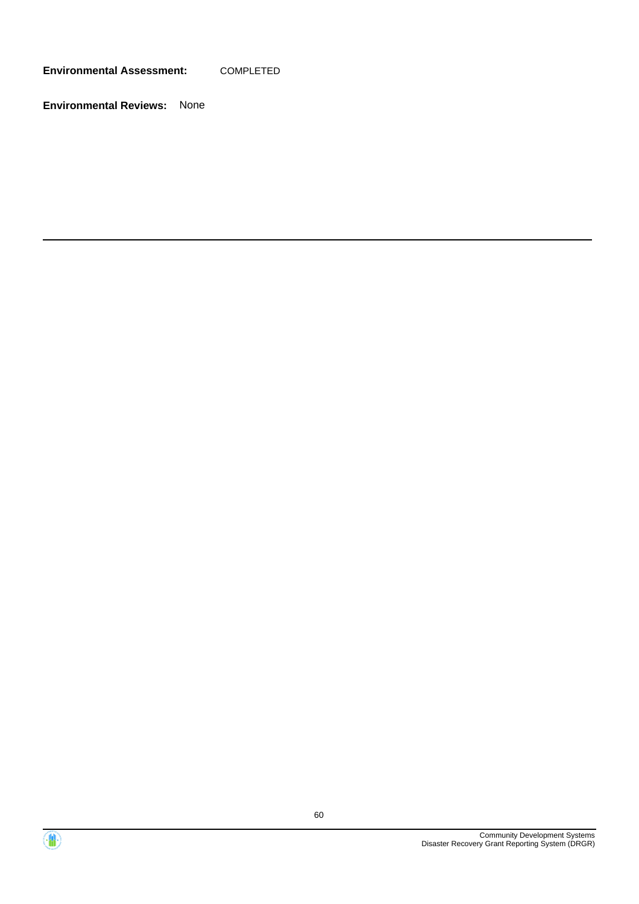**Environmental Assessment:** COMPLETED



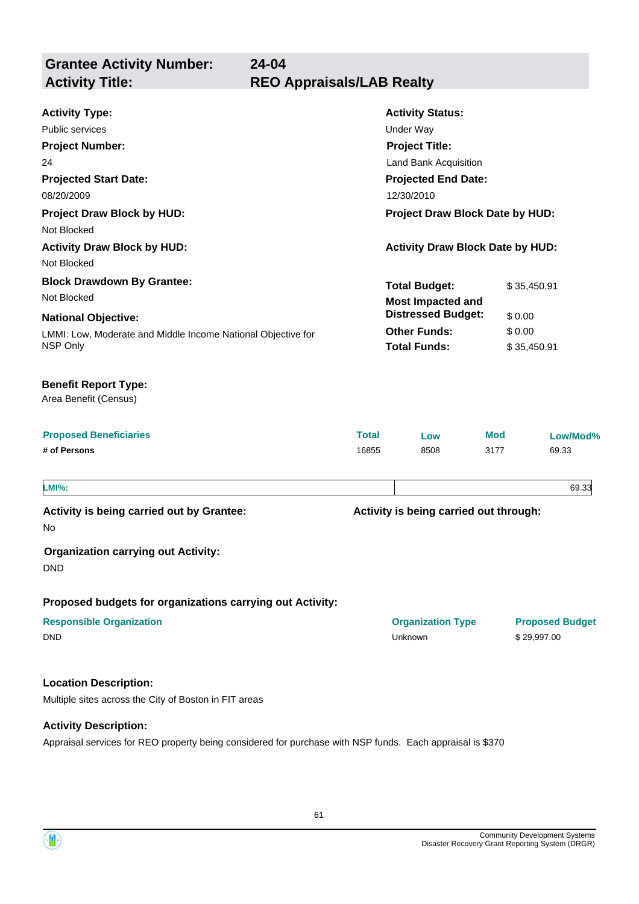**Grantee Activity Number: Projected Start Date:** LMMI: Low, Moderate and Middle Income National Objective for NSP Only **National Objective: Activity Status: Projected End Date: 24-04 Activity Type:** 08/20/2009 12/30/2010 Public services **National Structure Control Control Control Control Control Control Control Control Control Control Control Control Control Control Control Control Control Control Control Control Control Control Control Co Activity Title: REO Appraisals/LAB Realty Project Number:** 24 **Project Title:** Land Bank Acquisition **Total Budget:** \$35,450.91 **Other Funds:** \$ 0.00 **Total Funds:** \$ 35,450.91 **Location Description:** Multiple sites across the City of Boston in FIT areas **Activity Description: Proposed Beneficiaries Total Low Mod Low/Mod% # of Persons** 16855 8508 3177 69.33 **Proposed budgets for organizations carrying out Activity: Activity is being carried out through: Responsible Organization Organization Type Proposed Budget** No **Activity is being carried out by Grantee: Organization carrying out Activity:** DND DND Unknown \$ 29,997.00 Area Benefit (Census) **Benefit Report Type: Project Draw Block by HUD: Project Draw Block Date by HUD:** Not Blocked **Activity Draw Block by HUD: Activity Draw Block Date by HUD:** Not Blocked **Block Drawdown By Grantee:** Not Blocked **LMI%:** 69.33 **Most Impacted and Distressed Budget:** \$ 0.00

Appraisal services for REO property being considered for purchase with NSP funds. Each appraisal is \$370

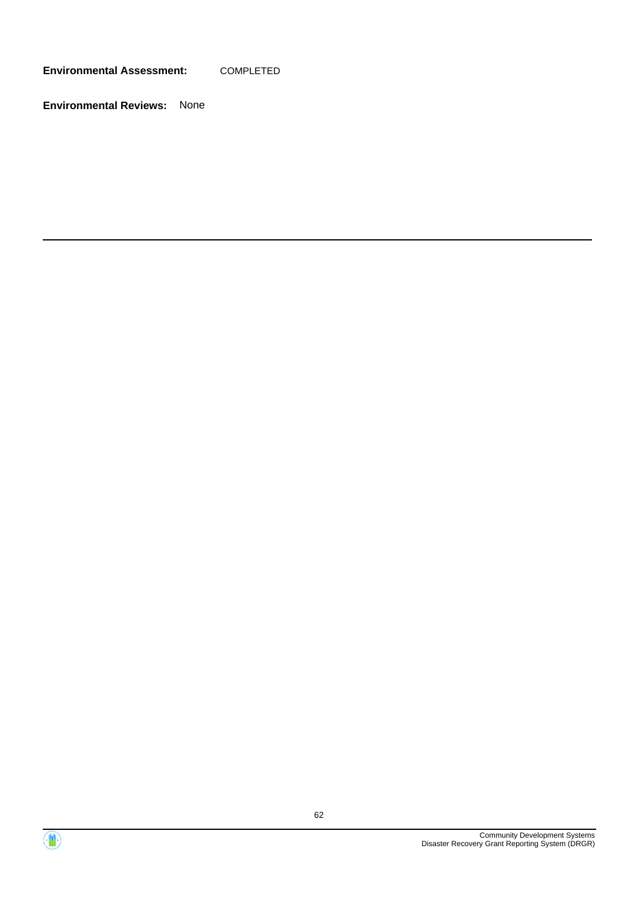**Environmental Assessment:** COMPLETED



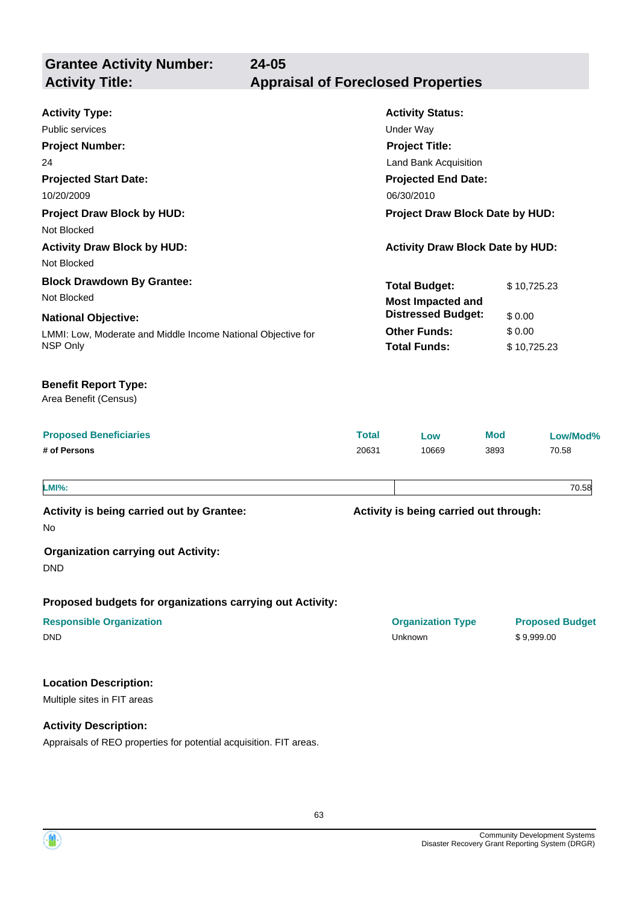**Grantee Activity Number: Projected Start Date:** LMMI: Low, Moderate and Middle Income National Objective for NSP Only **National Objective: Activity Status: Projected End Date: 24-05 Activity Type:** 10/20/2009 06/30/2010 Public services **National Structure Control Control Control Control Control Control Control Control Control Control Control Control Control Control Control Control Control Control Control Control Control Control Control Co Activity Title: Appraisal of Foreclosed Properties Project Number:** 24 **Project Title:** Land Bank Acquisition **Total Budget:** \$10,725.23 **Other Funds:** \$ 0.00 **Total Funds:** \$ 10,725.23 Area Benefit (Census) **Benefit Report Type: Project Draw Block by HUD: Project Draw Block Date by HUD:** Not Blocked **Activity Draw Block by HUD: Activity Draw Block Date by HUD:** Not Blocked **Block Drawdown By Grantee:** Not Blocked **Most Impacted and Distressed Budget:** \$ 0.00

| <b>Proposed Beneficiaries</b> | Total | Low   | <b>Mod</b> | Low/Mod% |
|-------------------------------|-------|-------|------------|----------|
| # of Persons                  | 20631 | 10669 | 3893       | 70.58    |
|                               |       |       |            |          |

**LMI%:** 70.58

**Activity is being carried out by Grantee:**

**Activity is being carried out through:**

No

**Organization carrying out Activity:**

DND

**Proposed budgets for organizations carrying out Activity:**

| <b>Responsible Organization</b> | <b>Organization Type</b> | <b>Propose</b> |  |
|---------------------------------|--------------------------|----------------|--|
| DND                             | Unknown                  | \$9,999.00     |  |

#### **Location Description:**

Multiple sites in FIT areas

**Activity Description:**

Appraisals of REO properties for potential acquisition. FIT areas.

**Responsible Organization Organization Type Proposed Budget**

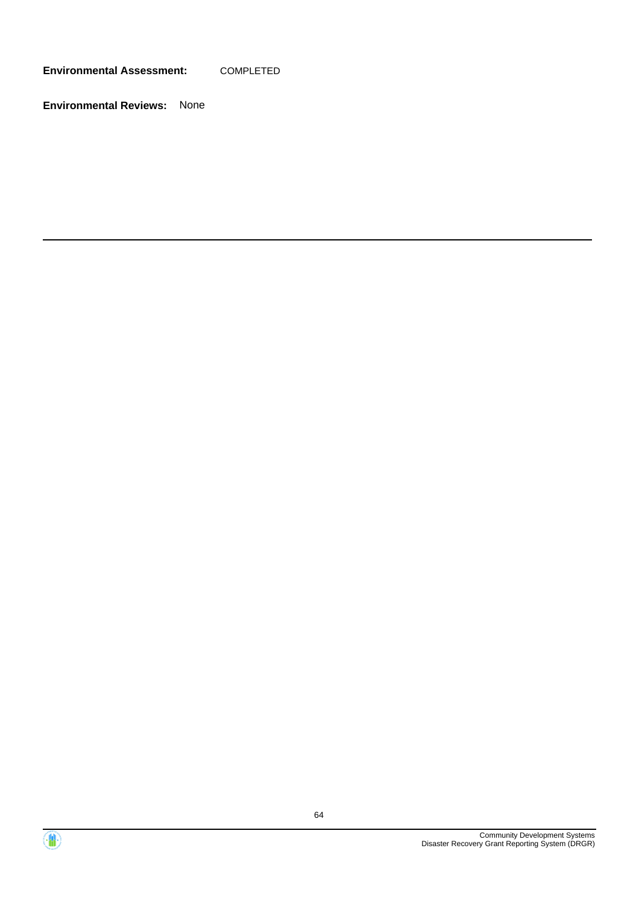**Environmental Assessment:** COMPLETED



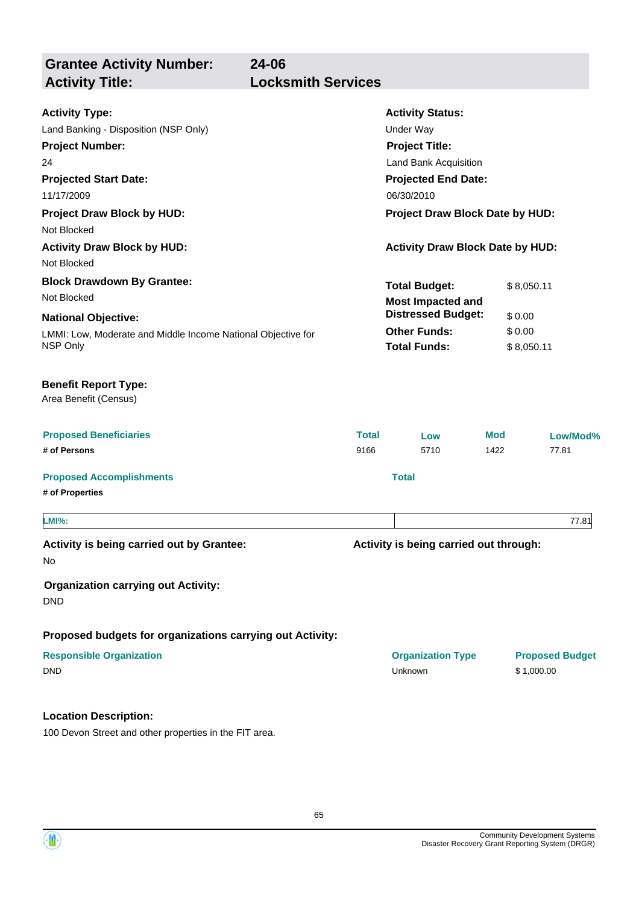**Grantee Activity Number: Projected Start Date:** LMMI: Low, Moderate and Middle Income National Objective for NSP Only **National Objective: Activity Status: Projected End Date: 24-06 Activity Type:** 11/17/2009 06/30/2010 Land Banking - Disposition (NSP Only) Under Way **Activity Title: Locksmith Services Project Number:** 24 **Project Title:** Land Bank Acquisition **Total Budget:** \$ 8,050.11 **Other Funds:** \$ 0.00 **Total Funds:** \$ 8,050.11 **Location Description: Proposed Beneficiaries Total Low Mod Low/Mod% # of Persons** 9166 5710 1422 77.81 **Proposed Accomplishments Total # of Properties Proposed budgets for organizations carrying out Activity: Activity is being carried out through: Responsible Organization COVID-10 COVID-10 Organization Type Proposed Budget** No **Activity is being carried out by Grantee: Organization carrying out Activity:** DND DND Unknown \$ 1,000.00 Area Benefit (Census) **Benefit Report Type: Project Draw Block by HUD: Project Draw Block Date by HUD:** Not Blocked **Activity Draw Block by HUD: Activity Draw Block Date by HUD:** Not Blocked **Block Drawdown By Grantee:** Not Blocked **LMI%:** 77.81 **Most Impacted and Distressed Budget:** \$ 0.00

100 Devon Street and other properties in the FIT area.

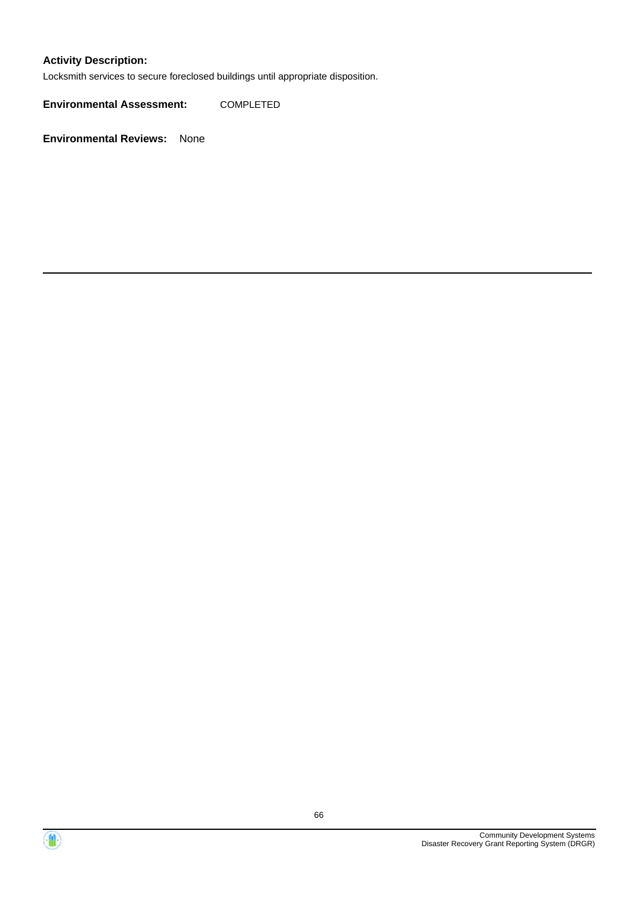### **Activity Description:**

Locksmith services to secure foreclosed buildings until appropriate disposition.

**Environmental Assessment:** COMPLETED



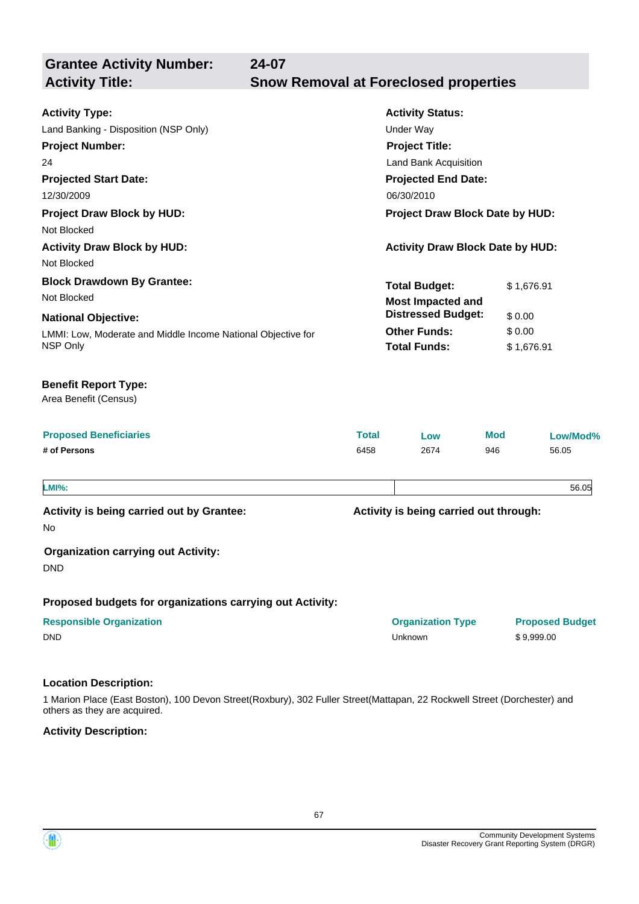| <b>Grantee Activity Number:</b><br><b>Activity Title:</b>                                                                                                                                                                              | 24-07<br><b>Snow Removal at Foreclosed properties</b> |                                                                                                                                                                                                                         |                                |                                      |  |
|----------------------------------------------------------------------------------------------------------------------------------------------------------------------------------------------------------------------------------------|-------------------------------------------------------|-------------------------------------------------------------------------------------------------------------------------------------------------------------------------------------------------------------------------|--------------------------------|--------------------------------------|--|
| <b>Activity Type:</b><br>Land Banking - Disposition (NSP Only)<br><b>Project Number:</b><br>24<br><b>Projected Start Date:</b><br>12/30/2009<br><b>Project Draw Block by HUD:</b><br>Not Blocked<br><b>Activity Draw Block by HUD:</b> |                                                       | <b>Activity Status:</b><br><b>Under Way</b><br><b>Project Title:</b><br>Land Bank Acquisition<br><b>Projected End Date:</b><br>06/30/2010<br>Project Draw Block Date by HUD:<br><b>Activity Draw Block Date by HUD:</b> |                                |                                      |  |
| Not Blocked                                                                                                                                                                                                                            |                                                       |                                                                                                                                                                                                                         |                                |                                      |  |
| <b>Block Drawdown By Grantee:</b><br>Not Blocked<br><b>National Objective:</b><br>LMMI: Low, Moderate and Middle Income National Objective for                                                                                         |                                                       | <b>Total Budget:</b><br><b>Most Impacted and</b><br><b>Distressed Budget:</b><br><b>Other Funds:</b>                                                                                                                    | \$1,676.91<br>\$0.00<br>\$0.00 |                                      |  |
| <b>Benefit Report Type:</b><br>Area Benefit (Census)<br><b>Proposed Beneficiaries</b><br># of Persons                                                                                                                                  | <b>Total</b><br>6458                                  | Low<br>2674                                                                                                                                                                                                             | <b>Mod</b><br>946              | Low/Mod%<br>56.05                    |  |
| <b>LMI%:</b>                                                                                                                                                                                                                           |                                                       |                                                                                                                                                                                                                         |                                | 56.05                                |  |
| Activity is being carried out by Grantee:<br>No.<br><b>Organization carrying out Activity:</b><br><b>DND</b>                                                                                                                           |                                                       | Activity is being carried out through:                                                                                                                                                                                  |                                |                                      |  |
| Proposed budgets for organizations carrying out Activity:                                                                                                                                                                              |                                                       |                                                                                                                                                                                                                         |                                |                                      |  |
| <b>Responsible Organization</b><br><b>DND</b>                                                                                                                                                                                          |                                                       | <b>Organization Type</b><br>Unknown                                                                                                                                                                                     |                                | <b>Proposed Budget</b><br>\$9,999.00 |  |
| <b>Location Description:</b>                                                                                                                                                                                                           |                                                       |                                                                                                                                                                                                                         |                                |                                      |  |

1 Marion Place (East Boston), 100 Devon Street(Roxbury), 302 Fuller Street(Mattapan, 22 Rockwell Street (Dorchester) and others as they are acquired.

**Activity Description:**

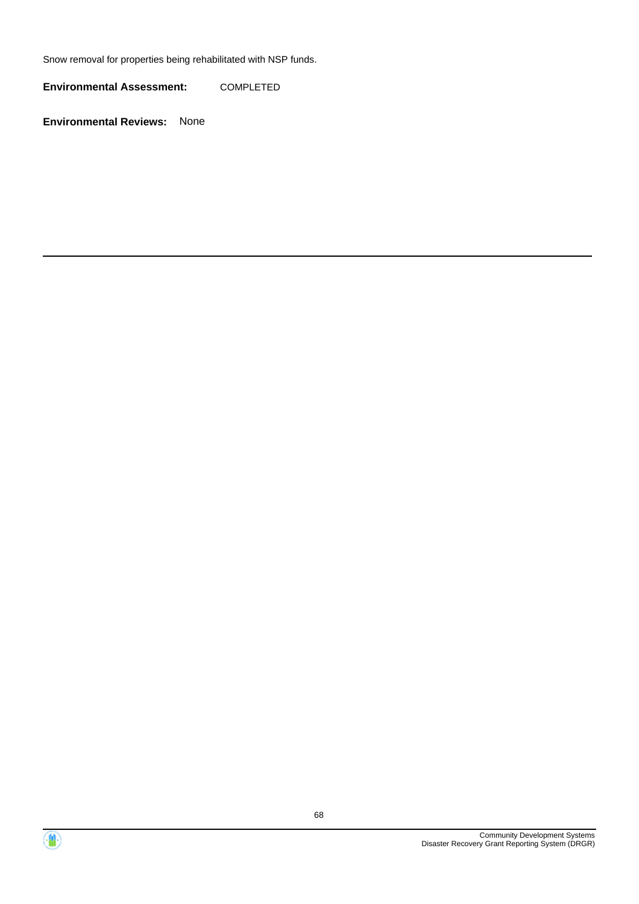Snow removal for properties being rehabilitated with NSP funds.

**Environmental Assessment:** COMPLETED



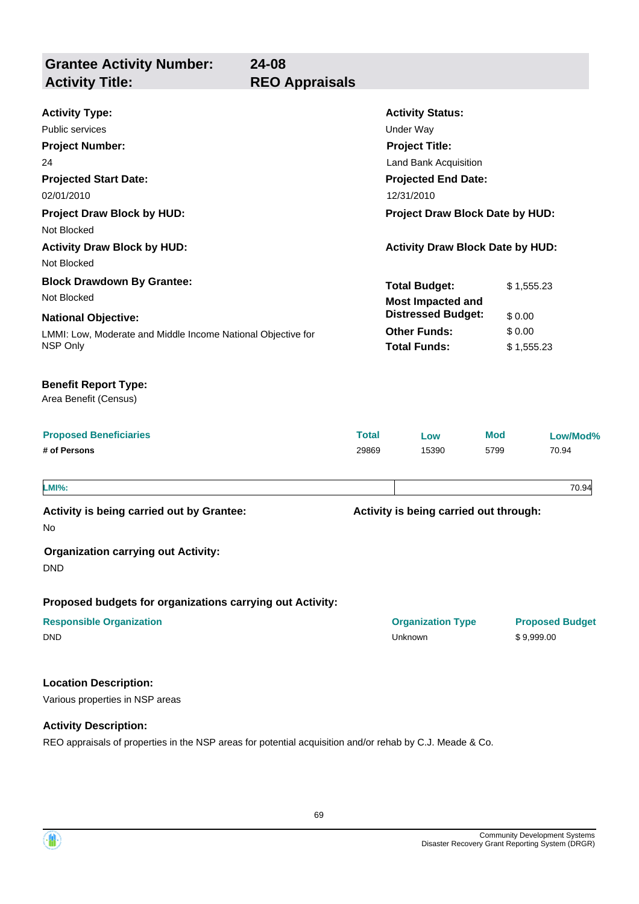**Grantee Activity Number: Projected Start Date:** LMMI: Low, Moderate and Middle Income National Objective for NSP Only **National Objective: Activity Status: Projected End Date: 24-08 Activity Type:** 02/01/2010 12/31/2010 Public services **National Structure Control Control Control Control Control Control Control Control Control Control Control Control Control Control Control Control Control Control Control Control Control Control Control Co Activity Title: REO Appraisals Project Number:** 24 **Project Title:** Land Bank Acquisition **Total Budget:** \$ 1,555.23 **Other Funds:** \$ 0.00 **Total Funds:** \$ 1,555.23 **Location Description:** Various properties in NSP areas **Proposed Beneficiaries Total Low Mod Low/Mod% # of Persons** 29869 15390 5799 70.94 **Proposed budgets for organizations carrying out Activity: Activity is being carried out through: Responsible Organization Organization Type Proposed Budget** No **Activity is being carried out by Grantee: Organization carrying out Activity:** DND DND Unknown \$ 9,999.00 Area Benefit (Census) **Benefit Report Type: Project Draw Block by HUD: Project Draw Block Date by HUD:** Not Blocked **Activity Draw Block by HUD: Activity Draw Block Date by HUD:** Not Blocked **Block Drawdown By Grantee:** Not Blocked **LMI%:** 70.94 **Most Impacted and Distressed Budget:** \$ 0.00

#### **Activity Description:**

REO appraisals of properties in the NSP areas for potential acquisition and/or rehab by C.J. Meade & Co.



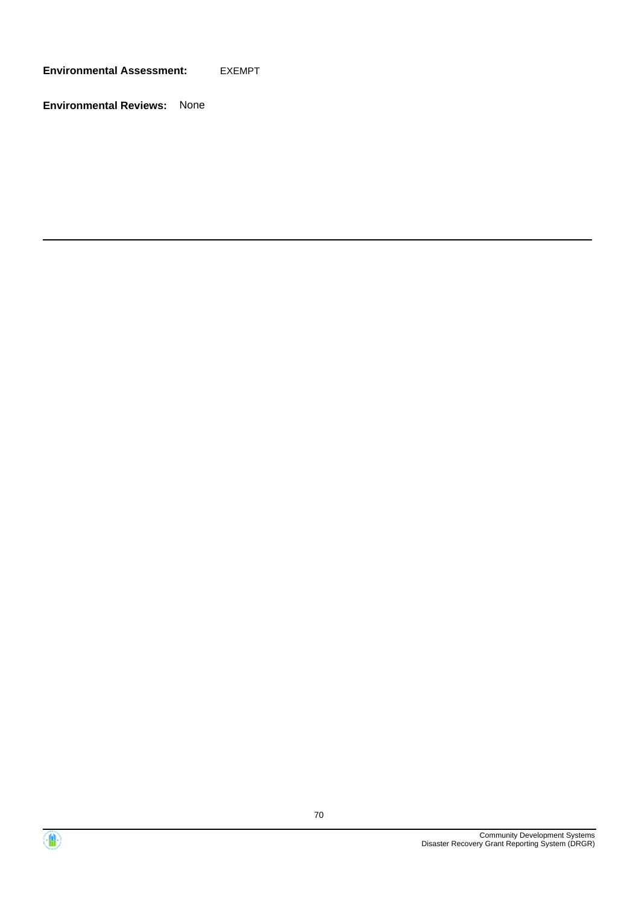**Environmental Assessment:** EXEMPT



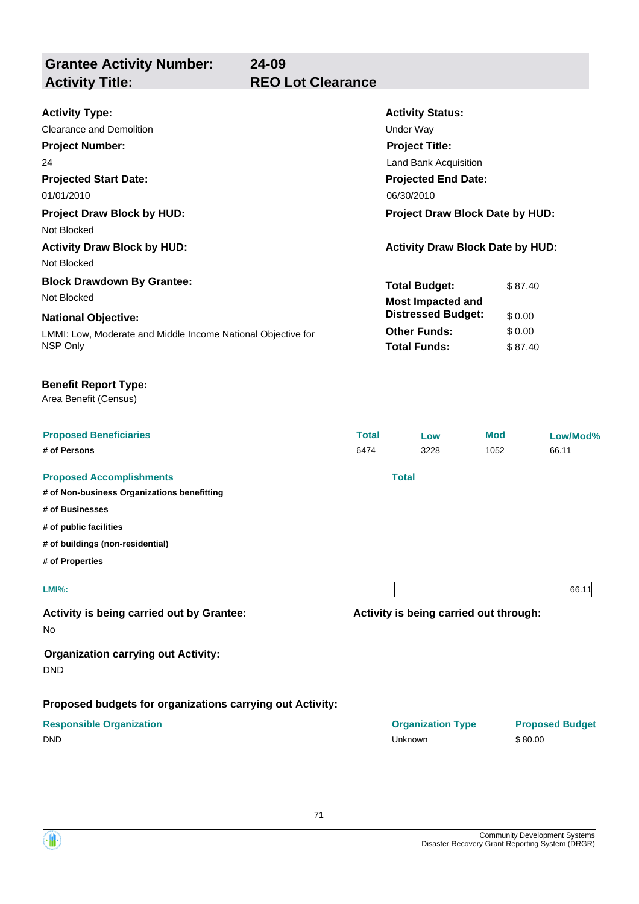**Grantee Activity Number: 24-09 REO Lot Clearance** 

| <b>Activity Type:</b>                                                    | <b>Activity Status:</b>                 |         |  |
|--------------------------------------------------------------------------|-----------------------------------------|---------|--|
| <b>Clearance and Demolition</b>                                          | Under Way                               |         |  |
| <b>Project Number:</b>                                                   | <b>Project Title:</b>                   |         |  |
| 24                                                                       | Land Bank Acquisition                   |         |  |
| <b>Projected Start Date:</b>                                             | <b>Projected End Date:</b>              |         |  |
| 01/01/2010                                                               | 06/30/2010                              |         |  |
| <b>Project Draw Block by HUD:</b>                                        | <b>Project Draw Block Date by HUD:</b>  |         |  |
| Not Blocked                                                              |                                         |         |  |
| <b>Activity Draw Block by HUD:</b>                                       | <b>Activity Draw Block Date by HUD:</b> |         |  |
| Not Blocked                                                              |                                         |         |  |
| <b>Block Drawdown By Grantee:</b>                                        | <b>Total Budget:</b>                    | \$87.40 |  |
| Not Blocked                                                              | <b>Most Impacted and</b>                |         |  |
| <b>National Objective:</b>                                               | <b>Distressed Budget:</b>               | \$0.00  |  |
| LMMI: Low, Moderate and Middle Income National Objective for<br>NSP Only | <b>Other Funds:</b>                     | \$0.00  |  |
|                                                                          | <b>Total Funds:</b>                     | \$87.40 |  |

### **Benefit Report Type:**

Area Benefit (Census)

| <b>Proposed Beneficiaries</b><br># of Persons                                  | <b>Total</b><br>6474 | Low<br>3228                            | <b>Mod</b><br>1052 | Low/Mod%<br>66.11                 |
|--------------------------------------------------------------------------------|----------------------|----------------------------------------|--------------------|-----------------------------------|
| <b>Proposed Accomplishments</b><br># of Non-business Organizations benefitting |                      | <b>Total</b>                           |                    |                                   |
| # of Businesses<br># of public facilities<br># of buildings (non-residential)  |                      |                                        |                    |                                   |
| # of Properties                                                                |                      |                                        |                    |                                   |
| <b>LMI%:</b>                                                                   |                      |                                        |                    | 66.11                             |
| Activity is being carried out by Grantee:<br><b>No</b>                         |                      | Activity is being carried out through: |                    |                                   |
| <b>Organization carrying out Activity:</b><br><b>DND</b>                       |                      |                                        |                    |                                   |
| Proposed budgets for organizations carrying out Activity:                      |                      |                                        |                    |                                   |
| <b>Responsible Organization</b><br><b>DND</b>                                  |                      | <b>Organization Type</b><br>Unknown    |                    | <b>Proposed Budget</b><br>\$80.00 |

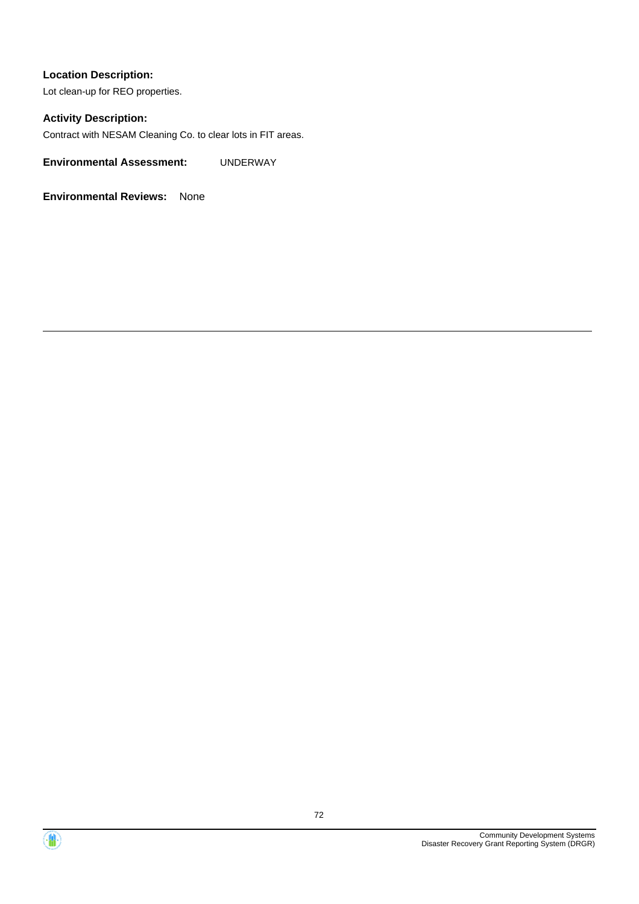Lot clean-up for REO properties.

#### **Activity Description:**

Contract with NESAM Cleaning Co. to clear lots in FIT areas.

**Environmental Assessment:** UNDERWAY



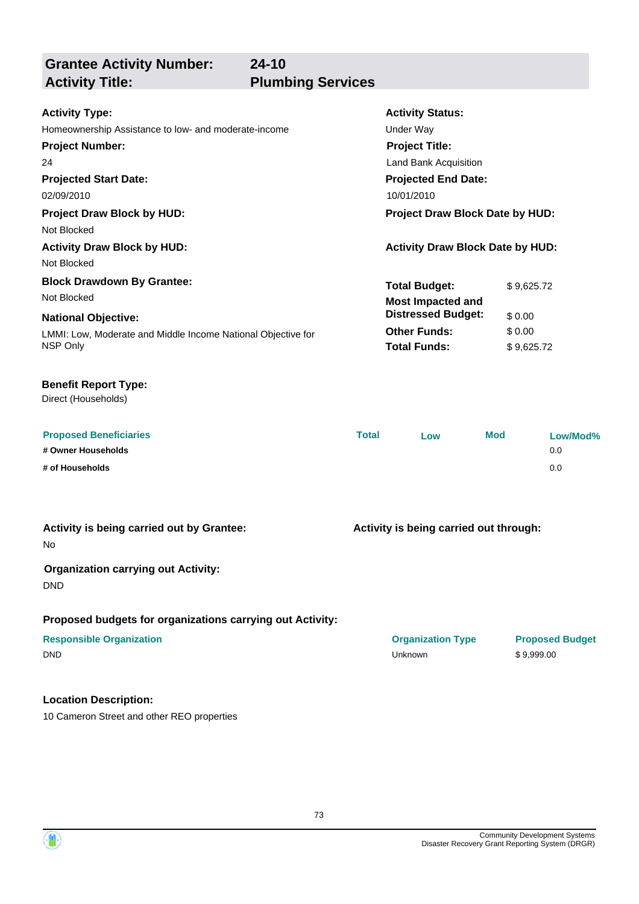**Grantee Activity Number: Projected Start Date: Activity Status: Projected End Date: 24-10 Activity Type:** 02/09/2010 10/01/2010 Homeownership Assistance to low- and moderate-income Theorem Containst Under Way **Activity Title: Plumbing Services Project Number:** 24 **Project Title:** Land Bank Acquisition **Total Budget:** \$9,625.72 **Project Draw Block by HUD: Project Draw Block Date by HUD:** Not Blocked **Activity Draw Block by HUD: Activity Draw Block Date by HUD:** Not Blocked **Block Drawdown By Grantee:** Not Blocked **Most Impacted and** 

### LMMI: Low, Moderate and Middle Income National Objective for NSP Only **National Objective: Other Funds:** \$ 0.00 **Total Funds:** \$ 9,625.72 **Distressed Budget:** \$ 0.00

### **Benefit Report Type:**

Direct (Households)

| <b>Proposed Beneficiaries</b> | <b>Total</b> | LOW | Mod | Low/Mod% |
|-------------------------------|--------------|-----|-----|----------|
| # Owner Households            |              |     |     | 0.0      |
| # of Households               |              |     |     | 0.0      |

### **Activity is being carried out by Grantee:**

No

### **Organization carrying out Activity:**

DND

### **Proposed budgets for organizations carrying out Activity:**

### **Location Description:**

10 Cameron Street and other REO properties



**Activity is being carried out through:**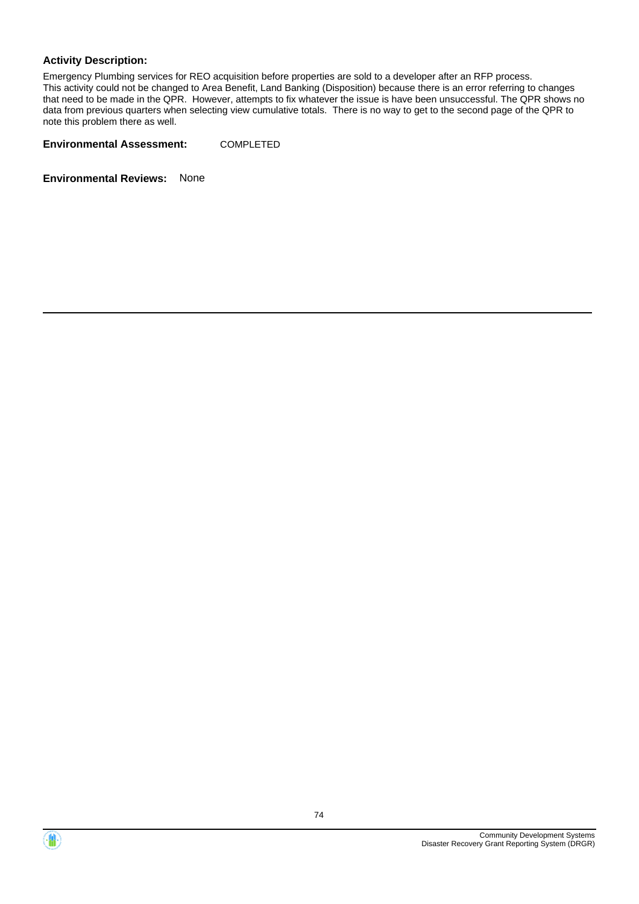### **Activity Description:**

Emergency Plumbing services for REO acquisition before properties are sold to a developer after an RFP process. This activity could not be changed to Area Benefit, Land Banking (Disposition) because there is an error referring to changes that need to be made in the QPR. However, attempts to fix whatever the issue is have been unsuccessful. The QPR shows no data from previous quarters when selecting view cumulative totals. There is no way to get to the second page of the QPR to note this problem there as well.

**Environmental Assessment:** COMPLETED



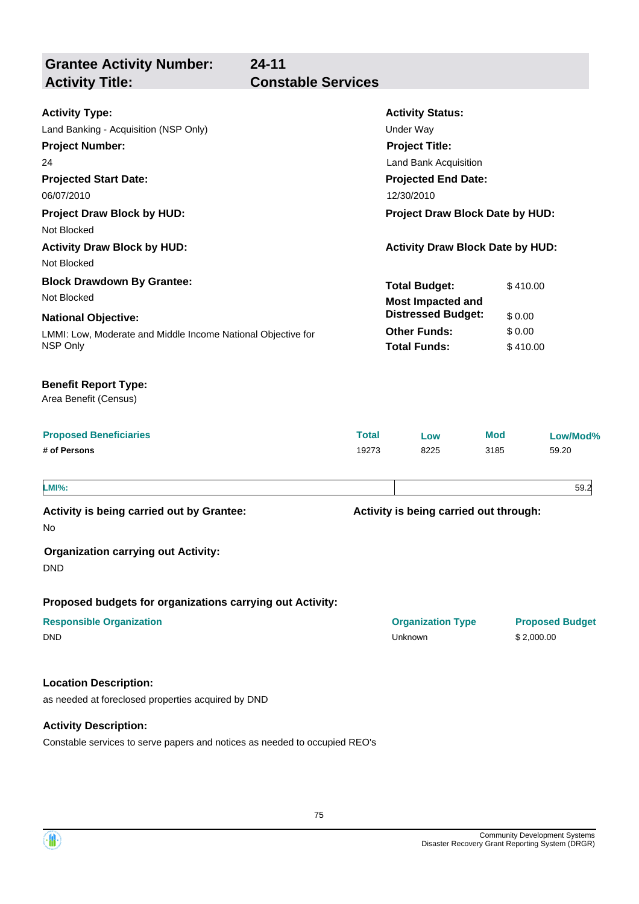**Grantee Activity Number:**

# **24-11 Activity Title: Constable Services**

| <b>Activity Type:</b>                                                                                 |                       | <b>Activity Status:</b>                 |                    |                        |
|-------------------------------------------------------------------------------------------------------|-----------------------|-----------------------------------------|--------------------|------------------------|
| Land Banking - Acquisition (NSP Only)                                                                 |                       | <b>Under Way</b>                        |                    |                        |
| <b>Project Number:</b>                                                                                | <b>Project Title:</b> |                                         |                    |                        |
| 24                                                                                                    | Land Bank Acquisition |                                         |                    |                        |
| <b>Projected Start Date:</b>                                                                          |                       | <b>Projected End Date:</b>              |                    |                        |
| 06/07/2010                                                                                            |                       | 12/30/2010                              |                    |                        |
| <b>Project Draw Block by HUD:</b>                                                                     |                       | Project Draw Block Date by HUD:         |                    |                        |
| Not Blocked                                                                                           |                       |                                         |                    |                        |
| <b>Activity Draw Block by HUD:</b>                                                                    |                       | <b>Activity Draw Block Date by HUD:</b> |                    |                        |
| Not Blocked                                                                                           |                       |                                         |                    |                        |
| <b>Block Drawdown By Grantee:</b>                                                                     |                       | <b>Total Budget:</b>                    | \$410.00           |                        |
| Not Blocked                                                                                           |                       | <b>Most Impacted and</b>                |                    |                        |
| <b>National Objective:</b>                                                                            |                       | <b>Distressed Budget:</b>               | \$0.00             |                        |
| LMMI: Low, Moderate and Middle Income National Objective for                                          |                       | <b>Other Funds:</b>                     | \$0.00             |                        |
| NSP Only                                                                                              |                       | <b>Total Funds:</b>                     | \$410.00           |                        |
| <b>Benefit Report Type:</b><br>Area Benefit (Census)<br><b>Proposed Beneficiaries</b><br># of Persons | <b>Total</b><br>19273 | Low<br>8225                             | <b>Mod</b><br>3185 | Low/Mod%<br>59.20      |
| <b>LMI%:</b>                                                                                          |                       |                                         |                    | 59.2                   |
| Activity is being carried out by Grantee:<br>No                                                       |                       | Activity is being carried out through:  |                    |                        |
| <b>Organization carrying out Activity:</b><br><b>DND</b>                                              |                       |                                         |                    |                        |
| Proposed budgets for organizations carrying out Activity:                                             |                       |                                         |                    |                        |
| <b>Responsible Organization</b><br><b>DND</b>                                                         |                       | <b>Organization Type</b><br>Unknown     | \$2,000.00         | <b>Proposed Budget</b> |
| <b>Location Description:</b>                                                                          |                       |                                         |                    |                        |
| as needed at foreclosed properties acquired by DND                                                    |                       |                                         |                    |                        |
| <b>Activity Description:</b>                                                                          |                       |                                         |                    |                        |

Constable services to serve papers and notices as needed to occupied REO's



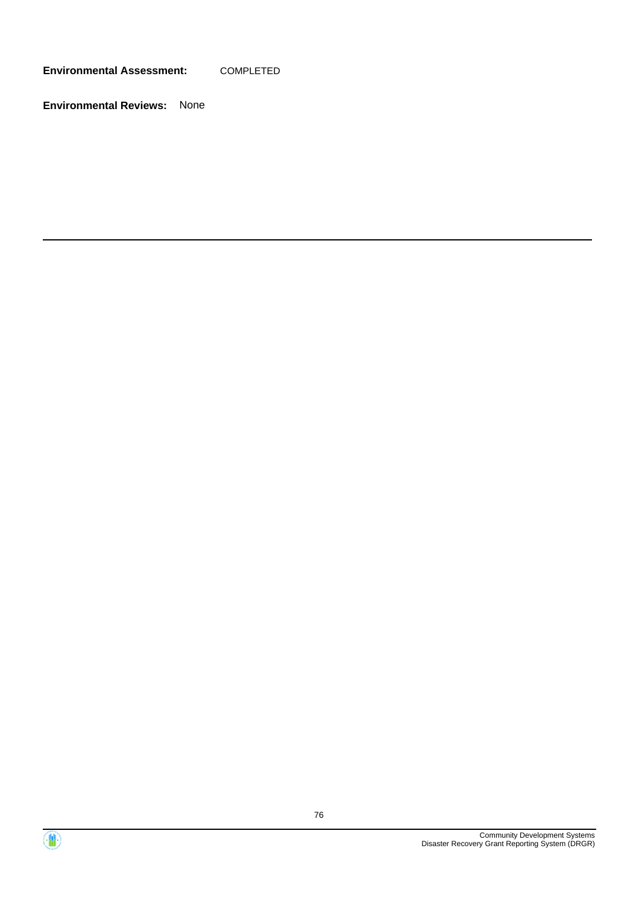**Environmental Assessment:** COMPLETED



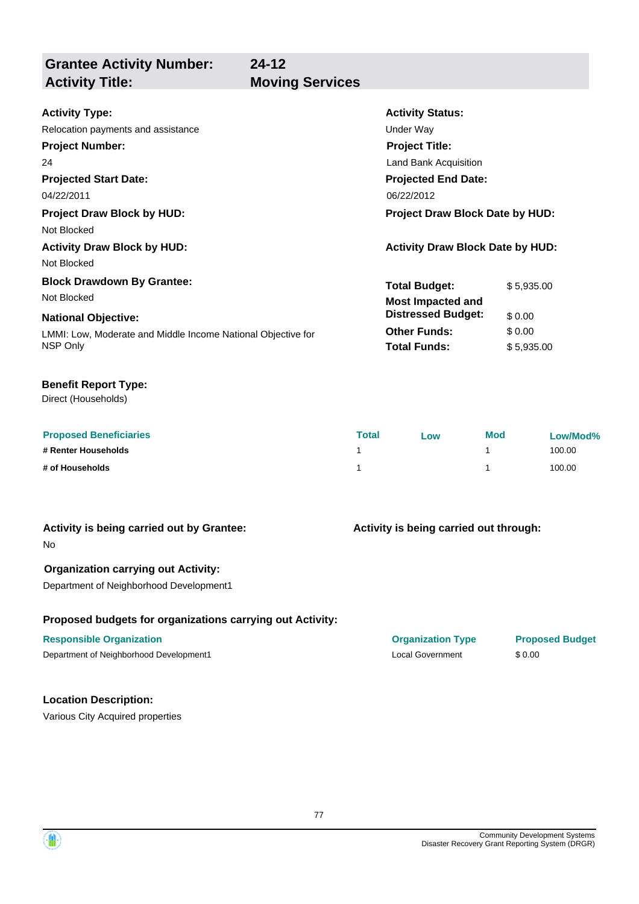**Grantee Activity Number:**

## **Activity Title: Moving Services**

**24-12**

| <b>Activity Type:</b>                                        | <b>Activity Status:</b>                 |            |
|--------------------------------------------------------------|-----------------------------------------|------------|
| Relocation payments and assistance                           | Under Way                               |            |
| <b>Project Number:</b>                                       | <b>Project Title:</b>                   |            |
| 24                                                           | Land Bank Acquisition                   |            |
| <b>Projected Start Date:</b>                                 | <b>Projected End Date:</b>              |            |
| 04/22/2011                                                   | 06/22/2012                              |            |
| <b>Project Draw Block by HUD:</b>                            | <b>Project Draw Block Date by HUD:</b>  |            |
| Not Blocked                                                  |                                         |            |
| <b>Activity Draw Block by HUD:</b>                           | <b>Activity Draw Block Date by HUD:</b> |            |
| Not Blocked                                                  |                                         |            |
| <b>Block Drawdown By Grantee:</b>                            | <b>Total Budget:</b>                    | \$5,935.00 |
| Not Blocked                                                  | <b>Most Impacted and</b>                |            |
| <b>National Objective:</b>                                   | <b>Distressed Budget:</b>               | \$0.00     |
| LMMI: Low, Moderate and Middle Income National Objective for | <b>Other Funds:</b>                     | \$0.00     |
| NSP Only                                                     | <b>Total Funds:</b>                     | \$5,935.00 |

### **Benefit Report Type:**

Direct (Households)

| <b>Proposed Beneficiaries</b> | Total | <b>LOW</b> | <b>Mod</b> | Low/Mod% |
|-------------------------------|-------|------------|------------|----------|
| # Renter Households           |       |            |            | 100.00   |
| # of Households               |       |            |            | 100.00   |

### **Activity is being carried out by Grantee:**

No

### **Organization carrying out Activity:**

Department of Neighborhood Development1

### **Proposed budgets for organizations carrying out Activity:**

### **Responsible Organization COVID-10 COVID-10 Organization Type Proposed Budget**

Department of Neighborhood Development1 **Network** 1 Local Government \$ 0.00

## **Location Description:**

Various City Acquired properties

## **Activity is being carried out through:**

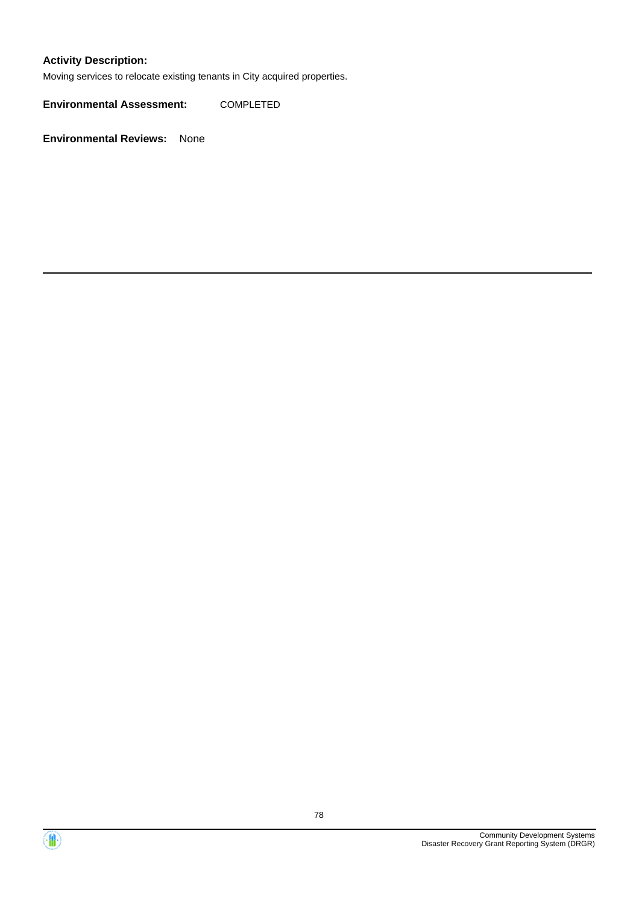### **Activity Description:**

Moving services to relocate existing tenants in City acquired properties.

**Environmental Assessment:** COMPLETED



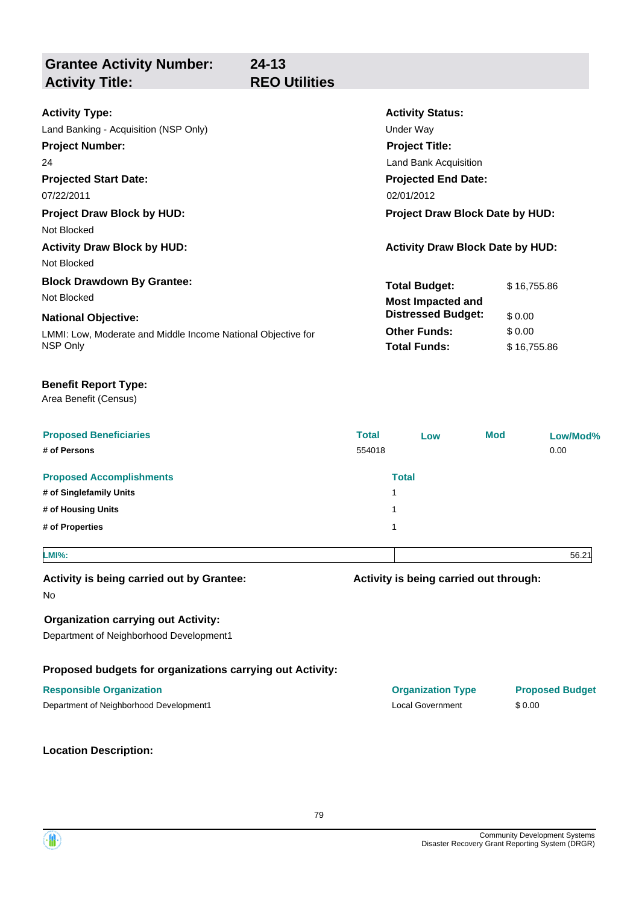**Grantee Activity Number: Activity Status: 24-13 Activity Type:** Land Banking - Acquisition (NSP Only) Under Way **Activity Title: REO Utilities**

| Land Banking - Acquisition (NSP Unit)                        | Under way                               |             |  |
|--------------------------------------------------------------|-----------------------------------------|-------------|--|
| <b>Project Number:</b>                                       | <b>Project Title:</b>                   |             |  |
| 24                                                           | Land Bank Acquisition                   |             |  |
| <b>Projected Start Date:</b>                                 | <b>Projected End Date:</b>              |             |  |
| 07/22/2011                                                   | 02/01/2012                              |             |  |
| <b>Project Draw Block by HUD:</b>                            | <b>Project Draw Block Date by HUD:</b>  |             |  |
| Not Blocked                                                  |                                         |             |  |
| <b>Activity Draw Block by HUD:</b>                           | <b>Activity Draw Block Date by HUD:</b> |             |  |
| Not Blocked                                                  |                                         |             |  |
| <b>Block Drawdown By Grantee:</b>                            | <b>Total Budget:</b>                    | \$16,755.86 |  |
| Not Blocked                                                  | <b>Most Impacted and</b>                |             |  |
| <b>National Objective:</b>                                   | <b>Distressed Budget:</b>               | \$0.00      |  |
| LMMI: Low, Moderate and Middle Income National Objective for | <b>Other Funds:</b>                     | \$0.00      |  |
| NSP Only                                                     | <b>Total Funds:</b>                     | \$16,755.86 |  |
|                                                              |                                         |             |  |

### **Benefit Report Type:**

### Area Benefit (Census)

| <b>Proposed Beneficiaries</b><br># of Persons | <b>Total</b><br>554018 | Low          | <b>Mod</b> | Low/Mod%<br>0.00 |
|-----------------------------------------------|------------------------|--------------|------------|------------------|
| <b>Proposed Accomplishments</b>               |                        | <b>Total</b> |            |                  |
| # of Singlefamily Units                       | 1                      |              |            |                  |
| # of Housing Units                            | -1                     |              |            |                  |
| # of Properties                               | 1                      |              |            |                  |
|                                               |                        |              |            |                  |

### **LMI%:** 56.21

### **Activity is being carried out by Grantee:**

No

### **Organization carrying out Activity:**

Department of Neighborhood Development1

### **Proposed budgets for organizations carrying out Activity:**

### **Responsible Organization COVID-10 COVID-10 Organization Type Proposed Budget**

Department of Neighborhood Development1 Local Government \$ 0.00

### **Location Description:**

**Activity is being carried out through:**

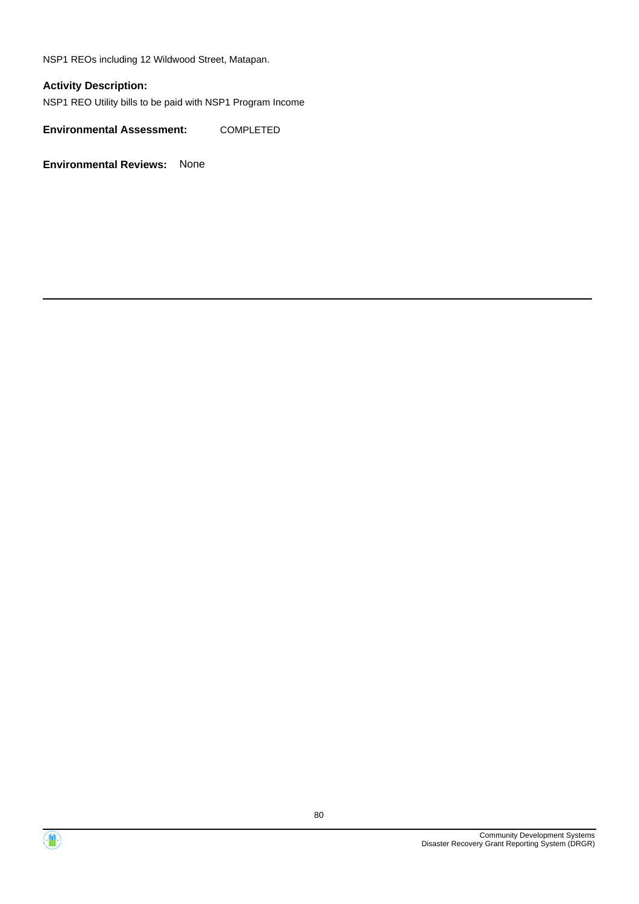NSP1 REOs including 12 Wildwood Street, Matapan.

### **Activity Description:**

NSP1 REO Utility bills to be paid with NSP1 Program Income

**Environmental Assessment:** COMPLETED



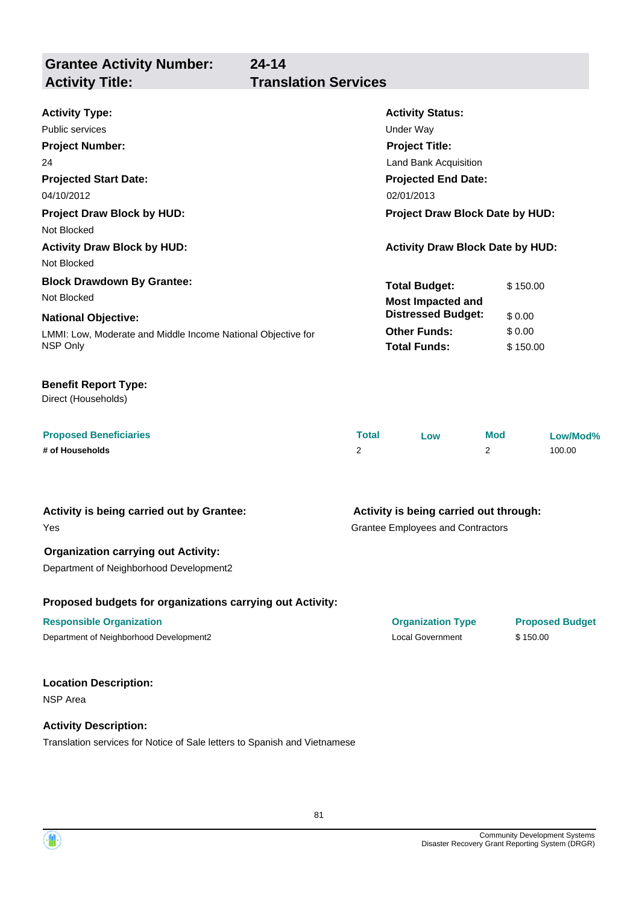**Grantee Activity Number: 24-14**

# **Activity Title: Translation Services**

| <b>Activity Type:</b>                                        | <b>Activity Status:</b>                 |          |  |
|--------------------------------------------------------------|-----------------------------------------|----------|--|
| Public services                                              | Under Way                               |          |  |
| <b>Project Number:</b>                                       | <b>Project Title:</b>                   |          |  |
| 24                                                           | Land Bank Acquisition                   |          |  |
| <b>Projected Start Date:</b>                                 | <b>Projected End Date:</b>              |          |  |
| 04/10/2012                                                   | 02/01/2013                              |          |  |
| <b>Project Draw Block by HUD:</b>                            | <b>Project Draw Block Date by HUD:</b>  |          |  |
| Not Blocked                                                  |                                         |          |  |
| <b>Activity Draw Block by HUD:</b>                           | <b>Activity Draw Block Date by HUD:</b> |          |  |
| Not Blocked                                                  |                                         |          |  |
| <b>Block Drawdown By Grantee:</b>                            | <b>Total Budget:</b>                    | \$150.00 |  |
| Not Blocked                                                  | <b>Most Impacted and</b>                |          |  |
| <b>National Objective:</b>                                   | <b>Distressed Budget:</b>               | \$0.00   |  |
| LMMI: Low, Moderate and Middle Income National Objective for | <b>Other Funds:</b>                     | \$0.00   |  |
| NSP Only                                                     | <b>Total Funds:</b>                     | \$150.00 |  |
|                                                              |                                         |          |  |

### **Benefit Report Type:**

Direct (Households)

| <b>Proposed Beneficiaries</b> | Total | LOW | <b>Mod</b> | Low/Mod% |
|-------------------------------|-------|-----|------------|----------|
| # of Households               |       |     |            | 100.00   |

# **Activity is being carried out by Grantee:**

Yes

### **Organization carrying out Activity:**

Department of Neighborhood Development2

### **Proposed budgets for organizations carrying out Activity:**

### **Responsible Organization Organization Type Proposed Budget**

Department of Neighborhood Development2 Local Government \$ 150.00

### **Location Description:**

NSP Area

### **Activity Description:**

Translation services for Notice of Sale letters to Spanish and Vietnamese

Grantee Employees and Contractors **Activity is being carried out through:**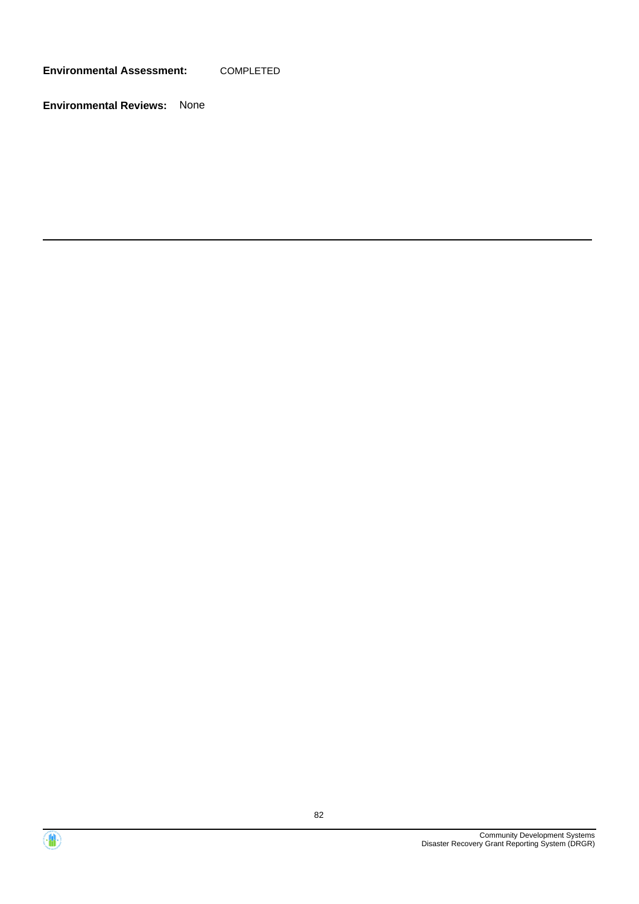**Environmental Assessment:** COMPLETED



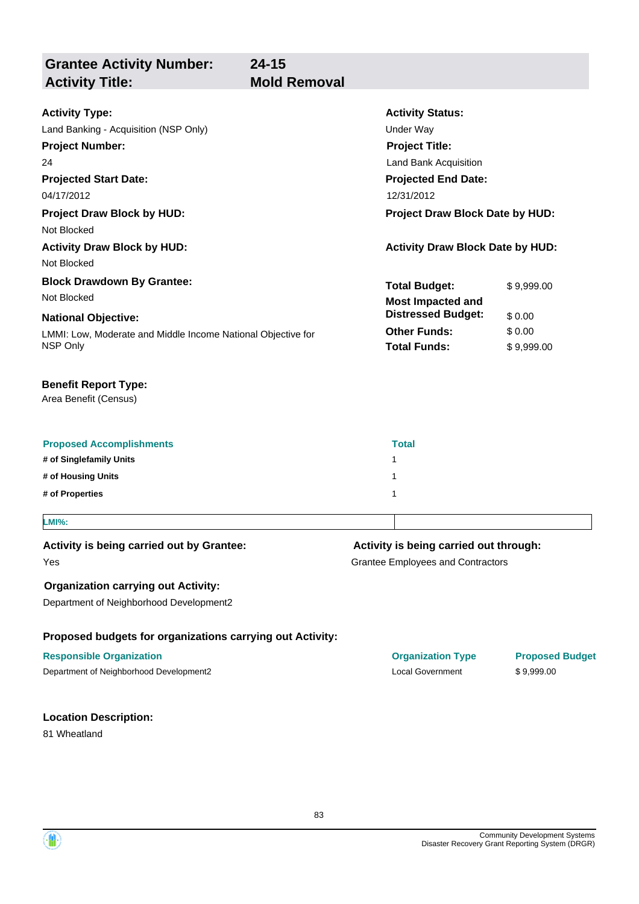**Grantee Activity Number: Projected Start Date:** LMMI: Low, Moderate and Middle Income National Objective for NSP Only **National Objective: Activity Status: Projected End Date: 24-15 Activity Type:** 04/17/2012 12/31/2012 Land Banking - Acquisition (NSP Only) and the Under Way Under Way **Activity Title: Mold Removal Project Number:** 24 **Project Title:** Land Bank Acquisition **Total Budget:** \$ 9,999.00 **Other Funds:** \$ 0.00 **Total Funds:** \$9,999.00 **Proposed Accomplishments Total # of Singlefamily Units** 1 **# of Housing Units** 1 **# of Properties** 1 **Proposed budgets for organizations carrying out Activity:** Grantee Employees and Contractors **Activity is being carried out through: Responsible Organization Organization Type Proposed Budget** Yes **Activity is being carried out by Grantee: Organization carrying out Activity:** Department of Neighborhood Development2 Department of Neighborhood Development2 Local Government \$ 9,999.00 Area Benefit (Census) **Benefit Report Type: Project Draw Block by HUD: Project Draw Block Date by HUD:** Not Blocked **Activity Draw Block by HUD: Activity Draw Block Date by HUD:** Not Blocked **Block Drawdown By Grantee:** Not Blocked **LMI%: Most Impacted and Distressed Budget:** \$ 0.00

### **Location Description:**

81 Wheatland

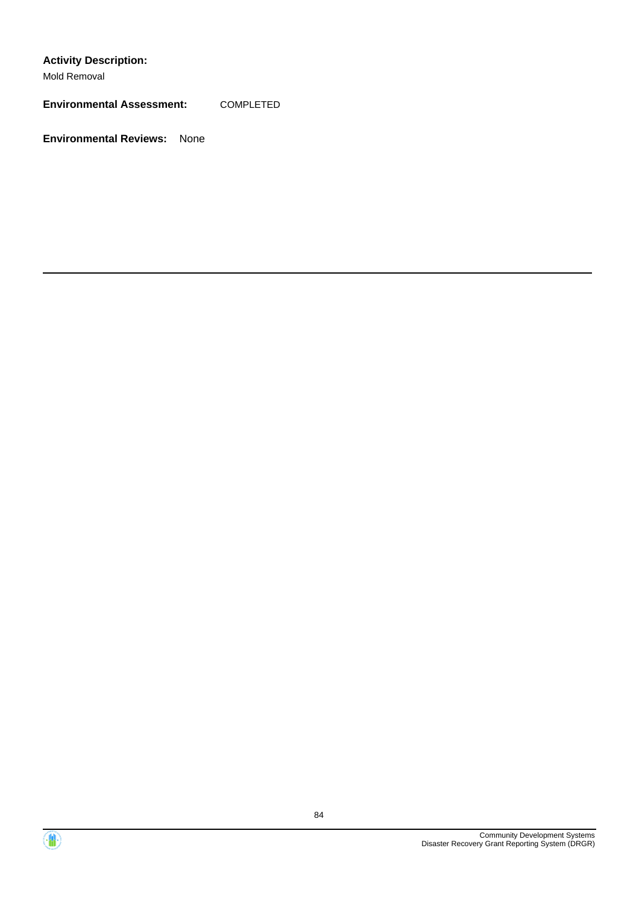**Activity Description:**

Mold Removal

**Environmental Assessment:** COMPLETED



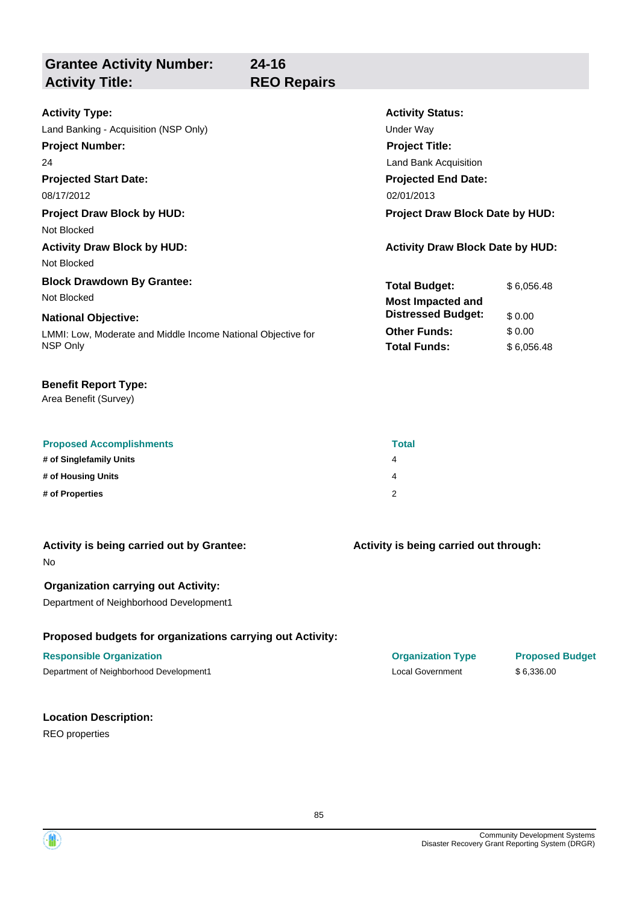**Grantee Activity Number: Projected Start Date:** LMMI: Low, Moderate and Middle Income National Objective for NSP Only **National Objective: Activity Status: Projected End Date: 24-16 Activity Type:** 08/17/2012 02/01/2013 Land Banking - Acquisition (NSP Only) and the Under Way **Activity Title: REO Repairs Project Number:** 24 **Project Title:** Land Bank Acquisition **Total Budget:** \$6,056.48 **Other Funds:** \$ 0.00 **Total Funds:** \$ 6,056.48 **Project Draw Block by HUD: Project Draw Block Date by HUD:** Not Blocked **Activity Draw Block by HUD: Activity Draw Block Date by HUD:** Not Blocked **Block Drawdown By Grantee:** Not Blocked **Most Impacted and Distressed Budget:** \$ 0.00

### **Benefit Report Type:**

Area Benefit (Survey)

| <b>Proposed Accomplishments</b> | <b>Total</b> |
|---------------------------------|--------------|
| # of Singlefamily Units         | 4            |
| # of Housing Units              | 4            |
| # of Properties                 |              |

| Activity is being carried out by Grantee: |  |
|-------------------------------------------|--|
| No                                        |  |

### **Organization carrying out Activity:**

Department of Neighborhood Development1

### **Proposed budgets for organizations carrying out Activity:**

### **Responsible Organization Organization Type Proposed Budget**

Department of Neighborhood Development1 Local Government \$ 6,336.00

## **Location Description:**

REO properties

**Activity is being carried out through:**



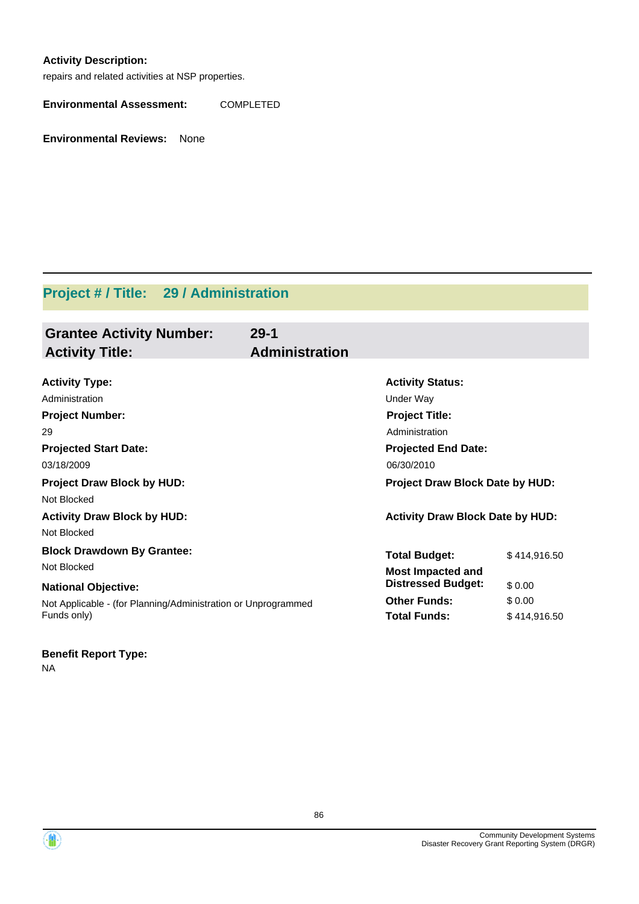### **Activity Description:**

repairs and related activities at NSP properties.

**Environmental Assessment:** COMPLETED

**Environmental Reviews:** None

# **Project # / Title: 29 / Administration**

| <b>Grantee Activity Number:</b><br><b>Activity Title:</b>     | $29 - 1$<br><b>Administration</b> |                                         |  |
|---------------------------------------------------------------|-----------------------------------|-----------------------------------------|--|
| <b>Activity Type:</b>                                         | <b>Activity Status:</b>           |                                         |  |
| Administration                                                | Under Way                         |                                         |  |
| <b>Project Number:</b>                                        | <b>Project Title:</b>             |                                         |  |
| 29                                                            | Administration                    |                                         |  |
| <b>Projected Start Date:</b>                                  | <b>Projected End Date:</b>        |                                         |  |
| 03/18/2009                                                    | 06/30/2010                        |                                         |  |
| <b>Project Draw Block by HUD:</b>                             |                                   | <b>Project Draw Block Date by HUD:</b>  |  |
| Not Blocked                                                   |                                   |                                         |  |
| <b>Activity Draw Block by HUD:</b>                            |                                   | <b>Activity Draw Block Date by HUD:</b> |  |
| Not Blocked                                                   |                                   |                                         |  |
| <b>Block Drawdown By Grantee:</b>                             | <b>Total Budget:</b>              | \$414.916.50                            |  |
| Not Blocked                                                   | <b>Most Impacted and</b>          |                                         |  |
| <b>National Objective:</b>                                    | <b>Distressed Budget:</b>         | \$0.00                                  |  |
| Not Applicable - (for Planning/Administration or Unprogrammed | <b>Other Funds:</b>               | \$0.00                                  |  |
| Funds only)                                                   | <b>Total Funds:</b>               | \$414,916.50                            |  |

### **Benefit Report Type:**

NA



86

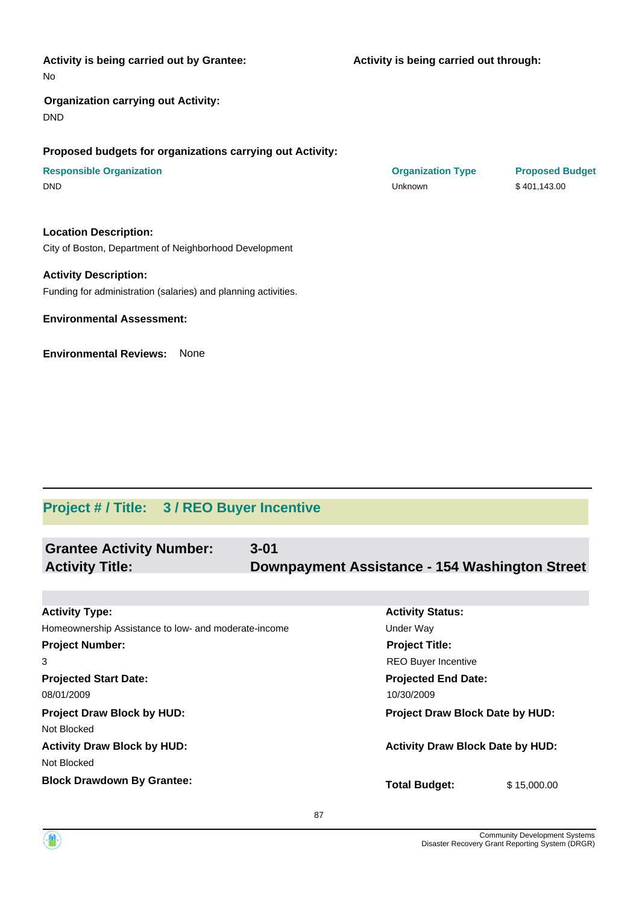| <b>Activity is being carried out by Grantee:</b><br>No    | Activity is being carried out through: |                        |  |
|-----------------------------------------------------------|----------------------------------------|------------------------|--|
| <b>Organization carrying out Activity:</b><br><b>DND</b>  |                                        |                        |  |
| Proposed budgets for organizations carrying out Activity: |                                        |                        |  |
| <b>Responsible Organization</b>                           | <b>Organization Type</b>               | <b>Proposed Budget</b> |  |
| <b>DND</b>                                                | Unknown                                | \$401,143.00           |  |
| <b>Location Description:</b>                              |                                        |                        |  |
| City of Boston, Department of Neighborhood Development    |                                        |                        |  |
| <b>Activity Description:</b>                              |                                        |                        |  |

Funding for administration (salaries) and planning activities.

**Environmental Assessment:**

**Environmental Reviews:** None

# **Project # / Title: 3 / REO Buyer Incentive**

| <b>Grantee Activity Number:</b>                      | $3 - 01$ |                                                |
|------------------------------------------------------|----------|------------------------------------------------|
| <b>Activity Title:</b>                               |          | Downpayment Assistance - 154 Washington Street |
|                                                      |          |                                                |
| <b>Activity Type:</b>                                |          | <b>Activity Status:</b>                        |
| Homeownership Assistance to low- and moderate-income |          | Under Way                                      |
| <b>Project Number:</b>                               |          | <b>Project Title:</b>                          |
| 3                                                    |          | <b>REO Buyer Incentive</b>                     |
| <b>Projected Start Date:</b>                         |          | <b>Projected End Date:</b>                     |
| 08/01/2009                                           |          | 10/30/2009                                     |
| <b>Project Draw Block by HUD:</b>                    |          | Project Draw Block Date by HUD:                |
| Not Blocked                                          |          |                                                |
| <b>Activity Draw Block by HUD:</b>                   |          | <b>Activity Draw Block Date by HUD:</b>        |

Not Blocked

**Block Drawdown By Grantee:**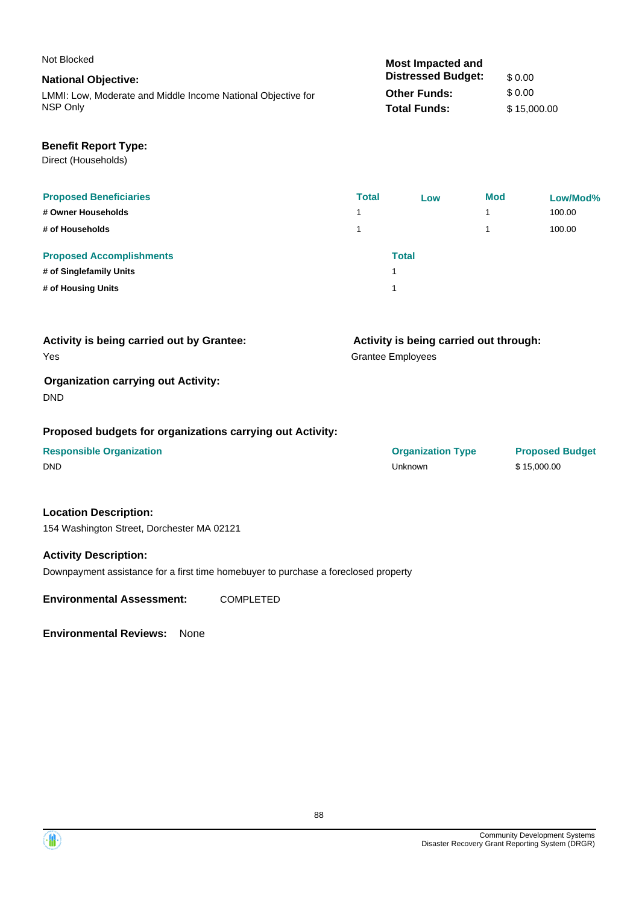| Not Blocked                                                  | <b>Most Impacted and</b>  |             |
|--------------------------------------------------------------|---------------------------|-------------|
| <b>National Objective:</b>                                   | <b>Distressed Budget:</b> | \$0.00      |
| LMMI: Low, Moderate and Middle Income National Objective for | <b>Other Funds:</b>       | \$0.00      |
| NSP Only                                                     | <b>Total Funds:</b>       | \$15,000.00 |
|                                                              |                           |             |

### **Benefit Report Type:**

Direct (Households)

| <b>Proposed Beneficiaries</b>   | <b>Total</b> | Low          | <b>Mod</b> | Low/Mod% |
|---------------------------------|--------------|--------------|------------|----------|
| # Owner Households              |              |              |            | 100.00   |
| # of Households                 |              |              |            | 100.00   |
| <b>Proposed Accomplishments</b> |              | <b>Total</b> |            |          |
| # of Singlefamily Units         |              |              |            |          |
| # of Housing Units              |              |              |            |          |

| Activity is being carried out by Grantee:  | Activity is being carried out through: |
|--------------------------------------------|----------------------------------------|
| Yes                                        | <b>Grantee Employees</b>               |
| <b>Organization carrying out Activity:</b> |                                        |
| <b>DND</b>                                 |                                        |

### **Proposed budgets for organizations carrying out Activity:**

# **Responsible Organization CONSERVIRGHT CONSERVIRGHT CONSERVIRGHT CONSERVIRGHT CONSERVIRGHT CONSERVIRGHT CONSERVIRGHT CONSERVIRGHT CONSERVIRGHT CONSERVIRGHT CONSERVIRGHT CONSERVIRGHT CONSERVIRGHT CONSERVIRGHT CONSERVIRGHT**

### **Location Description:**

154 Washington Street, Dorchester MA 02121

### **Activity Description:**

Downpayment assistance for a first time homebuyer to purchase a foreclosed property

**Environmental Assessment:** COMPLETED

| <b>Responsible Organization</b> | <b>Organization Type</b> | <b>Proposed</b> |
|---------------------------------|--------------------------|-----------------|
| DND                             | Unknown                  | \$15,000.00     |

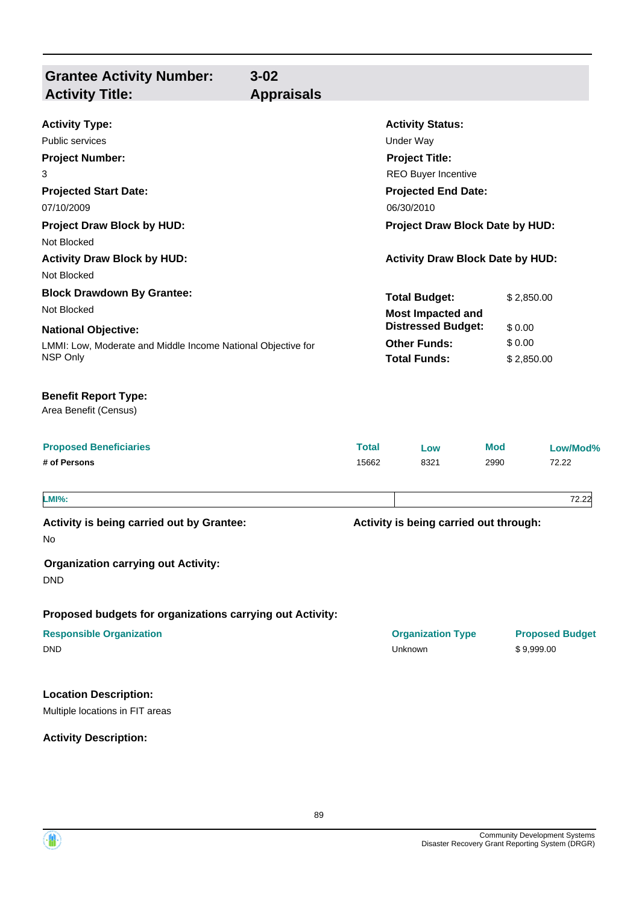| <b>Grantee Activity Number:</b><br><b>Activity Title:</b>                                              | $3 - 02$<br><b>Appraisals</b> |              |                                                                 |            |                        |  |                                                  |
|--------------------------------------------------------------------------------------------------------|-------------------------------|--------------|-----------------------------------------------------------------|------------|------------------------|--|--------------------------------------------------|
| <b>Activity Type:</b>                                                                                  |                               |              | <b>Activity Status:</b>                                         |            |                        |  |                                                  |
| Public services                                                                                        |                               |              | Under Way                                                       |            |                        |  |                                                  |
| <b>Project Number:</b>                                                                                 |                               |              | <b>Project Title:</b>                                           |            |                        |  |                                                  |
| 3<br><b>Projected Start Date:</b><br>07/10/2009                                                        |                               |              | REO Buyer Incentive<br><b>Projected End Date:</b><br>06/30/2010 |            |                        |  |                                                  |
|                                                                                                        |                               |              |                                                                 |            |                        |  | <b>Project Draw Block by HUD:</b><br>Not Blocked |
| <b>Activity Draw Block by HUD:</b><br>Not Blocked                                                      |                               |              | <b>Activity Draw Block Date by HUD:</b>                         |            |                        |  |                                                  |
| <b>Block Drawdown By Grantee:</b>                                                                      |                               |              | <b>Total Budget:</b>                                            |            | \$2,850.00             |  |                                                  |
| Not Blocked                                                                                            |                               |              | <b>Most Impacted and</b>                                        |            |                        |  |                                                  |
| <b>National Objective:</b><br>LMMI: Low, Moderate and Middle Income National Objective for<br>NSP Only |                               |              | <b>Distressed Budget:</b>                                       |            | \$0.00                 |  |                                                  |
|                                                                                                        |                               |              | <b>Other Funds:</b><br><b>Total Funds:</b>                      |            | \$0.00<br>\$2,850.00   |  |                                                  |
| <b>Benefit Report Type:</b><br>Area Benefit (Census)                                                   |                               |              |                                                                 |            |                        |  |                                                  |
| <b>Proposed Beneficiaries</b>                                                                          |                               | <b>Total</b> | Low                                                             | <b>Mod</b> | Low/Mod%               |  |                                                  |
| # of Persons                                                                                           |                               | 15662        | 8321                                                            | 2990       | 72.22                  |  |                                                  |
| <b>LMI%:</b>                                                                                           |                               |              |                                                                 |            | 72.22                  |  |                                                  |
| Activity is being carried out by Grantee:                                                              |                               |              | Activity is being carried out through:                          |            |                        |  |                                                  |
| No                                                                                                     |                               |              |                                                                 |            |                        |  |                                                  |
| <b>Organization carrying out Activity:</b><br><b>DND</b>                                               |                               |              |                                                                 |            |                        |  |                                                  |
| Proposed budgets for organizations carrying out Activity:                                              |                               |              |                                                                 |            |                        |  |                                                  |
| <b>Responsible Organization</b>                                                                        |                               |              | <b>Organization Type</b>                                        |            | <b>Proposed Budget</b> |  |                                                  |
| <b>DND</b>                                                                                             |                               |              | Unknown                                                         |            | \$9,999.00             |  |                                                  |
| <b>Location Description:</b>                                                                           |                               |              |                                                                 |            |                        |  |                                                  |
| Multiple locations in FIT areas                                                                        |                               |              |                                                                 |            |                        |  |                                                  |

**Activity Description:**

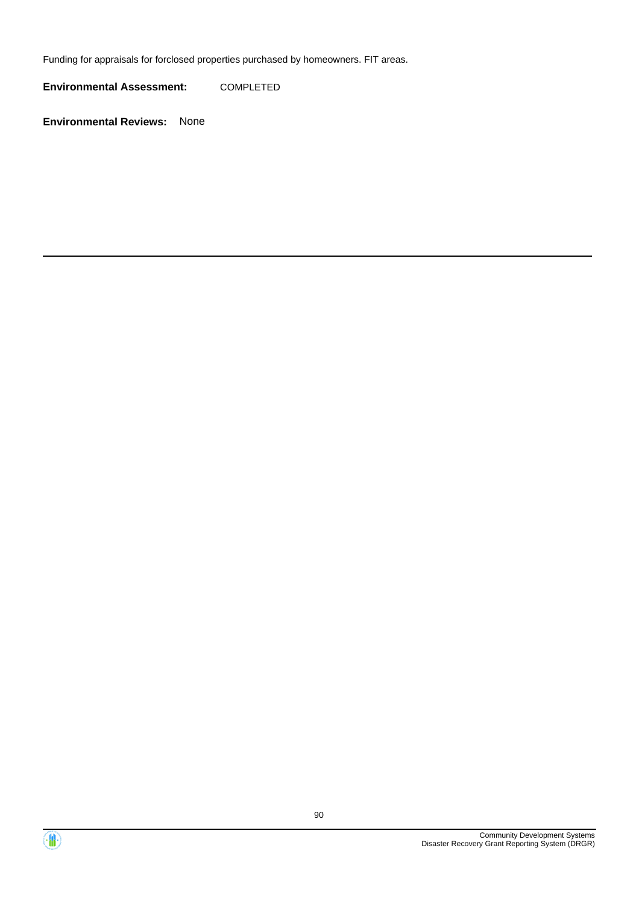Funding for appraisals for forclosed properties purchased by homeowners. FIT areas.

**Environmental Assessment:** COMPLETED



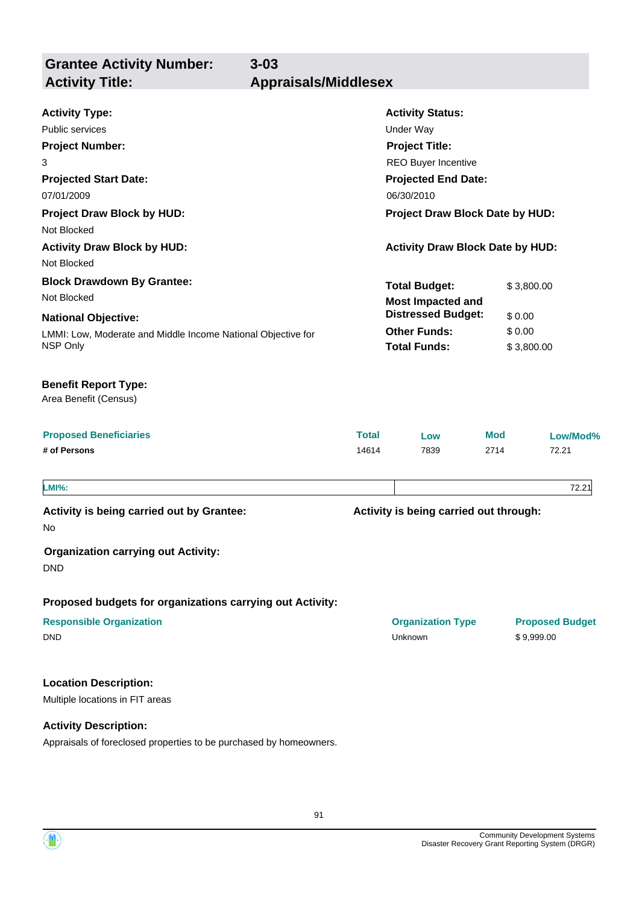**Grantee Activity Number: Activity Title: Appraisals/Middlesex**

**3-03**

| <b>Activity Type:</b><br><b>Public services</b><br><b>Project Number:</b><br>3<br><b>Projected Start Date:</b><br>07/01/2009<br><b>Project Draw Block by HUD:</b><br>Not Blocked | <b>Activity Status:</b><br><b>Under Way</b><br><b>Project Title:</b><br>REO Buyer Incentive<br><b>Projected End Date:</b><br>06/30/2010<br><b>Project Draw Block Date by HUD:</b> |                                                  |            |                                      |  |
|----------------------------------------------------------------------------------------------------------------------------------------------------------------------------------|-----------------------------------------------------------------------------------------------------------------------------------------------------------------------------------|--------------------------------------------------|------------|--------------------------------------|--|
| <b>Activity Draw Block by HUD:</b>                                                                                                                                               |                                                                                                                                                                                   | <b>Activity Draw Block Date by HUD:</b>          |            |                                      |  |
| Not Blocked                                                                                                                                                                      |                                                                                                                                                                                   |                                                  |            |                                      |  |
| <b>Block Drawdown By Grantee:</b><br>Not Blocked                                                                                                                                 |                                                                                                                                                                                   | <b>Total Budget:</b><br><b>Most Impacted and</b> | \$3,800.00 |                                      |  |
| <b>National Objective:</b>                                                                                                                                                       | <b>Distressed Budget:</b>                                                                                                                                                         |                                                  |            | \$0.00                               |  |
| LMMI: Low, Moderate and Middle Income National Objective for<br>NSP Only                                                                                                         | <b>Other Funds:</b><br>\$0.00<br><b>Total Funds:</b><br>\$3,800.00                                                                                                                |                                                  |            |                                      |  |
| <b>Benefit Report Type:</b><br>Area Benefit (Census)                                                                                                                             |                                                                                                                                                                                   |                                                  |            |                                      |  |
| <b>Proposed Beneficiaries</b>                                                                                                                                                    | <b>Total</b>                                                                                                                                                                      | Low                                              | Mod        | Low/Mod%                             |  |
| # of Persons                                                                                                                                                                     | 14614                                                                                                                                                                             | 7839                                             | 2714       | 72.21                                |  |
| <b>LMI%:</b>                                                                                                                                                                     |                                                                                                                                                                                   |                                                  |            | 72.21                                |  |
| Activity is being carried out by Grantee:<br>No                                                                                                                                  |                                                                                                                                                                                   | Activity is being carried out through:           |            |                                      |  |
| <b>Organization carrying out Activity:</b><br><b>DND</b>                                                                                                                         |                                                                                                                                                                                   |                                                  |            |                                      |  |
| Proposed budgets for organizations carrying out Activity:                                                                                                                        |                                                                                                                                                                                   |                                                  |            |                                      |  |
| <b>Responsible Organization</b><br><b>DND</b>                                                                                                                                    |                                                                                                                                                                                   | <b>Organization Type</b><br>Unknown              |            | <b>Proposed Budget</b><br>\$9,999.00 |  |
| <b>Location Description:</b><br>Multiple locations in FIT areas                                                                                                                  |                                                                                                                                                                                   |                                                  |            |                                      |  |
|                                                                                                                                                                                  |                                                                                                                                                                                   |                                                  |            |                                      |  |
| <b>Activity Description:</b>                                                                                                                                                     |                                                                                                                                                                                   |                                                  |            |                                      |  |

Appraisals of foreclosed properties to be purchased by homeowners.

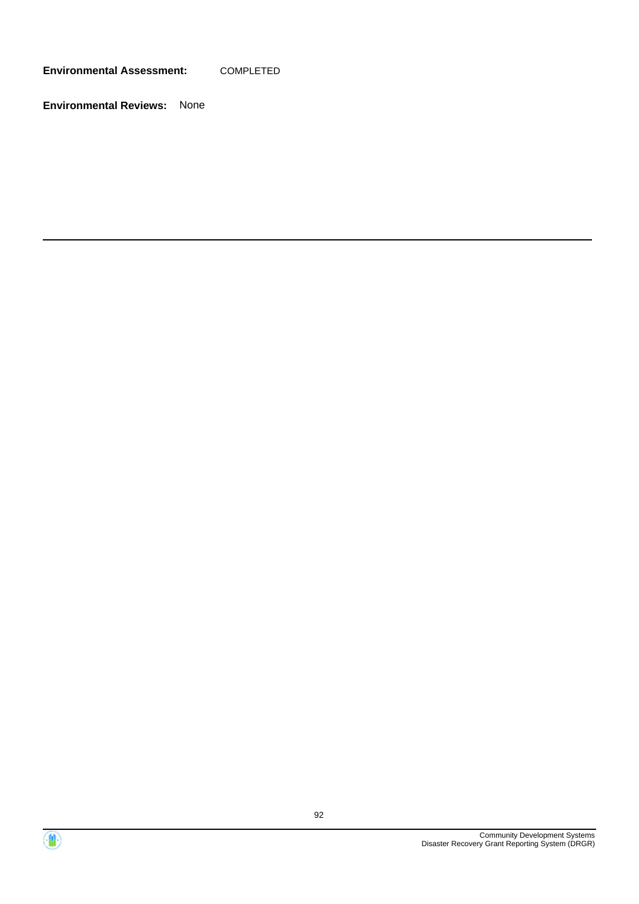**Environmental Assessment:** COMPLETED



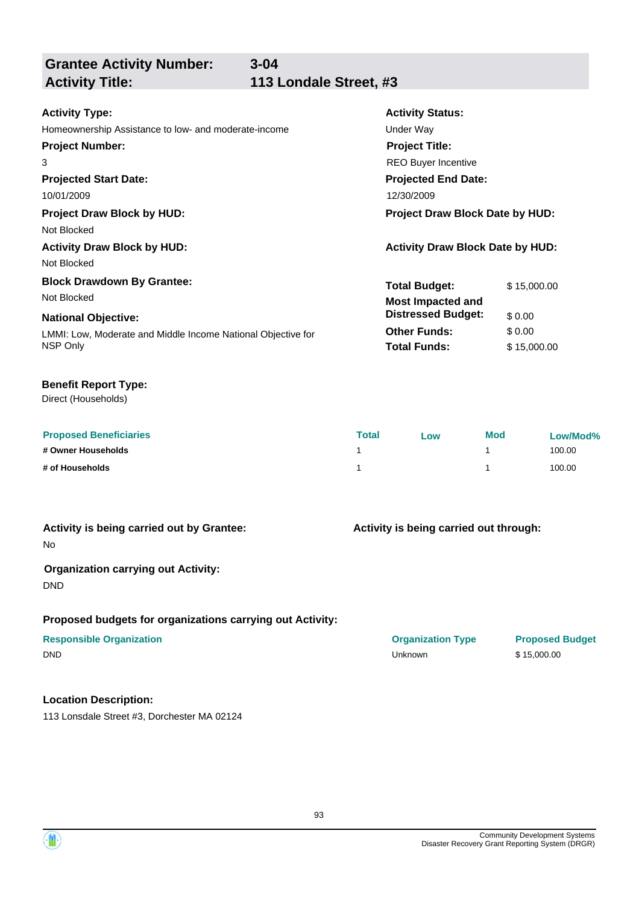| <b>Grantee Activity Number:</b>                              | $3 - 04$                               |                                         |             |
|--------------------------------------------------------------|----------------------------------------|-----------------------------------------|-------------|
| <b>Activity Title:</b>                                       | 113 Londale Street, #3                 |                                         |             |
|                                                              |                                        |                                         |             |
| <b>Activity Type:</b>                                        |                                        | <b>Activity Status:</b>                 |             |
| Homeownership Assistance to low- and moderate-income         |                                        | Under Way                               |             |
| <b>Project Number:</b>                                       |                                        | <b>Project Title:</b>                   |             |
| 3                                                            |                                        | <b>REO Buyer Incentive</b>              |             |
| <b>Projected Start Date:</b>                                 | <b>Projected End Date:</b>             |                                         |             |
| 10/01/2009                                                   |                                        | 12/30/2009                              |             |
| <b>Project Draw Block by HUD:</b>                            | <b>Project Draw Block Date by HUD:</b> |                                         |             |
| Not Blocked                                                  |                                        |                                         |             |
| <b>Activity Draw Block by HUD:</b>                           |                                        | <b>Activity Draw Block Date by HUD:</b> |             |
| Not Blocked                                                  |                                        |                                         |             |
| <b>Block Drawdown By Grantee:</b>                            |                                        | <b>Total Budget:</b>                    | \$15,000.00 |
| Not Blocked                                                  |                                        | <b>Most Impacted and</b>                |             |
| <b>National Objective:</b>                                   |                                        | <b>Distressed Budget:</b>               | \$0.00      |
| I MML Low, Moderate and Middle Income National Objective for |                                        | <b>Other Funds:</b>                     | \$0.00      |

LMMI: Low, Moderate and Middle Income National Objective for NSP Only

### **Benefit Report Type:**

Direct (Households)

| <b>Proposed Beneficiaries</b> | <b>Total</b> | Low | <b>Mod</b> | Low/Mod% |
|-------------------------------|--------------|-----|------------|----------|
| # Owner Households            |              |     |            | 100.00   |
| # of Households               |              |     |            | 100.00   |

### **Activity is being carried out by Grantee:**

No

### **Organization carrying out Activity:**

DND

### **Proposed budgets for organizations carrying out Activity:**

# **Responsible Organization COVID-10 COVID-10 Organization Type Proposed Budget**

### **Location Description:**

113 Lonsdale Street #3, Dorchester MA 02124

# **Activity is being carried out through:**

**Total Funds:** \$ 15,000.00

DND Unknown \$ 15,000.00

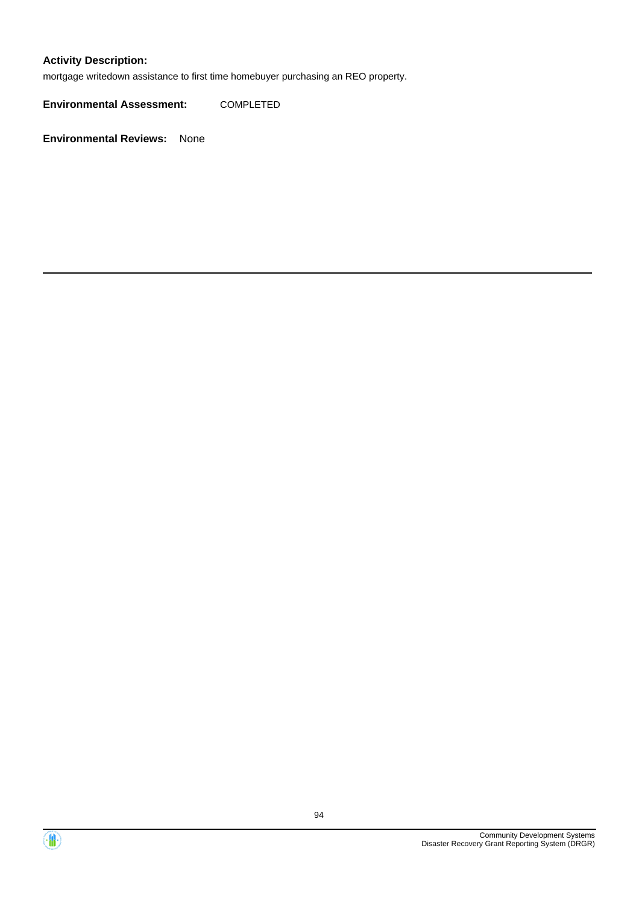### **Activity Description:**

mortgage writedown assistance to first time homebuyer purchasing an REO property.

**Environmental Assessment:** COMPLETED



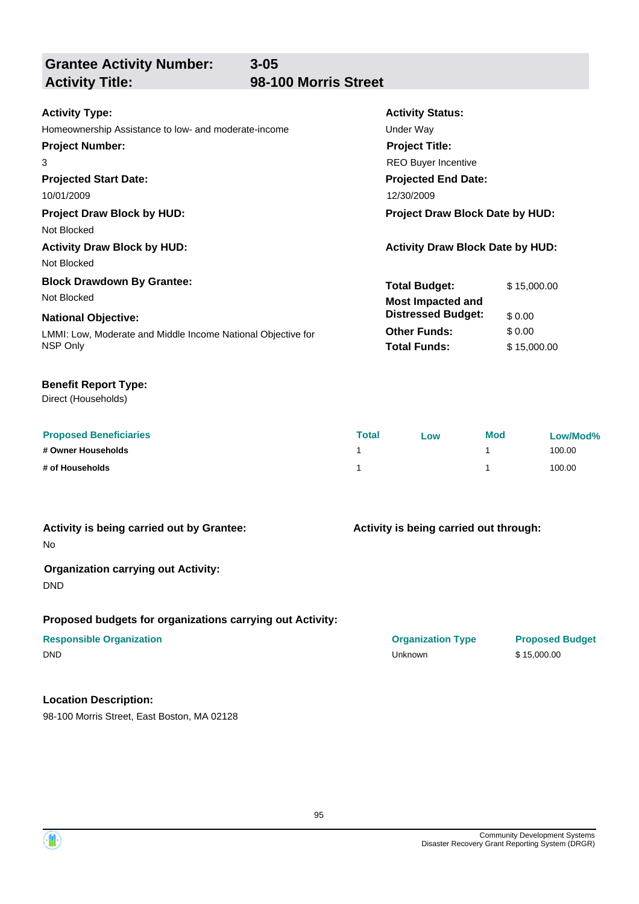**Grantee Activity Number:**

# **Activity Title: 98-100 Morris Street**

**3-05**

| <b>Activity Type:</b>                                        | <b>Activity Status:</b>                 |             |  |
|--------------------------------------------------------------|-----------------------------------------|-------------|--|
| Homeownership Assistance to low- and moderate-income         | Under Way                               |             |  |
| <b>Project Number:</b>                                       | <b>Project Title:</b>                   |             |  |
| 3                                                            | REO Buyer Incentive                     |             |  |
| <b>Projected Start Date:</b>                                 | <b>Projected End Date:</b>              |             |  |
| 10/01/2009                                                   | 12/30/2009                              |             |  |
| <b>Project Draw Block by HUD:</b>                            | <b>Project Draw Block Date by HUD:</b>  |             |  |
| Not Blocked                                                  |                                         |             |  |
| <b>Activity Draw Block by HUD:</b>                           | <b>Activity Draw Block Date by HUD:</b> |             |  |
| Not Blocked                                                  |                                         |             |  |
| <b>Block Drawdown By Grantee:</b>                            | <b>Total Budget:</b>                    | \$15,000.00 |  |
| Not Blocked                                                  | <b>Most Impacted and</b>                |             |  |
| <b>National Objective:</b>                                   | <b>Distressed Budget:</b>               | \$0.00      |  |
| LMMI: Low, Moderate and Middle Income National Objective for | <b>Other Funds:</b>                     | \$0.00      |  |
| NSP Only                                                     | <b>Total Funds:</b>                     | \$15,000.00 |  |
|                                                              |                                         |             |  |

### **Benefit Report Type:**

Direct (Households)

| <b>Proposed Beneficiaries</b> | <b>Total</b> | Low | <b>Mod</b> | Low/Mod% |
|-------------------------------|--------------|-----|------------|----------|
| # Owner Households            |              |     |            | 100.00   |
| # of Households               |              |     |            | 100.00   |

### **Activity is being carried out by Grantee:**

No

### **Organization carrying out Activity:**

DND

### **Proposed budgets for organizations carrying out Activity:**

# **Responsible Organization COVID-10 COVID-10 Organization Type Proposed Budget**

### **Location Description:**

98-100 Morris Street, East Boston, MA 02128

### **Activity is being carried out through:**

DND Unknown \$ 15,000.00

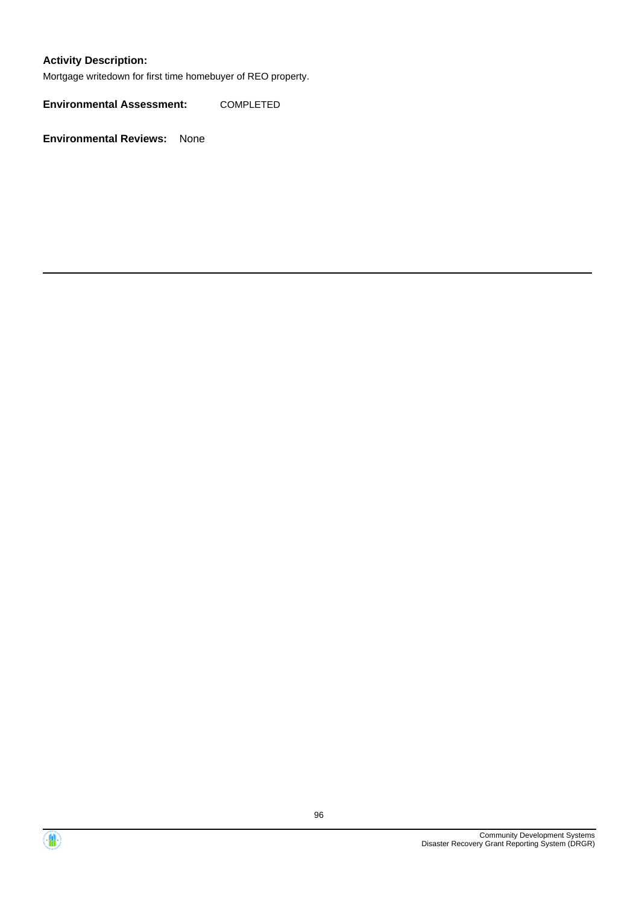### **Activity Description:**

Mortgage writedown for first time homebuyer of REO property.

**Environmental Assessment:** COMPLETED



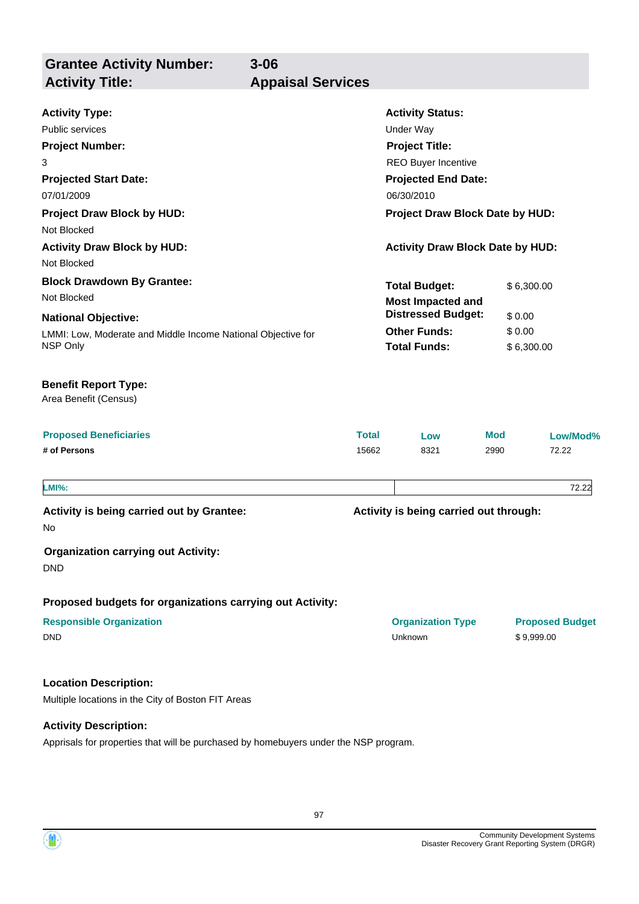**Grantee Activity Number: 3-06 Activity Title:** 

| <b>Appaisal Services</b> |  |
|--------------------------|--|

| <b>Activity Type:</b>                                        |                       | <b>Activity Status:</b>                    |            |                                      |  |
|--------------------------------------------------------------|-----------------------|--------------------------------------------|------------|--------------------------------------|--|
| Public services                                              |                       | Under Way                                  |            |                                      |  |
| <b>Project Number:</b>                                       | <b>Project Title:</b> |                                            |            |                                      |  |
| 3                                                            |                       | <b>REO Buyer Incentive</b>                 |            |                                      |  |
| <b>Projected Start Date:</b>                                 |                       | <b>Projected End Date:</b>                 |            |                                      |  |
| 07/01/2009                                                   | 06/30/2010            |                                            |            |                                      |  |
| <b>Project Draw Block by HUD:</b>                            |                       | Project Draw Block Date by HUD:            |            |                                      |  |
| Not Blocked                                                  |                       |                                            |            |                                      |  |
| <b>Activity Draw Block by HUD:</b>                           |                       | <b>Activity Draw Block Date by HUD:</b>    |            |                                      |  |
| Not Blocked                                                  |                       |                                            |            |                                      |  |
| <b>Block Drawdown By Grantee:</b>                            |                       | <b>Total Budget:</b>                       | \$6,300.00 |                                      |  |
| Not Blocked                                                  |                       | <b>Most Impacted and</b>                   |            |                                      |  |
| <b>National Objective:</b>                                   |                       | <b>Distressed Budget:</b>                  | \$0.00     |                                      |  |
| LMMI: Low, Moderate and Middle Income National Objective for |                       | <b>Other Funds:</b>                        |            | \$0.00                               |  |
| NSP Only                                                     |                       | <b>Total Funds:</b>                        | \$6,300.00 |                                      |  |
| <b>Benefit Report Type:</b><br>Area Benefit (Census)         |                       |                                            |            |                                      |  |
| <b>Proposed Beneficiaries</b>                                | Total                 | Low                                        | Mod        | Low/Mod%                             |  |
| # of Persons                                                 | 15662                 | 8321                                       | 2990       | 72.22                                |  |
| <b>LMI%:</b>                                                 |                       |                                            |            | 72.22                                |  |
| Activity is being carried out by Grantee:                    |                       | Activity is being carried out through:     |            |                                      |  |
| No.                                                          |                       |                                            |            |                                      |  |
| <b>Organization carrying out Activity:</b><br><b>DND</b>     |                       |                                            |            |                                      |  |
| Proposed budgets for organizations carrying out Activity:    |                       |                                            |            |                                      |  |
| <b>Responsible Organization</b><br><b>DND</b>                |                       | <b>Organization Type</b><br><b>Unknown</b> |            | <b>Proposed Budget</b><br>\$9,999.00 |  |
| <b>Location Description:</b>                                 |                       |                                            |            |                                      |  |
| Multiple locations in the City of Boston FIT Areas           |                       |                                            |            |                                      |  |
| <b>Activity Description:</b>                                 |                       |                                            |            |                                      |  |

Apprisals for properties that will be purchased by homebuyers under the NSP program.

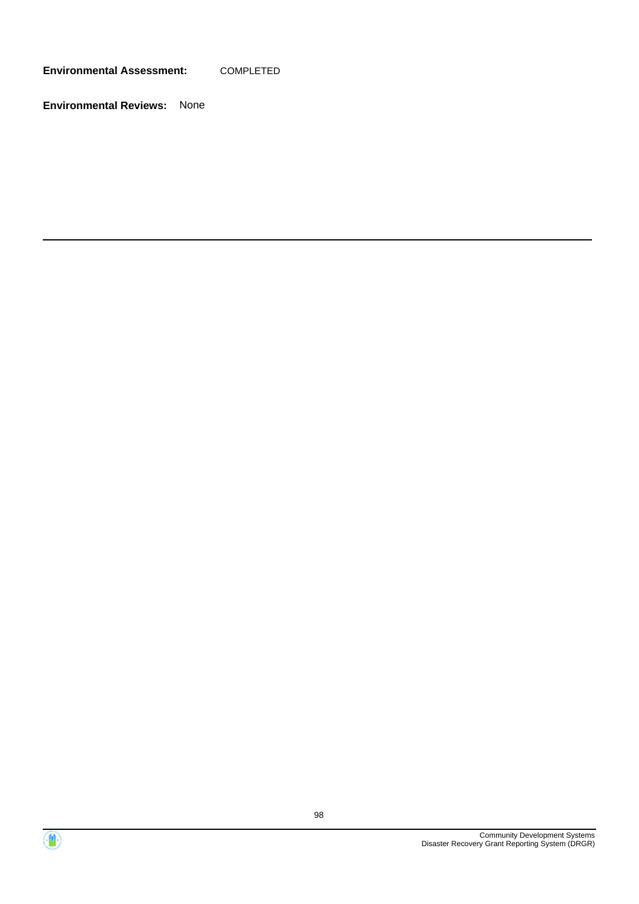**Environmental Assessment:** COMPLETED



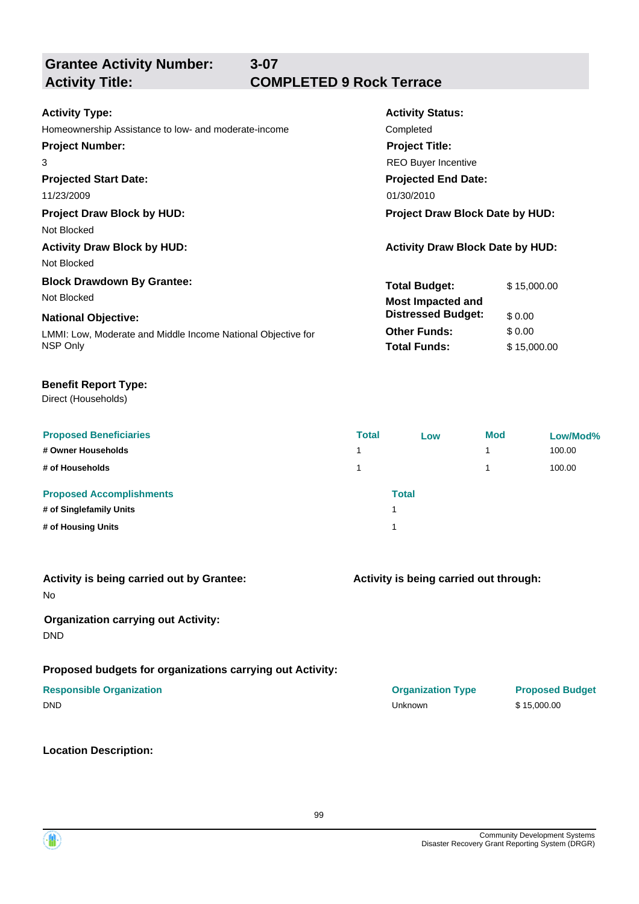**Grantee Activity Number:**

# **Activity Title: COMPLETED 9 Rock Terrace**

| Completed                               |  |  |  |
|-----------------------------------------|--|--|--|
|                                         |  |  |  |
| <b>REO Buyer Incentive</b>              |  |  |  |
|                                         |  |  |  |
|                                         |  |  |  |
| <b>Project Draw Block Date by HUD:</b>  |  |  |  |
|                                         |  |  |  |
| <b>Activity Draw Block Date by HUD:</b> |  |  |  |
|                                         |  |  |  |
| \$15,000.00                             |  |  |  |
|                                         |  |  |  |
| \$0.00                                  |  |  |  |
| \$0.00                                  |  |  |  |
| \$15,000.00                             |  |  |  |
| <b>Projected End Date:</b>              |  |  |  |

**3-07**

### **Benefit Report Type:**

Direct (Households)

| <b>Proposed Beneficiaries</b><br># Owner Households<br># of Households           | <b>Total</b> | Low          | <b>Mod</b><br>4<br>4 | Low/Mod%<br>100.00<br>100.00 |
|----------------------------------------------------------------------------------|--------------|--------------|----------------------|------------------------------|
| <b>Proposed Accomplishments</b><br># of Singlefamily Units<br># of Housing Units |              | <b>Total</b> |                      |                              |

|    |  |  | Activity is being carried out by Grantee: |
|----|--|--|-------------------------------------------|
| No |  |  |                                           |

### **Organization carrying out Activity:**

DND

### **Proposed budgets for organizations carrying out Activity:**

### **Location Description:**

**Activity is being carried out through:**

**Responsible Organization Organization Type Proposed Budget** DND Unknown \$ 15,000.00

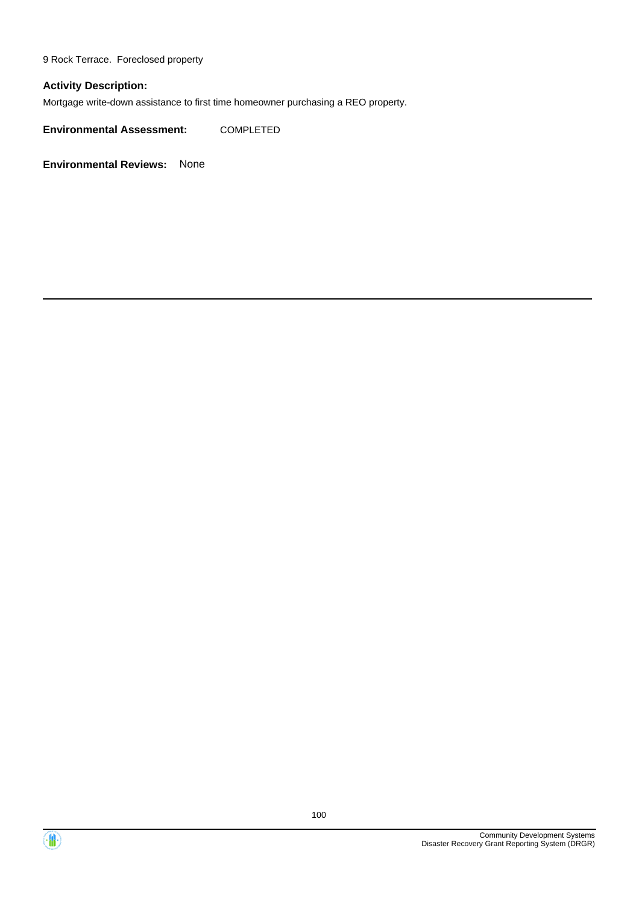9 Rock Terrace. Foreclosed property

### **Activity Description:**

Mortgage write-down assistance to first time homeowner purchasing a REO property.

**Environmental Assessment:** COMPLETED



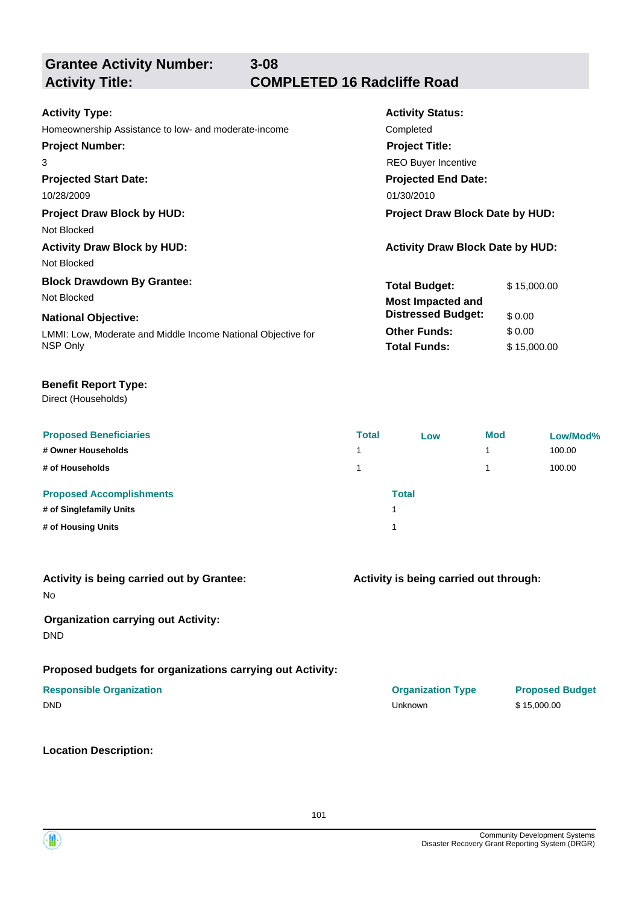**Grantee Activity Number:**

**3-08**

# **Activity Title: COMPLETED 16 Radcliffe Road**

| <b>Activity Type:</b>                                        | <b>Activity Status:</b>                 |             |  |  |
|--------------------------------------------------------------|-----------------------------------------|-------------|--|--|
| Homeownership Assistance to low- and moderate-income         | Completed                               |             |  |  |
| <b>Project Number:</b>                                       | <b>Project Title:</b>                   |             |  |  |
| 3                                                            | <b>REO Buyer Incentive</b>              |             |  |  |
| <b>Projected Start Date:</b>                                 | <b>Projected End Date:</b>              |             |  |  |
| 10/28/2009                                                   | 01/30/2010                              |             |  |  |
| <b>Project Draw Block by HUD:</b>                            | <b>Project Draw Block Date by HUD:</b>  |             |  |  |
| Not Blocked                                                  |                                         |             |  |  |
| <b>Activity Draw Block by HUD:</b>                           | <b>Activity Draw Block Date by HUD:</b> |             |  |  |
| Not Blocked                                                  |                                         |             |  |  |
| <b>Block Drawdown By Grantee:</b>                            | <b>Total Budget:</b>                    | \$15,000.00 |  |  |
| Not Blocked                                                  | <b>Most Impacted and</b>                |             |  |  |
| <b>National Objective:</b>                                   | <b>Distressed Budget:</b>               | \$0.00      |  |  |
| LMMI: Low, Moderate and Middle Income National Objective for | <b>Other Funds:</b>                     | \$0.00      |  |  |
| NSP Only                                                     | <b>Total Funds:</b>                     | \$15,000.00 |  |  |

### **Benefit Report Type:**

Direct (Households)

| <b>Proposed Beneficiaries</b><br># Owner Households<br># of Households           | <b>Total</b> | Low          | <b>Mod</b><br>4<br>4 | Low/Mod%<br>100.00<br>100.00 |
|----------------------------------------------------------------------------------|--------------|--------------|----------------------|------------------------------|
| <b>Proposed Accomplishments</b><br># of Singlefamily Units<br># of Housing Units |              | <b>Total</b> |                      |                              |

|    |  |  | Activity is being carried out by Grantee: |
|----|--|--|-------------------------------------------|
| No |  |  |                                           |

### **Organization carrying out Activity:**

DND

### **Proposed budgets for organizations carrying out Activity:**

### **Responsible Organization Organization Type Proposed Budget**

### **Location Description:**

**Activity is being carried out through:**

| <b>Responsible Organization</b> | <b>UI GUILLAUVII I JPV</b> | <b>TIPLOSO</b> |
|---------------------------------|----------------------------|----------------|
| DND                             | Unknown                    | \$15,000.00    |
|                                 |                            |                |

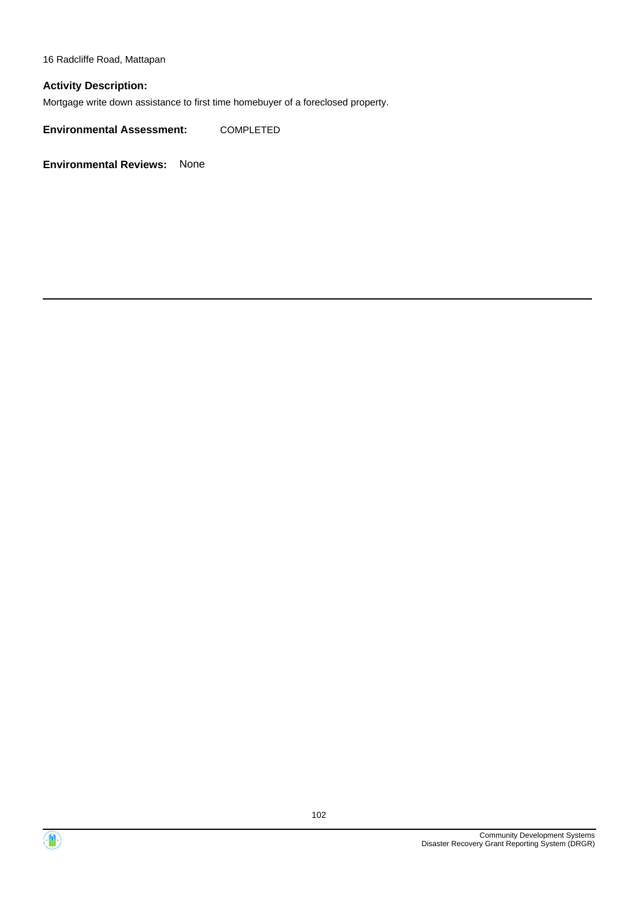16 Radcliffe Road, Mattapan

### **Activity Description:**

Mortgage write down assistance to first time homebuyer of a foreclosed property.

**Environmental Assessment:** COMPLETED



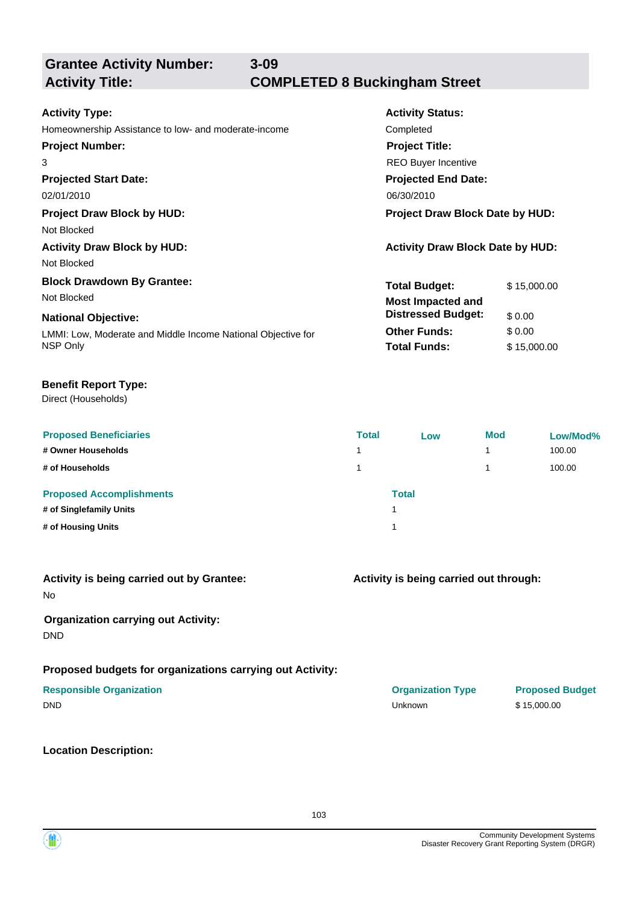**3-09**

# **Grantee Activity Number:**

# **Activity Title: COMPLETED 8 Buckingham Street**

| <b>Activity Type:</b>                                        | <b>Activity Status:</b>                 |             |  |
|--------------------------------------------------------------|-----------------------------------------|-------------|--|
| Homeownership Assistance to low- and moderate-income         | Completed                               |             |  |
| <b>Project Number:</b>                                       | <b>Project Title:</b>                   |             |  |
| 3                                                            | <b>REO Buyer Incentive</b>              |             |  |
| <b>Projected Start Date:</b>                                 | <b>Projected End Date:</b>              |             |  |
| 02/01/2010                                                   | 06/30/2010                              |             |  |
| <b>Project Draw Block by HUD:</b>                            | <b>Project Draw Block Date by HUD:</b>  |             |  |
| Not Blocked                                                  |                                         |             |  |
| <b>Activity Draw Block by HUD:</b>                           | <b>Activity Draw Block Date by HUD:</b> |             |  |
| Not Blocked                                                  |                                         |             |  |
| <b>Block Drawdown By Grantee:</b>                            | <b>Total Budget:</b>                    | \$15,000.00 |  |
| Not Blocked                                                  | <b>Most Impacted and</b>                |             |  |
| <b>National Objective:</b>                                   | <b>Distressed Budget:</b>               | \$0.00      |  |
| LMMI: Low, Moderate and Middle Income National Objective for | <b>Other Funds:</b>                     | \$0.00      |  |
| NSP Only                                                     | <b>Total Funds:</b>                     | \$15,000.00 |  |

### **Benefit Report Type:**

Direct (Households)

| <b>Proposed Beneficiaries</b><br># Owner Households<br># of Households           | <b>Total</b> | Low          | <b>Mod</b><br>4<br>4 | Low/Mod%<br>100.00<br>100.00 |
|----------------------------------------------------------------------------------|--------------|--------------|----------------------|------------------------------|
| <b>Proposed Accomplishments</b><br># of Singlefamily Units<br># of Housing Units |              | <b>Total</b> |                      |                              |

|    |  |  | Activity is being carried out by Grantee: |
|----|--|--|-------------------------------------------|
| No |  |  |                                           |

### **Organization carrying out Activity:**

DND

### **Proposed budgets for organizations carrying out Activity:**

### **Responsible Organization Organization Type Proposed Budget**

DND Unknown \$ 15,000.00

### **Location Description:**

**Activity is being carried out through:**

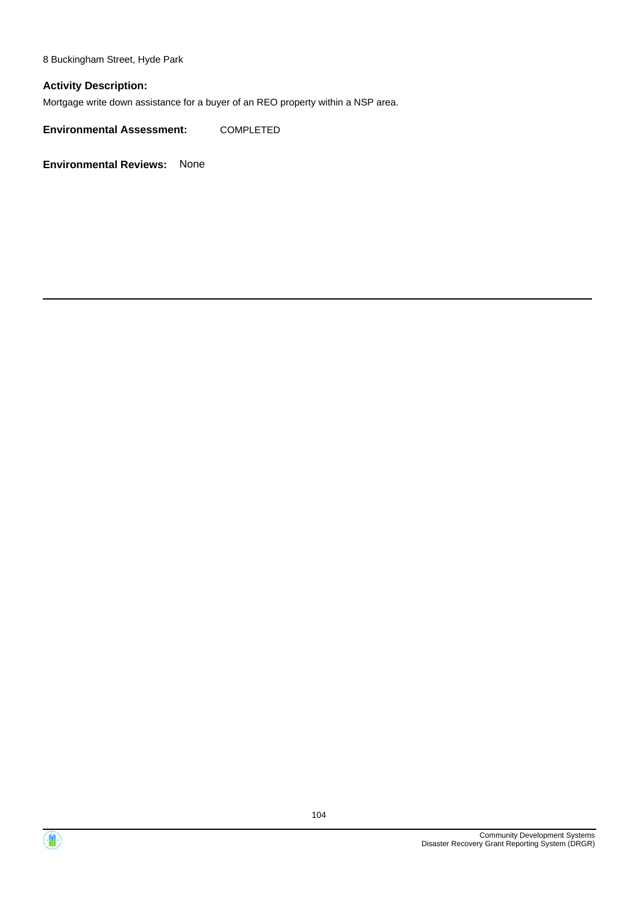8 Buckingham Street, Hyde Park

### **Activity Description:**

Mortgage write down assistance for a buyer of an REO property within a NSP area.

**Environmental Assessment:** COMPLETED



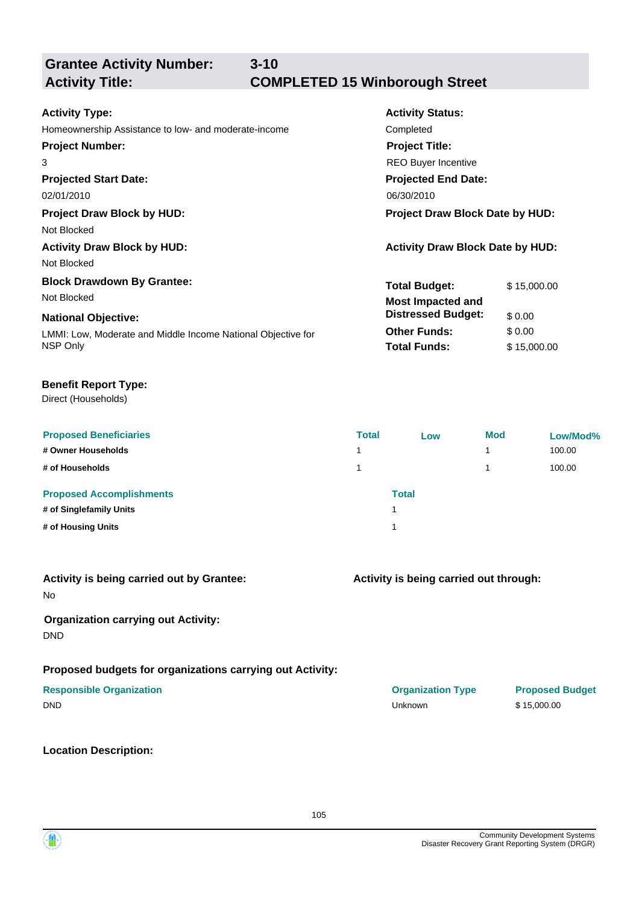**Grantee Activity Number:**

## **3-10 Activity Title: COMPLETED 15 Winborough Street**

| <b>Activity Type:</b>                                        | <b>Activity Status:</b>                 |             |  |
|--------------------------------------------------------------|-----------------------------------------|-------------|--|
| Homeownership Assistance to low- and moderate-income         | Completed                               |             |  |
| <b>Project Number:</b><br><b>Project Title:</b>              |                                         |             |  |
| 3                                                            | <b>REO Buyer Incentive</b>              |             |  |
| <b>Projected Start Date:</b>                                 | <b>Projected End Date:</b>              |             |  |
| 02/01/2010                                                   | 06/30/2010                              |             |  |
| <b>Project Draw Block by HUD:</b>                            | <b>Project Draw Block Date by HUD:</b>  |             |  |
| Not Blocked                                                  |                                         |             |  |
| <b>Activity Draw Block by HUD:</b>                           | <b>Activity Draw Block Date by HUD:</b> |             |  |
| Not Blocked                                                  |                                         |             |  |
| <b>Block Drawdown By Grantee:</b>                            | <b>Total Budget:</b>                    | \$15,000.00 |  |
| Not Blocked                                                  | <b>Most Impacted and</b>                |             |  |
| <b>National Objective:</b>                                   | <b>Distressed Budget:</b>               | \$0.00      |  |
| LMMI: Low, Moderate and Middle Income National Objective for | <b>Other Funds:</b>                     | \$0.00      |  |
| NSP Only                                                     | <b>Total Funds:</b>                     | \$15,000.00 |  |
|                                                              |                                         |             |  |

### **Benefit Report Type:**

Direct (Households)

| <b>Proposed Beneficiaries</b><br># Owner Households<br># of Households           | <b>Total</b> | Low          | <b>Mod</b><br>4<br>4 | Low/Mod%<br>100.00<br>100.00 |
|----------------------------------------------------------------------------------|--------------|--------------|----------------------|------------------------------|
| <b>Proposed Accomplishments</b><br># of Singlefamily Units<br># of Housing Units |              | <b>Total</b> |                      |                              |

|    |  |  | Activity is being carried out by Grantee: |
|----|--|--|-------------------------------------------|
| No |  |  |                                           |

### **Organization carrying out Activity:**

DND

### **Proposed budgets for organizations carrying out Activity:**

### **Responsible Organization Organization Type Proposed Budget**

DND Unknown \$ 15,000.00

### **Location Description:**

**Activity is being carried out through:**

105

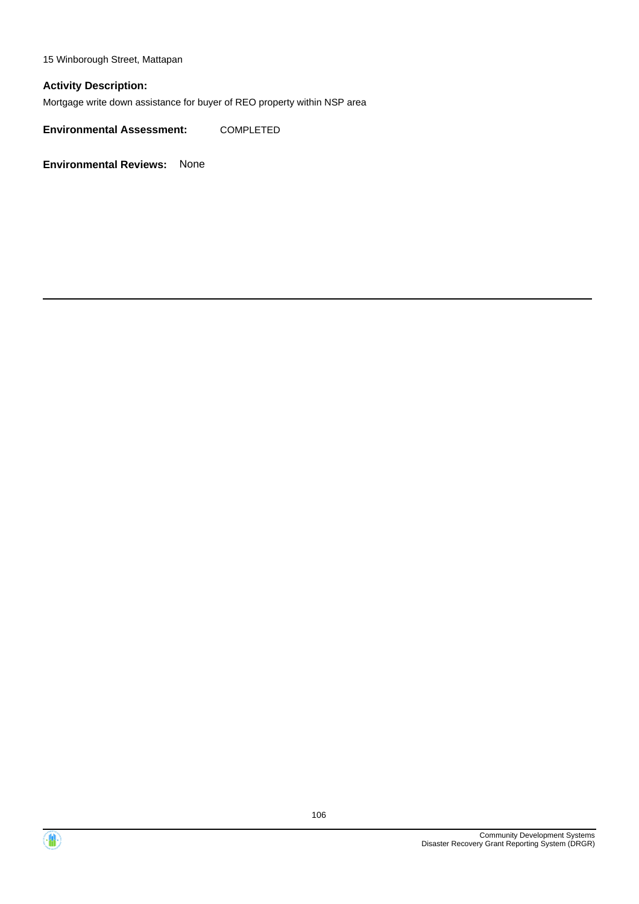15 Winborough Street, Mattapan

### **Activity Description:**

Mortgage write down assistance for buyer of REO property within NSP area

**Environmental Assessment:** COMPLETED



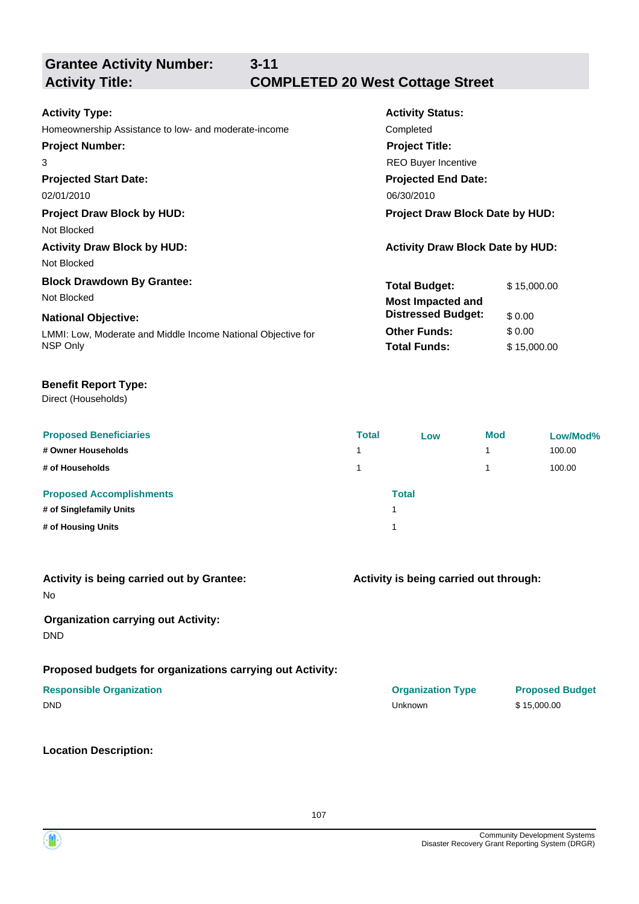**3-11**

# **Grantee Activity Number:**

# **Activity Title: COMPLETED 20 West Cottage Street**

| <b>Activity Type:</b>                                        | <b>Activity Status:</b>                 |  |  |  |
|--------------------------------------------------------------|-----------------------------------------|--|--|--|
| Homeownership Assistance to low- and moderate-income         | Completed                               |  |  |  |
| <b>Project Number:</b>                                       | <b>Project Title:</b>                   |  |  |  |
| 3                                                            | <b>REO Buyer Incentive</b>              |  |  |  |
| <b>Projected Start Date:</b>                                 | <b>Projected End Date:</b>              |  |  |  |
| 02/01/2010                                                   | 06/30/2010                              |  |  |  |
| <b>Project Draw Block by HUD:</b>                            | Project Draw Block Date by HUD:         |  |  |  |
| Not Blocked                                                  |                                         |  |  |  |
| <b>Activity Draw Block by HUD:</b>                           | <b>Activity Draw Block Date by HUD:</b> |  |  |  |
| Not Blocked                                                  |                                         |  |  |  |
| <b>Block Drawdown By Grantee:</b>                            | <b>Total Budget:</b><br>\$15,000.00     |  |  |  |
| Not Blocked                                                  | <b>Most Impacted and</b>                |  |  |  |
| <b>National Objective:</b>                                   | <b>Distressed Budget:</b><br>\$0.00     |  |  |  |
| LMMI: Low, Moderate and Middle Income National Objective for | \$0.00<br><b>Other Funds:</b>           |  |  |  |
| NSP Only                                                     | <b>Total Funds:</b><br>\$15,000.00      |  |  |  |

### **Benefit Report Type:**

Direct (Households)

| <b>Proposed Beneficiaries</b>   | <b>Total</b> | Low          | <b>Mod</b> | Low/Mod% |
|---------------------------------|--------------|--------------|------------|----------|
| # Owner Households              |              |              |            | 100.00   |
| # of Households                 |              |              |            | 100.00   |
| <b>Proposed Accomplishments</b> |              | <b>Total</b> |            |          |
| # of Singlefamily Units         |              | 1            |            |          |
| # of Housing Units              |              | и            |            |          |

|    |  |  | Activity is being carried out by Grantee: |
|----|--|--|-------------------------------------------|
| No |  |  |                                           |

### **Organization carrying out Activity:**

DND

### **Proposed budgets for organizations carrying out Activity:**

### **Responsible Organization Organization Type Proposed Budget**

### **Location Description:**

**Activity is being carried out through:**

| DND | Unknown<br>_______ | \$15,000.00 |
|-----|--------------------|-------------|
|     |                    |             |

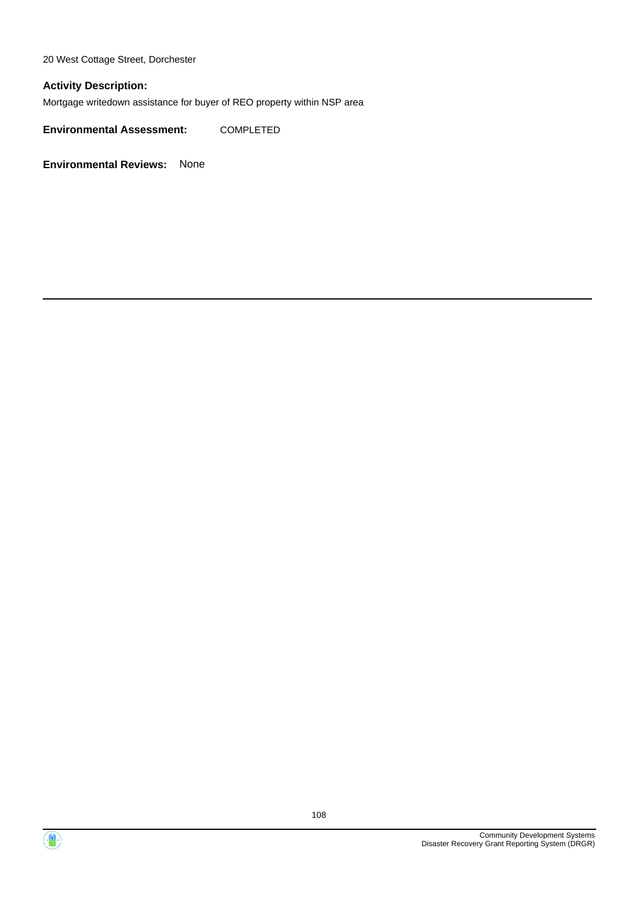20 West Cottage Street, Dorchester

### **Activity Description:**

Mortgage writedown assistance for buyer of REO property within NSP area

**Environmental Assessment:** COMPLETED



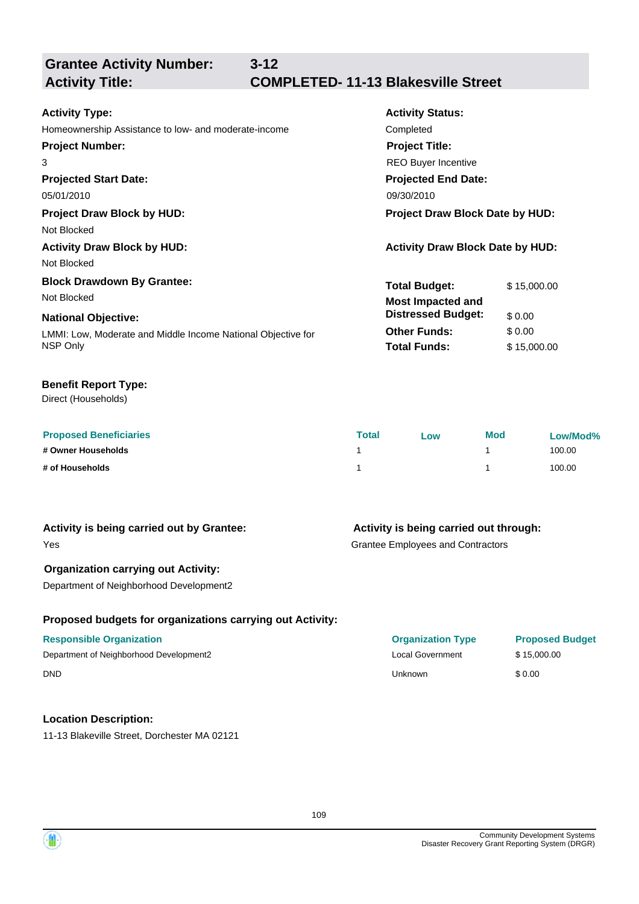**Grantee Activity Number:**

**3-12**

# **Activity Title: COMPLETED- 11-13 Blakesville Street**

| <b>Activity Type:</b>                                        | <b>Activity Status:</b>                 |             |  |
|--------------------------------------------------------------|-----------------------------------------|-------------|--|
| Homeownership Assistance to low- and moderate-income         | Completed                               |             |  |
| <b>Project Number:</b>                                       | <b>Project Title:</b>                   |             |  |
| 3                                                            | <b>REO Buyer Incentive</b>              |             |  |
| <b>Projected Start Date:</b>                                 | <b>Projected End Date:</b>              |             |  |
| 05/01/2010                                                   | 09/30/2010                              |             |  |
| <b>Project Draw Block by HUD:</b>                            | <b>Project Draw Block Date by HUD:</b>  |             |  |
| Not Blocked                                                  |                                         |             |  |
| <b>Activity Draw Block by HUD:</b>                           | <b>Activity Draw Block Date by HUD:</b> |             |  |
| Not Blocked                                                  |                                         |             |  |
| <b>Block Drawdown By Grantee:</b>                            | <b>Total Budget:</b>                    | \$15,000.00 |  |
| Not Blocked                                                  | <b>Most Impacted and</b>                |             |  |
| <b>National Objective:</b>                                   | <b>Distressed Budget:</b>               | \$0.00      |  |
| LMMI: Low, Moderate and Middle Income National Objective for | <b>Other Funds:</b>                     | \$0.00      |  |
| NSP Only                                                     | <b>Total Funds:</b>                     | \$15,000.00 |  |
|                                                              |                                         |             |  |

### **Benefit Report Type:**

Direct (Households)

| <b>Proposed Beneficiaries</b> | Total | Low | <b>Mod</b> | Low/Mod% |
|-------------------------------|-------|-----|------------|----------|
| # Owner Households            |       |     |            | 100.00   |
| # of Households               |       |     |            | 100.00   |

### **Activity is being carried out by Grantee:**

### **Activity is being carried out through:**

Grantee Employees and Contractors

### **Organization carrying out Activity:**

Department of Neighborhood Development2

### **Proposed budgets for organizations carrying out Activity:**

### **Responsible Organization**

Department of Neighborhood Development2 DND Unknown \$ 0.00

### **Location Description:**

11-13 Blakeville Street, Dorchester MA 02121

| <b>Organization Type</b> | <b>Proposed Budget</b> |
|--------------------------|------------------------|
| Local Government         | \$15,000.00            |
| Unknown                  | \$0.00                 |



Yes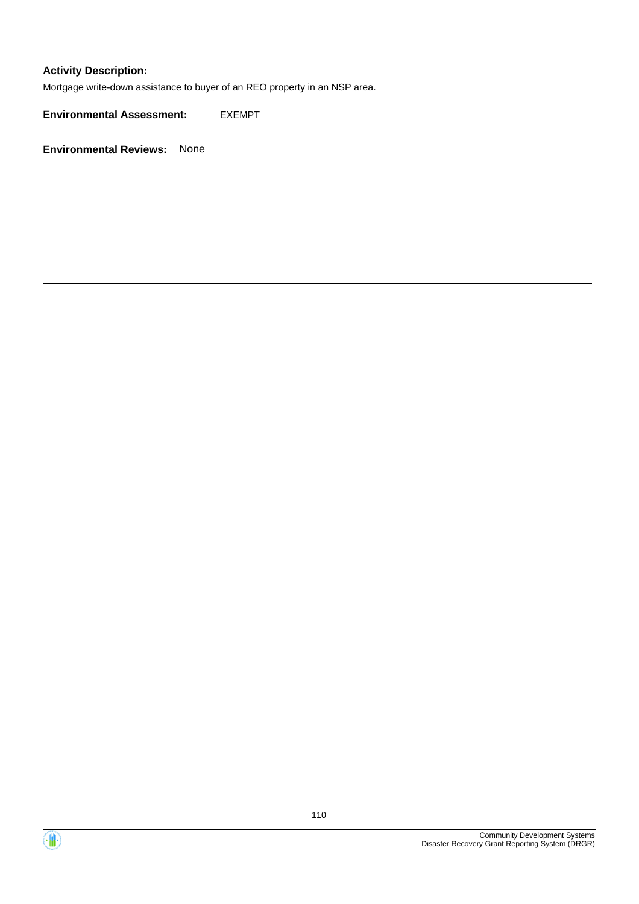### **Activity Description:**

Mortgage write-down assistance to buyer of an REO property in an NSP area.

**Environmental Assessment:** EXEMPT

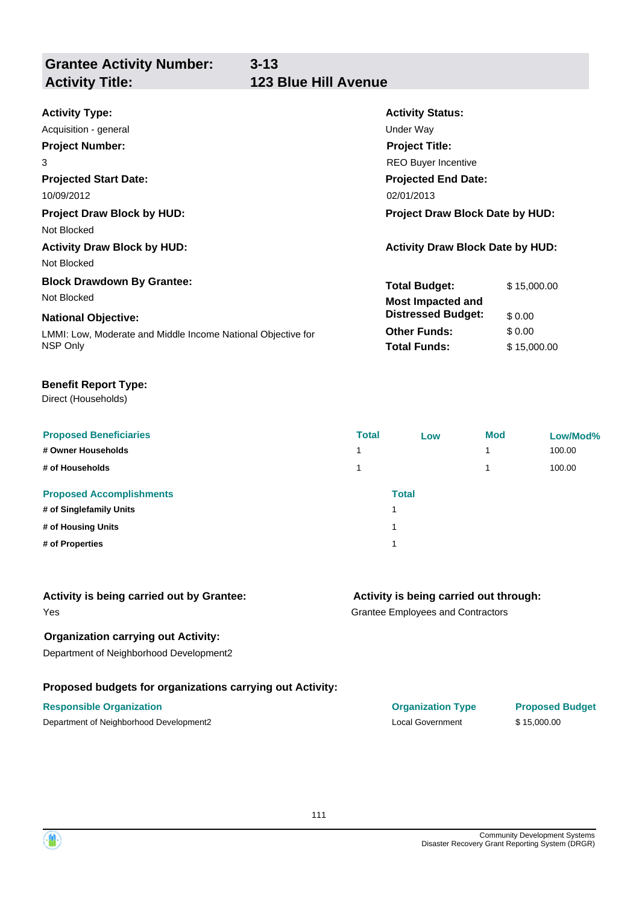**Grantee Activity Number:**

| <b>Activity Type:</b>                                        | <b>Activity Status:</b>                 |  |
|--------------------------------------------------------------|-----------------------------------------|--|
| Acquisition - general                                        | <b>Under Way</b>                        |  |
| <b>Project Number:</b>                                       | <b>Project Title:</b>                   |  |
| 3                                                            | <b>REO Buyer Incentive</b>              |  |
| <b>Projected Start Date:</b>                                 | <b>Projected End Date:</b>              |  |
| 10/09/2012                                                   | 02/01/2013                              |  |
| <b>Project Draw Block by HUD:</b>                            | <b>Project Draw Block Date by HUD:</b>  |  |
| Not Blocked                                                  |                                         |  |
| <b>Activity Draw Block by HUD:</b>                           | <b>Activity Draw Block Date by HUD:</b> |  |
| Not Blocked                                                  |                                         |  |
| <b>Block Drawdown By Grantee:</b>                            | <b>Total Budget:</b><br>\$15,000.00     |  |
| Not Blocked                                                  | <b>Most Impacted and</b>                |  |
| <b>National Objective:</b>                                   | <b>Distressed Budget:</b><br>\$0.00     |  |
| LMMI: Low, Moderate and Middle Income National Objective for | \$0.00<br><b>Other Funds:</b>           |  |
| NSP Only                                                     | <b>Total Funds:</b><br>\$15,000.00      |  |

### **Benefit Report Type:**

Direct (Households)

| <b>Proposed Beneficiaries</b><br># Owner Households<br># of Households           | <b>Total</b><br>1<br>1 | Low   | <b>Mod</b> | Low/Mod%<br>100.00<br>100.00 |
|----------------------------------------------------------------------------------|------------------------|-------|------------|------------------------------|
| <b>Proposed Accomplishments</b><br># of Singlefamily Units<br># of Housing Units |                        | Total |            |                              |
| # of Properties                                                                  |                        |       |            |                              |

| Activity is being carried out by Grantee: |  |  |  |  |
|-------------------------------------------|--|--|--|--|
|-------------------------------------------|--|--|--|--|

### Yes

### **Organization carrying out Activity:**

Department of Neighborhood Development2

### **Proposed budgets for organizations carrying out Activity:**

### **Activity is being carried out through:**

Grantee Employees and Contractors

| <b>Responsible Organization</b>         | <b>Organization Type</b> | <b>Proposed Budget</b> |
|-----------------------------------------|--------------------------|------------------------|
| Department of Neighborhood Development2 | Local Government         | \$15.000.00            |

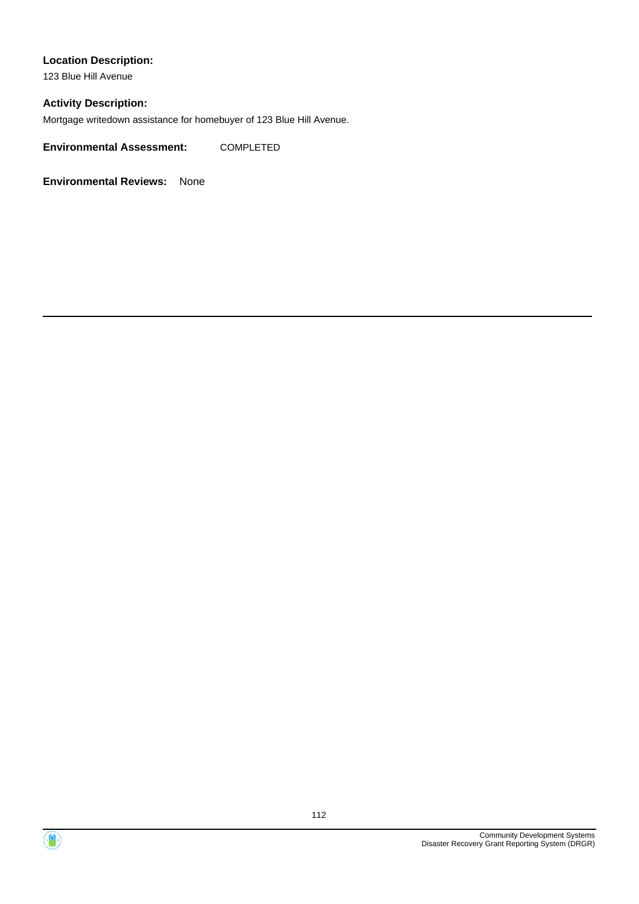### **Location Description:**

123 Blue Hill Avenue

### **Activity Description:**

Mortgage writedown assistance for homebuyer of 123 Blue Hill Avenue.

**Environmental Assessment:** COMPLETED

**Environmental Reviews:** None

112

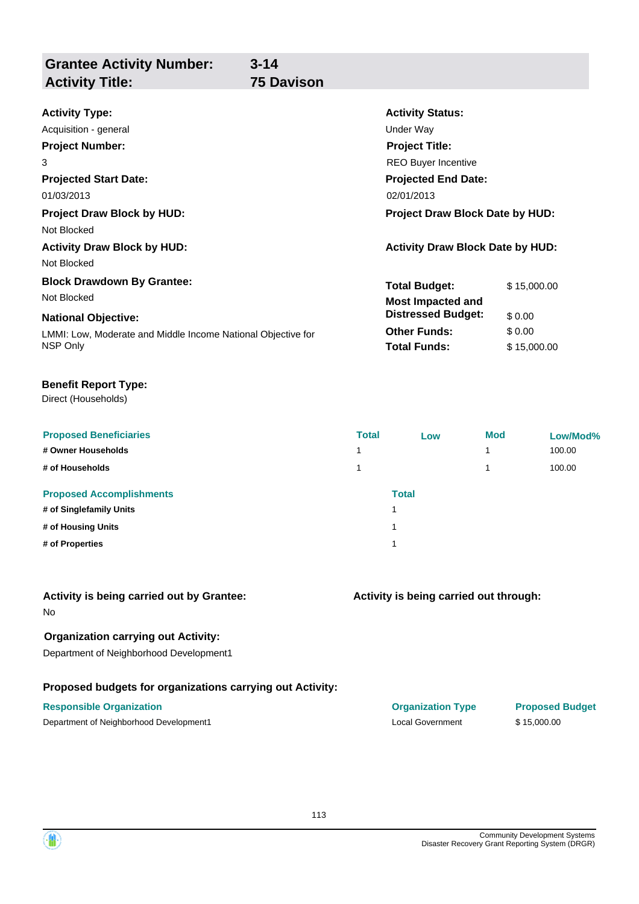| <b>Grantee Activity Number:</b> | $3 - 14$   |
|---------------------------------|------------|
| <b>Activity Title:</b>          | 75 Davison |

| <b>Activity Type:</b>                                        | <b>Activity Status:</b>                 |             |  |
|--------------------------------------------------------------|-----------------------------------------|-------------|--|
| Acquisition - general                                        | Under Way                               |             |  |
| <b>Project Number:</b>                                       | <b>Project Title:</b>                   |             |  |
| 3                                                            | <b>REO Buyer Incentive</b>              |             |  |
| <b>Projected Start Date:</b>                                 | <b>Projected End Date:</b>              |             |  |
| 01/03/2013                                                   | 02/01/2013                              |             |  |
| <b>Project Draw Block by HUD:</b>                            | <b>Project Draw Block Date by HUD:</b>  |             |  |
| Not Blocked                                                  |                                         |             |  |
| <b>Activity Draw Block by HUD:</b>                           | <b>Activity Draw Block Date by HUD:</b> |             |  |
| Not Blocked                                                  |                                         |             |  |
| <b>Block Drawdown By Grantee:</b>                            | <b>Total Budget:</b>                    | \$15,000.00 |  |
| Not Blocked                                                  | <b>Most Impacted and</b>                |             |  |
| <b>National Objective:</b>                                   | <b>Distressed Budget:</b>               | \$0.00      |  |
| LMMI: Low, Moderate and Middle Income National Objective for | <b>Other Funds:</b>                     | \$0.00      |  |
| NSP Only                                                     | <b>Total Funds:</b>                     | \$15,000.00 |  |

### **Benefit Report Type:**

Direct (Households)

| <b>Proposed Beneficiaries</b><br># Owner Households<br># of Households | <b>Total</b> | Low          | <b>Mod</b> | Low/Mod%<br>100.00<br>100.00 |
|------------------------------------------------------------------------|--------------|--------------|------------|------------------------------|
| <b>Proposed Accomplishments</b><br># of Singlefamily Units             | и            | <b>Total</b> |            |                              |
| # of Housing Units<br># of Properties                                  | ٠            |              |            |                              |
|                                                                        |              |              |            |                              |

### **Activity is being carried out by Grantee:**

No

### **Organization carrying out Activity:**

Department of Neighborhood Development1

### **Proposed budgets for organizations carrying out Activity:**

### **Activity is being carried out through:**

**Responsible Organization COVID-10 COVID-10 Organization Type Proposed Budget** Department of Neighborhood Development1 Local Government \$ 15,000.00

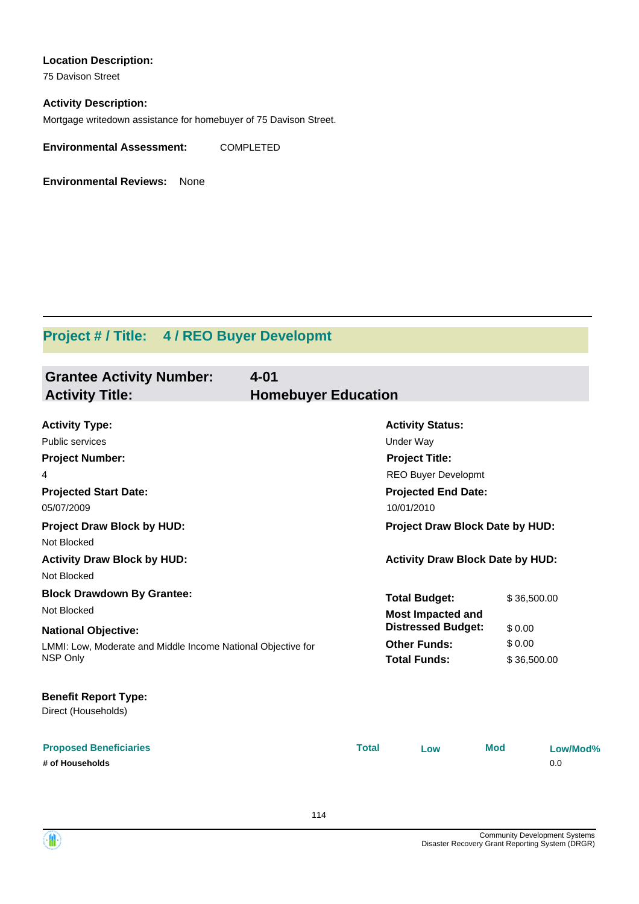### **Location Description:**

75 Davison Street

### **Activity Description:**

Mortgage writedown assistance for homebuyer of 75 Davison Street.

**Environmental Assessment:** COMPLETED

**Environmental Reviews:** None

# **Project # / Title: 4 / REO Buyer Developmt**

| <b>Grantee Activity Number:</b><br><b>Activity Title:</b>                                               | $4 - 01$<br><b>Homebuyer Education</b> |              |                                                                                                                                  |                       |                 |
|---------------------------------------------------------------------------------------------------------|----------------------------------------|--------------|----------------------------------------------------------------------------------------------------------------------------------|-----------------------|-----------------|
| <b>Activity Type:</b><br>Public services<br><b>Project Number:</b><br>4<br><b>Projected Start Date:</b> |                                        |              | <b>Activity Status:</b><br><b>Under Way</b><br><b>Project Title:</b><br><b>REO Buyer Developmt</b><br><b>Projected End Date:</b> |                       |                 |
| 05/07/2009<br><b>Project Draw Block by HUD:</b>                                                         |                                        |              | 10/01/2010<br>Project Draw Block Date by HUD:                                                                                    |                       |                 |
| Not Blocked<br><b>Activity Draw Block by HUD:</b><br>Not Blocked                                        |                                        |              | <b>Activity Draw Block Date by HUD:</b>                                                                                          |                       |                 |
| <b>Block Drawdown By Grantee:</b><br>Not Blocked<br><b>National Objective:</b>                          |                                        |              | <b>Total Budget:</b><br><b>Most Impacted and</b><br><b>Distressed Budget:</b>                                                    | \$36,500.00<br>\$0.00 |                 |
| LMMI: Low, Moderate and Middle Income National Objective for<br>NSP Only                                |                                        |              | <b>Other Funds:</b><br><b>Total Funds:</b>                                                                                       | \$0.00<br>\$36,500.00 |                 |
| <b>Benefit Report Type:</b><br>Direct (Households)                                                      |                                        |              |                                                                                                                                  |                       |                 |
| <b>Proposed Beneficiaries</b><br># of Households                                                        |                                        | <b>Total</b> | Low                                                                                                                              | <b>Mod</b>            | Low/Mod%<br>0.0 |

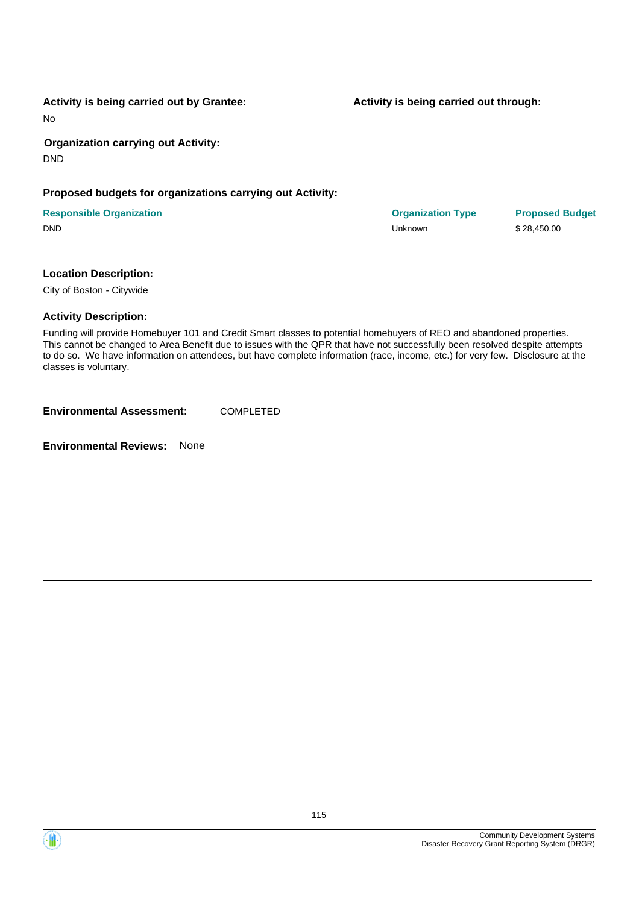115

**Activity is being carried out by Grantee:**

No

**Organization carrying out Activity:** DND

# **Proposed budgets for organizations carrying out Activity:**

| <b>Responsible Organization</b> | <b>Organization Type</b> | <b>Proposed</b> |
|---------------------------------|--------------------------|-----------------|
| <b>DND</b>                      | Unknown                  | \$28,450.00     |

### **Location Description:**

City of Boston - Citywide

### **Activity Description:**

Funding will provide Homebuyer 101 and Credit Smart classes to potential homebuyers of REO and abandoned properties. This cannot be changed to Area Benefit due to issues with the QPR that have not successfully been resolved despite attempts to do so. We have information on attendees, but have complete information (race, income, etc.) for very few. Disclosure at the classes is voluntary.

**Environmental Assessment:** COMPLETED

**Environmental Reviews:** None

**Activity is being carried out through:**

**Organization Type Proposed Budget**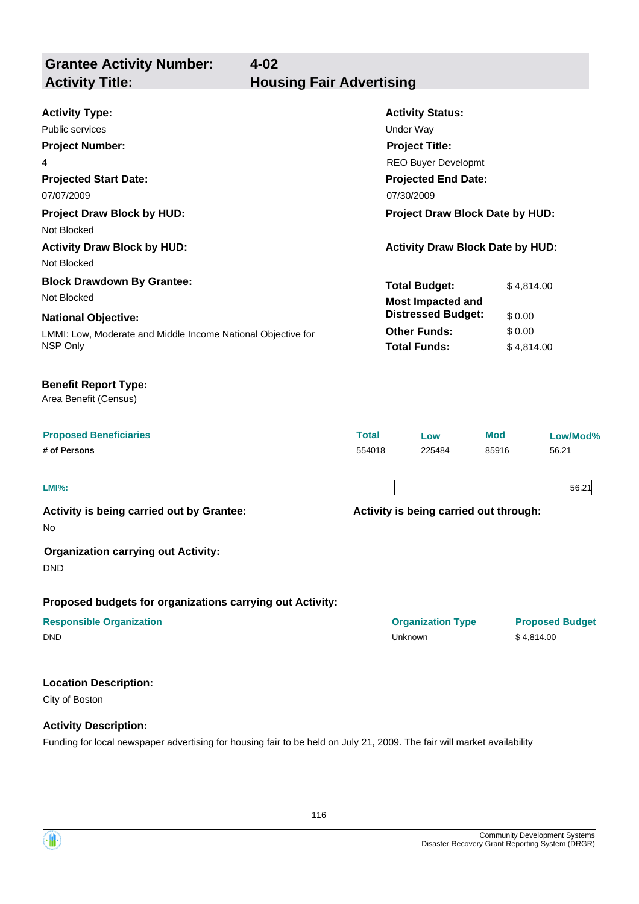**Grantee Activity Number: Activity Title: Housing Fair Advertising**

**4-02**

| <b>Activity Type:</b>                                        |                  | <b>Activity Status:</b>                 |            |                        |  |  |
|--------------------------------------------------------------|------------------|-----------------------------------------|------------|------------------------|--|--|
| <b>Public services</b>                                       | <b>Under Way</b> |                                         |            |                        |  |  |
| <b>Project Number:</b><br><b>Project Title:</b>              |                  |                                         |            |                        |  |  |
| 4                                                            |                  | <b>REO Buyer Developmt</b>              |            |                        |  |  |
| <b>Projected Start Date:</b>                                 |                  | <b>Projected End Date:</b>              |            |                        |  |  |
| 07/07/2009                                                   |                  | 07/30/2009                              |            |                        |  |  |
| <b>Project Draw Block by HUD:</b><br>Not Blocked             |                  | Project Draw Block Date by HUD:         |            |                        |  |  |
| <b>Activity Draw Block by HUD:</b>                           |                  | <b>Activity Draw Block Date by HUD:</b> |            |                        |  |  |
| Not Blocked                                                  |                  |                                         |            |                        |  |  |
| <b>Block Drawdown By Grantee:</b>                            |                  | <b>Total Budget:</b>                    |            | \$4,814.00             |  |  |
| Not Blocked                                                  |                  | <b>Most Impacted and</b>                |            |                        |  |  |
| <b>National Objective:</b>                                   |                  | <b>Distressed Budget:</b>               |            | \$0.00                 |  |  |
| LMMI: Low, Moderate and Middle Income National Objective for |                  | <b>Other Funds:</b>                     | \$0.00     |                        |  |  |
| NSP Only                                                     |                  | <b>Total Funds:</b>                     |            | \$4,814.00             |  |  |
| <b>Benefit Report Type:</b><br>Area Benefit (Census)         |                  |                                         |            |                        |  |  |
| <b>Proposed Beneficiaries</b>                                | <b>Total</b>     | Low                                     | <b>Mod</b> | Low/Mod%               |  |  |
| # of Persons                                                 | 554018           | 225484                                  | 85916      | 56.21                  |  |  |
| <b>LMI%:</b>                                                 |                  |                                         |            | 56.21                  |  |  |
| Activity is being carried out by Grantee:<br>No              |                  | Activity is being carried out through:  |            |                        |  |  |
| <b>Organization carrying out Activity:</b><br><b>DND</b>     |                  |                                         |            |                        |  |  |
| Proposed budgets for organizations carrying out Activity:    |                  |                                         |            |                        |  |  |
| <b>Responsible Organization</b>                              |                  | <b>Organization Type</b>                |            | <b>Proposed Budget</b> |  |  |
| <b>DND</b>                                                   |                  | <b>Unknown</b>                          |            | \$4,814.00             |  |  |
| <b>Location Description:</b>                                 |                  |                                         |            |                        |  |  |
| City of Boston                                               |                  |                                         |            |                        |  |  |
| <b>Activity Description:</b>                                 |                  |                                         |            |                        |  |  |

Funding for local newspaper advertising for housing fair to be held on July 21, 2009. The fair will market availability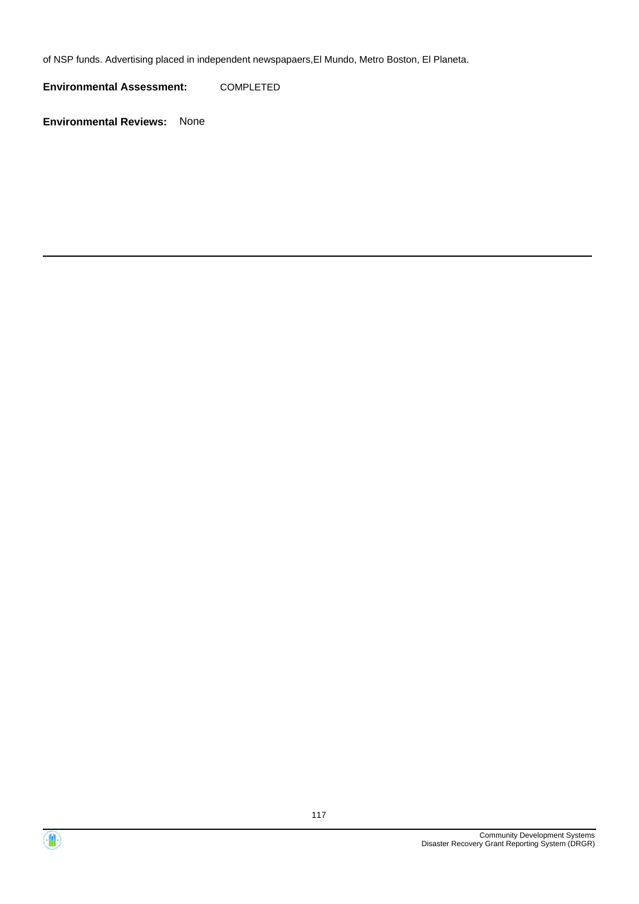of NSP funds. Advertising placed in independent newspapaers,El Mundo, Metro Boston, El Planeta.

**Environmental Assessment:** COMPLETED



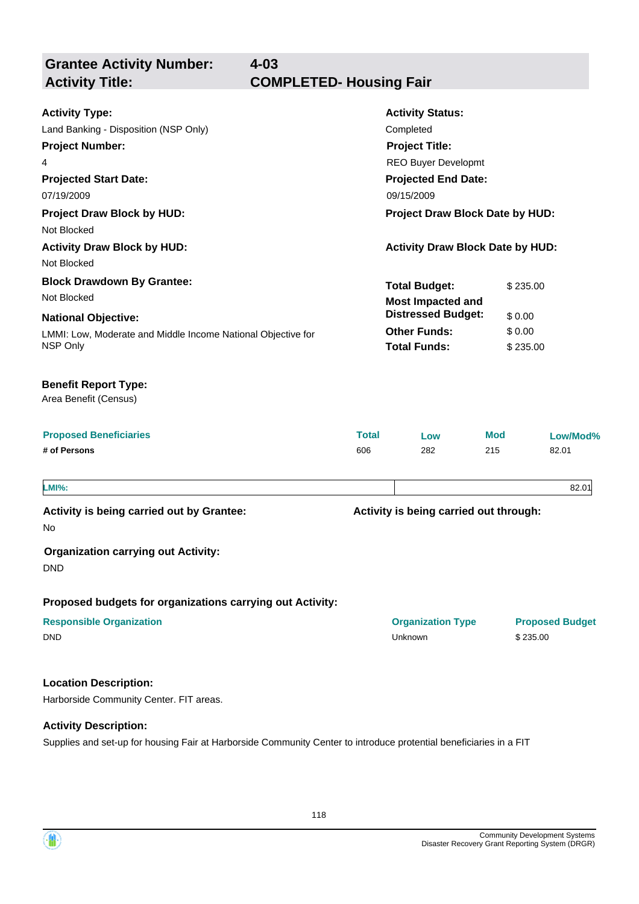**Grantee Activity Number: Projected Start Date:** LMMI: Low, Moderate and Middle Income National Objective for NSP Only **National Objective: Activity Status: Projected End Date: 4-03 Activity Type:** 07/19/2009 09/15/2009 Land Banking - Disposition (NSP Only) Completed **Activity Title: COMPLETED- Housing Fair Project Number:** 4 **Project Title:** REO Buyer Developmt **Total Budget:** \$235.00 **Other Funds:** \$ 0.00 **Total Funds:** \$ 235.00 **Proposed Beneficiaries Total Low Mod Low/Mod% # of Persons** 606 282 215 82.01 **Proposed budgets for organizations carrying out Activity: Activity is being carried out through: Responsible Organization Organization Type Proposed Budget** No **Activity is being carried out by Grantee: Organization carrying out Activity:** DND DND Unknown \$ 235.00 Area Benefit (Census) **Benefit Report Type: Project Draw Block by HUD: Project Draw Block Date by HUD:** Not Blocked **Activity Draw Block by HUD: Activity Draw Block Date by HUD:** Not Blocked **Block Drawdown By Grantee:** Not Blocked **LMI%:** 82.01 **Most Impacted and Distressed Budget:** \$ 0.00

### **Location Description:**

Harborside Community Center. FIT areas.

### **Activity Description:**

Supplies and set-up for housing Fair at Harborside Community Center to introduce protential beneficiaries in a FIT

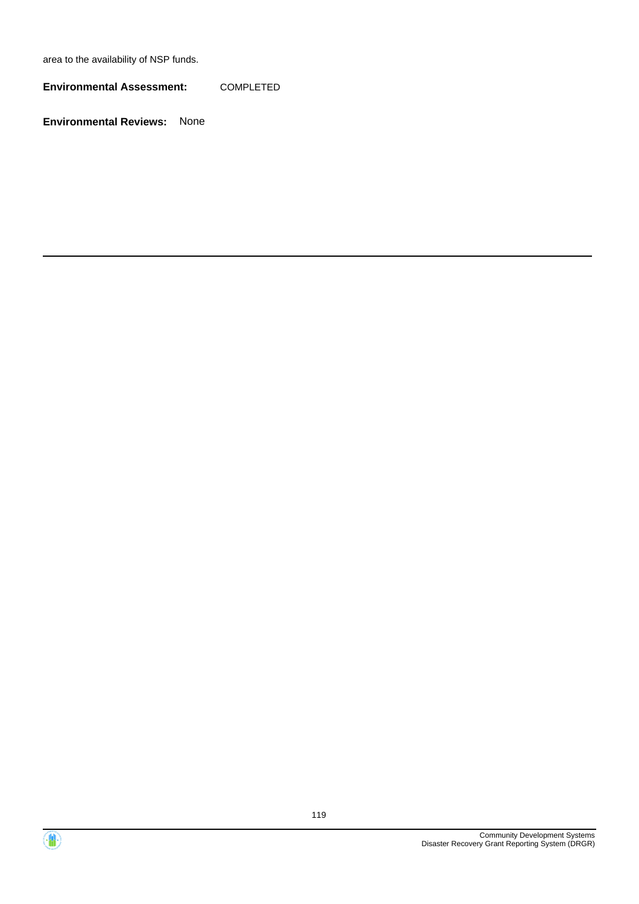area to the availability of NSP funds.

**Environmental Assessment:** COMPLETED



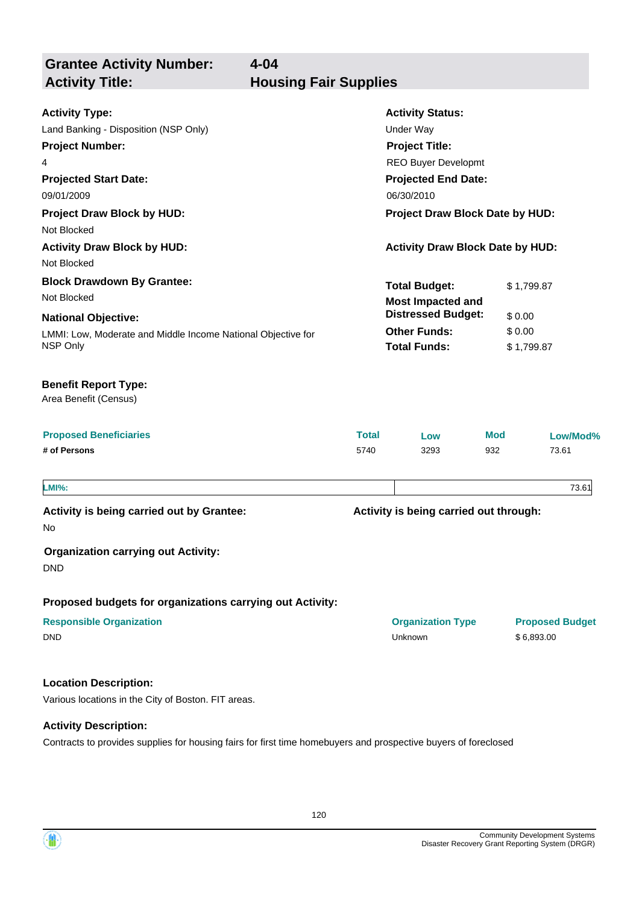**Grantee Activity Number: Projected Start Date:** LMMI: Low, Moderate and Middle Income National Objective for NSP Only **National Objective: Activity Status: Projected End Date: 4-04 Activity Type:** 09/01/2009 06/30/2010 Land Banking - Disposition (NSP Only) Under Way **Activity Title: Housing Fair Supplies Project Number:** 4 **Project Title:** REO Buyer Developmt **Total Budget:** \$ 1,799.87 **Other Funds:** \$ 0.00 **Total Funds:** \$ 1,799.87 **Proposed Beneficiaries Total Low Mod Low/Mod% # of Persons** 5740 3293 932 73.61 **Proposed budgets for organizations carrying out Activity: Activity is being carried out through: Responsible Organization Organization Type Proposed Budget** No **Activity is being carried out by Grantee: Organization carrying out Activity:** DND DND Unknown \$ 6,893.00 Area Benefit (Census) **Benefit Report Type: Project Draw Block by HUD: Project Draw Block Date by HUD:** Not Blocked **Activity Draw Block by HUD: Activity Draw Block Date by HUD:** Not Blocked **Block Drawdown By Grantee:** Not Blocked **LMI%:** 73.61 **Most Impacted and Distressed Budget:** \$ 0.00

### **Location Description:**

Various locations in the City of Boston. FIT areas.

### **Activity Description:**

Contracts to provides supplies for housing fairs for first time homebuyers and prospective buyers of foreclosed

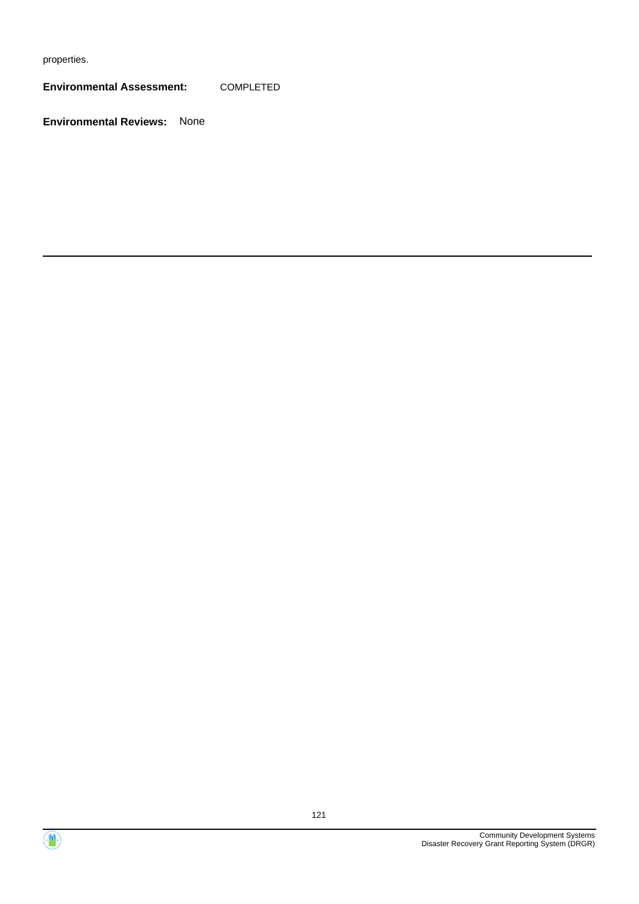properties.

**Environmental Assessment:** COMPLETED



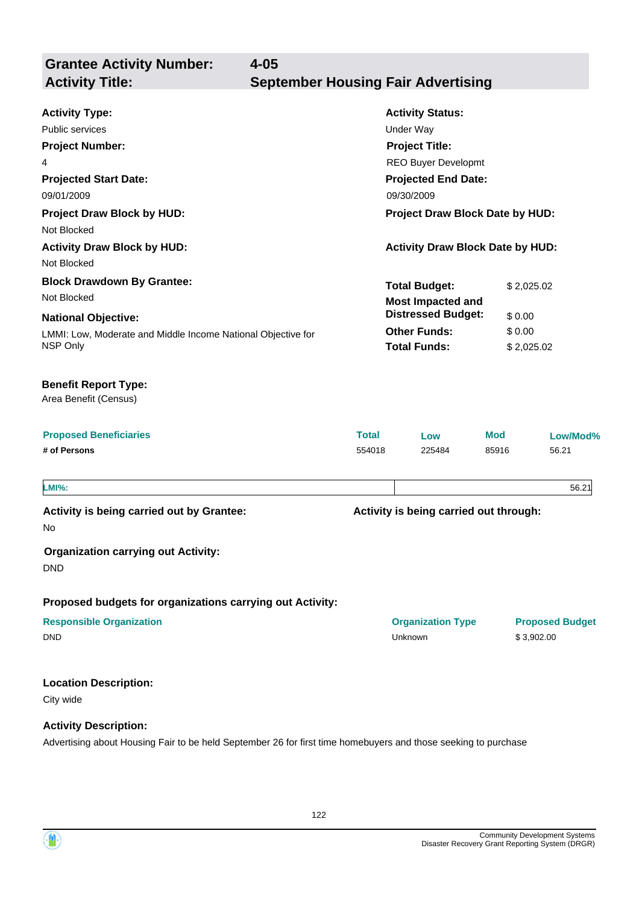**Grantee Activity Number: Projected Start Date:** LMMI: Low, Moderate and Middle Income National Objective for NSP Only **National Objective: Activity Status: Projected End Date: 4-05 Activity Type:** 09/01/2009 09/30/2009 Public services **National Structure Control Control Control Control Control Control Control Control Control Control Control Control Control Control Control Control Control Control Control Control Control Control Control Co Activity Title: September Housing Fair Advertising Project Number:** 4 **Project Title:** REO Buyer Developmt **Total Budget:** \$ 2,025.02 **Other Funds:** \$ 0.00 **Total Funds:** \$ 2,025.02 **Location Description:** City wide **Activity Description: Proposed Beneficiaries Total Low Mod Low/Mod% # of Persons** 554018 225484 85916 56.21 **Proposed budgets for organizations carrying out Activity: Activity is being carried out through: Responsible Organization Organization Type Proposed Budget** No **Activity is being carried out by Grantee: Organization carrying out Activity:** DND DND Unknown \$ 3,902.00 Area Benefit (Census) **Benefit Report Type: Project Draw Block by HUD: Project Draw Block Date by HUD:** Not Blocked **Activity Draw Block by HUD: Activity Draw Block Date by HUD:** Not Blocked **Block Drawdown By Grantee:** Not Blocked **LMI%:** 56.21 **Most Impacted and Distressed Budget:** \$ 0.00

Advertising about Housing Fair to be held September 26 for first time homebuyers and those seeking to purchase

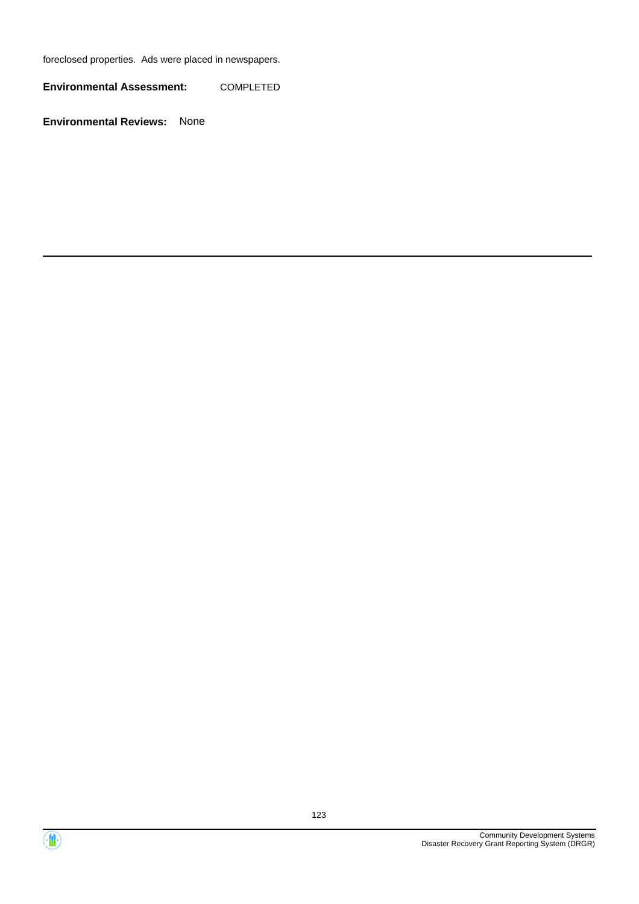foreclosed properties. Ads were placed in newspapers.

**Environmental Assessment:** COMPLETED



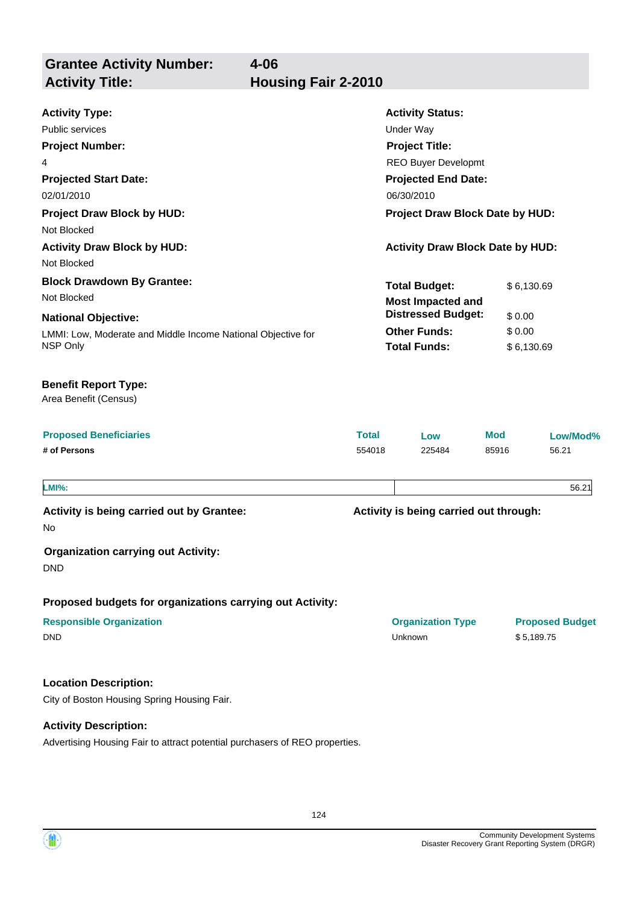**Grantee Activity Number: Activity Title: Housing Fair 2-2010**

| <b>Activity Type:</b>                                        |                                               | <b>Activity Status:</b>                 |            |                                      |
|--------------------------------------------------------------|-----------------------------------------------|-----------------------------------------|------------|--------------------------------------|
| Public services                                              | <b>Under Way</b>                              |                                         |            |                                      |
| <b>Project Number:</b>                                       | <b>Project Title:</b><br>REO Buyer Developmt  |                                         |            |                                      |
| 4                                                            |                                               |                                         |            |                                      |
| <b>Projected Start Date:</b>                                 |                                               | <b>Projected End Date:</b>              |            |                                      |
| 02/01/2010                                                   | 06/30/2010<br>Project Draw Block Date by HUD: |                                         |            |                                      |
| <b>Project Draw Block by HUD:</b><br>Not Blocked             |                                               |                                         |            |                                      |
| <b>Activity Draw Block by HUD:</b>                           |                                               | <b>Activity Draw Block Date by HUD:</b> |            |                                      |
| Not Blocked                                                  |                                               |                                         |            |                                      |
| <b>Block Drawdown By Grantee:</b>                            |                                               | <b>Total Budget:</b>                    | \$6,130.69 |                                      |
| Not Blocked                                                  |                                               | <b>Most Impacted and</b>                |            |                                      |
| <b>National Objective:</b>                                   |                                               | <b>Distressed Budget:</b>               | \$0.00     |                                      |
| LMMI: Low, Moderate and Middle Income National Objective for |                                               | <b>Other Funds:</b>                     | \$0.00     |                                      |
| NSP Only                                                     |                                               | <b>Total Funds:</b>                     |            | \$6,130.69                           |
| <b>Benefit Report Type:</b><br>Area Benefit (Census)         |                                               |                                         |            |                                      |
| <b>Proposed Beneficiaries</b>                                | <b>Total</b>                                  | Low                                     | <b>Mod</b> | Low/Mod%                             |
| # of Persons                                                 | 554018                                        | 225484                                  | 85916      | 56.21                                |
| <b>LMI%:</b>                                                 |                                               |                                         |            | 56.21                                |
| Activity is being carried out by Grantee:                    |                                               | Activity is being carried out through:  |            |                                      |
| No                                                           |                                               |                                         |            |                                      |
| <b>Organization carrying out Activity:</b><br><b>DND</b>     |                                               |                                         |            |                                      |
| Proposed budgets for organizations carrying out Activity:    |                                               |                                         |            |                                      |
| <b>Responsible Organization</b><br><b>DND</b>                |                                               | <b>Organization Type</b><br>Unknown     |            | <b>Proposed Budget</b><br>\$5,189.75 |
| <b>Location Description:</b>                                 |                                               |                                         |            |                                      |
| City of Boston Housing Spring Housing Fair.                  |                                               |                                         |            |                                      |
| <b>Activity Description:</b>                                 |                                               |                                         |            |                                      |

Advertising Housing Fair to attract potential purchasers of REO properties.

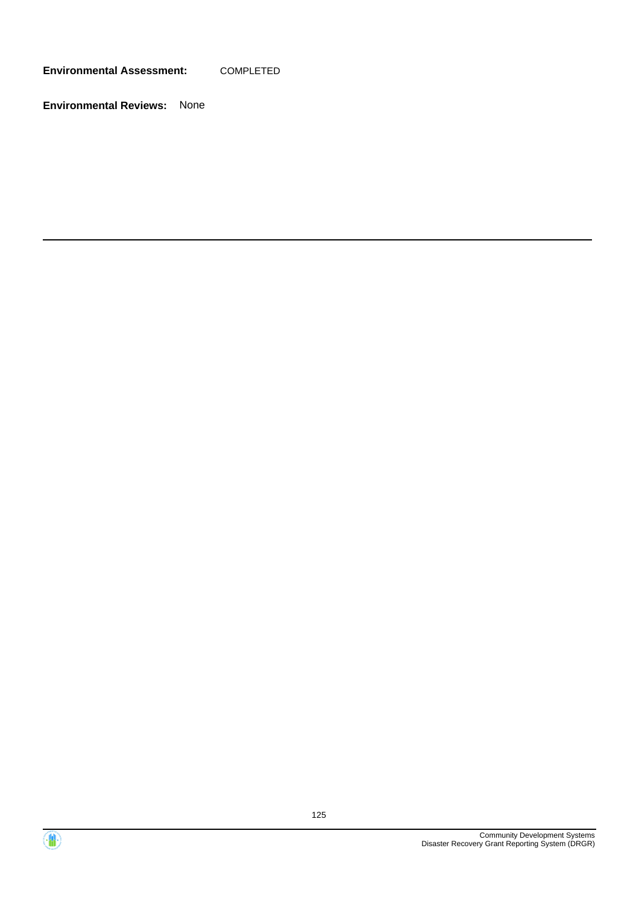**Environmental Assessment:** COMPLETED



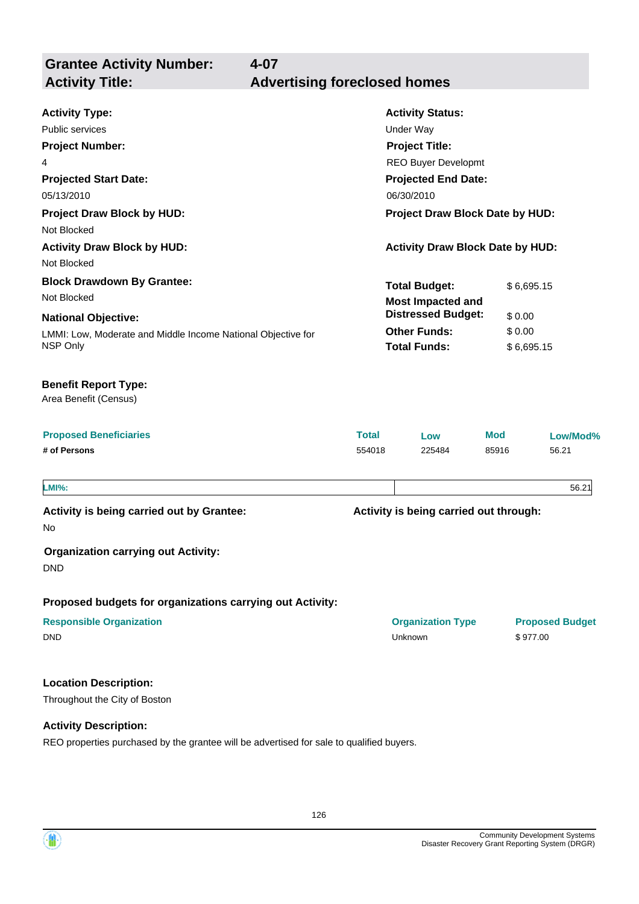**Grantee Activity Number: Projected Start Date:** LMMI: Low, Moderate and Middle Income National Objective for NSP Only **National Objective: Activity Status: Projected End Date: 4-07 Activity Type:** 05/13/2010 06/30/2010 Public services **National Structure Control Control Control Control Control Control Control Control Control Control Control Control Control Control Control Control Control Control Control Control Control Control Control Co Activity Title: Advertising foreclosed homes Project Number:** 4 **Project Title:** REO Buyer Developmt **Total Budget:** \$6,695.15 **Other Funds:** \$ 0.00 **Total Funds:** \$6,695.15 **Proposed Beneficiaries Total Low Mod Low/Mod% # of Persons** 554018 225484 85916 56.21 Area Benefit (Census) **Benefit Report Type: Project Draw Block by HUD: Project Draw Block Date by HUD:** Not Blocked **Activity Draw Block by HUD: Activity Draw Block Date by HUD:** Not Blocked **Block Drawdown By Grantee:** Not Blocked **Most Impacted and Distressed Budget:** \$ 0.00

**LMI%:** 56.21

No

**Activity is being carried out by Grantee:**

**Organization carrying out Activity:**

DND

**Proposed budgets for organizations carrying out Activity:**

| <b>Responsible Organization</b> | <b>Organization Type</b> | <b>Proposed Budget</b> |
|---------------------------------|--------------------------|------------------------|
| <b>DND</b>                      | Unknown                  | \$977.00               |

## **Location Description:**

Throughout the City of Boston

### **Activity Description:**

REO properties purchased by the grantee will be advertised for sale to qualified buyers.

**Activity is being carried out through:**

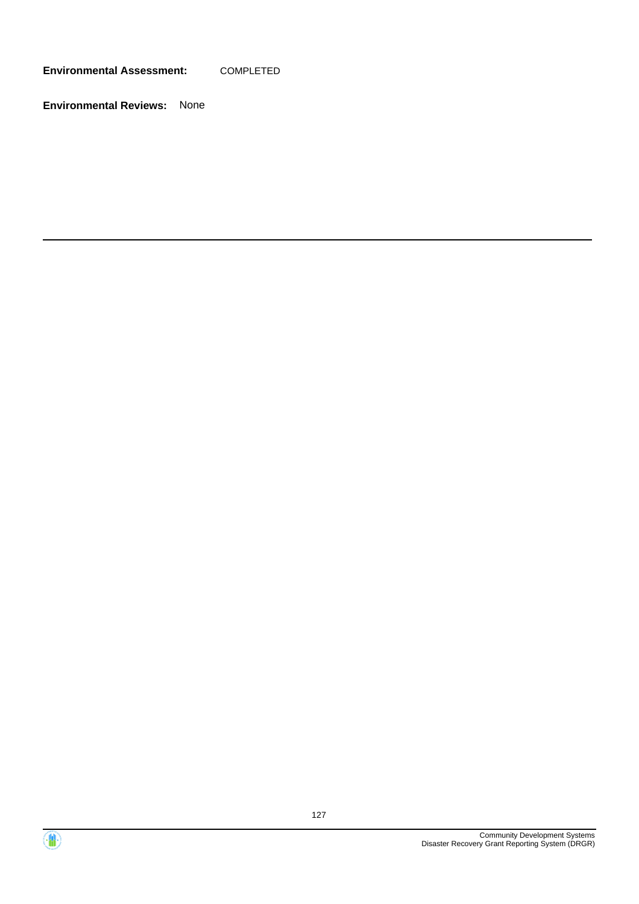**Environmental Assessment:** COMPLETED



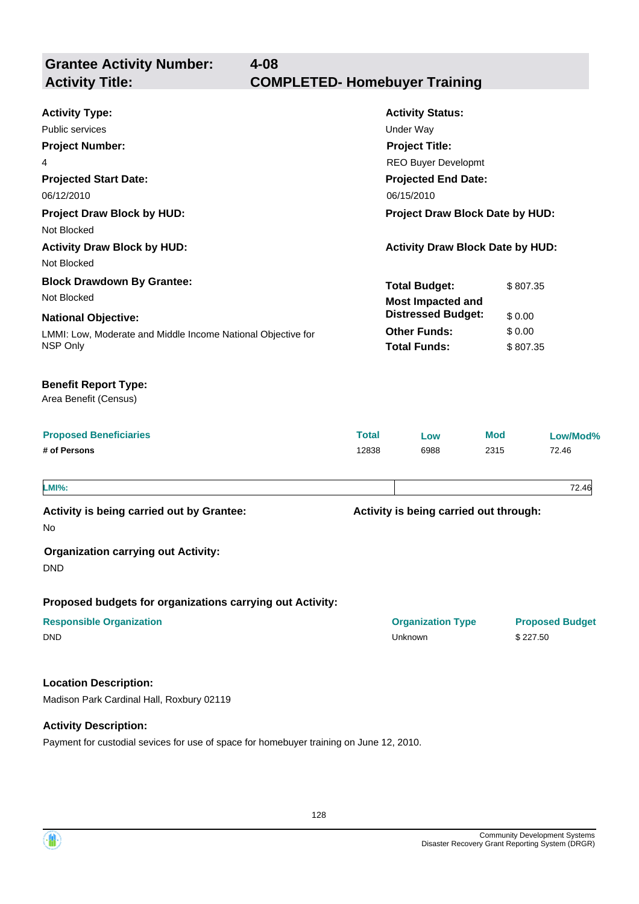**Grantee Activity Number:**

| <b>Activity Type:</b><br>Public services<br><b>Project Number:</b><br>4<br><b>Projected Start Date:</b><br>06/12/2010                                      |                       | <b>Activity Status:</b><br><b>Under Way</b><br><b>Project Title:</b><br>REO Buyer Developmt<br><b>Projected End Date:</b><br>06/15/2010 |                                          |                                    |
|------------------------------------------------------------------------------------------------------------------------------------------------------------|-----------------------|-----------------------------------------------------------------------------------------------------------------------------------------|------------------------------------------|------------------------------------|
| <b>Project Draw Block by HUD:</b><br>Not Blocked                                                                                                           |                       | Project Draw Block Date by HUD:                                                                                                         |                                          |                                    |
| <b>Activity Draw Block by HUD:</b><br>Not Blocked                                                                                                          |                       | <b>Activity Draw Block Date by HUD:</b>                                                                                                 |                                          |                                    |
| <b>Block Drawdown By Grantee:</b><br>Not Blocked<br><b>National Objective:</b><br>LMMI: Low, Moderate and Middle Income National Objective for<br>NSP Only |                       | <b>Total Budget:</b><br><b>Most Impacted and</b><br><b>Distressed Budget:</b><br><b>Other Funds:</b><br><b>Total Funds:</b>             | \$807.35<br>\$0.00<br>\$0.00<br>\$807.35 |                                    |
| <b>Benefit Report Type:</b><br>Area Benefit (Census)                                                                                                       |                       |                                                                                                                                         |                                          |                                    |
| <b>Proposed Beneficiaries</b><br># of Persons                                                                                                              | <b>Total</b><br>12838 | Low<br>6988                                                                                                                             | <b>Mod</b><br>2315                       | Low/Mod%<br>72.46                  |
| <b>LMI%:</b>                                                                                                                                               |                       |                                                                                                                                         |                                          | 72.46                              |
| Activity is being carried out by Grantee:<br>No<br><b>Organization carrying out Activity:</b>                                                              |                       | Activity is being carried out through:                                                                                                  |                                          |                                    |
| <b>DND</b><br>Proposed budgets for organizations carrying out Activity:<br><b>Responsible Organization</b><br><b>DND</b>                                   |                       | <b>Organization Type</b><br>Unknown                                                                                                     |                                          | <b>Proposed Budget</b><br>\$227.50 |
| <b>Location Description:</b><br>Madison Park Cardinal Hall, Roxbury 02119                                                                                  |                       |                                                                                                                                         |                                          |                                    |

**Activity Description:**

Payment for custodial sevices for use of space for homebuyer training on June 12, 2010.

128

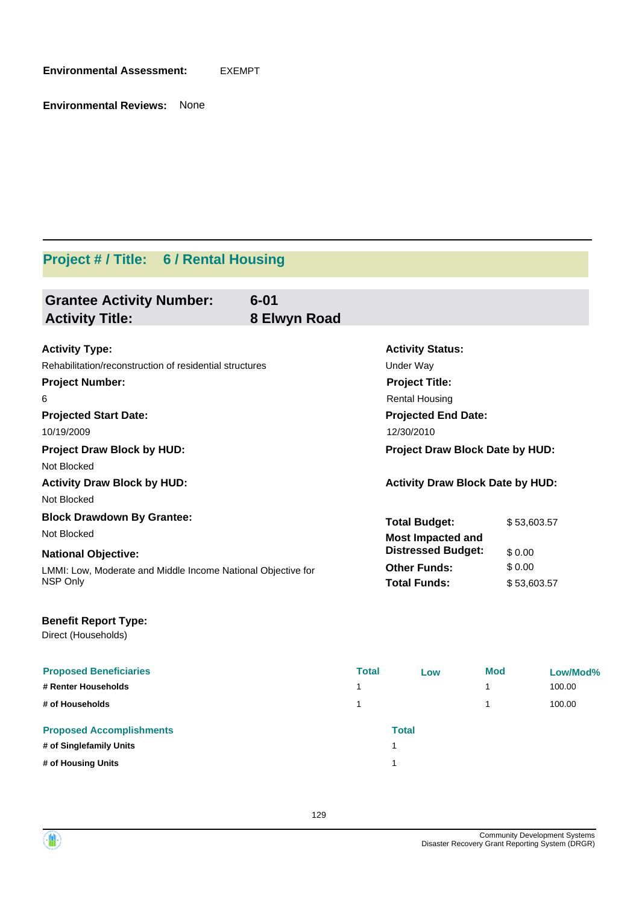**Environmental Assessment:** EXEMPT

**Environmental Reviews:** None

# **Project # / Title: 6 / Rental Housing**

| <b>Grantee Activity Number:</b><br><b>Activity Title:</b>    | $6 - 01$<br>8 Elwyn Road |                                         |             |
|--------------------------------------------------------------|--------------------------|-----------------------------------------|-------------|
| <b>Activity Type:</b>                                        |                          | <b>Activity Status:</b>                 |             |
| Rehabilitation/reconstruction of residential structures      |                          | Under Way                               |             |
| <b>Project Number:</b>                                       |                          | <b>Project Title:</b>                   |             |
| 6                                                            |                          | <b>Rental Housing</b>                   |             |
| <b>Projected Start Date:</b>                                 |                          | <b>Projected End Date:</b>              |             |
| 10/19/2009                                                   |                          | 12/30/2010                              |             |
| <b>Project Draw Block by HUD:</b>                            |                          | Project Draw Block Date by HUD:         |             |
| Not Blocked                                                  |                          |                                         |             |
| <b>Activity Draw Block by HUD:</b>                           |                          | <b>Activity Draw Block Date by HUD:</b> |             |
| Not Blocked                                                  |                          |                                         |             |
| <b>Block Drawdown By Grantee:</b>                            |                          | <b>Total Budget:</b>                    | \$53,603.57 |
| Not Blocked                                                  |                          | <b>Most Impacted and</b>                |             |
| <b>National Objective:</b>                                   |                          | <b>Distressed Budget:</b>               | \$0.00      |
| LMMI: Low, Moderate and Middle Income National Objective for |                          | <b>Other Funds:</b>                     | \$0.00      |
|                                                              |                          | <b>Total Funds:</b>                     | \$53,603.57 |

| Direct (Households) |
|---------------------|
|---------------------|

| <b>Proposed Beneficiaries</b><br># Renter Households | <b>Total</b><br>1 | Low          | <b>Mod</b> | Low/Mod%<br>100.00 |
|------------------------------------------------------|-------------------|--------------|------------|--------------------|
| # of Households                                      | 1                 |              |            | 100.00             |
| <b>Proposed Accomplishments</b>                      |                   | <b>Total</b> |            |                    |
| # of Singlefamily Units                              |                   |              |            |                    |
| # of Housing Units                                   |                   |              |            |                    |

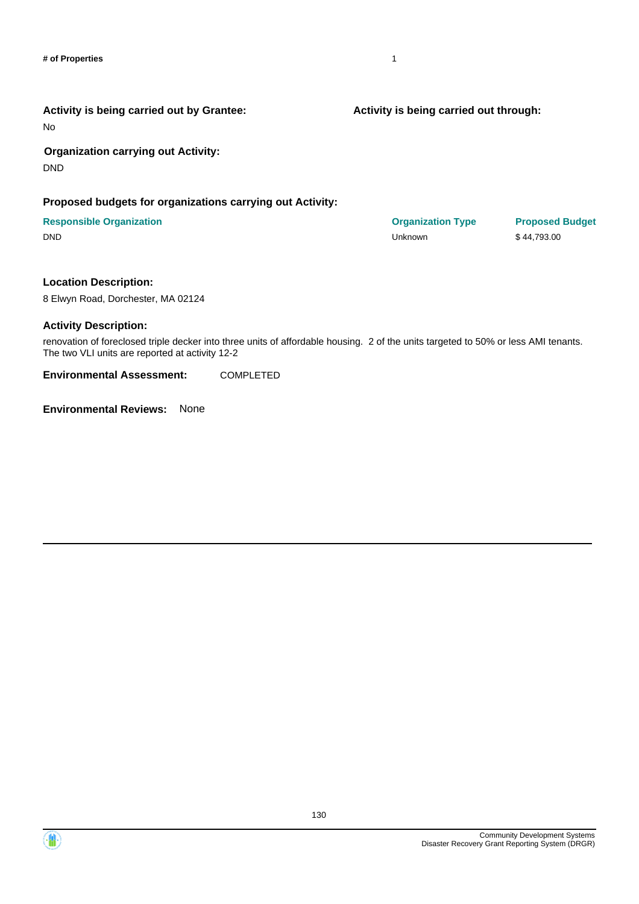No

### **Organization carrying out Activity:**

DND

### **Proposed budgets for organizations carrying out Activity:**

### **Responsible Organization Organization Type Proposed Budget** DND Unknown \$ 44,793.00

### **Location Description:**

8 Elwyn Road, Dorchester, MA 02124

### **Activity Description:**

renovation of foreclosed triple decker into three units of affordable housing. 2 of the units targeted to 50% or less AMI tenants. The two VLI units are reported at activity 12-2

**Environmental Assessment:** COMPLETED

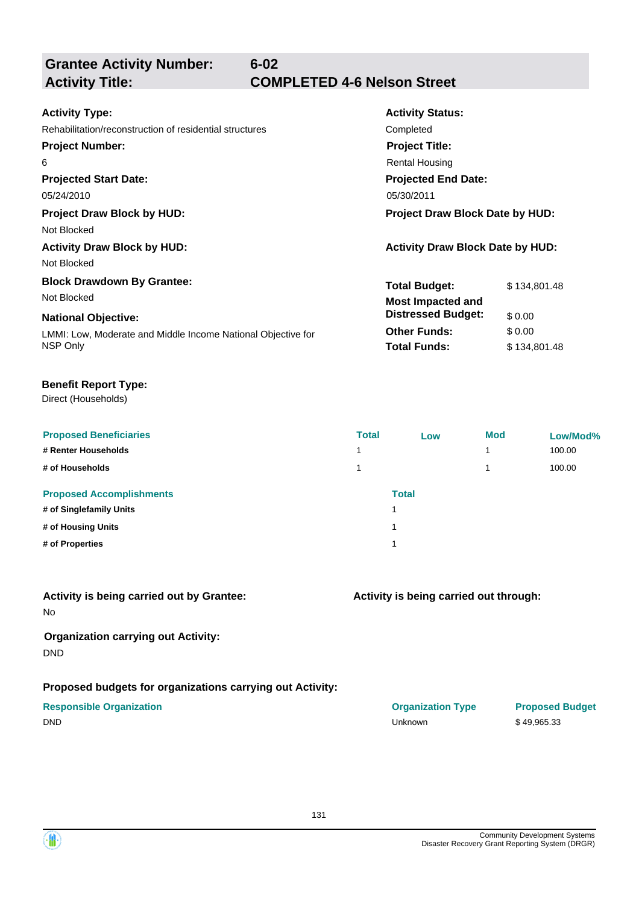**Grantee Activity Number:**

**6-02**

# **Activity Title: COMPLETED 4-6 Nelson Street**

| <b>Activity Status:</b>                 |                                                  |  |
|-----------------------------------------|--------------------------------------------------|--|
| Completed                               |                                                  |  |
| <b>Project Title:</b>                   |                                                  |  |
| <b>Rental Housing</b>                   |                                                  |  |
| <b>Projected End Date:</b>              |                                                  |  |
| 05/30/2011                              |                                                  |  |
| <b>Project Draw Block Date by HUD:</b>  |                                                  |  |
|                                         |                                                  |  |
| <b>Activity Draw Block Date by HUD:</b> |                                                  |  |
|                                         |                                                  |  |
|                                         | \$134,801.48                                     |  |
|                                         |                                                  |  |
| <b>Distressed Budget:</b>               | \$0.00                                           |  |
| <b>Other Funds:</b>                     | \$0.00                                           |  |
| <b>Total Funds:</b>                     | \$134,801.48                                     |  |
|                                         | <b>Total Budget:</b><br><b>Most Impacted and</b> |  |

### **Benefit Report Type:**

Direct (Households)

| <b>Proposed Beneficiaries</b><br># Renter Households<br># of Households | <b>Total</b> | Low               | <b>Mod</b> | Low/Mod%<br>100.00<br>100.00 |
|-------------------------------------------------------------------------|--------------|-------------------|------------|------------------------------|
| <b>Proposed Accomplishments</b><br># of Singlefamily Units              |              | <b>Total</b><br>٠ |            |                              |
| # of Housing Units                                                      |              | ٠                 |            |                              |
| # of Properties                                                         |              |                   |            |                              |

# **Activity is being carried out by Grantee:**

No

### **Organization carrying out Activity:** DND

### **Proposed budgets for organizations carrying out Activity:**

### **Activity is being carried out through:**

**Responsible Organization COVID-10 COVID-10 Organization Type Proposed Budget** DND Unknown \$ 49,965.33

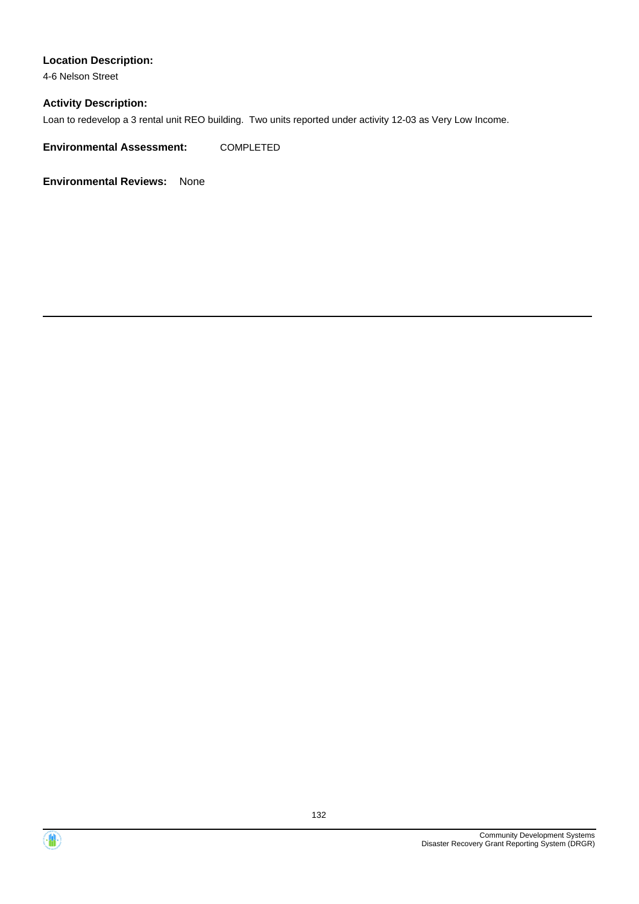### **Location Description:**

4-6 Nelson Street

### **Activity Description:**

Loan to redevelop a 3 rental unit REO building. Two units reported under activity 12-03 as Very Low Income.

**Environmental Assessment:** COMPLETED

**Environmental Reviews:** None

 $\langle \mathbf{m} \rangle$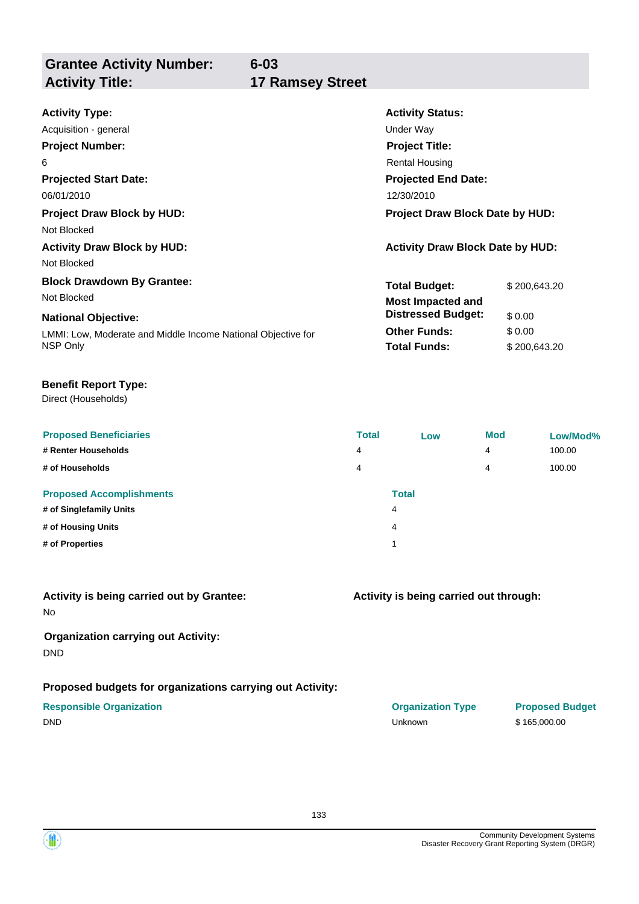**Grantee Activity Number: Activity Title: 17 Ramsey Street**

**6-03**

| <b>Activity Type:</b>                                        | <b>Activity Status:</b>                 |              |  |  |
|--------------------------------------------------------------|-----------------------------------------|--------------|--|--|
| Acquisition - general                                        | Under Way                               |              |  |  |
| <b>Project Number:</b>                                       | <b>Project Title:</b>                   |              |  |  |
| 6                                                            | <b>Rental Housing</b>                   |              |  |  |
| <b>Projected Start Date:</b>                                 | <b>Projected End Date:</b>              |              |  |  |
| 06/01/2010                                                   | 12/30/2010                              |              |  |  |
| <b>Project Draw Block by HUD:</b>                            | <b>Project Draw Block Date by HUD:</b>  |              |  |  |
| Not Blocked                                                  |                                         |              |  |  |
| <b>Activity Draw Block by HUD:</b>                           | <b>Activity Draw Block Date by HUD:</b> |              |  |  |
| Not Blocked                                                  |                                         |              |  |  |
| <b>Block Drawdown By Grantee:</b>                            | <b>Total Budget:</b>                    | \$200,643.20 |  |  |
| Not Blocked                                                  | <b>Most Impacted and</b>                |              |  |  |
| <b>National Objective:</b>                                   | <b>Distressed Budget:</b>               | \$0.00       |  |  |
| LMMI: Low, Moderate and Middle Income National Objective for | <b>Other Funds:</b>                     | \$0.00       |  |  |
| NSP Only                                                     | <b>Total Funds:</b>                     | \$200,643.20 |  |  |

### **Benefit Report Type:**

Direct (Households)

| <b>Proposed Beneficiaries</b><br># Renter Households<br># of Households | <b>Total</b><br>4<br>4 | Low               | <b>Mod</b><br>4<br>4 | Low/Mod%<br>100.00<br>100.00 |
|-------------------------------------------------------------------------|------------------------|-------------------|----------------------|------------------------------|
| <b>Proposed Accomplishments</b><br># of Singlefamily Units              |                        | <b>Total</b><br>4 |                      |                              |
| # of Housing Units                                                      |                        | 4                 |                      |                              |
| # of Properties                                                         |                        | ٠                 |                      |                              |

## **Activity is being carried out by Grantee:**

No

### **Organization carrying out Activity:** DND

### **Proposed budgets for organizations carrying out Activity:**

### **Activity is being carried out through:**

**Responsible Organization COVID-10 COVID-10 Organization Type Proposed Budget** DND Unknown \$ 165,000.00

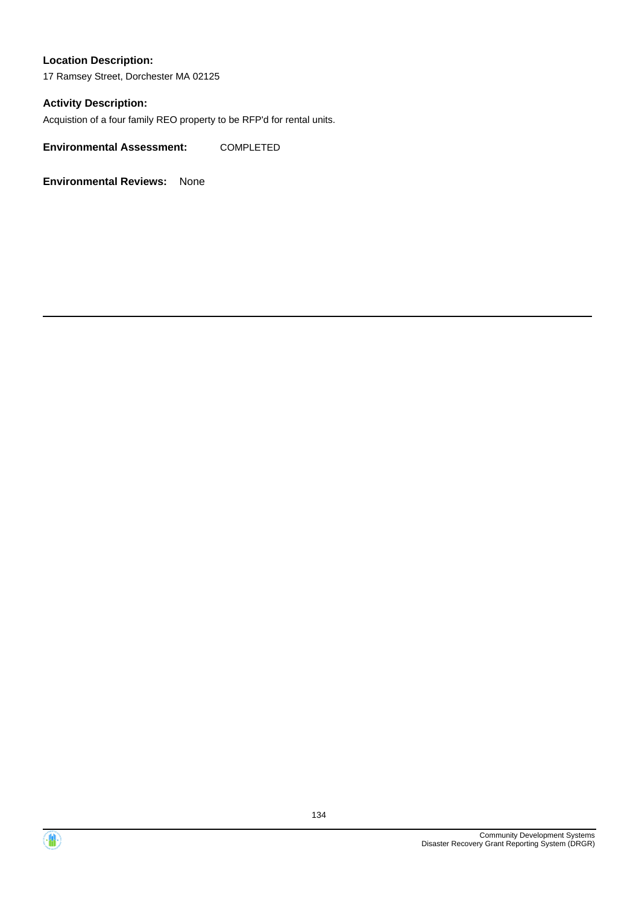### **Location Description:**

17 Ramsey Street, Dorchester MA 02125

### **Activity Description:**

Acquistion of a four family REO property to be RFP'd for rental units.

**Environmental Assessment:** COMPLETED

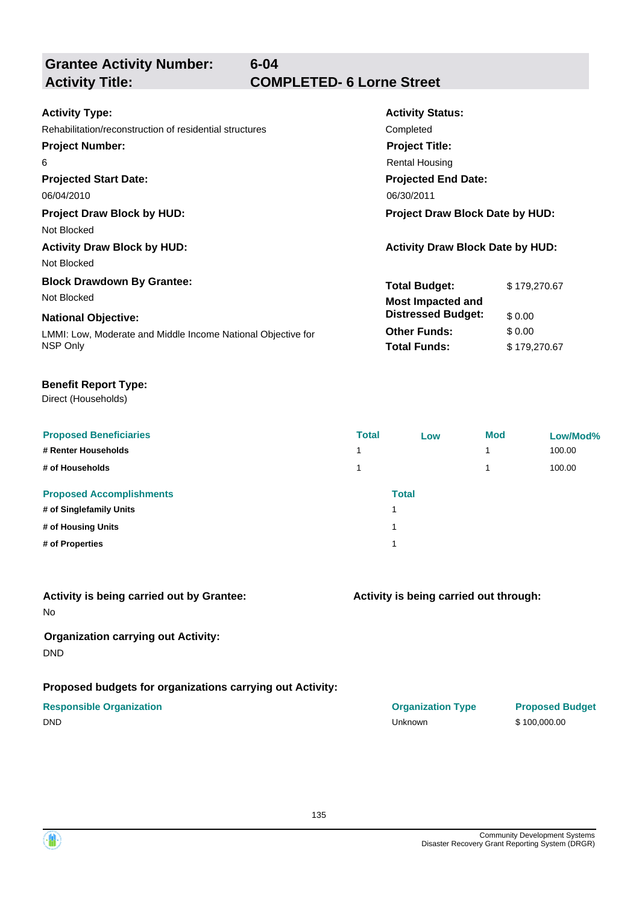**Grantee Activity Number:**

**6-04**

# **Activity Title: COMPLETED- 6 Lorne Street**

| <b>Activity Type:</b>                                        | <b>Activity Status:</b>                 |              |  |
|--------------------------------------------------------------|-----------------------------------------|--------------|--|
| Rehabilitation/reconstruction of residential structures      | Completed                               |              |  |
| <b>Project Number:</b>                                       | <b>Project Title:</b>                   |              |  |
| 6                                                            | <b>Rental Housing</b>                   |              |  |
| <b>Projected Start Date:</b>                                 | <b>Projected End Date:</b>              |              |  |
| 06/04/2010                                                   | 06/30/2011                              |              |  |
| <b>Project Draw Block by HUD:</b>                            | <b>Project Draw Block Date by HUD:</b>  |              |  |
| Not Blocked                                                  |                                         |              |  |
| <b>Activity Draw Block by HUD:</b>                           | <b>Activity Draw Block Date by HUD:</b> |              |  |
| Not Blocked                                                  |                                         |              |  |
| <b>Block Drawdown By Grantee:</b>                            | <b>Total Budget:</b>                    | \$179,270.67 |  |
| Not Blocked                                                  | <b>Most Impacted and</b>                |              |  |
| <b>National Objective:</b>                                   | <b>Distressed Budget:</b>               | \$0.00       |  |
| LMMI: Low, Moderate and Middle Income National Objective for | <b>Other Funds:</b>                     | \$0.00       |  |
| NSP Only                                                     | <b>Total Funds:</b>                     | \$179,270.67 |  |
|                                                              |                                         |              |  |

### **Benefit Report Type:**

Direct (Households)

| <b>Proposed Beneficiaries</b><br># Renter Households<br># of Households | <b>Total</b> | Low          | <b>Mod</b> | Low/Mod%<br>100.00<br>100.00 |
|-------------------------------------------------------------------------|--------------|--------------|------------|------------------------------|
| <b>Proposed Accomplishments</b><br># of Singlefamily Units              |              | <b>Total</b> |            |                              |
| # of Housing Units<br># of Properties                                   | ٠            |              |            |                              |
|                                                                         |              |              |            |                              |

## **Activity is being carried out by Grantee:**

No

### **Organization carrying out Activity:** DND

### **Proposed budgets for organizations carrying out Activity:**

### **Activity is being carried out through:**

**Responsible Organization COVID-10 COVID-10 Organization Type Proposed Budget** DND Unknown \$ 100,000.00

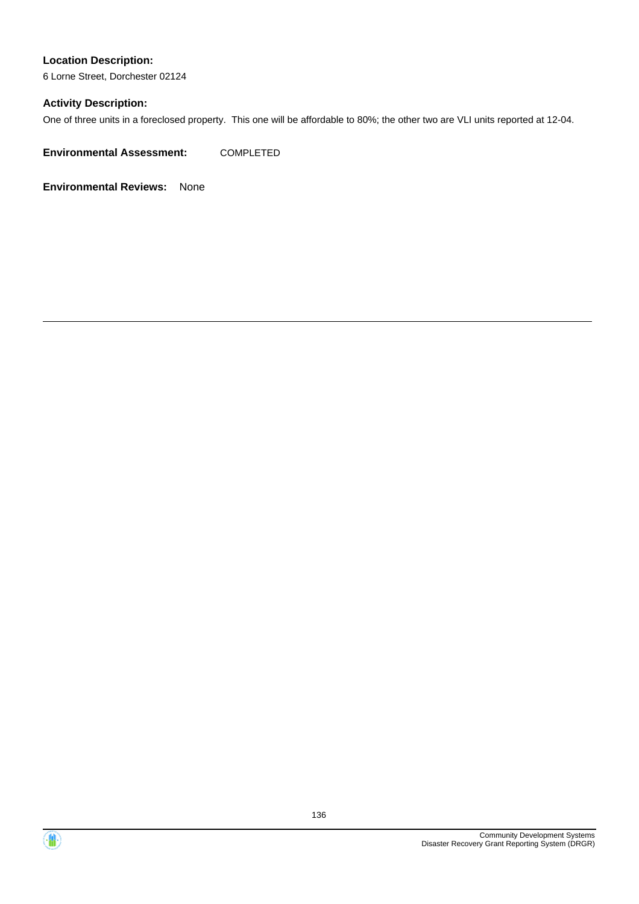# **Location Description:**

6 Lorne Street, Dorchester 02124

### **Activity Description:**

One of three units in a foreclosed property. This one will be affordable to 80%; the other two are VLI units reported at 12-04.

**Environmental Assessment:** COMPLETED



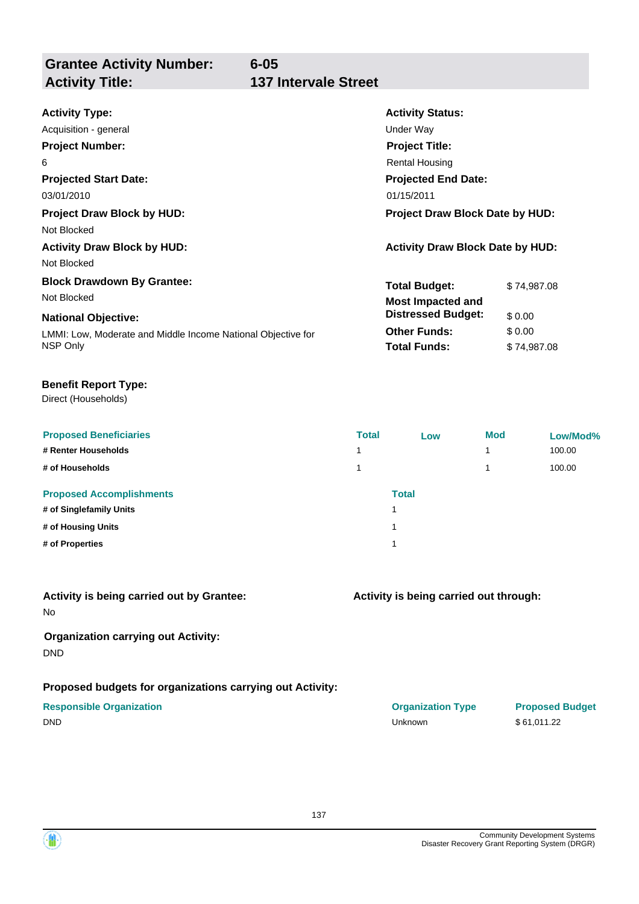**Grantee Activity Number: Activity Title: 137 Intervale Street**

# **6-05**

| <b>Activity Type:</b>                                        | <b>Activity Status:</b>                 |             |  |
|--------------------------------------------------------------|-----------------------------------------|-------------|--|
| Acquisition - general                                        | Under Way                               |             |  |
| <b>Project Number:</b>                                       | <b>Project Title:</b>                   |             |  |
| 6                                                            | <b>Rental Housing</b>                   |             |  |
| <b>Projected Start Date:</b>                                 | <b>Projected End Date:</b>              |             |  |
| 03/01/2010                                                   | 01/15/2011                              |             |  |
| <b>Project Draw Block by HUD:</b>                            | Project Draw Block Date by HUD:         |             |  |
| Not Blocked                                                  |                                         |             |  |
| <b>Activity Draw Block by HUD:</b>                           | <b>Activity Draw Block Date by HUD:</b> |             |  |
| Not Blocked                                                  |                                         |             |  |
| <b>Block Drawdown By Grantee:</b>                            | <b>Total Budget:</b>                    | \$74,987.08 |  |
| Not Blocked                                                  | <b>Most Impacted and</b>                |             |  |
| <b>National Objective:</b>                                   | <b>Distressed Budget:</b>               | \$0.00      |  |
| LMMI: Low, Moderate and Middle Income National Objective for | <b>Other Funds:</b>                     | \$0.00      |  |
| NSP Only                                                     | <b>Total Funds:</b>                     | \$74,987.08 |  |

### **Benefit Report Type:**

Direct (Households)

| <b>Proposed Beneficiaries</b><br># Renter Households       | <b>Total</b><br>$\overline{\phantom{a}}$ | Low          | <b>Mod</b><br>1 | Low/Mod%<br>100.00 |
|------------------------------------------------------------|------------------------------------------|--------------|-----------------|--------------------|
| # of Households                                            |                                          |              | 4               | 100.00             |
| <b>Proposed Accomplishments</b><br># of Singlefamily Units |                                          | <b>Total</b> |                 |                    |
| # of Housing Units                                         |                                          |              |                 |                    |
| # of Properties                                            |                                          |              |                 |                    |

# **Activity is being carried out by Grantee:**

No

### **Organization carrying out Activity:** DND

### **Proposed budgets for organizations carrying out Activity:**

### **Activity is being carried out through:**

**Responsible Organization Organization Type Proposed Budget** DND Unknown \$ 61,011.22

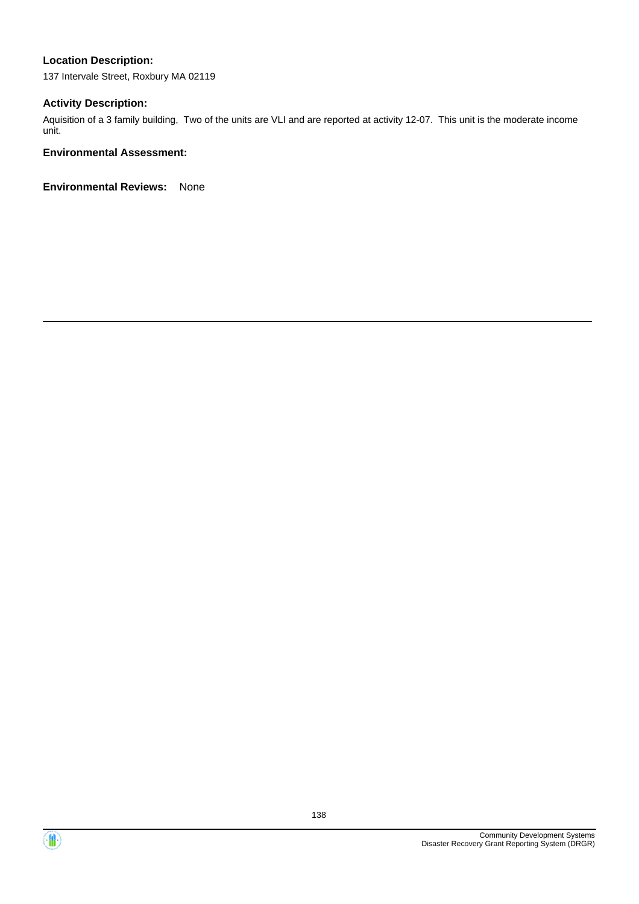### **Location Description:**

137 Intervale Street, Roxbury MA 02119

### **Activity Description:**

Aquisition of a 3 family building, Two of the units are VLI and are reported at activity 12-07. This unit is the moderate income unit.

### **Environmental Assessment:**



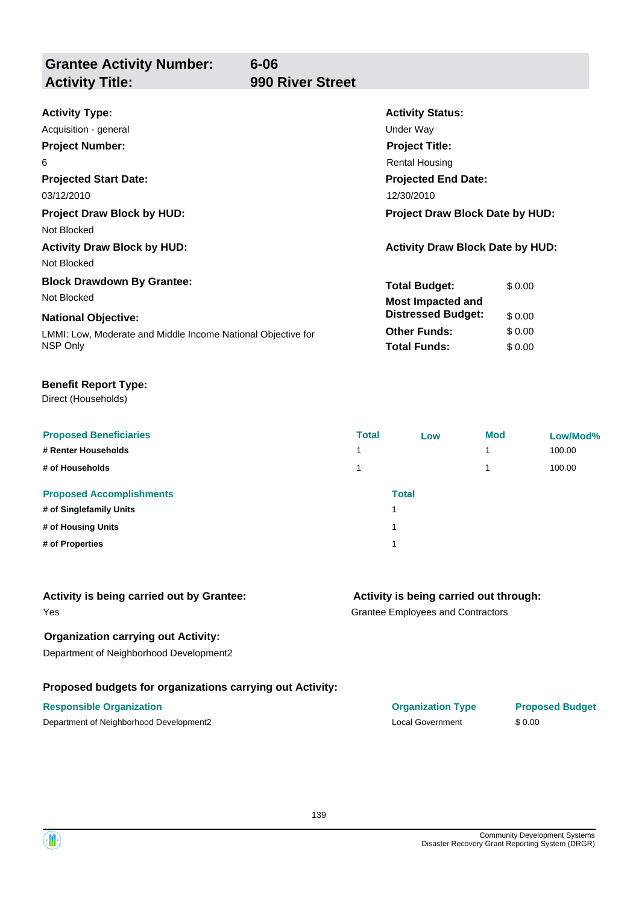**Grantee Activity Number: Activity Title: 990 River Street**

**6-06**

| <b>Activity Type:</b>                                        | <b>Activity Status:</b>                 |        |  |
|--------------------------------------------------------------|-----------------------------------------|--------|--|
| Acquisition - general                                        | Under Way                               |        |  |
| <b>Project Number:</b>                                       | <b>Project Title:</b>                   |        |  |
| 6                                                            | <b>Rental Housing</b>                   |        |  |
| <b>Projected Start Date:</b>                                 | <b>Projected End Date:</b>              |        |  |
| 03/12/2010                                                   | 12/30/2010                              |        |  |
| <b>Project Draw Block by HUD:</b>                            | <b>Project Draw Block Date by HUD:</b>  |        |  |
| Not Blocked                                                  |                                         |        |  |
| <b>Activity Draw Block by HUD:</b>                           | <b>Activity Draw Block Date by HUD:</b> |        |  |
| Not Blocked                                                  |                                         |        |  |
| <b>Block Drawdown By Grantee:</b>                            | <b>Total Budget:</b>                    | \$0.00 |  |
| Not Blocked                                                  | <b>Most Impacted and</b>                |        |  |
| <b>National Objective:</b>                                   | <b>Distressed Budget:</b>               | \$0.00 |  |
| LMMI: Low, Moderate and Middle Income National Objective for | <b>Other Funds:</b>                     | \$0.00 |  |
| NSP Only                                                     | <b>Total Funds:</b>                     | \$0.00 |  |

### **Benefit Report Type:**

Direct (Households)

| <b>Proposed Beneficiaries</b><br># Renter Households<br># of Households | <b>Total</b> | Low          | <b>Mod</b> | Low/Mod%<br>100.00<br>100.00 |
|-------------------------------------------------------------------------|--------------|--------------|------------|------------------------------|
| <b>Proposed Accomplishments</b><br># of Singlefamily Units              | ۸            | <b>Total</b> |            |                              |
| # of Housing Units                                                      | и            |              |            |                              |
| # of Properties                                                         | 4            |              |            |                              |

| Activity is being carried out by Grantee: |  |
|-------------------------------------------|--|
|-------------------------------------------|--|

### Yes

### **Organization carrying out Activity:**

Department of Neighborhood Development2

### **Proposed budgets for organizations carrying out Activity:**

### **Activity is being carried out through:**

Grantee Employees and Contractors

| <b>Responsible Organization</b>         | <b>Organization Type</b> | <b>Proposed Budget</b> |
|-----------------------------------------|--------------------------|------------------------|
| Department of Neighborhood Development2 | Local Government         | \$0.00                 |

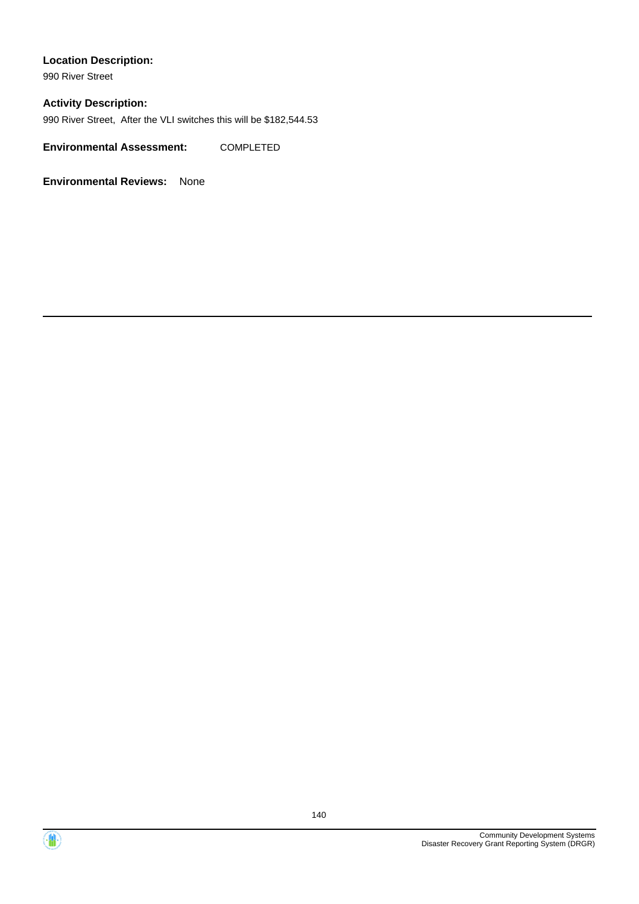### **Location Description:**

990 River Street

### **Activity Description:**

990 River Street, After the VLI switches this will be \$182,544.53

**Environmental Assessment:** COMPLETED

**Environmental Reviews:** None

Community Development Systems

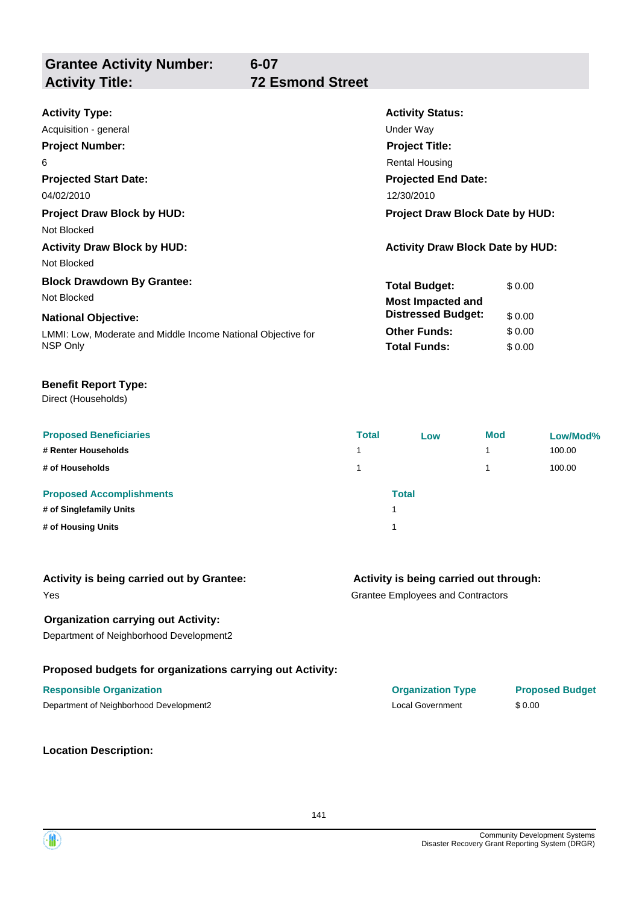**Grantee Activity Number: Activity Title: 72 Esmond Street**

# **6-07**

| <b>Activity Type:</b>                                        | <b>Activity Status:</b>                 |        |  |
|--------------------------------------------------------------|-----------------------------------------|--------|--|
| Acquisition - general                                        | Under Way                               |        |  |
| <b>Project Number:</b>                                       | <b>Project Title:</b>                   |        |  |
| 6                                                            | Rental Housing                          |        |  |
| <b>Projected Start Date:</b>                                 | <b>Projected End Date:</b>              |        |  |
| 04/02/2010                                                   | 12/30/2010                              |        |  |
| <b>Project Draw Block by HUD:</b>                            | <b>Project Draw Block Date by HUD:</b>  |        |  |
| Not Blocked                                                  |                                         |        |  |
| <b>Activity Draw Block by HUD:</b>                           | <b>Activity Draw Block Date by HUD:</b> |        |  |
| Not Blocked                                                  |                                         |        |  |
| <b>Block Drawdown By Grantee:</b>                            | <b>Total Budget:</b>                    | \$0.00 |  |
| Not Blocked                                                  | <b>Most Impacted and</b>                |        |  |
| <b>National Objective:</b>                                   | <b>Distressed Budget:</b>               | \$0.00 |  |
| LMMI: Low, Moderate and Middle Income National Objective for | <b>Other Funds:</b>                     | \$0.00 |  |
| NSP Only                                                     | <b>Total Funds:</b>                     | \$0.00 |  |

### **Benefit Report Type:**

Direct (Households)

| <b>Proposed Beneficiaries</b>   | <b>Total</b> | Low          | <b>Mod</b> | Low/Mod% |
|---------------------------------|--------------|--------------|------------|----------|
| # Renter Households             |              |              |            | 100.00   |
| # of Households                 |              |              |            | 100.00   |
| <b>Proposed Accomplishments</b> |              | <b>Total</b> |            |          |
| # of Singlefamily Units         |              | 1            |            |          |
| # of Housing Units              |              | и            |            |          |

| Activity is being carried out by Grantee: |  |  |
|-------------------------------------------|--|--|
|-------------------------------------------|--|--|

# Yes

### **Organization carrying out Activity:**

Department of Neighborhood Development2

### **Proposed budgets for organizations carrying out Activity:**

### **Responsible Organization Organization Type Proposed Budget**

Department of Neighborhood Development2 Local Government \$ 0.00

**Location Description:**

Grantee Employees and Contractors **Activity is being carried out through:**

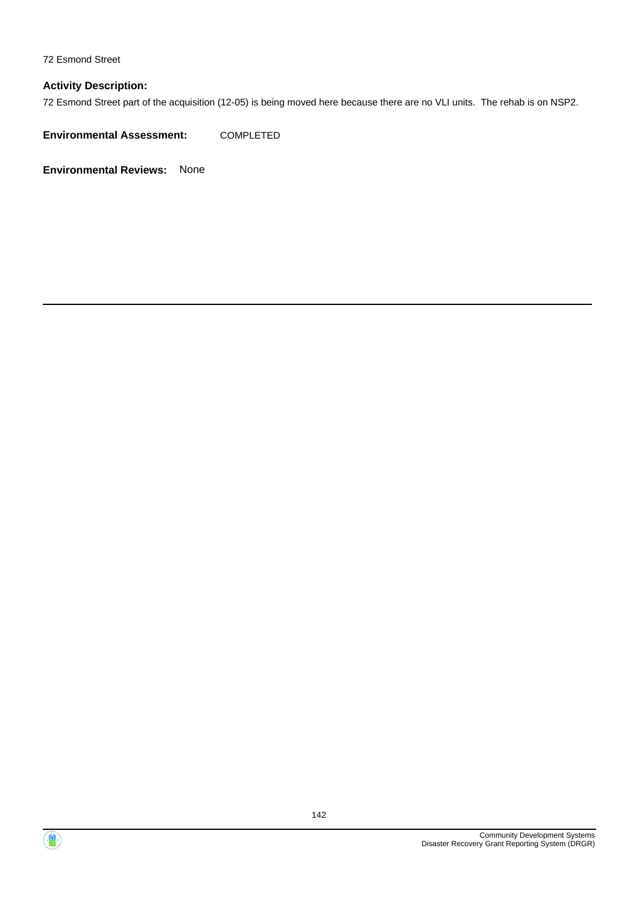72 Esmond Street

### **Activity Description:**

72 Esmond Street part of the acquisition (12-05) is being moved here because there are no VLI units. The rehab is on NSP2.

**Environmental Assessment:** COMPLETED



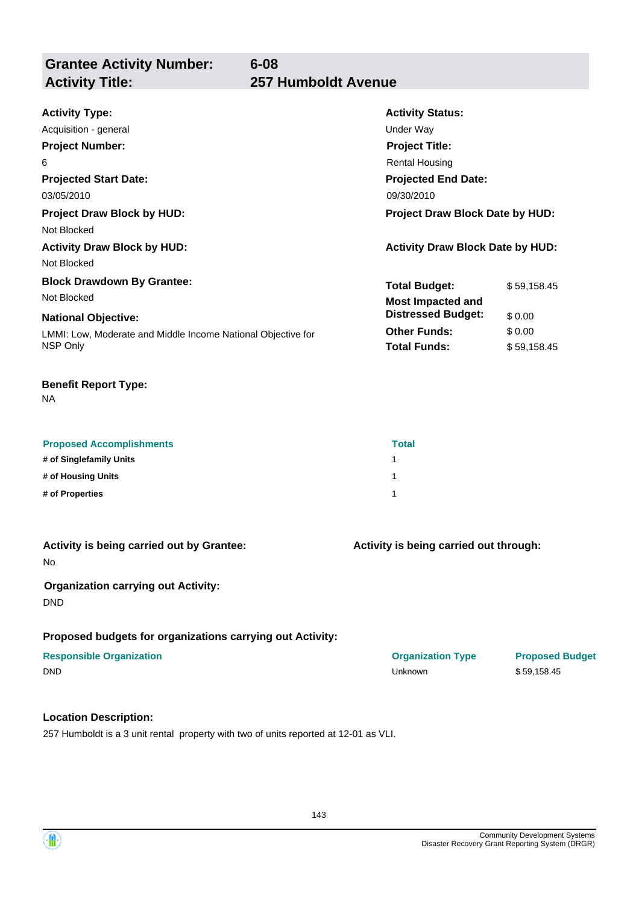**Grantee Activity Number: Activity Title: 257 Humboldt Avenue**

# **6-08**

| <b>Activity Type:</b>                                        | <b>Activity Status:</b>                 |             |  |
|--------------------------------------------------------------|-----------------------------------------|-------------|--|
| Acquisition - general                                        | Under Way                               |             |  |
| <b>Project Number:</b>                                       | <b>Project Title:</b>                   |             |  |
| 6                                                            | <b>Rental Housing</b>                   |             |  |
| <b>Projected Start Date:</b>                                 | <b>Projected End Date:</b>              |             |  |
| 03/05/2010                                                   | 09/30/2010                              |             |  |
| <b>Project Draw Block by HUD:</b>                            | <b>Project Draw Block Date by HUD:</b>  |             |  |
| Not Blocked                                                  |                                         |             |  |
| <b>Activity Draw Block by HUD:</b>                           | <b>Activity Draw Block Date by HUD:</b> |             |  |
| Not Blocked                                                  |                                         |             |  |
| <b>Block Drawdown By Grantee:</b>                            | <b>Total Budget:</b>                    | \$59,158.45 |  |
| Not Blocked                                                  | <b>Most Impacted and</b>                |             |  |
| <b>National Objective:</b>                                   | <b>Distressed Budget:</b>               | \$0.00      |  |
| LMMI: Low, Moderate and Middle Income National Objective for | <b>Other Funds:</b>                     | \$0.00      |  |
| NSP Only                                                     | <b>Total Funds:</b>                     | \$59,158.45 |  |

### **Benefit Report Type:**

NA

| <b>Proposed Accomplishments</b> | Total |
|---------------------------------|-------|
| # of Singlefamily Units         |       |
| # of Housing Units              |       |
| # of Properties                 |       |

| Activity is being carried out by Grantee: |  |
|-------------------------------------------|--|
| - No                                      |  |

### **Organization carrying out Activity:**

DND

### **Proposed budgets for organizations carrying out Activity:**

### **Location Description:**

257 Humboldt is a 3 unit rental property with two of units reported at 12-01 as VLI.

**Activity is being carried out through:**

| <b>Responsible Organization</b> | <b>Organization Type</b> | <b>Proposed Budget</b> |
|---------------------------------|--------------------------|------------------------|
| <b>DND</b>                      | Unknown                  | \$59.158.45            |

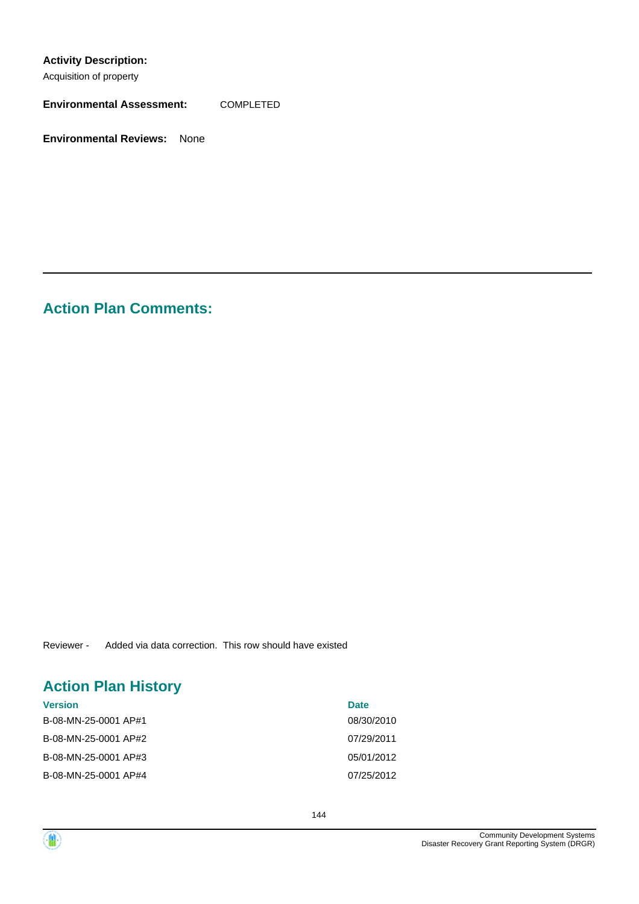### **Activity Description:**

Acquisition of property

**Environmental Assessment:** COMPLETED

**Environmental Reviews:** None

# **Action Plan Comments:**

Reviewer - Added via data correction. This row should have existed

# **Action Plan History**

| <b>Version</b>       | <b>Date</b> |
|----------------------|-------------|
| B-08-MN-25-0001 AP#1 | 08/30/2010  |
| B-08-MN-25-0001 AP#2 | 07/29/2011  |
| B-08-MN-25-0001 AP#3 | 05/01/2012  |
| B-08-MN-25-0001 AP#4 | 07/25/2012  |